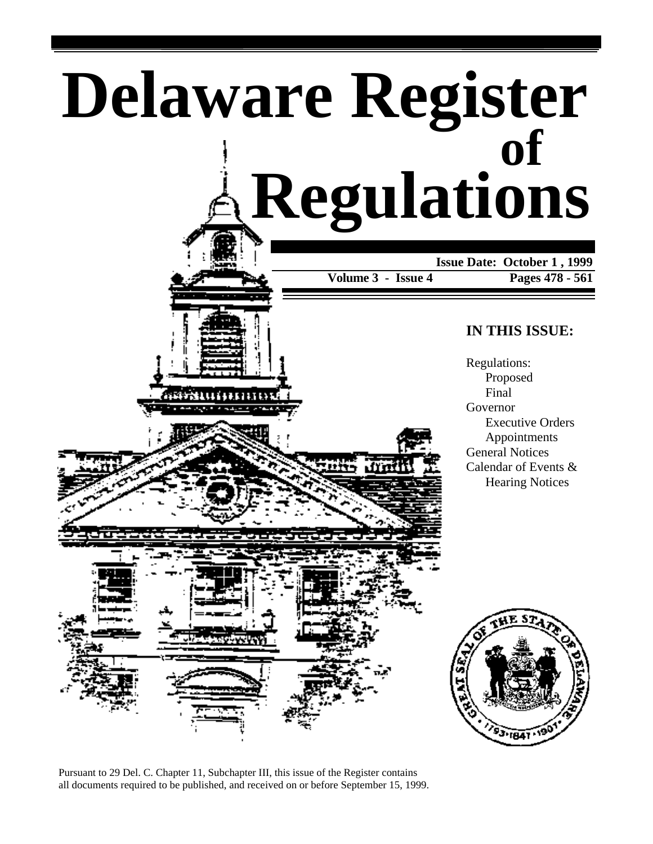





Pursuant to 29 Del. C. Chapter 11, Subchapter III, this issue of the Register contains all documents required to be published, and received on or before September 15, 1999.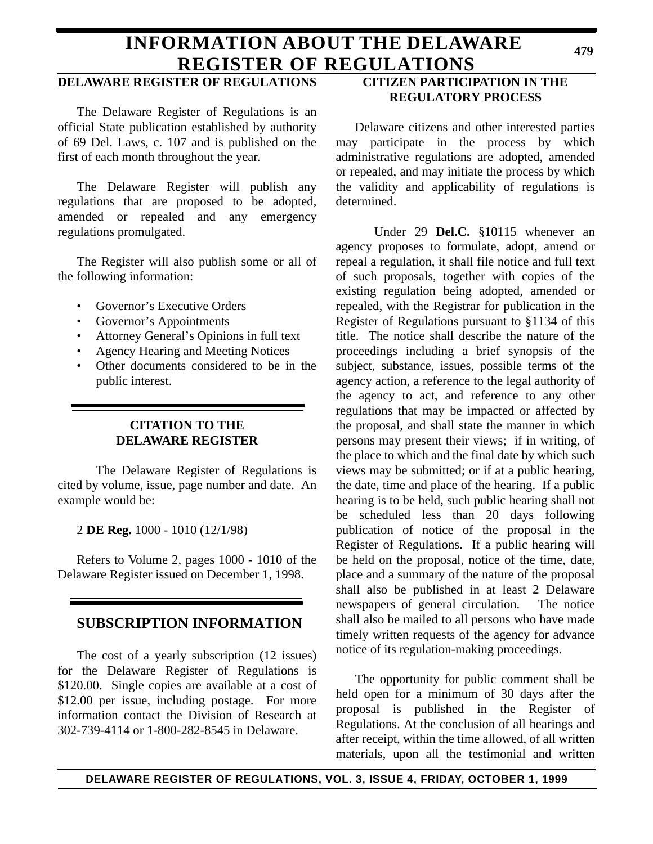## **INFORMATION ABOUT THE DELAWARE REGISTER OF REGULATIONS**

## **DELAWARE REGISTER OF REGULATIONS**

The Delaware Register of Regulations is an official State publication established by authority of 69 Del. Laws, c. 107 and is published on the first of each month throughout the year.

The Delaware Register will publish any regulations that are proposed to be adopted, amended or repealed and any emergency regulations promulgated.

The Register will also publish some or all of the following information:

- Governor's Executive Orders
- Governor's Appointments
- Attorney General's Opinions in full text
- Agency Hearing and Meeting Notices
- Other documents considered to be in the public interest.

## **CITATION TO THE DELAWARE REGISTER**

The Delaware Register of Regulations is cited by volume, issue, page number and date. An example would be:

2 **DE Reg.** 1000 - 1010 (12/1/98)

Refers to Volume 2, pages 1000 - 1010 of the Delaware Register issued on December 1, 1998.

## **SUBSCRIPTION INFORMATION**

The cost of a yearly subscription (12 issues) for the Delaware Register of Regulations is \$120.00. Single copies are available at a cost of \$12.00 per issue, including postage. For more information contact the Division of Research at 302-739-4114 or 1-800-282-8545 in Delaware.

## **CITIZEN PARTICIPATION IN THE REGULATORY PROCESS**

Delaware citizens and other interested parties may participate in the process by which administrative regulations are adopted, amended or repealed, and may initiate the process by which the validity and applicability of regulations is determined.

Under 29 **Del.C.** §10115 whenever an agency proposes to formulate, adopt, amend or repeal a regulation, it shall file notice and full text of such proposals, together with copies of the existing regulation being adopted, amended or repealed, with the Registrar for publication in the Register of Regulations pursuant to §1134 of this title. The notice shall describe the nature of the proceedings including a brief synopsis of the subject, substance, issues, possible terms of the agency action, a reference to the legal authority of the agency to act, and reference to any other regulations that may be impacted or affected by the proposal, and shall state the manner in which persons may present their views; if in writing, of the place to which and the final date by which such views may be submitted; or if at a public hearing, the date, time and place of the hearing. If a public hearing is to be held, such public hearing shall not be scheduled less than 20 days following publication of notice of the proposal in the Register of Regulations. If a public hearing will be held on the proposal, notice of the time, date, place and a summary of the nature of the proposal shall also be published in at least 2 Delaware newspapers of general circulation. The notice shall also be mailed to all persons who have made timely written requests of the agency for advance notice of its regulation-making proceedings.

The opportunity for public comment shall be held open for a minimum of 30 days after the proposal is published in the Register of Regulations. At the conclusion of all hearings and after receipt, within the time allowed, of all written materials, upon all the testimonial and written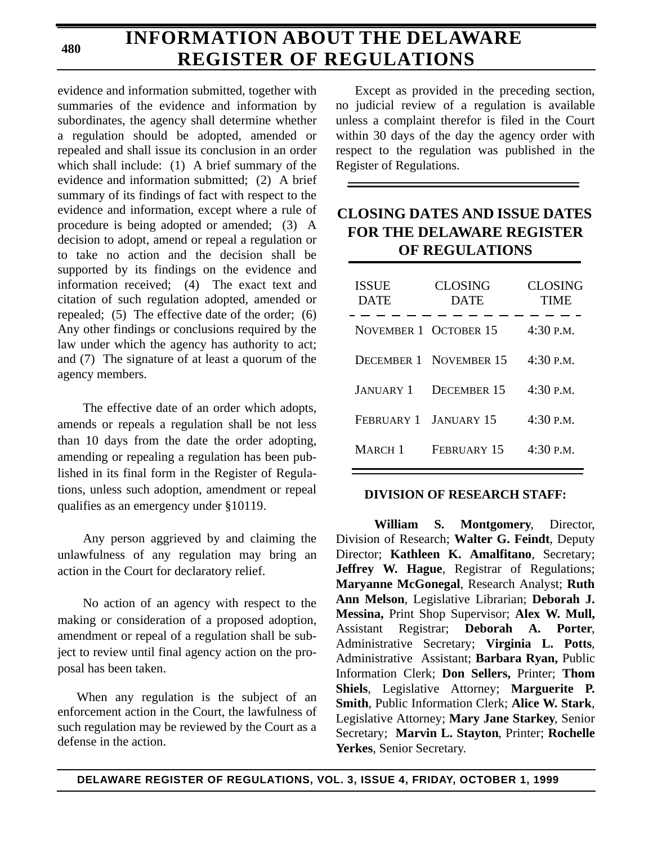# **INFORMATION ABOUT THE DELAWARE REGISTER OF REGULATIONS**

evidence and information submitted, together with summaries of the evidence and information by subordinates, the agency shall determine whether a regulation should be adopted, amended or repealed and shall issue its conclusion in an order which shall include: (1) A brief summary of the evidence and information submitted; (2) A brief summary of its findings of fact with respect to the evidence and information, except where a rule of procedure is being adopted or amended; (3) A decision to adopt, amend or repeal a regulation or to take no action and the decision shall be supported by its findings on the evidence and information received; (4) The exact text and citation of such regulation adopted, amended or repealed; (5) The effective date of the order; (6) Any other findings or conclusions required by the law under which the agency has authority to act; and (7) The signature of at least a quorum of the agency members.

The effective date of an order which adopts, amends or repeals a regulation shall be not less than 10 days from the date the order adopting, amending or repealing a regulation has been published in its final form in the Register of Regulations, unless such adoption, amendment or repeal qualifies as an emergency under §10119.

Any person aggrieved by and claiming the unlawfulness of any regulation may bring an action in the Court for declaratory relief.

No action of an agency with respect to the making or consideration of a proposed adoption, amendment or repeal of a regulation shall be subject to review until final agency action on the proposal has been taken.

When any regulation is the subject of an enforcement action in the Court, the lawfulness of such regulation may be reviewed by the Court as a defense in the action.

Except as provided in the preceding section, no judicial review of a regulation is available unless a complaint therefor is filed in the Court within 30 days of the day the agency order with respect to the regulation was published in the Register of Regulations.

## **CLOSING DATES AND ISSUE DATES FOR THE DELAWARE REGISTER OF REGULATIONS**

| <b>ISSUE</b><br><b>DATE</b> | <b>CLOSING</b><br><b>DATE</b> | <b>CLOSING</b><br>TIME |
|-----------------------------|-------------------------------|------------------------|
| NOVEMBER 1 OCTOBER 15       |                               | $4:30$ P.M.            |
|                             | <b>DECEMBER 1 NOVEMBER 15</b> | $4:30$ P.M.            |
| <b>JANUARY 1</b>            | <b>DECEMBER 15</b>            | 4:30 P.M.              |
| FEBRUARY 1 JANUARY 15       |                               | $4:30$ P.M.            |
| MARCH <sub>1</sub>          | FEBRUARY 15                   | 4:30 P.M.              |

## **DIVISION OF RESEARCH STAFF:**

**William S. Montgomery**, Director, Division of Research; **Walter G. Feindt**, Deputy Director; **Kathleen K. Amalfitano**, Secretary; **Jeffrey W. Hague**, Registrar of Regulations; **Maryanne McGonegal**, Research Analyst; **Ruth Ann Melson**, Legislative Librarian; **Deborah J. Messina,** Print Shop Supervisor; **Alex W. Mull,** Assistant Registrar; **Deborah A. Porter**, Administrative Secretary; **Virginia L. Potts**, Administrative Assistant; **Barbara Ryan,** Public Information Clerk; **Don Sellers,** Printer; **Thom Shiels**, Legislative Attorney; **Marguerite P. Smith**, Public Information Clerk; **Alice W. Stark**, Legislative Attorney; **Mary Jane Starkey**, Senior Secretary; **Marvin L. Stayton**, Printer; **Rochelle Yerkes**, Senior Secretary.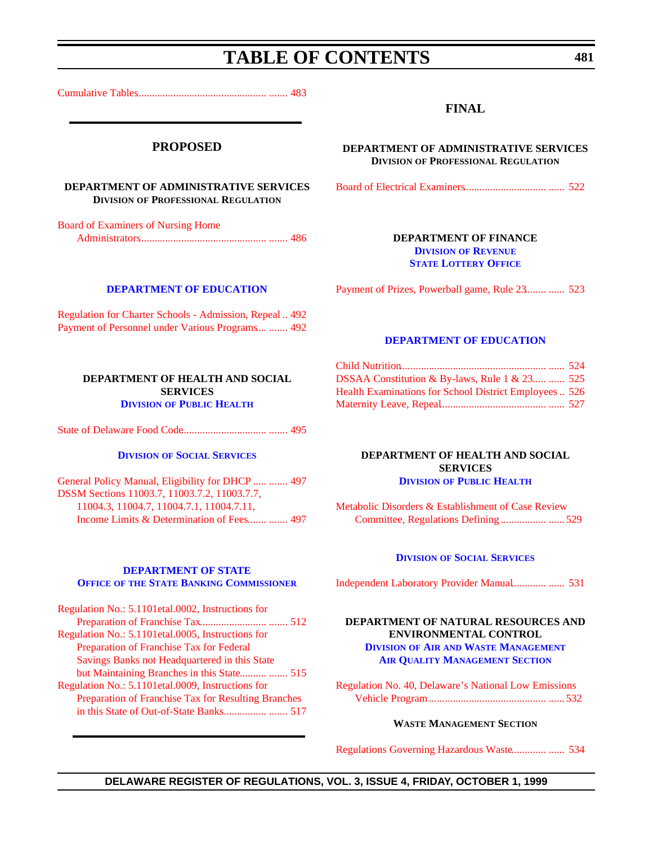# **TABLE OF CONTENTS**

<span id="page-3-0"></span>[Cumulative Tables................................................. ....... 483](#page-5-0)

### **PROPOSED**

#### **DEPARTMENT OF ADMINISTRATIVE SERVICES DIVISION OF PROFESSIONAL REGULATION**

Board of Examiners of Nursing Home [Administrators................................................ ....... 486](#page-8-0)

**[DEPARTMENT OF EDUCATION](http://www.doe.state.de.us/)**

[Regulation for Charter Schools - Admission, Repeal](#page-14-0) .. 492 [Payment of Personnel under Various Programs....](#page-14-0) ....... 492

### **FINAL**

**DEPARTMENT OF ADMINISTRATIVE SERVICES DIVISION OF PROFESSIONAL REGULATION**

[Board of Electrical Examiners...............................](#page-44-0) ...... 522

### **DEPARTMENT OF FINANCE DIVISION OF REVENUE [STATE LOTTERY OFFICE](http://www.state.de.us/revenue/index.htm)**

[Payment of Prizes, Powerball game, Rule 23........](#page-45-0) ...... 523

#### **[DEPARTMENT OF EDUCATION](http://www.doe.state.de.us/)**

| DSSAA Constitution & By-laws, Rule 1 & 23  525         |  |
|--------------------------------------------------------|--|
| Health Examinations for School District Employees  526 |  |
|                                                        |  |

**DEPARTMENT OF HEALTH AND SOCIAL SERVICES DIVISION [OF PUBLIC HEALTH](http://www.state.de.us/dhss/irm/dph/dphhome.htm)**

[Metabolic Disorders & Establishment of Case Review](#page-51-0)

## [State of Delaware Food Code................................ ....... 495](#page-17-0)

**DEPARTMENT OF HEALTH AND SOCIAL SERVICES DIVISION [OF PUBLIC HEALTH](http://www.state.de.us/dhss/irm/dph/dphhome.htm)**

### **DIVISION [OF SOCIAL SERVICES](http://www.state.de.us/dhss/irm/dss/dsshome.htm)**

[General Policy Manual, Eligibility for DHCP .....](#page-19-0) ....... 497 DSSM Sections 11003.7, 11003.7.2, 11003.7.7, 11004.3, 11004.7, 11004.7.1, 11004.7.11, [Income Limits & Determination of Fees....... ....... 497](#page-19-0)

#### **DEPARTMENT OF STATE OFFICE OF [THE STATE BANKING COMMISSIONER](http://www.state.de.us/sos/bank.htm)**

| Regulation No.: 5.1101etal.0002, Instructions for   |  |
|-----------------------------------------------------|--|
|                                                     |  |
| Regulation No.: 5.1101etal.0005, Instructions for   |  |
| Preparation of Franchise Tax for Federal            |  |
| Savings Banks not Headquartered in this State       |  |
| but Maintaining Branches in this State  515         |  |
| Regulation No.: 5.1101etal.0009, Instructions for   |  |
| Preparation of Franchise Tax for Resulting Branches |  |
|                                                     |  |
|                                                     |  |

### **DIVISION [OF SOCIAL SERVICES](http://www.state.de.us/dhss/irm/dss/dsshome.htm)**

Committee, Regulations Defining ................. ...... 529

[Independent Laboratory Provider Manual.............](#page-53-0) ...... 531

### **DEPARTMENT OF NATURAL RESOURCES AND ENVIRONMENTAL CONTROL DIVISION OF AIR AND WASTE MANAGEMENT [AIR QUALITY MANAGEMENT SECTION](http://www.dnrec.state.de.us/air/air_wste.htm)**

[Regulation No. 40, Delaware's National Low Emissions](#page-54-0) Vehicle Program ............................................ ...... 532

### **WASTE MANAGEMENT SECTION**

[Regulations Governing Hazardous Waste.............](#page-56-0) ...... 534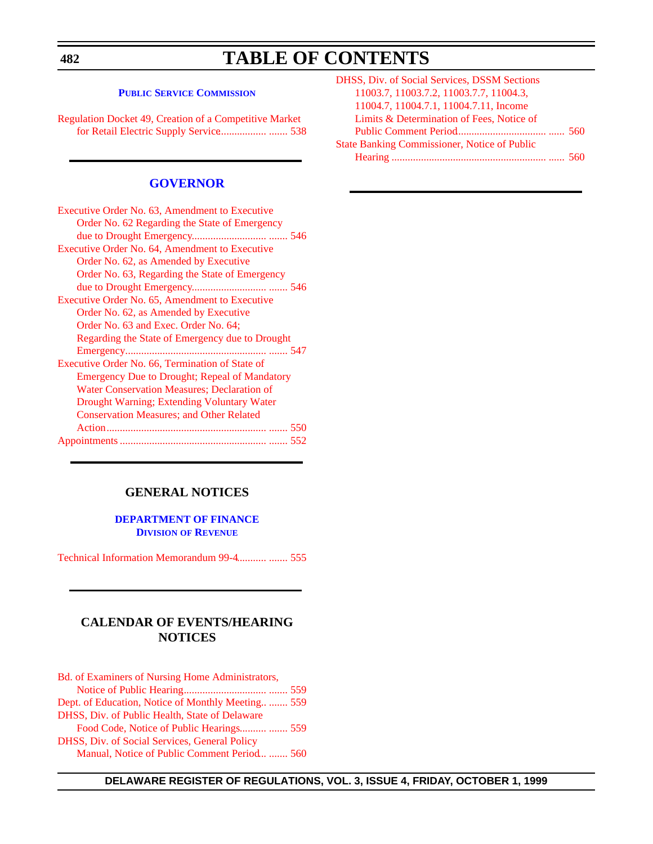**482**

# **TABLE OF CONTENTS**

#### **[PUBLIC SERVICE COMMISSION](http://www.state.de.us/delpsc/index.html)**

[Regulation Docket 49, Creation of a Competitive Market](#page-60-0) for Retail Electric Supply Service.................. ....... 538

### **[GOVERNOR](http://www.state.de.us/governor/index.htm)**

| Executive Order No. 63, Amendment to Executive       |
|------------------------------------------------------|
| Order No. 62 Regarding the State of Emergency        |
|                                                      |
| Executive Order No. 64, Amendment to Executive       |
| Order No. 62, as Amended by Executive                |
| Order No. 63, Regarding the State of Emergency       |
|                                                      |
| Executive Order No. 65, Amendment to Executive       |
| Order No. 62, as Amended by Executive                |
| Order No. 63 and Exec. Order No. 64;                 |
| Regarding the State of Emergency due to Drought      |
| Emergency                                            |
| Executive Order No. 66, Termination of State of      |
| <b>Emergency Due to Drought; Repeal of Mandatory</b> |
| Water Conservation Measures; Declaration of          |
| Drought Warning; Extending Voluntary Water           |
| <b>Conservation Measures; and Other Related</b>      |
|                                                      |
|                                                      |

### **GENERAL NOTICES**

### **[DEPARTMENT OF FINANCE](http://www.state.de.us/revenue/index.htm) DIVISION OF REVENUE**

[Technical Information Memorandum 99-4........... ....... 555](#page-77-0)

## **CALENDAR OF EVENTS/HEARING NOTICES**

| Bd. of Examiners of Nursing Home Administrators,  |  |
|---------------------------------------------------|--|
|                                                   |  |
| Dept. of Education, Notice of Monthly Meeting 559 |  |
| DHSS, Div. of Public Health, State of Delaware    |  |
| Food Code, Notice of Public Hearings  559         |  |
| DHSS, Div. of Social Services, General Policy     |  |
| Manual, Notice of Public Comment Period  560      |  |

| DHSS, Div. of Social Services, DSSM Sections        |  |
|-----------------------------------------------------|--|
| 11003.7, 11003.7.2, 11003.7.7, 11004.3,             |  |
| 11004.7, 11004.7.1, 11004.7.11, Income              |  |
| Limits & Determination of Fees, Notice of           |  |
|                                                     |  |
| <b>State Banking Commissioner, Notice of Public</b> |  |
|                                                     |  |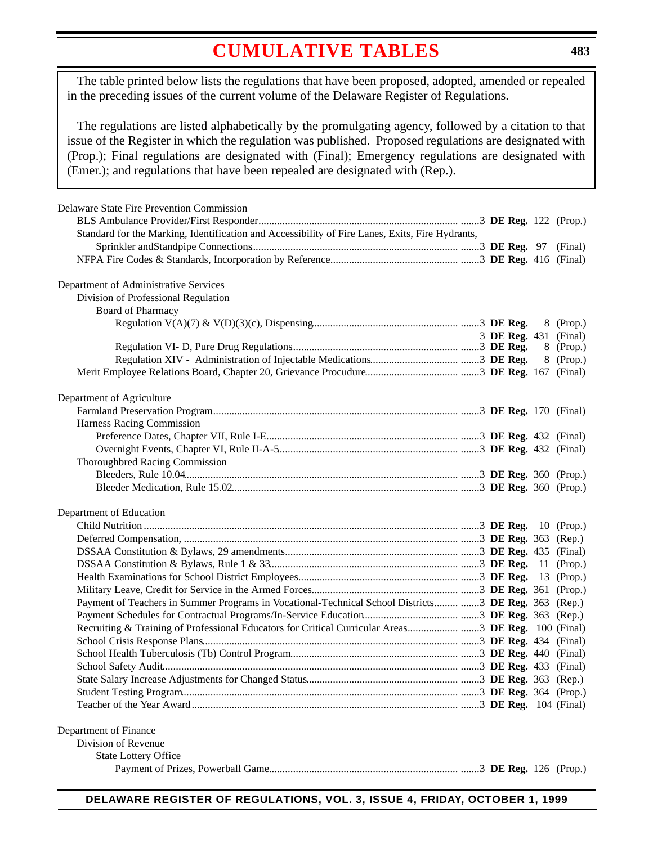# **[CUMULATIVE TABLES](#page-3-0)**

<span id="page-5-0"></span>The table printed below lists the regulations that have been proposed, adopted, amended or repealed in the preceding issues of the current volume of the Delaware Register of Regulations.

The regulations are listed alphabetically by the promulgating agency, followed by a citation to that issue of the Register in which the regulation was published. Proposed regulations are designated with (Prop.); Final regulations are designated with (Final); Emergency regulations are designated with (Emer.); and regulations that have been repealed are designated with (Rep.).

| Delaware State Fire Prevention Commission                                                       |                       |    |              |
|-------------------------------------------------------------------------------------------------|-----------------------|----|--------------|
|                                                                                                 |                       |    |              |
| Standard for the Marking, Identification and Accessibility of Fire Lanes, Exits, Fire Hydrants, |                       |    |              |
|                                                                                                 |                       |    |              |
|                                                                                                 |                       |    |              |
|                                                                                                 |                       |    |              |
| Department of Administrative Services                                                           |                       |    |              |
| Division of Professional Regulation                                                             |                       |    |              |
| <b>Board of Pharmacy</b>                                                                        |                       |    |              |
|                                                                                                 |                       |    | 8 (Prop.)    |
|                                                                                                 | 3 DE Reg. 431 (Final) |    | 8 (Prop.)    |
|                                                                                                 |                       |    |              |
|                                                                                                 |                       |    | 8 (Prop.)    |
|                                                                                                 |                       |    |              |
| Department of Agriculture                                                                       |                       |    |              |
|                                                                                                 |                       |    |              |
| Harness Racing Commission                                                                       |                       |    |              |
|                                                                                                 |                       |    |              |
|                                                                                                 |                       |    |              |
| Thoroughbred Racing Commission                                                                  |                       |    |              |
|                                                                                                 |                       |    |              |
|                                                                                                 |                       |    |              |
|                                                                                                 |                       |    |              |
| Department of Education                                                                         |                       |    |              |
|                                                                                                 |                       |    | $10$ (Prop.) |
|                                                                                                 |                       |    |              |
|                                                                                                 |                       |    |              |
|                                                                                                 |                       |    | 11 (Prop.)   |
|                                                                                                 |                       | 13 | (Prop.)      |
|                                                                                                 |                       |    |              |
| Payment of Teachers in Summer Programs in Vocational-Technical School Districts  3 DE Reg. 363  |                       |    | (Rep.)       |
|                                                                                                 |                       |    | (Rep.)       |
|                                                                                                 |                       |    |              |
|                                                                                                 |                       |    |              |
|                                                                                                 |                       |    |              |
|                                                                                                 |                       |    |              |
|                                                                                                 |                       |    |              |
|                                                                                                 |                       |    |              |
|                                                                                                 |                       |    |              |
| Department of Finance                                                                           |                       |    |              |
| Division of Revenue                                                                             |                       |    |              |
| <b>State Lottery Office</b>                                                                     |                       |    |              |
|                                                                                                 |                       |    |              |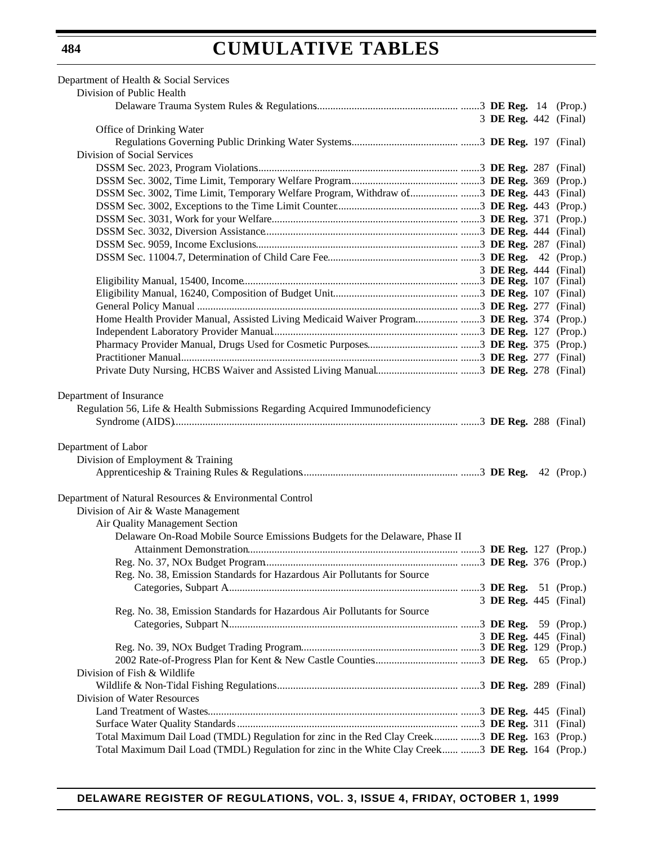# **CUMULATIVE TABLES**

| Division of Public Health                                                                                                                                                                                      |                       |  |
|----------------------------------------------------------------------------------------------------------------------------------------------------------------------------------------------------------------|-----------------------|--|
|                                                                                                                                                                                                                |                       |  |
|                                                                                                                                                                                                                | 3 DE Reg. 442 (Final) |  |
| Office of Drinking Water                                                                                                                                                                                       |                       |  |
|                                                                                                                                                                                                                |                       |  |
| Division of Social Services                                                                                                                                                                                    |                       |  |
|                                                                                                                                                                                                                |                       |  |
|                                                                                                                                                                                                                |                       |  |
| DSSM Sec. 3002, Time Limit, Temporary Welfare Program, Withdraw of DE Reg. 443 (Final)                                                                                                                         |                       |  |
|                                                                                                                                                                                                                |                       |  |
|                                                                                                                                                                                                                |                       |  |
|                                                                                                                                                                                                                |                       |  |
|                                                                                                                                                                                                                |                       |  |
|                                                                                                                                                                                                                |                       |  |
|                                                                                                                                                                                                                | 3 DE Reg. 444 (Final) |  |
|                                                                                                                                                                                                                |                       |  |
|                                                                                                                                                                                                                |                       |  |
|                                                                                                                                                                                                                |                       |  |
| Home Health Provider Manual, Assisted Living Medicaid Waiver Program DE Reg. 374 (Prop.)                                                                                                                       |                       |  |
|                                                                                                                                                                                                                |                       |  |
|                                                                                                                                                                                                                |                       |  |
|                                                                                                                                                                                                                |                       |  |
|                                                                                                                                                                                                                |                       |  |
|                                                                                                                                                                                                                |                       |  |
| Department of Labor<br>Division of Employment & Training                                                                                                                                                       |                       |  |
|                                                                                                                                                                                                                |                       |  |
| Department of Natural Resources & Environmental Control<br>Division of Air & Waste Management<br>Air Quality Management Section<br>Delaware On-Road Mobile Source Emissions Budgets for the Delaware, Phase II |                       |  |
|                                                                                                                                                                                                                |                       |  |
|                                                                                                                                                                                                                |                       |  |
| Reg. No. 38, Emission Standards for Hazardous Air Pollutants for Source                                                                                                                                        |                       |  |
|                                                                                                                                                                                                                |                       |  |
|                                                                                                                                                                                                                | 3 DE Reg. 445 (Final) |  |
| Reg. No. 38, Emission Standards for Hazardous Air Pollutants for Source                                                                                                                                        |                       |  |
|                                                                                                                                                                                                                |                       |  |
|                                                                                                                                                                                                                | 3 DE Reg. 445 (Final) |  |
|                                                                                                                                                                                                                |                       |  |
| Division of Fish & Wildlife                                                                                                                                                                                    |                       |  |
|                                                                                                                                                                                                                |                       |  |
| Division of Water Resources                                                                                                                                                                                    |                       |  |
|                                                                                                                                                                                                                |                       |  |
|                                                                                                                                                                                                                |                       |  |
| Total Maximum Dail Load (TMDL) Regulation for zinc in the Red Clay Creek  3 DE Reg. 163 (Prop.)                                                                                                                |                       |  |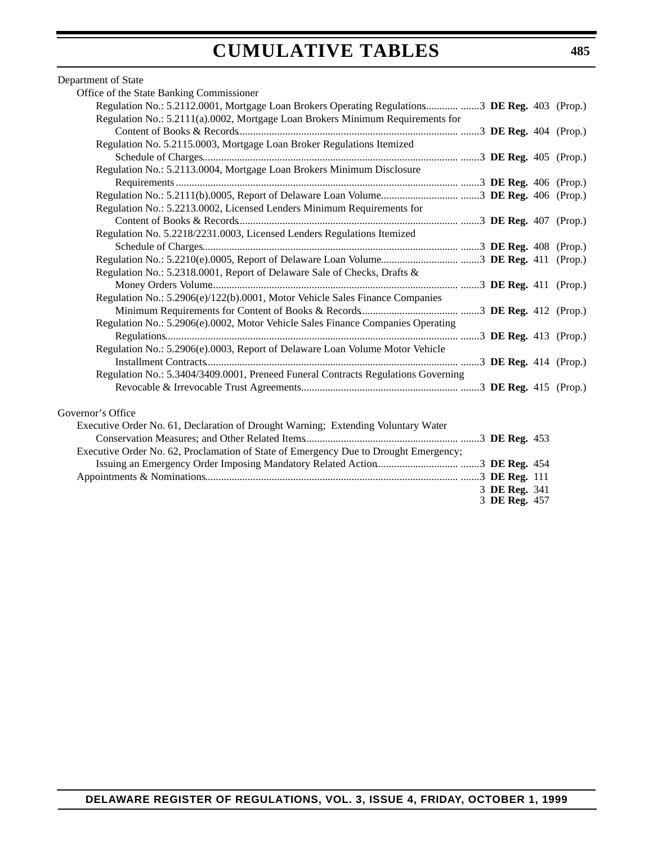# **CUMULATIVE TABLES**

### Department of State

| Office of the State Banking Commissioner                                                       |               |  |
|------------------------------------------------------------------------------------------------|---------------|--|
| Regulation No.: 5.2112.0001, Mortgage Loan Brokers Operating Regulations 3 DE Reg. 403 (Prop.) |               |  |
| Regulation No.: 5.2111(a).0002, Mortgage Loan Brokers Minimum Requirements for                 |               |  |
|                                                                                                |               |  |
| Regulation No. 5.2115.0003, Mortgage Loan Broker Regulations Itemized                          |               |  |
|                                                                                                |               |  |
| Regulation No.: 5.2113.0004, Mortgage Loan Brokers Minimum Disclosure                          |               |  |
|                                                                                                |               |  |
|                                                                                                |               |  |
| Regulation No.: 5.2213.0002, Licensed Lenders Minimum Requirements for                         |               |  |
|                                                                                                |               |  |
| Regulation No. 5.2218/2231.0003, Licensed Lenders Regulations Itemized                         |               |  |
|                                                                                                |               |  |
|                                                                                                |               |  |
| Regulation No.: 5.2318.0001, Report of Delaware Sale of Checks, Drafts &                       |               |  |
|                                                                                                |               |  |
| Regulation No.: 5.2906(e)/122(b).0001, Motor Vehicle Sales Finance Companies                   |               |  |
|                                                                                                |               |  |
| Regulation No.: 5.2906(e).0002, Motor Vehicle Sales Finance Companies Operating                |               |  |
|                                                                                                |               |  |
| Regulation No.: 5.2906(e).0003, Report of Delaware Loan Volume Motor Vehicle                   |               |  |
|                                                                                                |               |  |
| Regulation No.: 5.3404/3409.0001, Preneed Funeral Contracts Regulations Governing              |               |  |
|                                                                                                |               |  |
|                                                                                                |               |  |
| Governor's Office                                                                              |               |  |
| Executive Order No. 61, Declaration of Drought Warning; Extending Voluntary Water              |               |  |
|                                                                                                |               |  |
| Executive Order No. 62, Proclamation of State of Emergency Due to Drought Emergency;           |               |  |
|                                                                                                |               |  |
|                                                                                                |               |  |
|                                                                                                | 3 DE Reg. 341 |  |
|                                                                                                | 3 DE Reg. 457 |  |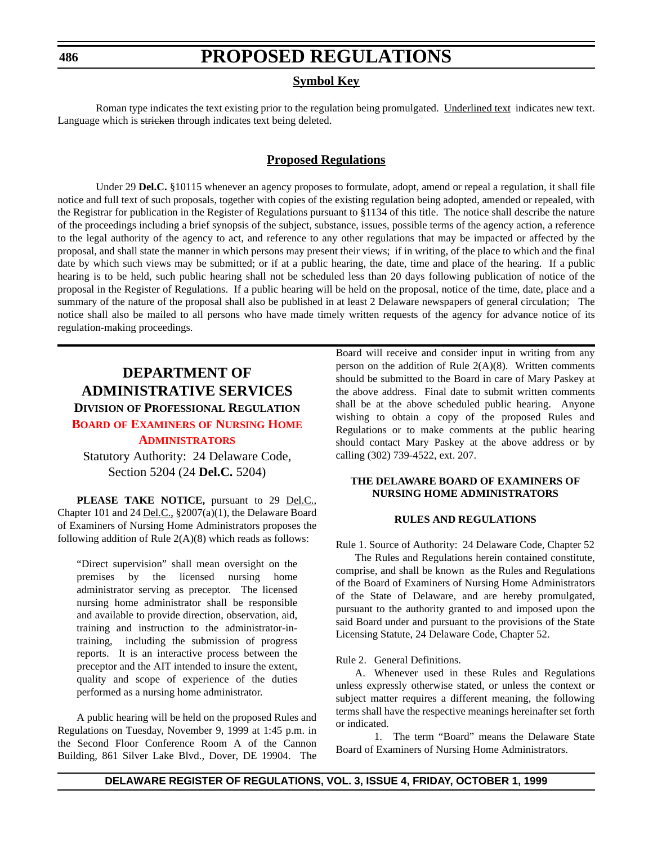#### <span id="page-8-0"></span>**486**

# **PROPOSED REGULATIONS**

### **Symbol Key**

Roman type indicates the text existing prior to the regulation being promulgated. Underlined text indicates new text. Language which is stricken through indicates text being deleted.

### **Proposed Regulations**

Under 29 **Del.C.** §10115 whenever an agency proposes to formulate, adopt, amend or repeal a regulation, it shall file notice and full text of such proposals, together with copies of the existing regulation being adopted, amended or repealed, with the Registrar for publication in the Register of Regulations pursuant to §1134 of this title. The notice shall describe the nature of the proceedings including a brief synopsis of the subject, substance, issues, possible terms of the agency action, a reference to the legal authority of the agency to act, and reference to any other regulations that may be impacted or affected by the proposal, and shall state the manner in which persons may present their views; if in writing, of the place to which and the final date by which such views may be submitted; or if at a public hearing, the date, time and place of the hearing. If a public hearing is to be held, such public hearing shall not be scheduled less than 20 days following publication of notice of the proposal in the Register of Regulations. If a public hearing will be held on the proposal, notice of the time, date, place and a summary of the nature of the proposal shall also be published in at least 2 Delaware newspapers of general circulation; The notice shall also be mailed to all persons who have made timely written requests of the agency for advance notice of its regulation-making proceedings.

# **DEPARTMENT OF ADMINISTRATIVE SERVICES**

## **DIVISION OF PROFESSIONAL REGULATION BOARD OF EXAMINERS [OF NURSING HOME](#page-3-0)**

### **ADMINISTRATORS**

## Statutory Authority: 24 Delaware Code, Section 5204 (24 **Del.C.** 5204)

**PLEASE TAKE NOTICE,** pursuant to 29 Del.C., Chapter 101 and 24 Del.C., §2007(a)(1), the Delaware Board of Examiners of Nursing Home Administrators proposes the following addition of Rule 2(A)(8) which reads as follows:

"Direct supervision" shall mean oversight on the premises by the licensed nursing home administrator serving as preceptor. The licensed nursing home administrator shall be responsible and available to provide direction, observation, aid, training and instruction to the administrator-intraining, including the submission of progress reports. It is an interactive process between the preceptor and the AIT intended to insure the extent, quality and scope of experience of the duties performed as a nursing home administrator.

A public hearing will be held on the proposed Rules and Regulations on Tuesday, November 9, 1999 at 1:45 p.m. in the Second Floor Conference Room A of the Cannon Building, 861 Silver Lake Blvd., Dover, DE 19904. The Board will receive and consider input in writing from any person on the addition of Rule  $2(A)(8)$ . Written comments should be submitted to the Board in care of Mary Paskey at the above address. Final date to submit written comments shall be at the above scheduled public hearing. Anyone wishing to obtain a copy of the proposed Rules and Regulations or to make comments at the public hearing should contact Mary Paskey at the above address or by calling (302) 739-4522, ext. 207.

#### **THE DELAWARE BOARD OF EXAMINERS OF NURSING HOME ADMINISTRATORS**

#### **RULES AND REGULATIONS**

Rule 1. Source of Authority: 24 Delaware Code, Chapter 52 The Rules and Regulations herein contained constitute,

comprise, and shall be known as the Rules and Regulations of the Board of Examiners of Nursing Home Administrators of the State of Delaware, and are hereby promulgated, pursuant to the authority granted to and imposed upon the said Board under and pursuant to the provisions of the State Licensing Statute, 24 Delaware Code, Chapter 52.

#### Rule 2. General Definitions.

A. Whenever used in these Rules and Regulations unless expressly otherwise stated, or unless the context or subject matter requires a different meaning, the following terms shall have the respective meanings hereinafter set forth or indicated.

1. The term "Board" means the Delaware State Board of Examiners of Nursing Home Administrators.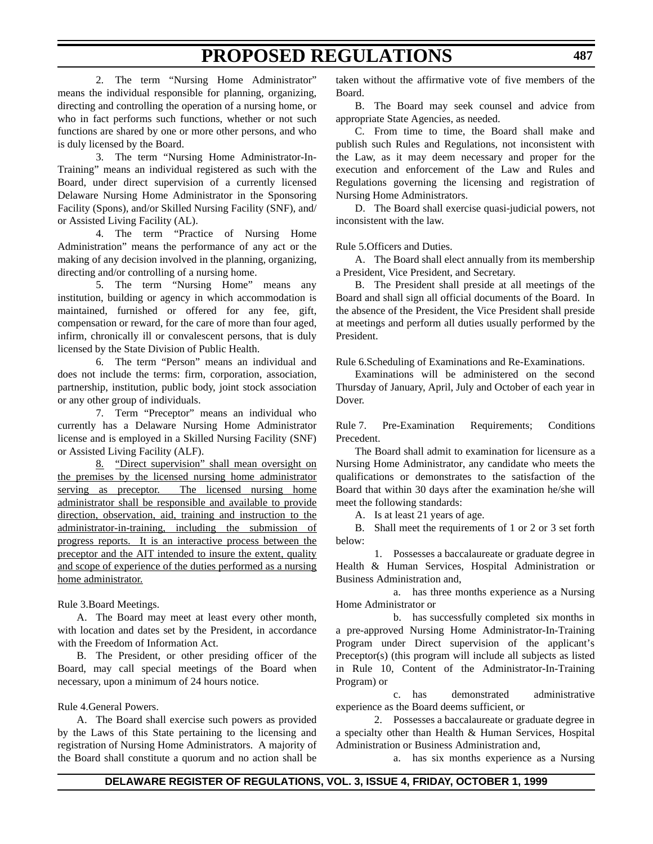2. The term "Nursing Home Administrator" means the individual responsible for planning, organizing, directing and controlling the operation of a nursing home, or who in fact performs such functions, whether or not such functions are shared by one or more other persons, and who is duly licensed by the Board.

3. The term "Nursing Home Administrator-In-Training" means an individual registered as such with the Board, under direct supervision of a currently licensed Delaware Nursing Home Administrator in the Sponsoring Facility (Spons), and/or Skilled Nursing Facility (SNF), and/ or Assisted Living Facility (AL).

4. The term "Practice of Nursing Home Administration" means the performance of any act or the making of any decision involved in the planning, organizing, directing and/or controlling of a nursing home.

5. The term "Nursing Home" means any institution, building or agency in which accommodation is maintained, furnished or offered for any fee, gift, compensation or reward, for the care of more than four aged, infirm, chronically ill or convalescent persons, that is duly licensed by the State Division of Public Health.

6. The term "Person" means an individual and does not include the terms: firm, corporation, association, partnership, institution, public body, joint stock association or any other group of individuals.

7. Term "Preceptor" means an individual who currently has a Delaware Nursing Home Administrator license and is employed in a Skilled Nursing Facility (SNF) or Assisted Living Facility (ALF).

8. "Direct supervision" shall mean oversight on the premises by the licensed nursing home administrator serving as preceptor. The licensed nursing home administrator shall be responsible and available to provide direction, observation, aid, training and instruction to the administrator-in-training, including the submission of progress reports. It is an interactive process between the preceptor and the AIT intended to insure the extent, quality and scope of experience of the duties performed as a nursing home administrator.

Rule 3.Board Meetings.

A. The Board may meet at least every other month, with location and dates set by the President, in accordance with the Freedom of Information Act.

B. The President, or other presiding officer of the Board, may call special meetings of the Board when necessary, upon a minimum of 24 hours notice.

Rule 4.General Powers.

A. The Board shall exercise such powers as provided by the Laws of this State pertaining to the licensing and registration of Nursing Home Administrators. A majority of the Board shall constitute a quorum and no action shall be

taken without the affirmative vote of five members of the Board.

B. The Board may seek counsel and advice from appropriate State Agencies, as needed.

C. From time to time, the Board shall make and publish such Rules and Regulations, not inconsistent with the Law, as it may deem necessary and proper for the execution and enforcement of the Law and Rules and Regulations governing the licensing and registration of Nursing Home Administrators.

D. The Board shall exercise quasi-judicial powers, not inconsistent with the law.

Rule 5.Officers and Duties.

A. The Board shall elect annually from its membership a President, Vice President, and Secretary.

B. The President shall preside at all meetings of the Board and shall sign all official documents of the Board. In the absence of the President, the Vice President shall preside at meetings and perform all duties usually performed by the President.

Rule 6.Scheduling of Examinations and Re-Examinations.

Examinations will be administered on the second Thursday of January, April, July and October of each year in Dover.

Rule 7. Pre-Examination Requirements; Conditions Precedent.

The Board shall admit to examination for licensure as a Nursing Home Administrator, any candidate who meets the qualifications or demonstrates to the satisfaction of the Board that within 30 days after the examination he/she will meet the following standards:

A. Is at least 21 years of age.

B. Shall meet the requirements of 1 or 2 or 3 set forth below:

1. Possesses a baccalaureate or graduate degree in Health & Human Services, Hospital Administration or Business Administration and,

a. has three months experience as a Nursing Home Administrator or

b. has successfully completed six months in a pre-approved Nursing Home Administrator-In-Training Program under Direct supervision of the applicant's Preceptor(s) (this program will include all subjects as listed in Rule 10, Content of the Administrator-In-Training Program) or

c. has demonstrated administrative experience as the Board deems sufficient, or

2. Possesses a baccalaureate or graduate degree in a specialty other than Health & Human Services, Hospital Administration or Business Administration and,

a. has six months experience as a Nursing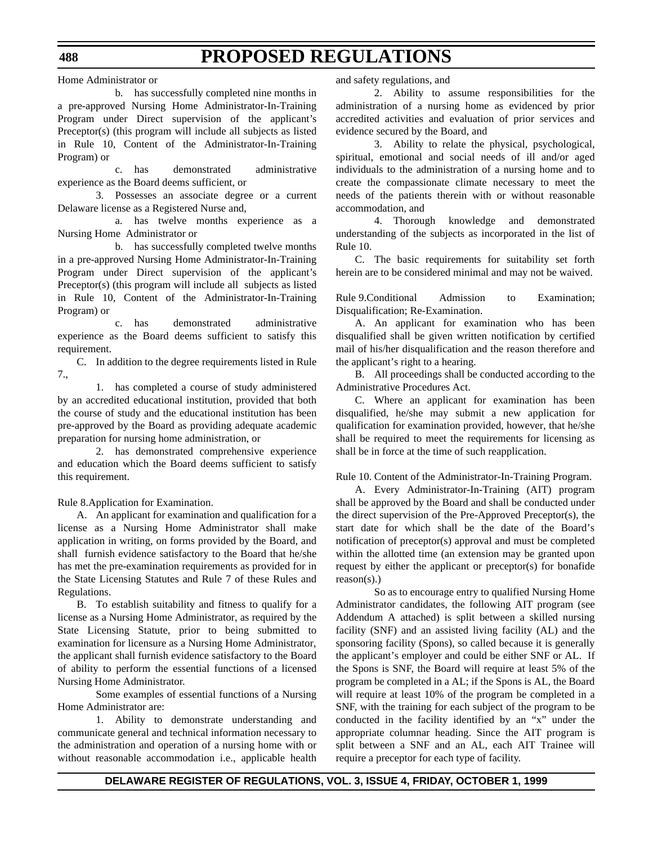Home Administrator or

b. has successfully completed nine months in a pre-approved Nursing Home Administrator-In-Training Program under Direct supervision of the applicant's Preceptor(s) (this program will include all subjects as listed in Rule 10, Content of the Administrator-In-Training Program) or

c. has demonstrated administrative experience as the Board deems sufficient, or

3. Possesses an associate degree or a current Delaware license as a Registered Nurse and,

a. has twelve months experience as a Nursing Home Administrator or

b. has successfully completed twelve months in a pre-approved Nursing Home Administrator-In-Training Program under Direct supervision of the applicant's Preceptor(s) (this program will include all subjects as listed in Rule 10, Content of the Administrator-In-Training Program) or

c. has demonstrated administrative experience as the Board deems sufficient to satisfy this requirement.

C. In addition to the degree requirements listed in Rule 7.,

1. has completed a course of study administered by an accredited educational institution, provided that both the course of study and the educational institution has been pre-approved by the Board as providing adequate academic preparation for nursing home administration, or

2. has demonstrated comprehensive experience and education which the Board deems sufficient to satisfy this requirement.

Rule 8.Application for Examination.

A. An applicant for examination and qualification for a license as a Nursing Home Administrator shall make application in writing, on forms provided by the Board, and shall furnish evidence satisfactory to the Board that he/she has met the pre-examination requirements as provided for in the State Licensing Statutes and Rule 7 of these Rules and Regulations.

B. To establish suitability and fitness to qualify for a license as a Nursing Home Administrator, as required by the State Licensing Statute, prior to being submitted to examination for licensure as a Nursing Home Administrator, the applicant shall furnish evidence satisfactory to the Board of ability to perform the essential functions of a licensed Nursing Home Administrator.

Some examples of essential functions of a Nursing Home Administrator are:

1. Ability to demonstrate understanding and communicate general and technical information necessary to the administration and operation of a nursing home with or without reasonable accommodation i.e., applicable health

and safety regulations, and

2. Ability to assume responsibilities for the administration of a nursing home as evidenced by prior accredited activities and evaluation of prior services and evidence secured by the Board, and

3. Ability to relate the physical, psychological, spiritual, emotional and social needs of ill and/or aged individuals to the administration of a nursing home and to create the compassionate climate necessary to meet the needs of the patients therein with or without reasonable accommodation, and

4. Thorough knowledge and demonstrated understanding of the subjects as incorporated in the list of Rule 10.

C. The basic requirements for suitability set forth herein are to be considered minimal and may not be waived.

Rule 9.Conditional Admission to Examination; Disqualification; Re-Examination.

A. An applicant for examination who has been disqualified shall be given written notification by certified mail of his/her disqualification and the reason therefore and the applicant's right to a hearing.

B. All proceedings shall be conducted according to the Administrative Procedures Act.

C. Where an applicant for examination has been disqualified, he/she may submit a new application for qualification for examination provided, however, that he/she shall be required to meet the requirements for licensing as shall be in force at the time of such reapplication.

Rule 10. Content of the Administrator-In-Training Program.

A. Every Administrator-In-Training (AIT) program shall be approved by the Board and shall be conducted under the direct supervision of the Pre-Approved Preceptor(s), the start date for which shall be the date of the Board's notification of preceptor(s) approval and must be completed within the allotted time (an extension may be granted upon request by either the applicant or preceptor(s) for bonafide  $reason(s)$ .)

So as to encourage entry to qualified Nursing Home Administrator candidates, the following AIT program (see Addendum A attached) is split between a skilled nursing facility (SNF) and an assisted living facility (AL) and the sponsoring facility (Spons), so called because it is generally the applicant's employer and could be either SNF or AL. If the Spons is SNF, the Board will require at least 5% of the program be completed in a AL; if the Spons is AL, the Board will require at least 10% of the program be completed in a SNF, with the training for each subject of the program to be conducted in the facility identified by an "x" under the appropriate columnar heading. Since the AIT program is split between a SNF and an AL, each AIT Trainee will require a preceptor for each type of facility.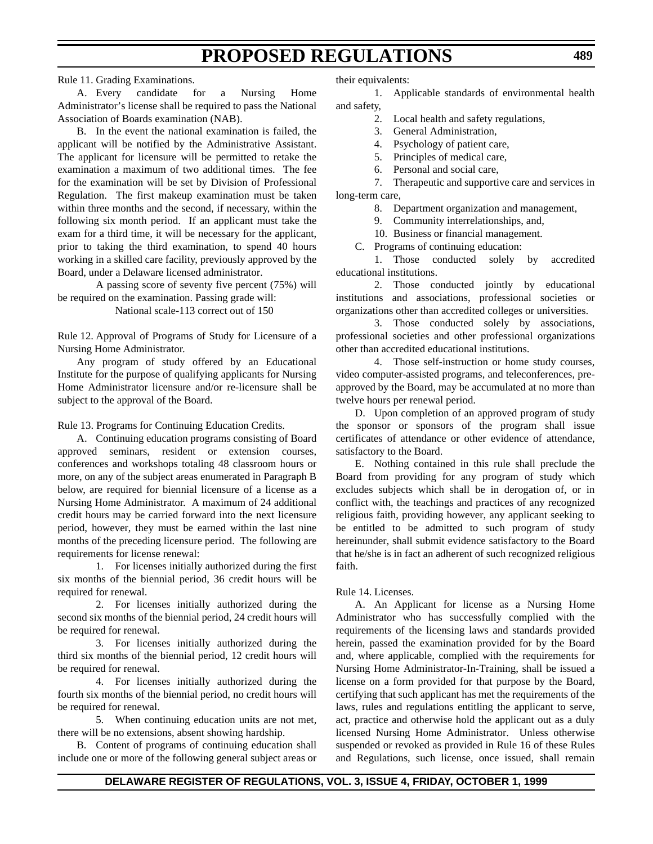Rule 11. Grading Examinations.

A. Every candidate for a Nursing Home Administrator's license shall be required to pass the National Association of Boards examination (NAB).

B. In the event the national examination is failed, the applicant will be notified by the Administrative Assistant. The applicant for licensure will be permitted to retake the examination a maximum of two additional times. The fee for the examination will be set by Division of Professional Regulation. The first makeup examination must be taken within three months and the second, if necessary, within the following six month period. If an applicant must take the exam for a third time, it will be necessary for the applicant, prior to taking the third examination, to spend 40 hours working in a skilled care facility, previously approved by the Board, under a Delaware licensed administrator.

A passing score of seventy five percent (75%) will be required on the examination. Passing grade will:

National scale-113 correct out of 150

Rule 12. Approval of Programs of Study for Licensure of a Nursing Home Administrator.

Any program of study offered by an Educational Institute for the purpose of qualifying applicants for Nursing Home Administrator licensure and/or re-licensure shall be subject to the approval of the Board.

Rule 13. Programs for Continuing Education Credits.

A. Continuing education programs consisting of Board approved seminars, resident or extension courses, conferences and workshops totaling 48 classroom hours or more, on any of the subject areas enumerated in Paragraph B below, are required for biennial licensure of a license as a Nursing Home Administrator. A maximum of 24 additional credit hours may be carried forward into the next licensure period, however, they must be earned within the last nine months of the preceding licensure period. The following are requirements for license renewal:

1. For licenses initially authorized during the first six months of the biennial period, 36 credit hours will be required for renewal.

2. For licenses initially authorized during the second six months of the biennial period, 24 credit hours will be required for renewal.

3. For licenses initially authorized during the third six months of the biennial period, 12 credit hours will be required for renewal.

4. For licenses initially authorized during the fourth six months of the biennial period, no credit hours will be required for renewal.

5. When continuing education units are not met, there will be no extensions, absent showing hardship.

B. Content of programs of continuing education shall include one or more of the following general subject areas or their equivalents:

1. Applicable standards of environmental health and safety,

- 2. Local health and safety regulations,
- 3. General Administration,
- 4. Psychology of patient care,
- 5. Principles of medical care,
- 6. Personal and social care,

7. Therapeutic and supportive care and services in long-term care,

8. Department organization and management,

9. Community interrelationships, and,

10. Business or financial management.

C. Programs of continuing education:

1. Those conducted solely by accredited educational institutions.

2. Those conducted jointly by educational institutions and associations, professional societies or organizations other than accredited colleges or universities.

3. Those conducted solely by associations, professional societies and other professional organizations other than accredited educational institutions.

4. Those self-instruction or home study courses, video computer-assisted programs, and teleconferences, preapproved by the Board, may be accumulated at no more than twelve hours per renewal period.

D. Upon completion of an approved program of study the sponsor or sponsors of the program shall issue certificates of attendance or other evidence of attendance, satisfactory to the Board.

E. Nothing contained in this rule shall preclude the Board from providing for any program of study which excludes subjects which shall be in derogation of, or in conflict with, the teachings and practices of any recognized religious faith, providing however, any applicant seeking to be entitled to be admitted to such program of study hereinunder, shall submit evidence satisfactory to the Board that he/she is in fact an adherent of such recognized religious faith.

Rule 14. Licenses.

A. An Applicant for license as a Nursing Home Administrator who has successfully complied with the requirements of the licensing laws and standards provided herein, passed the examination provided for by the Board and, where applicable, complied with the requirements for Nursing Home Administrator-In-Training, shall be issued a license on a form provided for that purpose by the Board, certifying that such applicant has met the requirements of the laws, rules and regulations entitling the applicant to serve, act, practice and otherwise hold the applicant out as a duly licensed Nursing Home Administrator. Unless otherwise suspended or revoked as provided in Rule 16 of these Rules and Regulations, such license, once issued, shall remain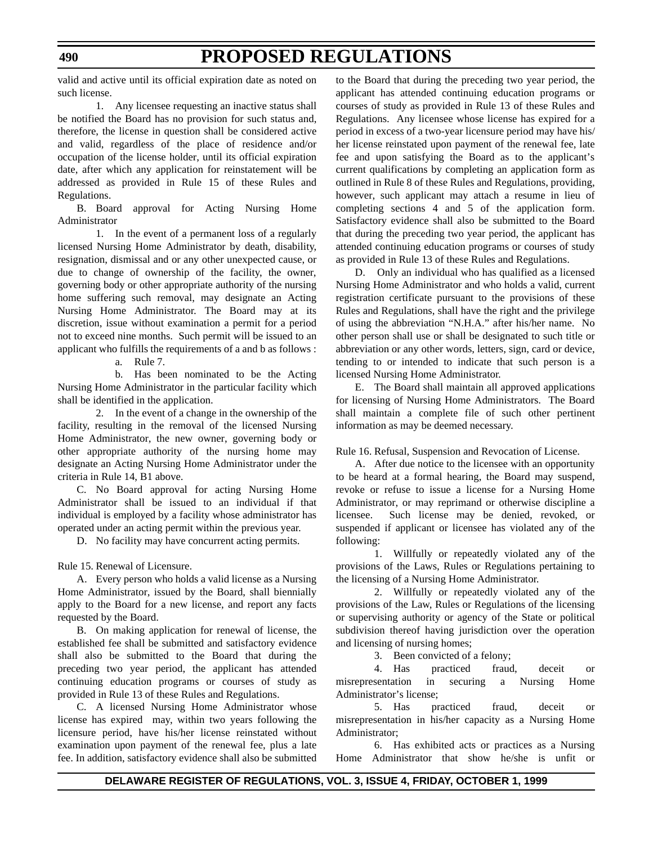valid and active until its official expiration date as noted on such license.

1. Any licensee requesting an inactive status shall be notified the Board has no provision for such status and, therefore, the license in question shall be considered active and valid, regardless of the place of residence and/or occupation of the license holder, until its official expiration date, after which any application for reinstatement will be addressed as provided in Rule 15 of these Rules and Regulations.

B. Board approval for Acting Nursing Home Administrator

1. In the event of a permanent loss of a regularly licensed Nursing Home Administrator by death, disability, resignation, dismissal and or any other unexpected cause, or due to change of ownership of the facility, the owner, governing body or other appropriate authority of the nursing home suffering such removal, may designate an Acting Nursing Home Administrator. The Board may at its discretion, issue without examination a permit for a period not to exceed nine months. Such permit will be issued to an applicant who fulfills the requirements of a and b as follows :

a. Rule 7.

b. Has been nominated to be the Acting Nursing Home Administrator in the particular facility which shall be identified in the application.

2. In the event of a change in the ownership of the facility, resulting in the removal of the licensed Nursing Home Administrator, the new owner, governing body or other appropriate authority of the nursing home may designate an Acting Nursing Home Administrator under the criteria in Rule 14, B1 above.

C. No Board approval for acting Nursing Home Administrator shall be issued to an individual if that individual is employed by a facility whose administrator has operated under an acting permit within the previous year.

D. No facility may have concurrent acting permits.

Rule 15. Renewal of Licensure.

A. Every person who holds a valid license as a Nursing Home Administrator, issued by the Board, shall biennially apply to the Board for a new license, and report any facts requested by the Board.

B. On making application for renewal of license, the established fee shall be submitted and satisfactory evidence shall also be submitted to the Board that during the preceding two year period, the applicant has attended continuing education programs or courses of study as provided in Rule 13 of these Rules and Regulations.

C. A licensed Nursing Home Administrator whose license has expired may, within two years following the licensure period, have his/her license reinstated without examination upon payment of the renewal fee, plus a late fee. In addition, satisfactory evidence shall also be submitted to the Board that during the preceding two year period, the applicant has attended continuing education programs or courses of study as provided in Rule 13 of these Rules and Regulations. Any licensee whose license has expired for a period in excess of a two-year licensure period may have his/ her license reinstated upon payment of the renewal fee, late fee and upon satisfying the Board as to the applicant's current qualifications by completing an application form as outlined in Rule 8 of these Rules and Regulations, providing, however, such applicant may attach a resume in lieu of completing sections 4 and 5 of the application form. Satisfactory evidence shall also be submitted to the Board that during the preceding two year period, the applicant has attended continuing education programs or courses of study as provided in Rule 13 of these Rules and Regulations.

D. Only an individual who has qualified as a licensed Nursing Home Administrator and who holds a valid, current registration certificate pursuant to the provisions of these Rules and Regulations, shall have the right and the privilege of using the abbreviation "N.H.A." after his/her name. No other person shall use or shall be designated to such title or abbreviation or any other words, letters, sign, card or device, tending to or intended to indicate that such person is a licensed Nursing Home Administrator.

E. The Board shall maintain all approved applications for licensing of Nursing Home Administrators. The Board shall maintain a complete file of such other pertinent information as may be deemed necessary.

Rule 16. Refusal, Suspension and Revocation of License.

A. After due notice to the licensee with an opportunity to be heard at a formal hearing, the Board may suspend, revoke or refuse to issue a license for a Nursing Home Administrator, or may reprimand or otherwise discipline a licensee. Such license may be denied, revoked, or suspended if applicant or licensee has violated any of the following:

1. Willfully or repeatedly violated any of the provisions of the Laws, Rules or Regulations pertaining to the licensing of a Nursing Home Administrator.

2. Willfully or repeatedly violated any of the provisions of the Law, Rules or Regulations of the licensing or supervising authority or agency of the State or political subdivision thereof having jurisdiction over the operation and licensing of nursing homes;

3. Been convicted of a felony;

4. Has practiced fraud, deceit or misrepresentation in securing a Nursing Home Administrator's license;

5. Has practiced fraud, deceit or misrepresentation in his/her capacity as a Nursing Home Administrator;

6. Has exhibited acts or practices as a Nursing Home Administrator that show he/she is unfit or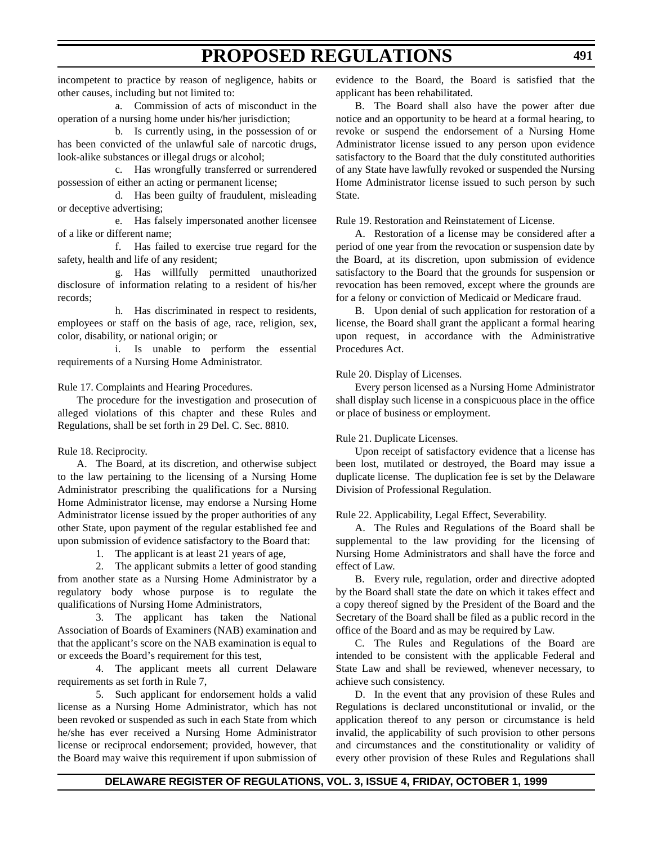incompetent to practice by reason of negligence, habits or other causes, including but not limited to:

a. Commission of acts of misconduct in the operation of a nursing home under his/her jurisdiction;

b. Is currently using, in the possession of or has been convicted of the unlawful sale of narcotic drugs, look-alike substances or illegal drugs or alcohol;

c. Has wrongfully transferred or surrendered possession of either an acting or permanent license;

d. Has been guilty of fraudulent, misleading or deceptive advertising;

e. Has falsely impersonated another licensee of a like or different name;

f. Has failed to exercise true regard for the safety, health and life of any resident;

g. Has willfully permitted unauthorized disclosure of information relating to a resident of his/her records;

h. Has discriminated in respect to residents, employees or staff on the basis of age, race, religion, sex, color, disability, or national origin; or

i. Is unable to perform the essential requirements of a Nursing Home Administrator.

Rule 17. Complaints and Hearing Procedures.

The procedure for the investigation and prosecution of alleged violations of this chapter and these Rules and Regulations, shall be set forth in 29 Del. C. Sec. 8810.

Rule 18. Reciprocity.

A. The Board, at its discretion, and otherwise subject to the law pertaining to the licensing of a Nursing Home Administrator prescribing the qualifications for a Nursing Home Administrator license, may endorse a Nursing Home Administrator license issued by the proper authorities of any other State, upon payment of the regular established fee and upon submission of evidence satisfactory to the Board that:

1. The applicant is at least 21 years of age,

2. The applicant submits a letter of good standing from another state as a Nursing Home Administrator by a regulatory body whose purpose is to regulate the qualifications of Nursing Home Administrators,

3. The applicant has taken the National Association of Boards of Examiners (NAB) examination and that the applicant's score on the NAB examination is equal to or exceeds the Board's requirement for this test,

4. The applicant meets all current Delaware requirements as set forth in Rule 7,

5. Such applicant for endorsement holds a valid license as a Nursing Home Administrator, which has not been revoked or suspended as such in each State from which he/she has ever received a Nursing Home Administrator license or reciprocal endorsement; provided, however, that the Board may waive this requirement if upon submission of

evidence to the Board, the Board is satisfied that the applicant has been rehabilitated.

B. The Board shall also have the power after due notice and an opportunity to be heard at a formal hearing, to revoke or suspend the endorsement of a Nursing Home Administrator license issued to any person upon evidence satisfactory to the Board that the duly constituted authorities of any State have lawfully revoked or suspended the Nursing Home Administrator license issued to such person by such State.

Rule 19. Restoration and Reinstatement of License.

A. Restoration of a license may be considered after a period of one year from the revocation or suspension date by the Board, at its discretion, upon submission of evidence satisfactory to the Board that the grounds for suspension or revocation has been removed, except where the grounds are for a felony or conviction of Medicaid or Medicare fraud.

B. Upon denial of such application for restoration of a license, the Board shall grant the applicant a formal hearing upon request, in accordance with the Administrative Procedures Act.

#### Rule 20. Display of Licenses.

Every person licensed as a Nursing Home Administrator shall display such license in a conspicuous place in the office or place of business or employment.

### Rule 21. Duplicate Licenses.

Upon receipt of satisfactory evidence that a license has been lost, mutilated or destroyed, the Board may issue a duplicate license. The duplication fee is set by the Delaware Division of Professional Regulation.

### Rule 22. Applicability, Legal Effect, Severability.

A. The Rules and Regulations of the Board shall be supplemental to the law providing for the licensing of Nursing Home Administrators and shall have the force and effect of Law.

B. Every rule, regulation, order and directive adopted by the Board shall state the date on which it takes effect and a copy thereof signed by the President of the Board and the Secretary of the Board shall be filed as a public record in the office of the Board and as may be required by Law.

C. The Rules and Regulations of the Board are intended to be consistent with the applicable Federal and State Law and shall be reviewed, whenever necessary, to achieve such consistency.

D. In the event that any provision of these Rules and Regulations is declared unconstitutional or invalid, or the application thereof to any person or circumstance is held invalid, the applicability of such provision to other persons and circumstances and the constitutionality or validity of every other provision of these Rules and Regulations shall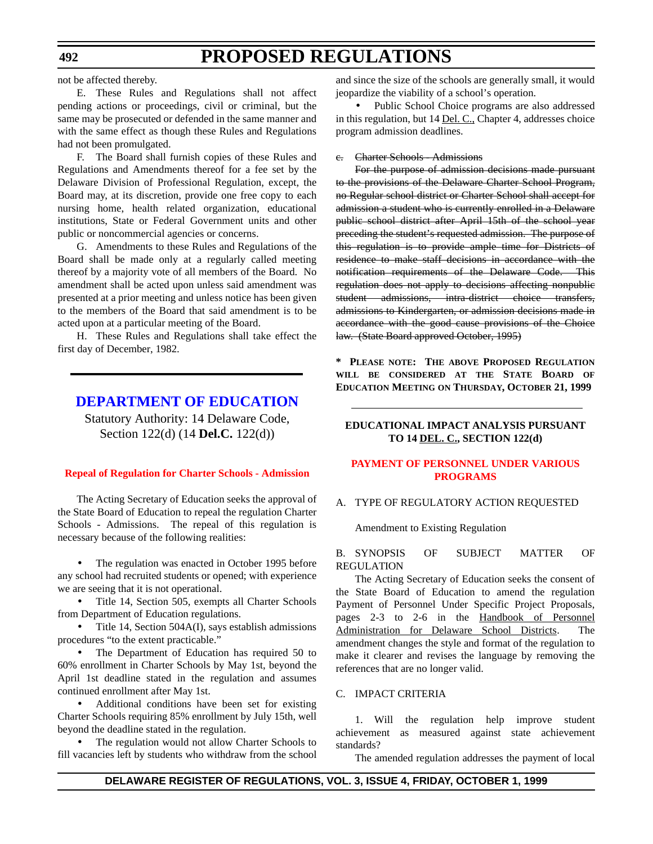<span id="page-14-0"></span>not be affected thereby.

E. These Rules and Regulations shall not affect pending actions or proceedings, civil or criminal, but the same may be prosecuted or defended in the same manner and with the same effect as though these Rules and Regulations had not been promulgated.

F. The Board shall furnish copies of these Rules and Regulations and Amendments thereof for a fee set by the Delaware Division of Professional Regulation, except, the Board may, at its discretion, provide one free copy to each nursing home, health related organization, educational institutions, State or Federal Government units and other public or noncommercial agencies or concerns.

G. Amendments to these Rules and Regulations of the Board shall be made only at a regularly called meeting thereof by a majority vote of all members of the Board. No amendment shall be acted upon unless said amendment was presented at a prior meeting and unless notice has been given to the members of the Board that said amendment is to be acted upon at a particular meeting of the Board.

H. These Rules and Regulations shall take effect the first day of December, 1982.

## **[DEPARTMENT OF EDUCATION](http://www.doe.state.de.us/)**

Statutory Authority: 14 Delaware Code, Section 122(d) (14 **Del.C.** 122(d))

#### **[Repeal of Regulation for Charter Schools - Admission](#page-3-0)**

The Acting Secretary of Education seeks the approval of the State Board of Education to repeal the regulation Charter Schools - Admissions. The repeal of this regulation is necessary because of the following realities:

The regulation was enacted in October 1995 before any school had recruited students or opened; with experience we are seeing that it is not operational.

• Title 14, Section 505, exempts all Charter Schools from Department of Education regulations.

• Title 14, Section 504A(I), says establish admissions procedures "to the extent practicable."

• The Department of Education has required 50 to 60% enrollment in Charter Schools by May 1st, beyond the April 1st deadline stated in the regulation and assumes continued enrollment after May 1st.

• Additional conditions have been set for existing Charter Schools requiring 85% enrollment by July 15th, well beyond the deadline stated in the regulation.

The regulation would not allow Charter Schools to fill vacancies left by students who withdraw from the school and since the size of the schools are generally small, it would jeopardize the viability of a school's operation.

• Public School Choice programs are also addressed in this regulation, but 14 Del. C., Chapter 4, addresses choice program admission deadlines.

#### c. Charter Schools - Admissions

For the purpose of admission decisions made pursuant to the provisions of the Delaware Charter School Program, no Regular school district or Charter School shall accept for admission a student who is currently enrolled in a Delaware public school district after April 15th of the school year preceding the student's requested admission. The purpose of this regulation is to provide ample time for Districts of residence to make staff decisions in accordance with the notification requirements of the Delaware Code. This regulation does not apply to decisions affecting nonpublic student admissions, intra-district choice transfers, admissions to Kindergarten, or admission decisions made in accordance with the good cause provisions of the Choice law. (State Board approved October, 1995)

**\* PLEASE NOTE: THE ABOVE PROPOSED REGULATION WILL BE CONSIDERED AT THE STATE BOARD OF EDUCATION MEETING ON THURSDAY, OCTOBER 21, 1999**

### **EDUCATIONAL IMPACT ANALYSIS PURSUANT TO 14 DEL. C., SECTION 122(d)**

#### **[PAYMENT OF PERSONNEL UNDER VARIOUS](#page-3-0) PROGRAMS**

### A. TYPE OF REGULATORY ACTION REQUESTED

#### Amendment to Existing Regulation

#### B. SYNOPSIS OF SUBJECT MATTER OF REGULATION

The Acting Secretary of Education seeks the consent of the State Board of Education to amend the regulation Payment of Personnel Under Specific Project Proposals, pages 2-3 to 2-6 in the Handbook of Personnel Administration for Delaware School Districts. The amendment changes the style and format of the regulation to make it clearer and revises the language by removing the references that are no longer valid.

#### C. IMPACT CRITERIA

1. Will the regulation help improve student achievement as measured against state achievement standards?

The amended regulation addresses the payment of local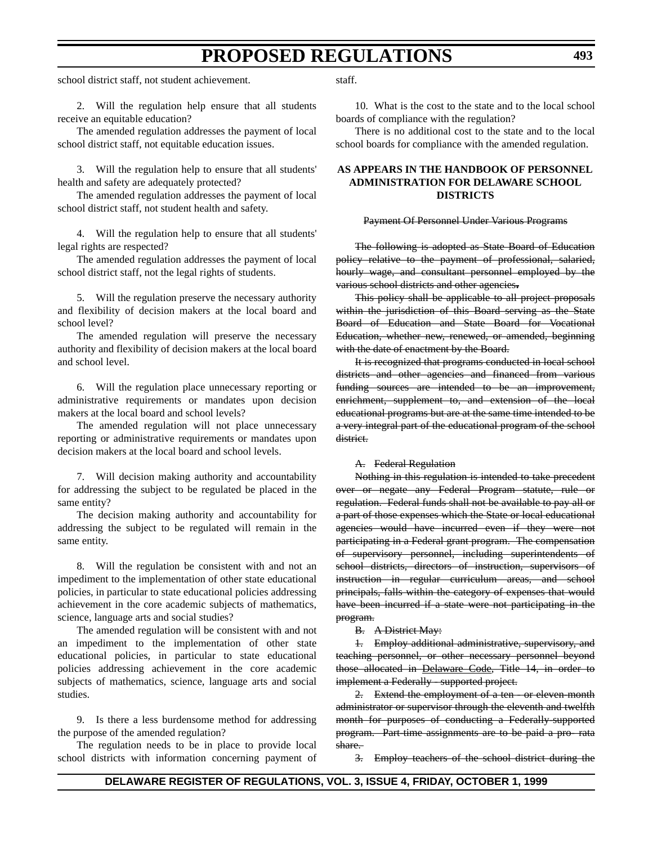school district staff, not student achievement.

2. Will the regulation help ensure that all students receive an equitable education?

The amended regulation addresses the payment of local school district staff, not equitable education issues.

3. Will the regulation help to ensure that all students' health and safety are adequately protected?

The amended regulation addresses the payment of local school district staff, not student health and safety.

4. Will the regulation help to ensure that all students' legal rights are respected?

The amended regulation addresses the payment of local school district staff, not the legal rights of students.

5. Will the regulation preserve the necessary authority and flexibility of decision makers at the local board and school level?

The amended regulation will preserve the necessary authority and flexibility of decision makers at the local board and school level.

6. Will the regulation place unnecessary reporting or administrative requirements or mandates upon decision makers at the local board and school levels?

The amended regulation will not place unnecessary reporting or administrative requirements or mandates upon decision makers at the local board and school levels.

7. Will decision making authority and accountability for addressing the subject to be regulated be placed in the same entity?

The decision making authority and accountability for addressing the subject to be regulated will remain in the same entity.

8. Will the regulation be consistent with and not an impediment to the implementation of other state educational policies, in particular to state educational policies addressing achievement in the core academic subjects of mathematics, science, language arts and social studies?

The amended regulation will be consistent with and not an impediment to the implementation of other state educational policies, in particular to state educational policies addressing achievement in the core academic subjects of mathematics, science, language arts and social studies.

9. Is there a less burdensome method for addressing the purpose of the amended regulation?

The regulation needs to be in place to provide local school districts with information concerning payment of staff.

10. What is the cost to the state and to the local school boards of compliance with the regulation?

There is no additional cost to the state and to the local school boards for compliance with the amended regulation.

#### **AS APPEARS IN THE HANDBOOK OF PERSONNEL ADMINISTRATION FOR DELAWARE SCHOOL DISTRICTS**

#### Payment Of Personnel Under Various Programs

The following is adopted as State Board of Education policy relative to the payment of professional, salaried, hourly wage, and consultant personnel employed by the various school districts and other agencies**.**

This policy shall be applicable to all project proposals within the jurisdiction of this Board serving as the State Board of Education and State Board for Vocational Education, whether new, renewed, or amended, beginning with the date of enactment by the Board.

It is recognized that programs conducted in local school districts and other agencies and financed from various funding sources are intended to be an improvement, enrichment, supplement to, and extension of the local educational programs but are at the same time intended to be a very integral part of the educational program of the school district.

A. Federal Regulation

Nothing in this regulation is intended to take precedent over or negate any Federal Program statute, rule or regulation. Federal funds shall not be available to pay all or a part of those expenses which the State or local educational agencies would have incurred even if they were not participating in a Federal grant program. The compensation of supervisory personnel, including superintendents of school districts, directors of instruction, supervisors of instruction in regular curriculum areas, and school principals, falls within the category of expenses that would have been incurred if a state were not participating in the program.

B. A District May:

1. Employ additional administrative, supervisory, and teaching personnel, or other necessary personnel beyond those allocated in Delaware Code, Title 14, in order to implement a Federally - supported project.

2. Extend the employment of a ten - or eleven-month administrator or supervisor through the eleventh and twelfth month for purposes of conducting a Federally-supported program. Part-time assignments are to be paid a pro- rata share.

3. Employ teachers of the school district during the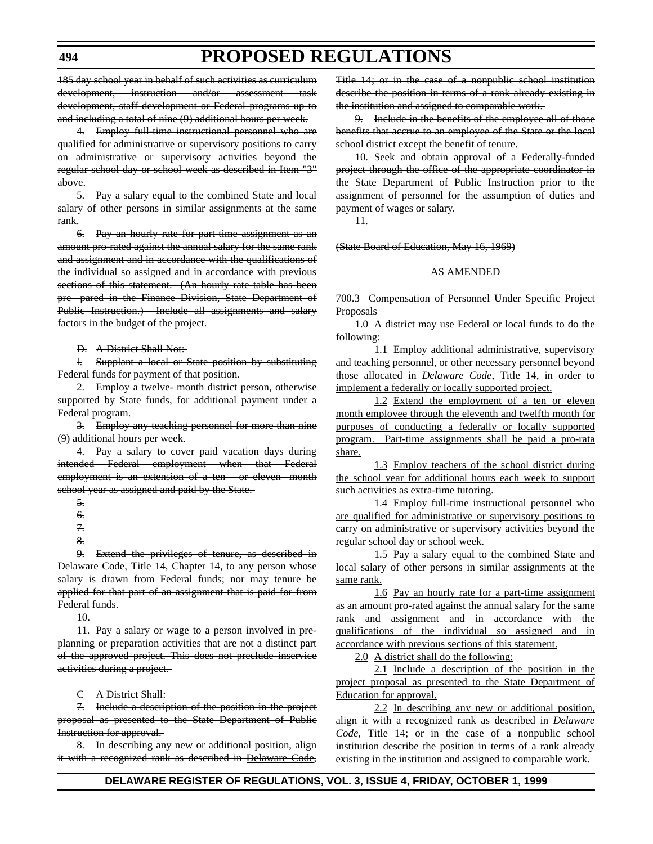185 day school year in behalf of such activities as curriculum development, instruction and/or assessment task development, staff development or Federal programs up to and including a total of nine (9) additional hours per week.

4. Employ full-time instructional personnel who are qualified for administrative or supervisory positions to carry on administrative or supervisory activities beyond the regular school day or school week as described in Item "3" above.

5. Pay a salary equal to the combined State and local salary of other persons in similar assignments at the same rank.

6. Pay an hourly rate for part-time assignment as an amount pro-rated against the annual salary for the same rank and assignment and in accordance with the qualifications of the individual so assigned and in accordance with previous sections of this statement. (An hourly rate table has been pre- pared in the Finance Division, State Department of Public Instruction.) Include all assignments and salary factors in the budget of the project.

D. A District Shall Not:

l. Supplant a local or State position by substituting Federal funds for payment of that position.

2. Employ a twelve- month district person, otherwise supported by State funds, for additional payment under a Federal program.

3. Employ any teaching personnel for more than nine (9) additional hours per week.

4. Pay a salary to cover paid vacation days during intended Federal employment when that Federal employment is an extension of a ten - or eleven- month school year as assigned and paid by the State.

9. Extend the privileges of tenure, as described in Delaware Code, Title 14, Chapter 14, to any person whose salary is drawn from Federal funds; nor may tenure be applied for that part of an assignment that is paid for from Federal funds.

10.

11. Pay a salary or wage to a person involved in preplanning or preparation activities that are not a distinct part of the approved project. This does not preclude inservice activities during a project.

C A District Shall:

7. Include a description of the position in the project proposal as presented to the State Department of Public Instruction for approval.

8. In describing any new or additional position, align it with a recognized rank as described in Delaware Code,

Title 14; or in the case of a nonpublic school institution describe the position in terms of a rank already existing in the institution and assigned to comparable work.

9. Include in the benefits of the employee all of those benefits that accrue to an employee of the State or the local school district except the benefit of tenure.

10. Seek and obtain approval of a Federally-funded project through the office of the appropriate coordinator in the State Department of Public Instruction prior to the assignment of personnel for the assumption of duties and payment of wages or salary.

 $H<sub>r</sub>$ 

(State Board of Education, May 16, 1969)

### AS AMENDED

700.3 Compensation of Personnel Under Specific Project Proposals

1.0 A district may use Federal or local funds to do the following:

1.1 Employ additional administrative, supervisory and teaching personnel, or other necessary personnel beyond those allocated in *Delaware Code*, Title 14, in order to implement a federally or locally supported project.

1.2 Extend the employment of a ten or eleven month employee through the eleventh and twelfth month for purposes of conducting a federally or locally supported program. Part-time assignments shall be paid a pro-rata share.

1.3 Employ teachers of the school district during the school year for additional hours each week to support such activities as extra-time tutoring.

1.4 Employ full-time instructional personnel who are qualified for administrative or supervisory positions to carry on administrative or supervisory activities beyond the regular school day or school week.

1.5 Pay a salary equal to the combined State and local salary of other persons in similar assignments at the same rank.

1.6 Pay an hourly rate for a part-time assignment as an amount pro-rated against the annual salary for the same rank and assignment and in accordance with the qualifications of the individual so assigned and in accordance with previous sections of this statement.

2.0 A district shall do the following:

2.1 Include a description of the position in the project proposal as presented to the State Department of Education for approval.

2.2 In describing any new or additional position, align it with a recognized rank as described in *Delaware Code*, Title 14; or in the case of a nonpublic school institution describe the position in terms of a rank already existing in the institution and assigned to comparable work.

<sup>5.</sup>

<sup>6.</sup>

<sup>7.</sup>

<sup>8.</sup>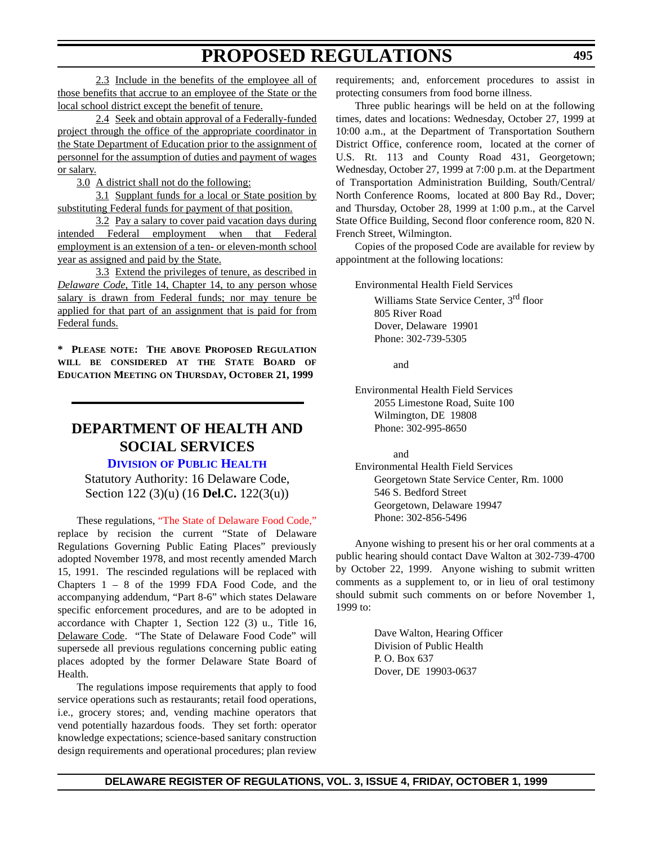<span id="page-17-0"></span>2.3 Include in the benefits of the employee all of those benefits that accrue to an employee of the State or the local school district except the benefit of tenure.

2.4 Seek and obtain approval of a Federally-funded project through the office of the appropriate coordinator in the State Department of Education prior to the assignment of personnel for the assumption of duties and payment of wages or salary.

3.0 A district shall not do the following:

3.1 Supplant funds for a local or State position by substituting Federal funds for payment of that position.

3.2 Pay a salary to cover paid vacation days during intended Federal employment when that Federal employment is an extension of a ten- or eleven-month school year as assigned and paid by the State.

3.3 Extend the privileges of tenure, as described in *Delaware Code*, Title 14, Chapter 14, to any person whose salary is drawn from Federal funds; nor may tenure be applied for that part of an assignment that is paid for from Federal funds.

**\* PLEASE NOTE: THE ABOVE PROPOSED REGULATION WILL BE CONSIDERED AT THE STATE BOARD OF EDUCATION MEETING ON THURSDAY, OCTOBER 21, 1999**

## **DEPARTMENT OF HEALTH AND SOCIAL SERVICES**

### **DIVISION [OF PUBLIC HEALTH](http://www.state.de.us/dhss/irm/dph/dphhome.htm)**

Statutory Authority: 16 Delaware Code, Section 122 (3)(u) (16 **Del.C.** 122(3(u))

These regulations, ["The State of Delaware Food Code,"](#page-3-0) replace by recision the current "State of Delaware Regulations Governing Public Eating Places" previously adopted November 1978, and most recently amended March 15, 1991. The rescinded regulations will be replaced with Chapters 1 – 8 of the 1999 FDA Food Code, and the accompanying addendum, "Part 8-6" which states Delaware specific enforcement procedures, and are to be adopted in accordance with Chapter 1, Section 122 (3) u., Title 16, Delaware Code. "The State of Delaware Food Code" will supersede all previous regulations concerning public eating places adopted by the former Delaware State Board of Health.

The regulations impose requirements that apply to food service operations such as restaurants; retail food operations, i.e., grocery stores; and, vending machine operators that vend potentially hazardous foods. They set forth: operator knowledge expectations; science-based sanitary construction design requirements and operational procedures; plan review requirements; and, enforcement procedures to assist in protecting consumers from food borne illness.

Three public hearings will be held on at the following times, dates and locations: Wednesday, October 27, 1999 at 10:00 a.m., at the Department of Transportation Southern District Office, conference room, located at the corner of U.S. Rt. 113 and County Road 431, Georgetown; Wednesday, October 27, 1999 at 7:00 p.m. at the Department of Transportation Administration Building, South/Central/ North Conference Rooms, located at 800 Bay Rd., Dover; and Thursday, October 28, 1999 at 1:00 p.m., at the Carvel State Office Building, Second floor conference room, 820 N. French Street, Wilmington.

Copies of the proposed Code are available for review by appointment at the following locations:

Environmental Health Field Services

Williams State Service Center, 3<sup>rd</sup> floor 805 River Road Dover, Delaware 19901 Phone: 302-739-5305

and

Environmental Health Field Services 2055 Limestone Road, Suite 100 Wilmington, DE 19808 Phone: 302-995-8650

and

Environmental Health Field Services Georgetown State Service Center, Rm. 1000 546 S. Bedford Street Georgetown, Delaware 19947 Phone: 302-856-5496

Anyone wishing to present his or her oral comments at a public hearing should contact Dave Walton at 302-739-4700 by October 22, 1999. Anyone wishing to submit written comments as a supplement to, or in lieu of oral testimony should submit such comments on or before November 1, 1999 to:

> Dave Walton, Hearing Officer Division of Public Health P. O. Box 637 Dover, DE 19903-0637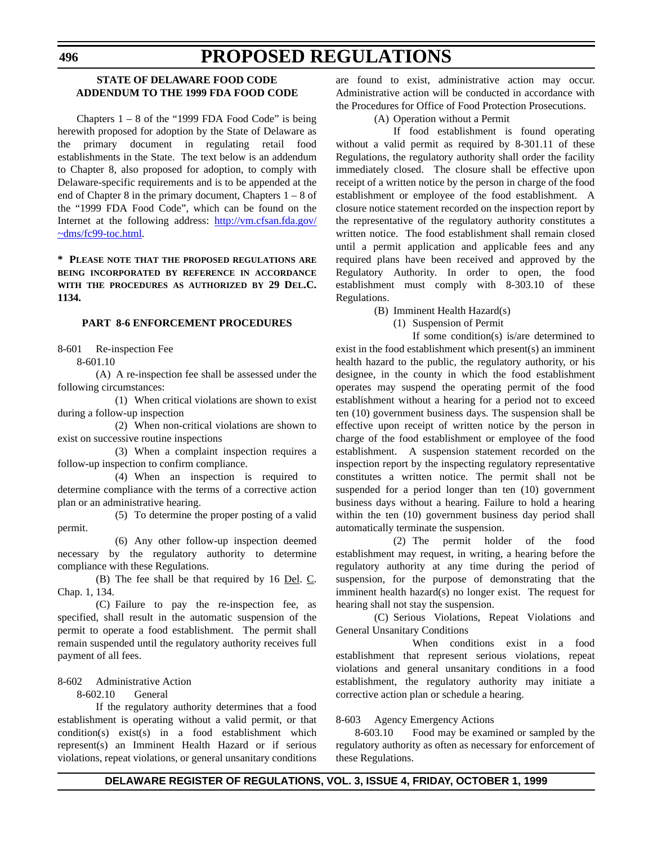### **STATE OF DELAWARE FOOD CODE ADDENDUM TO THE 1999 FDA FOOD CODE**

Chapters  $1 - 8$  of the "1999 FDA Food Code" is being herewith proposed for adoption by the State of Delaware as the primary document in regulating retail food establishments in the State. The text below is an addendum to Chapter 8, also proposed for adoption, to comply with Delaware-specific requirements and is to be appended at the end of Chapter 8 in the primary document, Chapters 1 – 8 of the "1999 FDA Food Code", which can be found on the Internet at the following address: http://vm.cfsan.fda.gov/ ~dms/fc99-toc.html.

**\* PLEASE NOTE THAT THE PROPOSED REGULATIONS ARE BEING INCORPORATED BY REFERENCE IN ACCORDANCE WITH THE PROCEDURES AS AUTHORIZED BY 29 DEL.C. 1134.**

#### **PART 8-6 ENFORCEMENT PROCEDURES**

8-601 Re-inspection Fee

8-601.10

(A) A re-inspection fee shall be assessed under the following circumstances:

(1) When critical violations are shown to exist during a follow-up inspection

(2) When non-critical violations are shown to exist on successive routine inspections

(3) When a complaint inspection requires a follow-up inspection to confirm compliance.

(4) When an inspection is required to determine compliance with the terms of a corrective action plan or an administrative hearing.

(5) To determine the proper posting of a valid permit.

(6) Any other follow-up inspection deemed necessary by the regulatory authority to determine compliance with these Regulations.

(B) The fee shall be that required by 16 Del. C. Chap. 1, 134.

(C) Failure to pay the re-inspection fee, as specified, shall result in the automatic suspension of the permit to operate a food establishment. The permit shall remain suspended until the regulatory authority receives full payment of all fees.

### 8-602 Administrative Action

8-602.10 General

If the regulatory authority determines that a food establishment is operating without a valid permit, or that condition(s) exist(s) in a food establishment which represent(s) an Imminent Health Hazard or if serious violations, repeat violations, or general unsanitary conditions

are found to exist, administrative action may occur. Administrative action will be conducted in accordance with the Procedures for Office of Food Protection Prosecutions.

### (A) Operation without a Permit

If food establishment is found operating without a valid permit as required by 8-301.11 of these Regulations, the regulatory authority shall order the facility immediately closed. The closure shall be effective upon receipt of a written notice by the person in charge of the food establishment or employee of the food establishment. A closure notice statement recorded on the inspection report by the representative of the regulatory authority constitutes a written notice. The food establishment shall remain closed until a permit application and applicable fees and any required plans have been received and approved by the Regulatory Authority. In order to open, the food establishment must comply with 8-303.10 of these Regulations.

(B) Imminent Health Hazard(s)

(1) Suspension of Permit

If some condition(s) is/are determined to exist in the food establishment which present(s) an imminent health hazard to the public, the regulatory authority, or his designee, in the county in which the food establishment operates may suspend the operating permit of the food establishment without a hearing for a period not to exceed ten (10) government business days. The suspension shall be effective upon receipt of written notice by the person in charge of the food establishment or employee of the food establishment. A suspension statement recorded on the inspection report by the inspecting regulatory representative constitutes a written notice. The permit shall not be suspended for a period longer than ten (10) government business days without a hearing. Failure to hold a hearing within the ten (10) government business day period shall automatically terminate the suspension.

(2) The permit holder of the food establishment may request, in writing, a hearing before the regulatory authority at any time during the period of suspension, for the purpose of demonstrating that the imminent health hazard(s) no longer exist. The request for hearing shall not stay the suspension.

(C) Serious Violations, Repeat Violations and General Unsanitary Conditions

When conditions exist in a food establishment that represent serious violations, repeat violations and general unsanitary conditions in a food establishment, the regulatory authority may initiate a corrective action plan or schedule a hearing.

### 8-603 Agency Emergency Actions

8-603.10 Food may be examined or sampled by the regulatory authority as often as necessary for enforcement of these Regulations.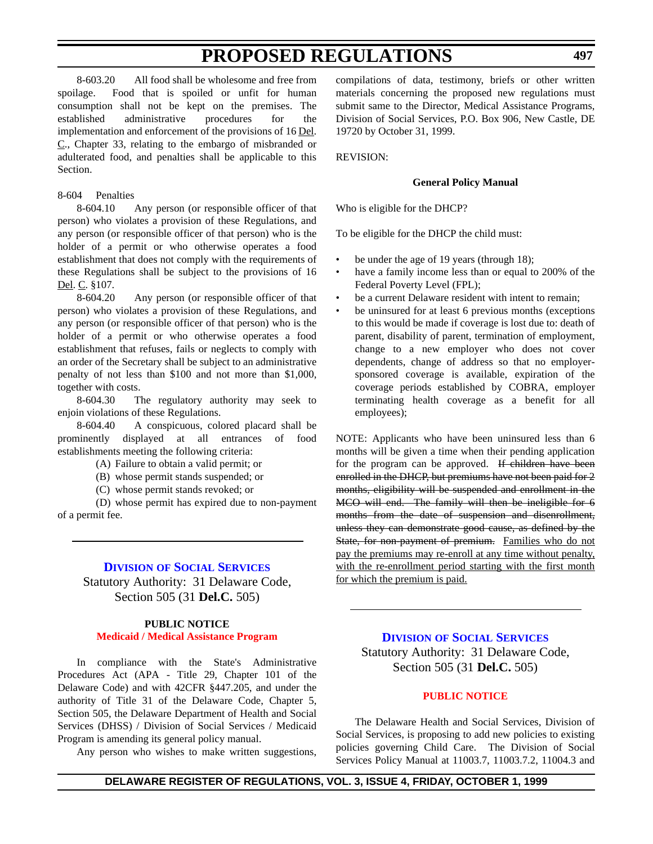<span id="page-19-0"></span>8-603.20 All food shall be wholesome and free from spoilage. Food that is spoiled or unfit for human consumption shall not be kept on the premises. The established administrative procedures for the implementation and enforcement of the provisions of 16 Del.  $C<sub>1</sub>$ , Chapter 33, relating to the embargo of misbranded or adulterated food, and penalties shall be applicable to this Section.

### 8-604 Penalties

8-604.10 Any person (or responsible officer of that person) who violates a provision of these Regulations, and any person (or responsible officer of that person) who is the holder of a permit or who otherwise operates a food establishment that does not comply with the requirements of these Regulations shall be subject to the provisions of 16 Del. C. §107.

8-604.20 Any person (or responsible officer of that person) who violates a provision of these Regulations, and any person (or responsible officer of that person) who is the holder of a permit or who otherwise operates a food establishment that refuses, fails or neglects to comply with an order of the Secretary shall be subject to an administrative penalty of not less than \$100 and not more than \$1,000, together with costs.

8-604.30 The regulatory authority may seek to enjoin violations of these Regulations.

8-604.40 A conspicuous, colored placard shall be prominently displayed at all entrances of food establishments meeting the following criteria:

(A) Failure to obtain a valid permit; or

(B) whose permit stands suspended; or

(C) whose permit stands revoked; or

(D) whose permit has expired due to non-payment of a permit fee.

### **DIVISION [OF SOCIAL SERVICES](http://www.state.de.us/dhss/irm/dss/dsshome.htm)**

Statutory Authority: 31 Delaware Code, Section 505 (31 **Del.C.** 505)

### **PUBLIC NOTICE [Medicaid / Medical Assistance Program](#page-3-0)**

In compliance with the State's Administrative Procedures Act (APA - Title 29, Chapter 101 of the Delaware Code) and with 42CFR §447.205, and under the authority of Title 31 of the Delaware Code, Chapter 5, Section 505, the Delaware Department of Health and Social Services (DHSS) / Division of Social Services / Medicaid Program is amending its general policy manual.

Any person who wishes to make written suggestions,

compilations of data, testimony, briefs or other written materials concerning the proposed new regulations must submit same to the Director, Medical Assistance Programs, Division of Social Services, P.O. Box 906, New Castle, DE 19720 by October 31, 1999.

REVISION:

#### **General Policy Manual**

Who is eligible for the DHCP?

To be eligible for the DHCP the child must:

- be under the age of 19 years (through 18);
- have a family income less than or equal to 200% of the Federal Poverty Level (FPL);
- be a current Delaware resident with intent to remain;
- be uninsured for at least 6 previous months (exceptions to this would be made if coverage is lost due to: death of parent, disability of parent, termination of employment, change to a new employer who does not cover dependents, change of address so that no employersponsored coverage is available, expiration of the coverage periods established by COBRA, employer terminating health coverage as a benefit for all employees);

NOTE: Applicants who have been uninsured less than 6 months will be given a time when their pending application for the program can be approved. If children have been enrolled in the DHCP, but premiums have not been paid for 2 months, eligibility will be suspended and enrollment in the MCO will end. The family will then be ineligible for 6 months from the date of suspension and disenrollment, unless they can demonstrate good cause, as defined by the State, for non-payment of premium. Families who do not pay the premiums may re-enroll at any time without penalty, with the re-enrollment period starting with the first month for which the premium is paid.

**DIVISION [OF SOCIAL SERVICES](http://www.state.de.us/dhss/irm/dss/dsshome.htm)** Statutory Authority: 31 Delaware Code,

Section 505 (31 **Del.C.** 505)

### **[PUBLIC NOTICE](#page-3-0)**

The Delaware Health and Social Services, Division of Social Services, is proposing to add new policies to existing policies governing Child Care. The Division of Social Services Policy Manual at 11003.7, 11003.7.2, 11004.3 and

**DELAWARE REGISTER OF REGULATIONS, VOL. 3, ISSUE 4, FRIDAY, OCTOBER 1, 1999**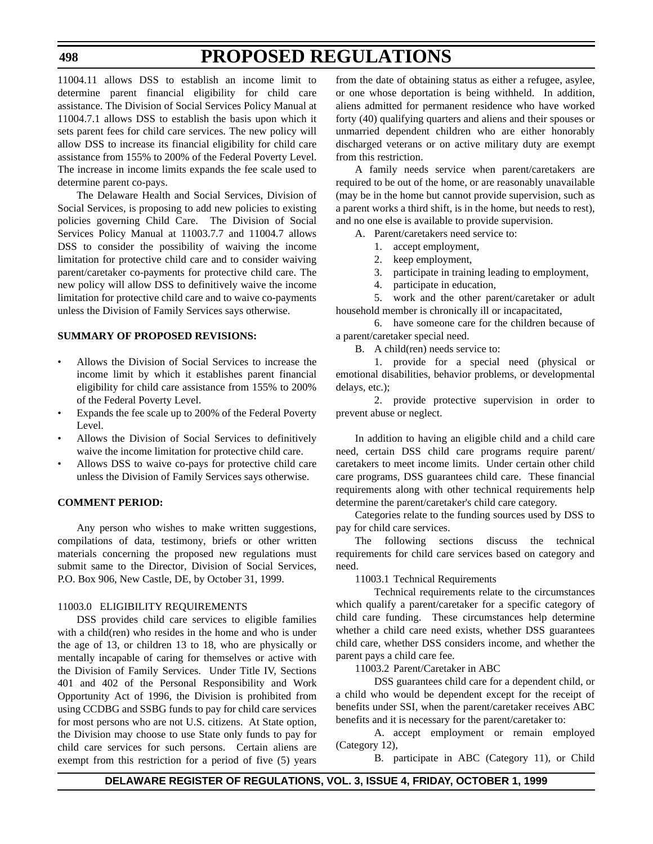11004.11 allows DSS to establish an income limit to determine parent financial eligibility for child care assistance. The Division of Social Services Policy Manual at 11004.7.1 allows DSS to establish the basis upon which it sets parent fees for child care services. The new policy will allow DSS to increase its financial eligibility for child care assistance from 155% to 200% of the Federal Poverty Level. The increase in income limits expands the fee scale used to determine parent co-pays.

The Delaware Health and Social Services, Division of Social Services, is proposing to add new policies to existing policies governing Child Care. The Division of Social Services Policy Manual at 11003.7.7 and 11004.7 allows DSS to consider the possibility of waiving the income limitation for protective child care and to consider waiving parent/caretaker co-payments for protective child care. The new policy will allow DSS to definitively waive the income limitation for protective child care and to waive co-payments unless the Division of Family Services says otherwise.

#### **SUMMARY OF PROPOSED REVISIONS:**

- Allows the Division of Social Services to increase the income limit by which it establishes parent financial eligibility for child care assistance from 155% to 200% of the Federal Poverty Level.
- Expands the fee scale up to 200% of the Federal Poverty Level.
- Allows the Division of Social Services to definitively waive the income limitation for protective child care.
- Allows DSS to waive co-pays for protective child care unless the Division of Family Services says otherwise.

#### **COMMENT PERIOD:**

Any person who wishes to make written suggestions, compilations of data, testimony, briefs or other written materials concerning the proposed new regulations must submit same to the Director, Division of Social Services, P.O. Box 906, New Castle, DE, by October 31, 1999.

#### 11003.0 ELIGIBILITY REQUIREMENTS

DSS provides child care services to eligible families with a child(ren) who resides in the home and who is under the age of 13, or children 13 to 18, who are physically or mentally incapable of caring for themselves or active with the Division of Family Services. Under Title IV, Sections 401 and 402 of the Personal Responsibility and Work Opportunity Act of 1996, the Division is prohibited from using CCDBG and SSBG funds to pay for child care services for most persons who are not U.S. citizens. At State option, the Division may choose to use State only funds to pay for child care services for such persons. Certain aliens are exempt from this restriction for a period of five (5) years

from the date of obtaining status as either a refugee, asylee, or one whose deportation is being withheld. In addition, aliens admitted for permanent residence who have worked forty (40) qualifying quarters and aliens and their spouses or unmarried dependent children who are either honorably discharged veterans or on active military duty are exempt from this restriction.

A family needs service when parent/caretakers are required to be out of the home, or are reasonably unavailable (may be in the home but cannot provide supervision, such as a parent works a third shift, is in the home, but needs to rest), and no one else is available to provide supervision.

A. Parent/caretakers need service to:

- 1. accept employment,
- 2. keep employment,

3. participate in training leading to employment,

4. participate in education,

5. work and the other parent/caretaker or adult household member is chronically ill or incapacitated,

6. have someone care for the children because of a parent/caretaker special need.

B. A child(ren) needs service to:

1. provide for a special need (physical or emotional disabilities, behavior problems, or developmental delays, etc.);

2. provide protective supervision in order to prevent abuse or neglect.

In addition to having an eligible child and a child care need, certain DSS child care programs require parent/ caretakers to meet income limits. Under certain other child care programs, DSS guarantees child care. These financial requirements along with other technical requirements help determine the parent/caretaker's child care category.

Categories relate to the funding sources used by DSS to pay for child care services.

The following sections discuss the technical requirements for child care services based on category and need.

11003.1 Technical Requirements

Technical requirements relate to the circumstances which qualify a parent/caretaker for a specific category of child care funding. These circumstances help determine whether a child care need exists, whether DSS guarantees child care, whether DSS considers income, and whether the parent pays a child care fee.

11003.2 Parent/Caretaker in ABC

DSS guarantees child care for a dependent child, or a child who would be dependent except for the receipt of benefits under SSI, when the parent/caretaker receives ABC benefits and it is necessary for the parent/caretaker to:

A. accept employment or remain employed (Category 12),

B. participate in ABC (Category 11), or Child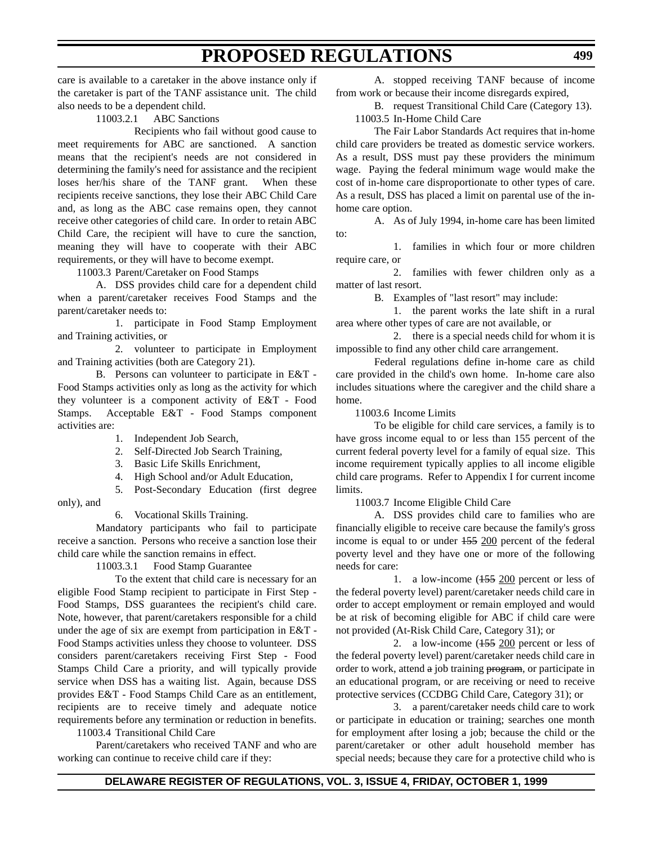care is available to a caretaker in the above instance only if the caretaker is part of the TANF assistance unit. The child also needs to be a dependent child.

11003.2.1 ABC Sanctions

Recipients who fail without good cause to meet requirements for ABC are sanctioned. A sanction means that the recipient's needs are not considered in determining the family's need for assistance and the recipient loses her/his share of the TANF grant. When these recipients receive sanctions, they lose their ABC Child Care and, as long as the ABC case remains open, they cannot receive other categories of child care. In order to retain ABC Child Care, the recipient will have to cure the sanction, meaning they will have to cooperate with their ABC requirements, or they will have to become exempt.

11003.3 Parent/Caretaker on Food Stamps

A. DSS provides child care for a dependent child when a parent/caretaker receives Food Stamps and the parent/caretaker needs to:

1. participate in Food Stamp Employment and Training activities, or

2. volunteer to participate in Employment and Training activities (both are Category 21).

B. Persons can volunteer to participate in E&T - Food Stamps activities only as long as the activity for which they volunteer is a component activity of E&T - Food Stamps. Acceptable E&T - Food Stamps component activities are:

- 1. Independent Job Search,
- 2. Self-Directed Job Search Training,
- 3. Basic Life Skills Enrichment,
- 4. High School and/or Adult Education,
- 5. Post-Secondary Education (first degree only), and

6. Vocational Skills Training.

Mandatory participants who fail to participate receive a sanction. Persons who receive a sanction lose their child care while the sanction remains in effect.

11003.3.1 Food Stamp Guarantee

To the extent that child care is necessary for an eligible Food Stamp recipient to participate in First Step - Food Stamps, DSS guarantees the recipient's child care. Note, however, that parent/caretakers responsible for a child under the age of six are exempt from participation in E&T - Food Stamps activities unless they choose to volunteer. DSS considers parent/caretakers receiving First Step - Food Stamps Child Care a priority, and will typically provide service when DSS has a waiting list. Again, because DSS provides E&T - Food Stamps Child Care as an entitlement, recipients are to receive timely and adequate notice requirements before any termination or reduction in benefits.

11003.4 Transitional Child Care

Parent/caretakers who received TANF and who are working can continue to receive child care if they:

A. stopped receiving TANF because of income from work or because their income disregards expired,

B. request Transitional Child Care (Category 13). 11003.5 In-Home Child Care

The Fair Labor Standards Act requires that in-home child care providers be treated as domestic service workers. As a result, DSS must pay these providers the minimum wage. Paying the federal minimum wage would make the cost of in-home care disproportionate to other types of care. As a result, DSS has placed a limit on parental use of the inhome care option.

A. As of July 1994, in-home care has been limited to:

1. families in which four or more children require care, or

2. families with fewer children only as a matter of last resort.

B. Examples of "last resort" may include:

1. the parent works the late shift in a rural area where other types of care are not available, or

2. there is a special needs child for whom it is impossible to find any other child care arrangement.

Federal regulations define in-home care as child care provided in the child's own home. In-home care also includes situations where the caregiver and the child share a home.

11003.6 Income Limits

To be eligible for child care services, a family is to have gross income equal to or less than 155 percent of the current federal poverty level for a family of equal size. This income requirement typically applies to all income eligible child care programs. Refer to Appendix I for current income limits.

11003.7 Income Eligible Child Care

A. DSS provides child care to families who are financially eligible to receive care because the family's gross income is equal to or under 155 200 percent of the federal poverty level and they have one or more of the following needs for care:

1. a low-income (155 200 percent or less of the federal poverty level) parent/caretaker needs child care in order to accept employment or remain employed and would be at risk of becoming eligible for ABC if child care were not provided (At-Risk Child Care, Category 31); or

2. a low-income  $(155 200)$  percent or less of the federal poverty level) parent/caretaker needs child care in order to work, attend a job training program, or participate in an educational program, or are receiving or need to receive protective services (CCDBG Child Care, Category 31); or

3. a parent/caretaker needs child care to work or participate in education or training; searches one month for employment after losing a job; because the child or the parent/caretaker or other adult household member has special needs; because they care for a protective child who is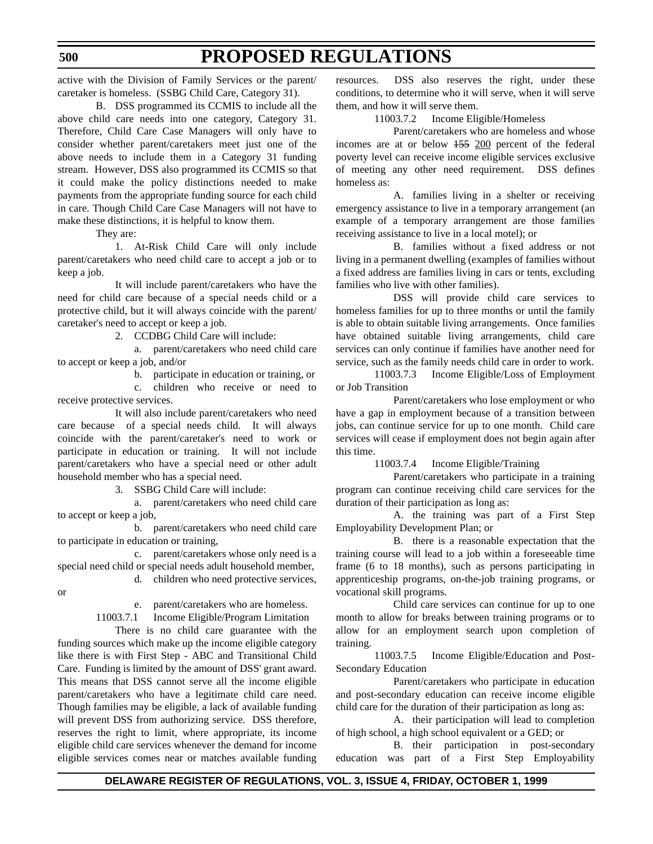#### **500**

# **PROPOSED REGULATIONS**

active with the Division of Family Services or the parent/ caretaker is homeless. (SSBG Child Care, Category 31).

B. DSS programmed its CCMIS to include all the above child care needs into one category, Category 31. Therefore, Child Care Case Managers will only have to consider whether parent/caretakers meet just one of the above needs to include them in a Category 31 funding stream. However, DSS also programmed its CCMIS so that it could make the policy distinctions needed to make payments from the appropriate funding source for each child in care. Though Child Care Case Managers will not have to make these distinctions, it is helpful to know them.

They are:

1. At-Risk Child Care will only include parent/caretakers who need child care to accept a job or to keep a job.

It will include parent/caretakers who have the need for child care because of a special needs child or a protective child, but it will always coincide with the parent/ caretaker's need to accept or keep a job.

2. CCDBG Child Care will include:

a. parent/caretakers who need child care to accept or keep a job, and/or

b. participate in education or training, or

c. children who receive or need to receive protective services.

It will also include parent/caretakers who need care because of a special needs child. It will always coincide with the parent/caretaker's need to work or participate in education or training. It will not include parent/caretakers who have a special need or other adult household member who has a special need.

3. SSBG Child Care will include:

a. parent/caretakers who need child care to accept or keep a job,

b. parent/caretakers who need child care to participate in education or training,

c. parent/caretakers whose only need is a special need child or special needs adult household member,

## d. children who need protective services,

or

e. parent/caretakers who are homeless.

11003.7.1 Income Eligible/Program Limitation

There is no child care guarantee with the funding sources which make up the income eligible category like there is with First Step - ABC and Transitional Child Care. Funding is limited by the amount of DSS' grant award. This means that DSS cannot serve all the income eligible parent/caretakers who have a legitimate child care need. Though families may be eligible, a lack of available funding will prevent DSS from authorizing service. DSS therefore, reserves the right to limit, where appropriate, its income eligible child care services whenever the demand for income eligible services comes near or matches available funding resources. DSS also reserves the right, under these conditions, to determine who it will serve, when it will serve them, and how it will serve them.

11003.7.2 Income Eligible/Homeless

Parent/caretakers who are homeless and whose incomes are at or below 155 200 percent of the federal poverty level can receive income eligible services exclusive of meeting any other need requirement. DSS defines homeless as:

A. families living in a shelter or receiving emergency assistance to live in a temporary arrangement (an example of a temporary arrangement are those families receiving assistance to live in a local motel); or

B. families without a fixed address or not living in a permanent dwelling (examples of families without a fixed address are families living in cars or tents, excluding families who live with other families).

DSS will provide child care services to homeless families for up to three months or until the family is able to obtain suitable living arrangements. Once families have obtained suitable living arrangements, child care services can only continue if families have another need for service, such as the family needs child care in order to work.

11003.7.3 Income Eligible/Loss of Employment or Job Transition

Parent/caretakers who lose employment or who have a gap in employment because of a transition between jobs, can continue service for up to one month. Child care services will cease if employment does not begin again after this time.

11003.7.4 Income Eligible/Training

Parent/caretakers who participate in a training program can continue receiving child care services for the duration of their participation as long as:

A. the training was part of a First Step Employability Development Plan; or

B. there is a reasonable expectation that the training course will lead to a job within a foreseeable time frame (6 to 18 months), such as persons participating in apprenticeship programs, on-the-job training programs, or vocational skill programs.

Child care services can continue for up to one month to allow for breaks between training programs or to allow for an employment search upon completion of training.

11003.7.5 Income Eligible/Education and Post-Secondary Education

Parent/caretakers who participate in education and post-secondary education can receive income eligible child care for the duration of their participation as long as:

A. their participation will lead to completion of high school, a high school equivalent or a GED; or

B. their participation in post-secondary education was part of a First Step Employability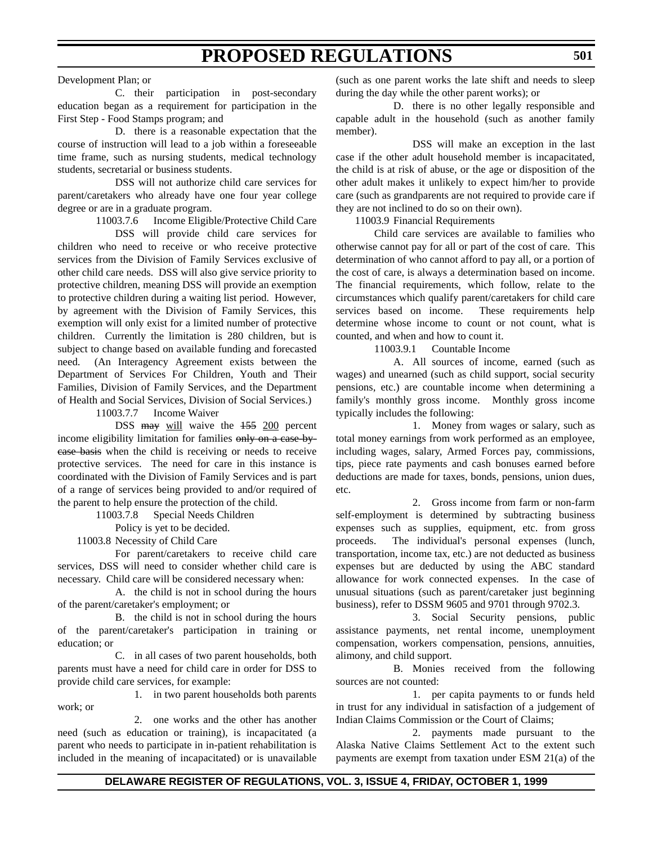#### Development Plan; or

C. their participation in post-secondary education began as a requirement for participation in the First Step - Food Stamps program; and

D. there is a reasonable expectation that the course of instruction will lead to a job within a foreseeable time frame, such as nursing students, medical technology students, secretarial or business students.

DSS will not authorize child care services for parent/caretakers who already have one four year college degree or are in a graduate program.

11003.7.6 Income Eligible/Protective Child Care

DSS will provide child care services for children who need to receive or who receive protective services from the Division of Family Services exclusive of other child care needs. DSS will also give service priority to protective children, meaning DSS will provide an exemption to protective children during a waiting list period. However, by agreement with the Division of Family Services, this exemption will only exist for a limited number of protective children. Currently the limitation is 280 children, but is subject to change based on available funding and forecasted need. (An Interagency Agreement exists between the Department of Services For Children, Youth and Their Families, Division of Family Services, and the Department of Health and Social Services, Division of Social Services.)

11003.7.7 Income Waiver

DSS may will waive the 155 200 percent income eligibility limitation for families only on a case-bycase basis when the child is receiving or needs to receive protective services. The need for care in this instance is coordinated with the Division of Family Services and is part of a range of services being provided to and/or required of the parent to help ensure the protection of the child.

11003.7.8 Special Needs Children

Policy is yet to be decided.

11003.8 Necessity of Child Care

For parent/caretakers to receive child care services, DSS will need to consider whether child care is necessary. Child care will be considered necessary when:

A. the child is not in school during the hours of the parent/caretaker's employment; or

B. the child is not in school during the hours of the parent/caretaker's participation in training or education; or

C. in all cases of two parent households, both parents must have a need for child care in order for DSS to provide child care services, for example:

1. in two parent households both parents work; or

2. one works and the other has another need (such as education or training), is incapacitated (a parent who needs to participate in in-patient rehabilitation is included in the meaning of incapacitated) or is unavailable

(such as one parent works the late shift and needs to sleep during the day while the other parent works); or

D. there is no other legally responsible and capable adult in the household (such as another family member).

DSS will make an exception in the last case if the other adult household member is incapacitated, the child is at risk of abuse, or the age or disposition of the other adult makes it unlikely to expect him/her to provide care (such as grandparents are not required to provide care if they are not inclined to do so on their own).

11003.9 Financial Requirements

Child care services are available to families who otherwise cannot pay for all or part of the cost of care. This determination of who cannot afford to pay all, or a portion of the cost of care, is always a determination based on income. The financial requirements, which follow, relate to the circumstances which qualify parent/caretakers for child care services based on income. These requirements help determine whose income to count or not count, what is counted, and when and how to count it.

11003.9.1 Countable Income

A. All sources of income, earned (such as wages) and unearned (such as child support, social security pensions, etc.) are countable income when determining a family's monthly gross income. Monthly gross income typically includes the following:

1. Money from wages or salary, such as total money earnings from work performed as an employee, including wages, salary, Armed Forces pay, commissions, tips, piece rate payments and cash bonuses earned before deductions are made for taxes, bonds, pensions, union dues, etc.

2. Gross income from farm or non-farm self-employment is determined by subtracting business expenses such as supplies, equipment, etc. from gross proceeds. The individual's personal expenses (lunch, transportation, income tax, etc.) are not deducted as business expenses but are deducted by using the ABC standard allowance for work connected expenses. In the case of unusual situations (such as parent/caretaker just beginning business), refer to DSSM 9605 and 9701 through 9702.3.

3. Social Security pensions, public assistance payments, net rental income, unemployment compensation, workers compensation, pensions, annuities, alimony, and child support.

B. Monies received from the following sources are not counted:

1. per capita payments to or funds held in trust for any individual in satisfaction of a judgement of Indian Claims Commission or the Court of Claims;

2. payments made pursuant to the Alaska Native Claims Settlement Act to the extent such payments are exempt from taxation under ESM 21(a) of the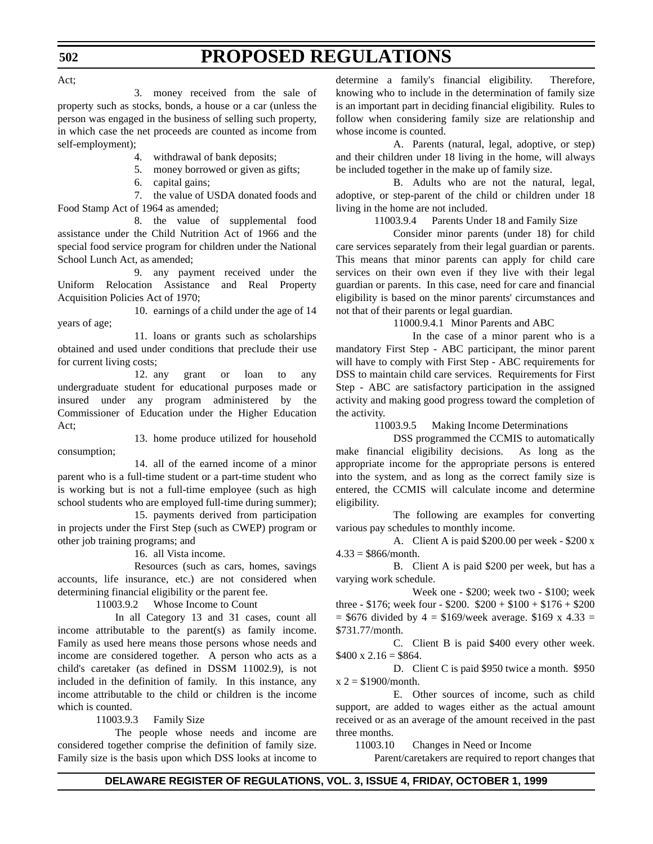Act;

**502**

3. money received from the sale of property such as stocks, bonds, a house or a car (unless the person was engaged in the business of selling such property, in which case the net proceeds are counted as income from self-employment);

4. withdrawal of bank deposits;

5. money borrowed or given as gifts;

6. capital gains;

7. the value of USDA donated foods and Food Stamp Act of 1964 as amended;

8. the value of supplemental food assistance under the Child Nutrition Act of 1966 and the special food service program for children under the National School Lunch Act, as amended;

9. any payment received under the Uniform Relocation Assistance and Real Property Acquisition Policies Act of 1970;

10. earnings of a child under the age of 14 years of age;

11. loans or grants such as scholarships obtained and used under conditions that preclude their use for current living costs;

12. any grant or loan to any undergraduate student for educational purposes made or insured under any program administered by the Commissioner of Education under the Higher Education Act;

13. home produce utilized for household consumption;

14. all of the earned income of a minor parent who is a full-time student or a part-time student who is working but is not a full-time employee (such as high school students who are employed full-time during summer);

15. payments derived from participation in projects under the First Step (such as CWEP) program or other job training programs; and

16. all Vista income.

Resources (such as cars, homes, savings accounts, life insurance, etc.) are not considered when determining financial eligibility or the parent fee.

11003.9.2 Whose Income to Count

In all Category 13 and 31 cases, count all income attributable to the parent(s) as family income. Family as used here means those persons whose needs and income are considered together. A person who acts as a child's caretaker (as defined in DSSM 11002.9), is not included in the definition of family. In this instance, any income attributable to the child or children is the income which is counted.

11003.9.3 Family Size

The people whose needs and income are considered together comprise the definition of family size. Family size is the basis upon which DSS looks at income to determine a family's financial eligibility. Therefore, knowing who to include in the determination of family size is an important part in deciding financial eligibility. Rules to follow when considering family size are relationship and whose income is counted.

A. Parents (natural, legal, adoptive, or step) and their children under 18 living in the home, will always be included together in the make up of family size.

B. Adults who are not the natural, legal, adoptive, or step-parent of the child or children under 18 living in the home are not included.

11003.9.4 Parents Under 18 and Family Size

Consider minor parents (under 18) for child care services separately from their legal guardian or parents. This means that minor parents can apply for child care services on their own even if they live with their legal guardian or parents. In this case, need for care and financial eligibility is based on the minor parents' circumstances and not that of their parents or legal guardian.

11000.9.4.1 Minor Parents and ABC

In the case of a minor parent who is a mandatory First Step - ABC participant, the minor parent will have to comply with First Step - ABC requirements for DSS to maintain child care services. Requirements for First Step - ABC are satisfactory participation in the assigned activity and making good progress toward the completion of the activity.

11003.9.5 Making Income Determinations

DSS programmed the CCMIS to automatically make financial eligibility decisions. As long as the appropriate income for the appropriate persons is entered into the system, and as long as the correct family size is entered, the CCMIS will calculate income and determine eligibility.

The following are examples for converting various pay schedules to monthly income.

A. Client A is paid \$200.00 per week - \$200 x  $4.33 = $866/$ month.

B. Client A is paid \$200 per week, but has a varying work schedule.

Week one - \$200; week two - \$100; week three - \$176; week four - \$200.  $$200 + $100 + $176 + $200$  $=$  \$676 divided by 4 = \$169/week average. \$169 x 4.33 = \$731.77/month.

C. Client B is paid \$400 every other week.  $$400 \times 2.16 = $864.$ 

D. Client C is paid \$950 twice a month. \$950  $x = $1900/$ month.

E. Other sources of income, such as child support, are added to wages either as the actual amount received or as an average of the amount received in the past three months.

11003.10 Changes in Need or Income

Parent/caretakers are required to report changes that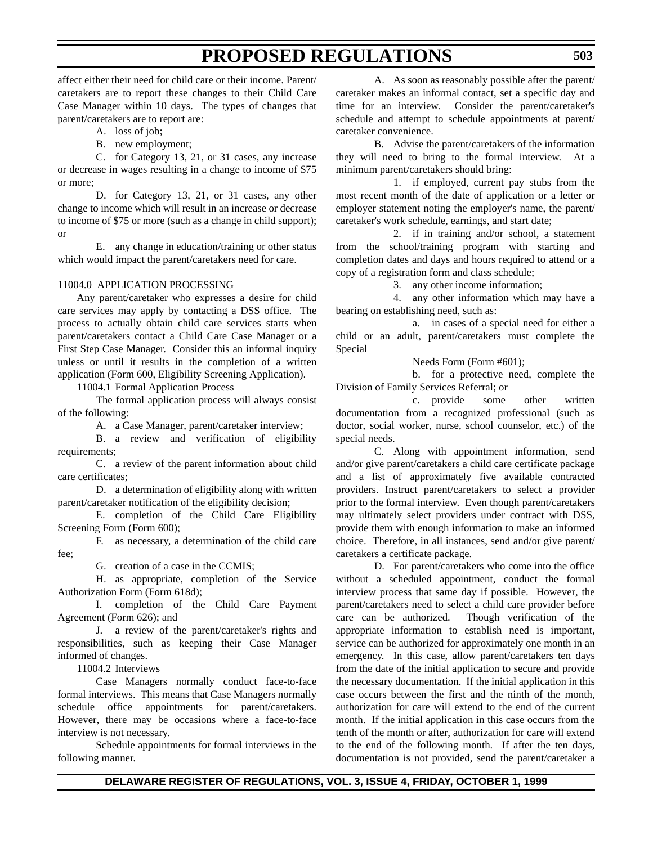A. loss of job;

B. new employment;

C. for Category 13, 21, or 31 cases, any increase or decrease in wages resulting in a change to income of \$75 or more;

D. for Category 13, 21, or 31 cases, any other change to income which will result in an increase or decrease to income of \$75 or more (such as a change in child support); or

E. any change in education/training or other status which would impact the parent/caretakers need for care.

#### 11004.0 APPLICATION PROCESSING

Any parent/caretaker who expresses a desire for child care services may apply by contacting a DSS office. The process to actually obtain child care services starts when parent/caretakers contact a Child Care Case Manager or a First Step Case Manager. Consider this an informal inquiry unless or until it results in the completion of a written application (Form 600, Eligibility Screening Application).

11004.1 Formal Application Process

The formal application process will always consist of the following:

A. a Case Manager, parent/caretaker interview;

B. a review and verification of eligibility requirements;

C. a review of the parent information about child care certificates;

D. a determination of eligibility along with written parent/caretaker notification of the eligibility decision;

E. completion of the Child Care Eligibility Screening Form (Form 600);

F. as necessary, a determination of the child care fee;

G. creation of a case in the CCMIS;

H. as appropriate, completion of the Service Authorization Form (Form 618d);

I. completion of the Child Care Payment Agreement (Form 626); and

J. a review of the parent/caretaker's rights and responsibilities, such as keeping their Case Manager informed of changes.

11004.2 Interviews

Case Managers normally conduct face-to-face formal interviews. This means that Case Managers normally schedule office appointments for parent/caretakers. However, there may be occasions where a face-to-face interview is not necessary.

Schedule appointments for formal interviews in the following manner.

A. As soon as reasonably possible after the parent/ caretaker makes an informal contact, set a specific day and time for an interview. Consider the parent/caretaker's schedule and attempt to schedule appointments at parent/ caretaker convenience.

B. Advise the parent/caretakers of the information they will need to bring to the formal interview. At a minimum parent/caretakers should bring:

1. if employed, current pay stubs from the most recent month of the date of application or a letter or employer statement noting the employer's name, the parent/ caretaker's work schedule, earnings, and start date;

2. if in training and/or school, a statement from the school/training program with starting and completion dates and days and hours required to attend or a copy of a registration form and class schedule;

3. any other income information;

4. any other information which may have a bearing on establishing need, such as:

a. in cases of a special need for either a child or an adult, parent/caretakers must complete the Special

Needs Form (Form #601);

b. for a protective need, complete the Division of Family Services Referral; or

c. provide some other written documentation from a recognized professional (such as doctor, social worker, nurse, school counselor, etc.) of the special needs.

C. Along with appointment information, send and/or give parent/caretakers a child care certificate package and a list of approximately five available contracted providers. Instruct parent/caretakers to select a provider prior to the formal interview. Even though parent/caretakers may ultimately select providers under contract with DSS, provide them with enough information to make an informed choice. Therefore, in all instances, send and/or give parent/ caretakers a certificate package.

D. For parent/caretakers who come into the office without a scheduled appointment, conduct the formal interview process that same day if possible. However, the parent/caretakers need to select a child care provider before care can be authorized. Though verification of the appropriate information to establish need is important, service can be authorized for approximately one month in an emergency. In this case, allow parent/caretakers ten days from the date of the initial application to secure and provide the necessary documentation. If the initial application in this case occurs between the first and the ninth of the month, authorization for care will extend to the end of the current month. If the initial application in this case occurs from the tenth of the month or after, authorization for care will extend to the end of the following month. If after the ten days, documentation is not provided, send the parent/caretaker a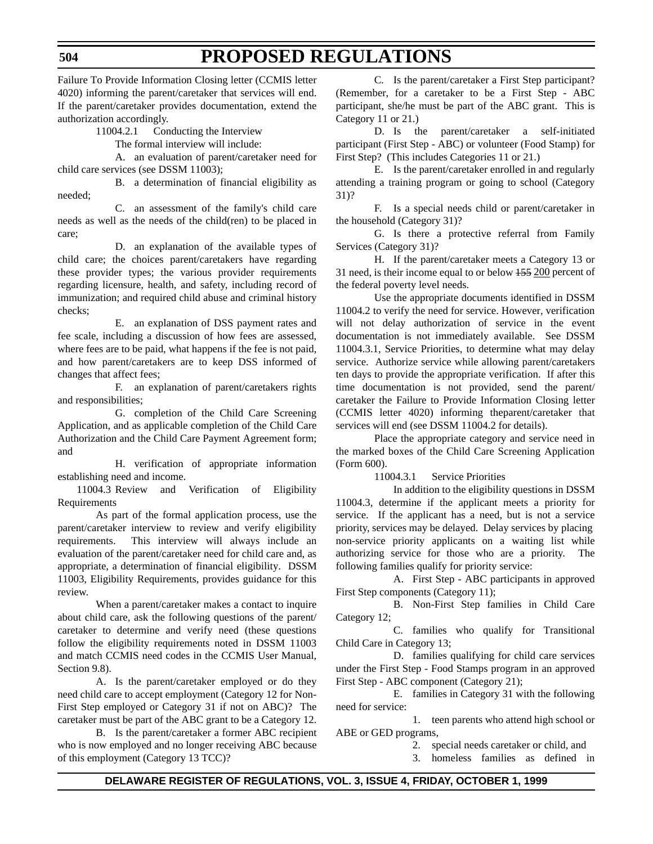**504**

Failure To Provide Information Closing letter (CCMIS letter 4020) informing the parent/caretaker that services will end. If the parent/caretaker provides documentation, extend the authorization accordingly.

11004.2.1 Conducting the Interview

The formal interview will include:

A. an evaluation of parent/caretaker need for child care services (see DSSM 11003);

B. a determination of financial eligibility as needed;

C. an assessment of the family's child care needs as well as the needs of the child(ren) to be placed in care;

D. an explanation of the available types of child care; the choices parent/caretakers have regarding these provider types; the various provider requirements regarding licensure, health, and safety, including record of immunization; and required child abuse and criminal history checks;

E. an explanation of DSS payment rates and fee scale, including a discussion of how fees are assessed, where fees are to be paid, what happens if the fee is not paid, and how parent/caretakers are to keep DSS informed of changes that affect fees;

F. an explanation of parent/caretakers rights and responsibilities;

G. completion of the Child Care Screening Application, and as applicable completion of the Child Care Authorization and the Child Care Payment Agreement form; and

H. verification of appropriate information establishing need and income.

11004.3 Review and Verification of Eligibility Requirements

As part of the formal application process, use the parent/caretaker interview to review and verify eligibility requirements. This interview will always include an evaluation of the parent/caretaker need for child care and, as appropriate, a determination of financial eligibility. DSSM 11003, Eligibility Requirements, provides guidance for this review.

When a parent/caretaker makes a contact to inquire about child care, ask the following questions of the parent/ caretaker to determine and verify need (these questions follow the eligibility requirements noted in DSSM 11003 and match CCMIS need codes in the CCMIS User Manual, Section 9.8).

A. Is the parent/caretaker employed or do they need child care to accept employment (Category 12 for Non-First Step employed or Category 31 if not on ABC)? The caretaker must be part of the ABC grant to be a Category 12.

B. Is the parent/caretaker a former ABC recipient who is now employed and no longer receiving ABC because of this employment (Category 13 TCC)?

C. Is the parent/caretaker a First Step participant? (Remember, for a caretaker to be a First Step - ABC participant, she/he must be part of the ABC grant. This is Category 11 or 21.)

D. Is the parent/caretaker a self-initiated participant (First Step - ABC) or volunteer (Food Stamp) for First Step? (This includes Categories 11 or 21.)

E. Is the parent/caretaker enrolled in and regularly attending a training program or going to school (Category 31)?

F. Is a special needs child or parent/caretaker in the household (Category 31)?

G. Is there a protective referral from Family Services (Category 31)?

H. If the parent/caretaker meets a Category 13 or 31 need, is their income equal to or below 155 200 percent of the federal poverty level needs.

Use the appropriate documents identified in DSSM 11004.2 to verify the need for service. However, verification will not delay authorization of service in the event documentation is not immediately available. See DSSM 11004.3.1, Service Priorities, to determine what may delay service. Authorize service while allowing parent/caretakers ten days to provide the appropriate verification. If after this time documentation is not provided, send the parent/ caretaker the Failure to Provide Information Closing letter (CCMIS letter 4020) informing theparent/caretaker that services will end (see DSSM 11004.2 for details).

Place the appropriate category and service need in the marked boxes of the Child Care Screening Application (Form 600).

11004.3.1 Service Priorities

In addition to the eligibility questions in DSSM 11004.3, determine if the applicant meets a priority for service. If the applicant has a need, but is not a service priority, services may be delayed. Delay services by placing non-service priority applicants on a waiting list while authorizing service for those who are a priority. The following families qualify for priority service:

A. First Step - ABC participants in approved First Step components (Category 11);

B. Non-First Step families in Child Care Category 12;

C. families who qualify for Transitional Child Care in Category 13;

D. families qualifying for child care services under the First Step - Food Stamps program in an approved First Step - ABC component (Category 21);

E. families in Category 31 with the following need for service:

1. teen parents who attend high school or ABE or GED programs,

2. special needs caretaker or child, and

3. homeless families as defined in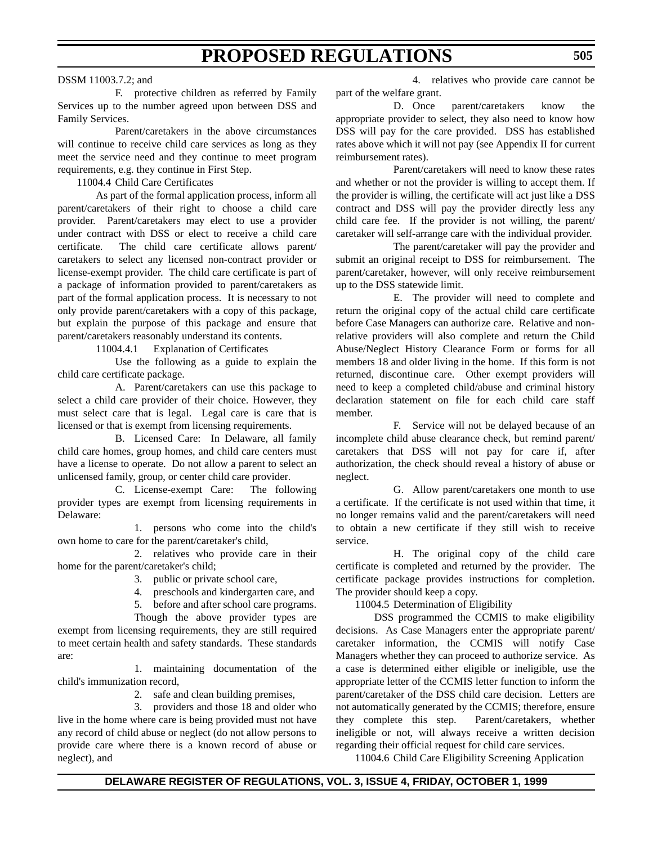#### DSSM 11003.7.2; and

F. protective children as referred by Family Services up to the number agreed upon between DSS and Family Services.

Parent/caretakers in the above circumstances will continue to receive child care services as long as they meet the service need and they continue to meet program requirements, e.g. they continue in First Step.

11004.4 Child Care Certificates

As part of the formal application process, inform all parent/caretakers of their right to choose a child care provider. Parent/caretakers may elect to use a provider under contract with DSS or elect to receive a child care certificate. The child care certificate allows parent/ caretakers to select any licensed non-contract provider or license-exempt provider. The child care certificate is part of a package of information provided to parent/caretakers as part of the formal application process. It is necessary to not only provide parent/caretakers with a copy of this package, but explain the purpose of this package and ensure that parent/caretakers reasonably understand its contents.

11004.4.1 Explanation of Certificates

Use the following as a guide to explain the child care certificate package.

A. Parent/caretakers can use this package to select a child care provider of their choice. However, they must select care that is legal. Legal care is care that is licensed or that is exempt from licensing requirements.

B. Licensed Care: In Delaware, all family child care homes, group homes, and child care centers must have a license to operate. Do not allow a parent to select an unlicensed family, group, or center child care provider.

C. License-exempt Care: The following provider types are exempt from licensing requirements in Delaware:

1. persons who come into the child's own home to care for the parent/caretaker's child,

2. relatives who provide care in their home for the parent/caretaker's child;

- 3. public or private school care,
- 4. preschools and kindergarten care, and
- 5. before and after school care programs.

Though the above provider types are exempt from licensing requirements, they are still required to meet certain health and safety standards. These standards are:

1. maintaining documentation of the child's immunization record,

2. safe and clean building premises,

3. providers and those 18 and older who live in the home where care is being provided must not have any record of child abuse or neglect (do not allow persons to provide care where there is a known record of abuse or neglect), and

4. relatives who provide care cannot be part of the welfare grant.

D. Once parent/caretakers know the appropriate provider to select, they also need to know how DSS will pay for the care provided. DSS has established rates above which it will not pay (see Appendix II for current reimbursement rates).

Parent/caretakers will need to know these rates and whether or not the provider is willing to accept them. If the provider is willing, the certificate will act just like a DSS contract and DSS will pay the provider directly less any child care fee. If the provider is not willing, the parent/ caretaker will self-arrange care with the individual provider.

The parent/caretaker will pay the provider and submit an original receipt to DSS for reimbursement. The parent/caretaker, however, will only receive reimbursement up to the DSS statewide limit.

E. The provider will need to complete and return the original copy of the actual child care certificate before Case Managers can authorize care. Relative and nonrelative providers will also complete and return the Child Abuse/Neglect History Clearance Form or forms for all members 18 and older living in the home. If this form is not returned, discontinue care. Other exempt providers will need to keep a completed child/abuse and criminal history declaration statement on file for each child care staff member.

F. Service will not be delayed because of an incomplete child abuse clearance check, but remind parent/ caretakers that DSS will not pay for care if, after authorization, the check should reveal a history of abuse or neglect.

G. Allow parent/caretakers one month to use a certificate. If the certificate is not used within that time, it no longer remains valid and the parent/caretakers will need to obtain a new certificate if they still wish to receive service.

H. The original copy of the child care certificate is completed and returned by the provider. The certificate package provides instructions for completion. The provider should keep a copy.

11004.5 Determination of Eligibility

DSS programmed the CCMIS to make eligibility decisions. As Case Managers enter the appropriate parent/ caretaker information, the CCMIS will notify Case Managers whether they can proceed to authorize service. As a case is determined either eligible or ineligible, use the appropriate letter of the CCMIS letter function to inform the parent/caretaker of the DSS child care decision. Letters are not automatically generated by the CCMIS; therefore, ensure they complete this step. Parent/caretakers, whether ineligible or not, will always receive a written decision regarding their official request for child care services.

11004.6 Child Care Eligibility Screening Application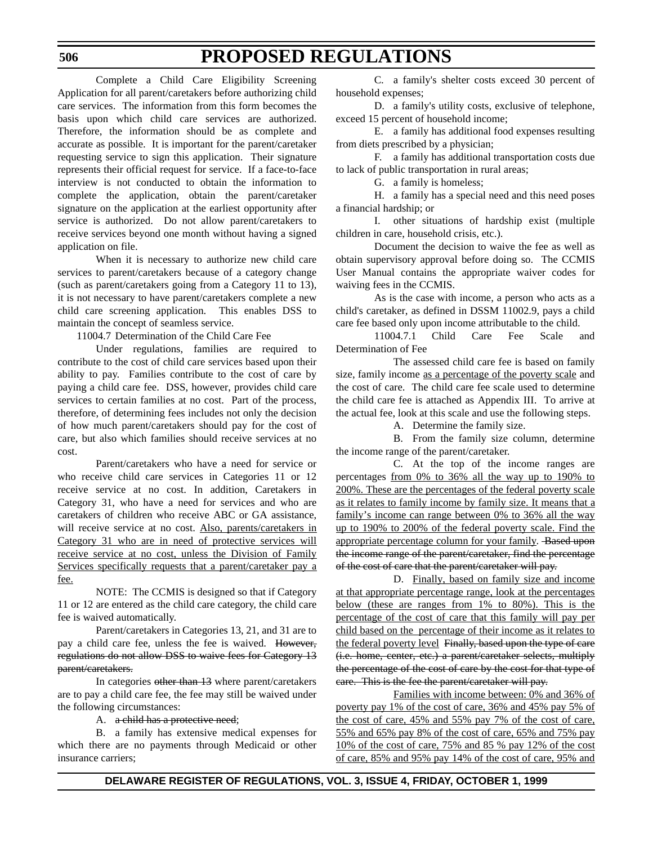Complete a Child Care Eligibility Screening Application for all parent/caretakers before authorizing child care services. The information from this form becomes the basis upon which child care services are authorized. Therefore, the information should be as complete and accurate as possible. It is important for the parent/caretaker requesting service to sign this application. Their signature represents their official request for service. If a face-to-face interview is not conducted to obtain the information to complete the application, obtain the parent/caretaker signature on the application at the earliest opportunity after service is authorized. Do not allow parent/caretakers to receive services beyond one month without having a signed application on file.

When it is necessary to authorize new child care services to parent/caretakers because of a category change (such as parent/caretakers going from a Category 11 to 13), it is not necessary to have parent/caretakers complete a new child care screening application. This enables DSS to maintain the concept of seamless service.

11004.7 Determination of the Child Care Fee

Under regulations, families are required to contribute to the cost of child care services based upon their ability to pay. Families contribute to the cost of care by paying a child care fee. DSS, however, provides child care services to certain families at no cost. Part of the process, therefore, of determining fees includes not only the decision of how much parent/caretakers should pay for the cost of care, but also which families should receive services at no cost.

Parent/caretakers who have a need for service or who receive child care services in Categories 11 or 12 receive service at no cost. In addition, Caretakers in Category 31, who have a need for services and who are caretakers of children who receive ABC or GA assistance, will receive service at no cost. Also, parents/caretakers in Category 31 who are in need of protective services will receive service at no cost, unless the Division of Family Services specifically requests that a parent/caretaker pay a fee.

NOTE: The CCMIS is designed so that if Category 11 or 12 are entered as the child care category, the child care fee is waived automatically.

Parent/caretakers in Categories 13, 21, and 31 are to pay a child care fee, unless the fee is waived. However, regulations do not allow DSS to waive fees for Category 13 parent/caretakers.

In categories other than 13 where parent/caretakers are to pay a child care fee, the fee may still be waived under the following circumstances:

A. a child has a protective need;

B. a family has extensive medical expenses for which there are no payments through Medicaid or other insurance carriers;

C. a family's shelter costs exceed 30 percent of household expenses;

D. a family's utility costs, exclusive of telephone, exceed 15 percent of household income;

E. a family has additional food expenses resulting from diets prescribed by a physician;

F. a family has additional transportation costs due to lack of public transportation in rural areas;

G. a family is homeless;

H. a family has a special need and this need poses a financial hardship; or

I. other situations of hardship exist (multiple children in care, household crisis, etc.).

Document the decision to waive the fee as well as obtain supervisory approval before doing so. The CCMIS User Manual contains the appropriate waiver codes for waiving fees in the CCMIS.

As is the case with income, a person who acts as a child's caretaker, as defined in DSSM 11002.9, pays a child care fee based only upon income attributable to the child.

11004.7.1 Child Care Fee Scale and Determination of Fee

The assessed child care fee is based on family size, family income as a percentage of the poverty scale and the cost of care. The child care fee scale used to determine the child care fee is attached as Appendix III. To arrive at the actual fee, look at this scale and use the following steps.

A. Determine the family size.

B. From the family size column, determine the income range of the parent/caretaker.

C. At the top of the income ranges are percentages from 0% to 36% all the way up to 190% to 200%. These are the percentages of the federal poverty scale as it relates to family income by family size. It means that a family's income can range between 0% to 36% all the way up to 190% to 200% of the federal poverty scale. Find the appropriate percentage column for your family. Based upon the income range of the parent/caretaker, find the percentage of the cost of care that the parent/caretaker will pay.

D. Finally, based on family size and income at that appropriate percentage range, look at the percentages below (these are ranges from 1% to 80%). This is the percentage of the cost of care that this family will pay per child based on the percentage of their income as it relates to the federal poverty level Finally, based upon the type of care (i.e. home, center, etc.) a parent/caretaker selects, multiply the percentage of the cost of care by the cost for that type of care. This is the fee the parent/caretaker will pay.

Families with income between: 0% and 36% of poverty pay 1% of the cost of care, 36% and 45% pay 5% of the cost of care, 45% and 55% pay 7% of the cost of care, 55% and 65% pay 8% of the cost of care, 65% and 75% pay 10% of the cost of care, 75% and 85 % pay 12% of the cost of care, 85% and 95% pay 14% of the cost of care, 95% and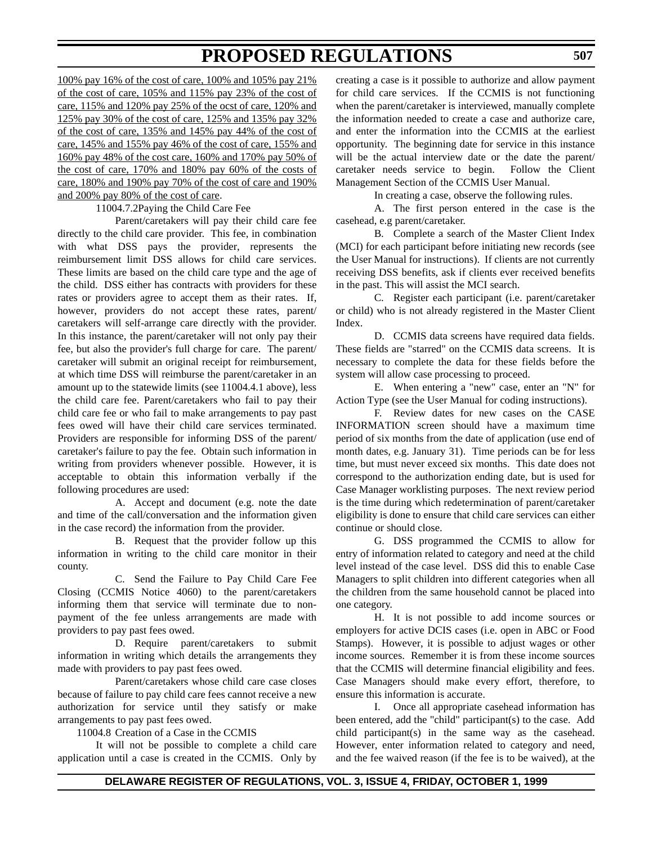100% pay 16% of the cost of care, 100% and 105% pay 21% of the cost of care, 105% and 115% pay 23% of the cost of care, 115% and 120% pay 25% of the ocst of care, 120% and 125% pay 30% of the cost of care, 125% and 135% pay 32% of the cost of care, 135% and 145% pay 44% of the cost of care, 145% and 155% pay 46% of the cost of care, 155% and 160% pay 48% of the cost care, 160% and 170% pay 50% of the cost of care, 170% and 180% pay 60% of the costs of care, 180% and 190% pay 70% of the cost of care and 190% and 200% pay 80% of the cost of care.

#### 11004.7.2Paying the Child Care Fee

Parent/caretakers will pay their child care fee directly to the child care provider. This fee, in combination with what DSS pays the provider, represents the reimbursement limit DSS allows for child care services. These limits are based on the child care type and the age of the child. DSS either has contracts with providers for these rates or providers agree to accept them as their rates. If, however, providers do not accept these rates, parent/ caretakers will self-arrange care directly with the provider. In this instance, the parent/caretaker will not only pay their fee, but also the provider's full charge for care. The parent/ caretaker will submit an original receipt for reimbursement, at which time DSS will reimburse the parent/caretaker in an amount up to the statewide limits (see 11004.4.1 above), less the child care fee. Parent/caretakers who fail to pay their child care fee or who fail to make arrangements to pay past fees owed will have their child care services terminated. Providers are responsible for informing DSS of the parent/ caretaker's failure to pay the fee. Obtain such information in writing from providers whenever possible. However, it is acceptable to obtain this information verbally if the following procedures are used:

A. Accept and document (e.g. note the date and time of the call/conversation and the information given in the case record) the information from the provider.

B. Request that the provider follow up this information in writing to the child care monitor in their county.

C. Send the Failure to Pay Child Care Fee Closing (CCMIS Notice 4060) to the parent/caretakers informing them that service will terminate due to nonpayment of the fee unless arrangements are made with providers to pay past fees owed.

D. Require parent/caretakers to submit information in writing which details the arrangements they made with providers to pay past fees owed.

Parent/caretakers whose child care case closes because of failure to pay child care fees cannot receive a new authorization for service until they satisfy or make arrangements to pay past fees owed.

11004.8 Creation of a Case in the CCMIS

It will not be possible to complete a child care application until a case is created in the CCMIS. Only by creating a case is it possible to authorize and allow payment for child care services. If the CCMIS is not functioning when the parent/caretaker is interviewed, manually complete the information needed to create a case and authorize care, and enter the information into the CCMIS at the earliest opportunity. The beginning date for service in this instance will be the actual interview date or the date the parent/ caretaker needs service to begin. Follow the Client Management Section of the CCMIS User Manual.

In creating a case, observe the following rules.

A. The first person entered in the case is the casehead, e.g parent/caretaker.

B. Complete a search of the Master Client Index (MCI) for each participant before initiating new records (see the User Manual for instructions). If clients are not currently receiving DSS benefits, ask if clients ever received benefits in the past. This will assist the MCI search.

C. Register each participant (i.e. parent/caretaker or child) who is not already registered in the Master Client Index.

D. CCMIS data screens have required data fields. These fields are "starred" on the CCMIS data screens. It is necessary to complete the data for these fields before the system will allow case processing to proceed.

E. When entering a "new" case, enter an "N" for Action Type (see the User Manual for coding instructions).

F. Review dates for new cases on the CASE INFORMATION screen should have a maximum time period of six months from the date of application (use end of month dates, e.g. January 31). Time periods can be for less time, but must never exceed six months. This date does not correspond to the authorization ending date, but is used for Case Manager worklisting purposes. The next review period is the time during which redetermination of parent/caretaker eligibility is done to ensure that child care services can either continue or should close.

G. DSS programmed the CCMIS to allow for entry of information related to category and need at the child level instead of the case level. DSS did this to enable Case Managers to split children into different categories when all the children from the same household cannot be placed into one category.

H. It is not possible to add income sources or employers for active DCIS cases (i.e. open in ABC or Food Stamps). However, it is possible to adjust wages or other income sources. Remember it is from these income sources that the CCMIS will determine financial eligibility and fees. Case Managers should make every effort, therefore, to ensure this information is accurate.

I. Once all appropriate casehead information has been entered, add the "child" participant(s) to the case. Add child participant(s) in the same way as the casehead. However, enter information related to category and need, and the fee waived reason (if the fee is to be waived), at the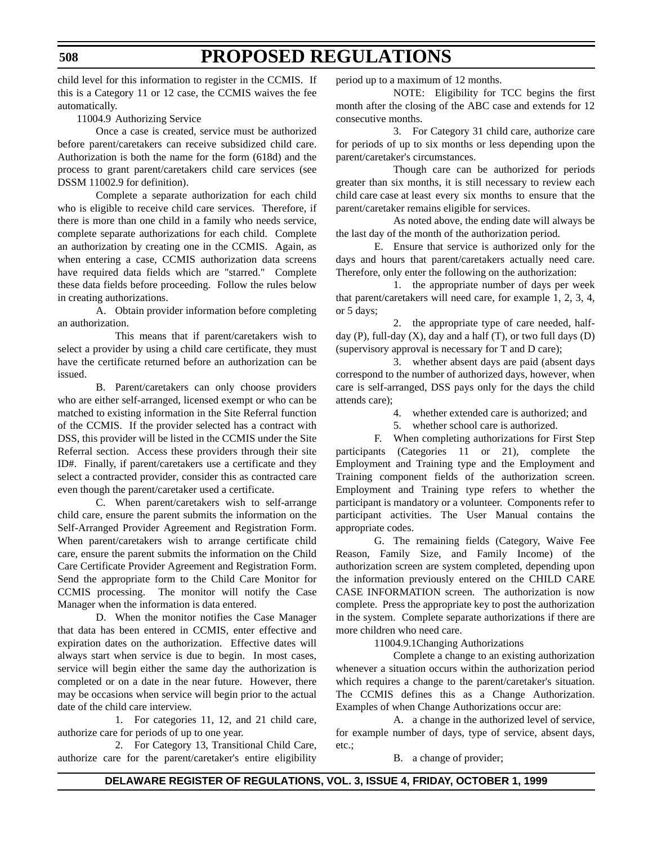child level for this information to register in the CCMIS. If this is a Category 11 or 12 case, the CCMIS waives the fee automatically.

11004.9 Authorizing Service

Once a case is created, service must be authorized before parent/caretakers can receive subsidized child care. Authorization is both the name for the form (618d) and the process to grant parent/caretakers child care services (see DSSM 11002.9 for definition).

Complete a separate authorization for each child who is eligible to receive child care services. Therefore, if there is more than one child in a family who needs service, complete separate authorizations for each child. Complete an authorization by creating one in the CCMIS. Again, as when entering a case, CCMIS authorization data screens have required data fields which are "starred." Complete these data fields before proceeding. Follow the rules below in creating authorizations.

A. Obtain provider information before completing an authorization.

This means that if parent/caretakers wish to select a provider by using a child care certificate, they must have the certificate returned before an authorization can be issued.

B. Parent/caretakers can only choose providers who are either self-arranged, licensed exempt or who can be matched to existing information in the Site Referral function of the CCMIS. If the provider selected has a contract with DSS, this provider will be listed in the CCMIS under the Site Referral section. Access these providers through their site ID#. Finally, if parent/caretakers use a certificate and they select a contracted provider, consider this as contracted care even though the parent/caretaker used a certificate.

C. When parent/caretakers wish to self-arrange child care, ensure the parent submits the information on the Self-Arranged Provider Agreement and Registration Form. When parent/caretakers wish to arrange certificate child care, ensure the parent submits the information on the Child Care Certificate Provider Agreement and Registration Form. Send the appropriate form to the Child Care Monitor for CCMIS processing. The monitor will notify the Case Manager when the information is data entered.

D. When the monitor notifies the Case Manager that data has been entered in CCMIS, enter effective and expiration dates on the authorization. Effective dates will always start when service is due to begin. In most cases, service will begin either the same day the authorization is completed or on a date in the near future. However, there may be occasions when service will begin prior to the actual date of the child care interview.

1. For categories 11, 12, and 21 child care, authorize care for periods of up to one year.

2. For Category 13, Transitional Child Care, authorize care for the parent/caretaker's entire eligibility period up to a maximum of 12 months.

NOTE: Eligibility for TCC begins the first month after the closing of the ABC case and extends for 12 consecutive months.

3. For Category 31 child care, authorize care for periods of up to six months or less depending upon the parent/caretaker's circumstances.

Though care can be authorized for periods greater than six months, it is still necessary to review each child care case at least every six months to ensure that the parent/caretaker remains eligible for services.

As noted above, the ending date will always be the last day of the month of the authorization period.

E. Ensure that service is authorized only for the days and hours that parent/caretakers actually need care. Therefore, only enter the following on the authorization:

1. the appropriate number of days per week that parent/caretakers will need care, for example 1, 2, 3, 4, or 5 days;

2. the appropriate type of care needed, halfday (P), full-day  $(X)$ , day and a half  $(T)$ , or two full days  $(D)$ (supervisory approval is necessary for T and D care);

3. whether absent days are paid (absent days correspond to the number of authorized days, however, when care is self-arranged, DSS pays only for the days the child attends care);

4. whether extended care is authorized; and

5. whether school care is authorized.

F. When completing authorizations for First Step participants (Categories 11 or 21), complete the Employment and Training type and the Employment and Training component fields of the authorization screen. Employment and Training type refers to whether the participant is mandatory or a volunteer. Components refer to participant activities. The User Manual contains the appropriate codes.

G. The remaining fields (Category, Waive Fee Reason, Family Size, and Family Income) of the authorization screen are system completed, depending upon the information previously entered on the CHILD CARE CASE INFORMATION screen. The authorization is now complete. Press the appropriate key to post the authorization in the system. Complete separate authorizations if there are more children who need care.

11004.9.1Changing Authorizations

Complete a change to an existing authorization whenever a situation occurs within the authorization period which requires a change to the parent/caretaker's situation. The CCMIS defines this as a Change Authorization. Examples of when Change Authorizations occur are:

A. a change in the authorized level of service, for example number of days, type of service, absent days, etc.;

B. a change of provider;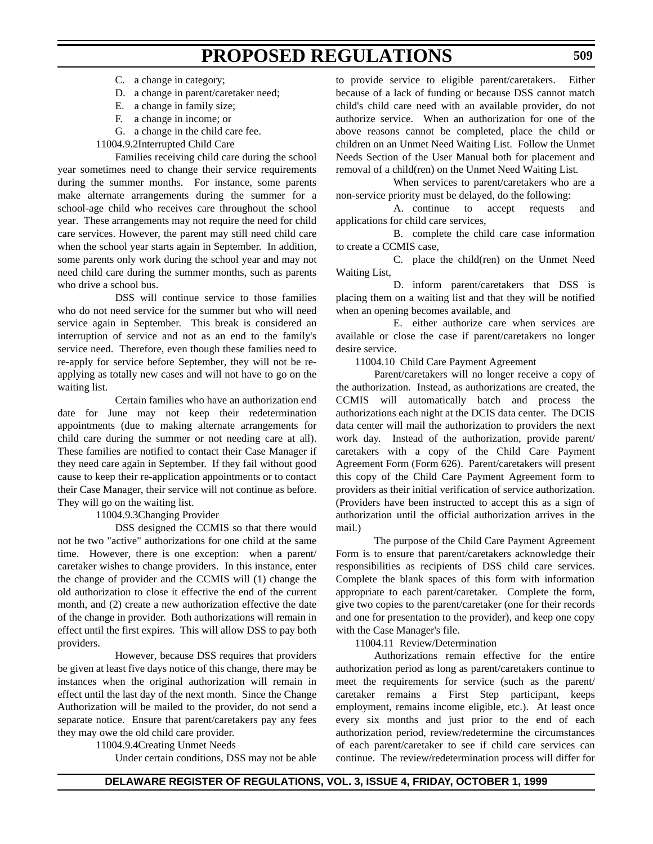- C. a change in category;
- D. a change in parent/caretaker need;
- E. a change in family size;
- F. a change in income; or
- G. a change in the child care fee.
- 11004.9.2Interrupted Child Care

Families receiving child care during the school year sometimes need to change their service requirements during the summer months. For instance, some parents make alternate arrangements during the summer for a school-age child who receives care throughout the school year. These arrangements may not require the need for child care services. However, the parent may still need child care when the school year starts again in September. In addition, some parents only work during the school year and may not need child care during the summer months, such as parents who drive a school bus.

DSS will continue service to those families who do not need service for the summer but who will need service again in September. This break is considered an interruption of service and not as an end to the family's service need. Therefore, even though these families need to re-apply for service before September, they will not be reapplying as totally new cases and will not have to go on the waiting list.

Certain families who have an authorization end date for June may not keep their redetermination appointments (due to making alternate arrangements for child care during the summer or not needing care at all). These families are notified to contact their Case Manager if they need care again in September. If they fail without good cause to keep their re-application appointments or to contact their Case Manager, their service will not continue as before. They will go on the waiting list.

11004.9.3Changing Provider

DSS designed the CCMIS so that there would not be two "active" authorizations for one child at the same time. However, there is one exception: when a parent/ caretaker wishes to change providers. In this instance, enter the change of provider and the CCMIS will (1) change the old authorization to close it effective the end of the current month, and (2) create a new authorization effective the date of the change in provider. Both authorizations will remain in effect until the first expires. This will allow DSS to pay both providers.

However, because DSS requires that providers be given at least five days notice of this change, there may be instances when the original authorization will remain in effect until the last day of the next month. Since the Change Authorization will be mailed to the provider, do not send a separate notice. Ensure that parent/caretakers pay any fees they may owe the old child care provider.

11004.9.4Creating Unmet Needs

Under certain conditions, DSS may not be able

to provide service to eligible parent/caretakers. Either because of a lack of funding or because DSS cannot match child's child care need with an available provider, do not authorize service. When an authorization for one of the above reasons cannot be completed, place the child or children on an Unmet Need Waiting List. Follow the Unmet Needs Section of the User Manual both for placement and removal of a child(ren) on the Unmet Need Waiting List.

When services to parent/caretakers who are a non-service priority must be delayed, do the following:

A. continue to accept requests and applications for child care services,

B. complete the child care case information to create a CCMIS case,

C. place the child(ren) on the Unmet Need Waiting List,

D. inform parent/caretakers that DSS is placing them on a waiting list and that they will be notified when an opening becomes available, and

E. either authorize care when services are available or close the case if parent/caretakers no longer desire service.

11004.10 Child Care Payment Agreement

Parent/caretakers will no longer receive a copy of the authorization. Instead, as authorizations are created, the CCMIS will automatically batch and process the authorizations each night at the DCIS data center. The DCIS data center will mail the authorization to providers the next work day. Instead of the authorization, provide parent/ caretakers with a copy of the Child Care Payment Agreement Form (Form 626). Parent/caretakers will present this copy of the Child Care Payment Agreement form to providers as their initial verification of service authorization. (Providers have been instructed to accept this as a sign of authorization until the official authorization arrives in the mail.)

The purpose of the Child Care Payment Agreement Form is to ensure that parent/caretakers acknowledge their responsibilities as recipients of DSS child care services. Complete the blank spaces of this form with information appropriate to each parent/caretaker. Complete the form, give two copies to the parent/caretaker (one for their records and one for presentation to the provider), and keep one copy with the Case Manager's file.

11004.11 Review/Determination

Authorizations remain effective for the entire authorization period as long as parent/caretakers continue to meet the requirements for service (such as the parent/ caretaker remains a First Step participant, keeps employment, remains income eligible, etc.). At least once every six months and just prior to the end of each authorization period, review/redetermine the circumstances of each parent/caretaker to see if child care services can continue. The review/redetermination process will differ for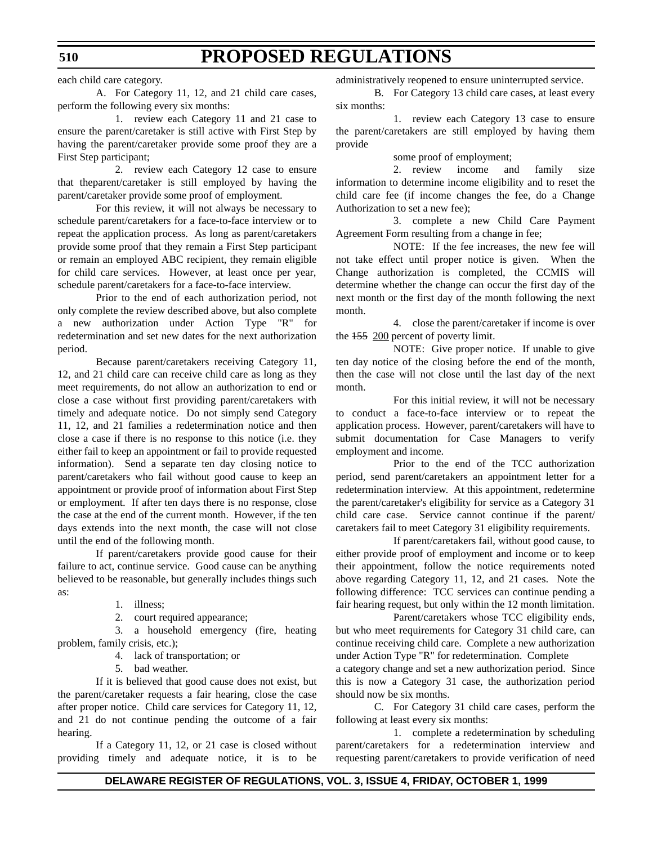each child care category.

A. For Category 11, 12, and 21 child care cases, perform the following every six months:

1. review each Category 11 and 21 case to ensure the parent/caretaker is still active with First Step by having the parent/caretaker provide some proof they are a First Step participant;

2. review each Category 12 case to ensure that theparent/caretaker is still employed by having the parent/caretaker provide some proof of employment.

For this review, it will not always be necessary to schedule parent/caretakers for a face-to-face interview or to repeat the application process. As long as parent/caretakers provide some proof that they remain a First Step participant or remain an employed ABC recipient, they remain eligible for child care services. However, at least once per year, schedule parent/caretakers for a face-to-face interview.

Prior to the end of each authorization period, not only complete the review described above, but also complete a new authorization under Action Type "R" for redetermination and set new dates for the next authorization period.

Because parent/caretakers receiving Category 11, 12, and 21 child care can receive child care as long as they meet requirements, do not allow an authorization to end or close a case without first providing parent/caretakers with timely and adequate notice. Do not simply send Category 11, 12, and 21 families a redetermination notice and then close a case if there is no response to this notice (i.e. they either fail to keep an appointment or fail to provide requested information). Send a separate ten day closing notice to parent/caretakers who fail without good cause to keep an appointment or provide proof of information about First Step or employment. If after ten days there is no response, close the case at the end of the current month. However, if the ten days extends into the next month, the case will not close until the end of the following month.

If parent/caretakers provide good cause for their failure to act, continue service. Good cause can be anything believed to be reasonable, but generally includes things such as:

1. illness;

2. court required appearance;

3. a household emergency (fire, heating problem, family crisis, etc.);

4. lack of transportation; or

5. bad weather.

If it is believed that good cause does not exist, but the parent/caretaker requests a fair hearing, close the case after proper notice. Child care services for Category 11, 12, and 21 do not continue pending the outcome of a fair hearing.

If a Category 11, 12, or 21 case is closed without providing timely and adequate notice, it is to be

administratively reopened to ensure uninterrupted service.

B. For Category 13 child care cases, at least every six months:

1. review each Category 13 case to ensure the parent/caretakers are still employed by having them provide

some proof of employment;

2. review income and family size information to determine income eligibility and to reset the child care fee (if income changes the fee, do a Change Authorization to set a new fee);

3. complete a new Child Care Payment Agreement Form resulting from a change in fee;

NOTE: If the fee increases, the new fee will not take effect until proper notice is given. When the Change authorization is completed, the CCMIS will determine whether the change can occur the first day of the next month or the first day of the month following the next month.

4. close the parent/caretaker if income is over the 155 200 percent of poverty limit.

NOTE: Give proper notice. If unable to give ten day notice of the closing before the end of the month, then the case will not close until the last day of the next month.

For this initial review, it will not be necessary to conduct a face-to-face interview or to repeat the application process. However, parent/caretakers will have to submit documentation for Case Managers to verify employment and income.

Prior to the end of the TCC authorization period, send parent/caretakers an appointment letter for a redetermination interview. At this appointment, redetermine the parent/caretaker's eligibility for service as a Category 31 child care case. Service cannot continue if the parent/ caretakers fail to meet Category 31 eligibility requirements.

If parent/caretakers fail, without good cause, to either provide proof of employment and income or to keep their appointment, follow the notice requirements noted above regarding Category 11, 12, and 21 cases. Note the following difference: TCC services can continue pending a fair hearing request, but only within the 12 month limitation.

Parent/caretakers whose TCC eligibility ends, but who meet requirements for Category 31 child care, can continue receiving child care. Complete a new authorization under Action Type "R" for redetermination. Complete

a category change and set a new authorization period. Since this is now a Category 31 case, the authorization period should now be six months.

C. For Category 31 child care cases, perform the following at least every six months:

1. complete a redetermination by scheduling parent/caretakers for a redetermination interview and requesting parent/caretakers to provide verification of need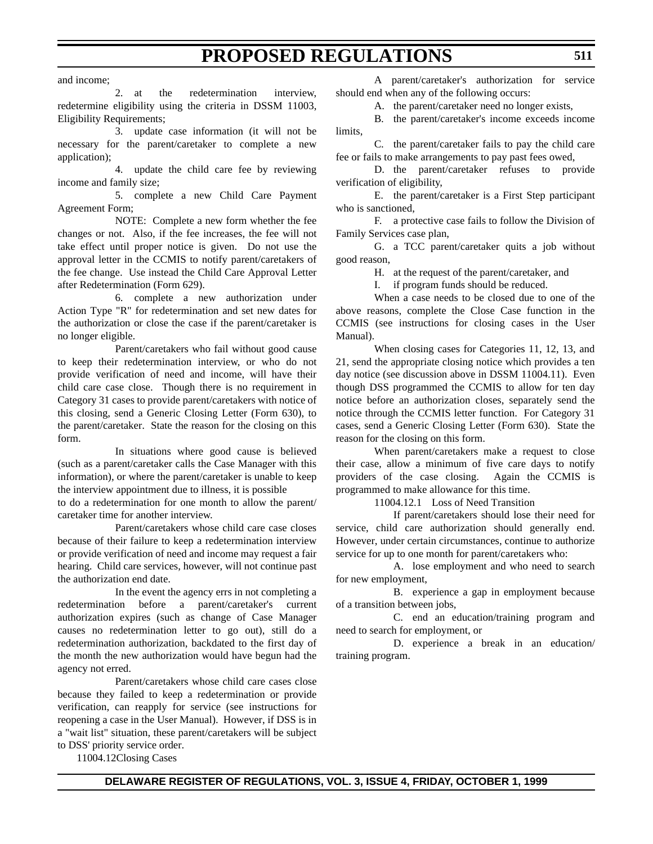and income;

2. at the redetermination interview, redetermine eligibility using the criteria in DSSM 11003, Eligibility Requirements;

3. update case information (it will not be necessary for the parent/caretaker to complete a new application);

4. update the child care fee by reviewing income and family size;

5. complete a new Child Care Payment Agreement Form;

NOTE: Complete a new form whether the fee changes or not. Also, if the fee increases, the fee will not take effect until proper notice is given. Do not use the approval letter in the CCMIS to notify parent/caretakers of the fee change. Use instead the Child Care Approval Letter after Redetermination (Form 629).

6. complete a new authorization under Action Type "R" for redetermination and set new dates for the authorization or close the case if the parent/caretaker is no longer eligible.

Parent/caretakers who fail without good cause to keep their redetermination interview, or who do not provide verification of need and income, will have their child care case close. Though there is no requirement in Category 31 cases to provide parent/caretakers with notice of this closing, send a Generic Closing Letter (Form 630), to the parent/caretaker. State the reason for the closing on this form.

In situations where good cause is believed (such as a parent/caretaker calls the Case Manager with this information), or where the parent/caretaker is unable to keep the interview appointment due to illness, it is possible

to do a redetermination for one month to allow the parent/ caretaker time for another interview.

Parent/caretakers whose child care case closes because of their failure to keep a redetermination interview or provide verification of need and income may request a fair hearing. Child care services, however, will not continue past the authorization end date.

In the event the agency errs in not completing a redetermination before a parent/caretaker's current authorization expires (such as change of Case Manager causes no redetermination letter to go out), still do a redetermination authorization, backdated to the first day of the month the new authorization would have begun had the agency not erred.

Parent/caretakers whose child care cases close because they failed to keep a redetermination or provide verification, can reapply for service (see instructions for reopening a case in the User Manual). However, if DSS is in a "wait list" situation, these parent/caretakers will be subject to DSS' priority service order.

11004.12Closing Cases

A parent/caretaker's authorization for service should end when any of the following occurs:

A. the parent/caretaker need no longer exists,

B. the parent/caretaker's income exceeds income limits,

C. the parent/caretaker fails to pay the child care fee or fails to make arrangements to pay past fees owed,

D. the parent/caretaker refuses to provide verification of eligibility,

E. the parent/caretaker is a First Step participant who is sanctioned,

F. a protective case fails to follow the Division of Family Services case plan,

G. a TCC parent/caretaker quits a job without good reason,

H. at the request of the parent/caretaker, and

I. if program funds should be reduced.

When a case needs to be closed due to one of the above reasons, complete the Close Case function in the CCMIS (see instructions for closing cases in the User Manual).

When closing cases for Categories 11, 12, 13, and 21, send the appropriate closing notice which provides a ten day notice (see discussion above in DSSM 11004.11). Even though DSS programmed the CCMIS to allow for ten day notice before an authorization closes, separately send the notice through the CCMIS letter function. For Category 31 cases, send a Generic Closing Letter (Form 630). State the reason for the closing on this form.

When parent/caretakers make a request to close their case, allow a minimum of five care days to notify providers of the case closing. Again the CCMIS is programmed to make allowance for this time.

11004.12.1 Loss of Need Transition

If parent/caretakers should lose their need for service, child care authorization should generally end. However, under certain circumstances, continue to authorize service for up to one month for parent/caretakers who:

A. lose employment and who need to search for new employment,

B. experience a gap in employment because of a transition between jobs,

C. end an education/training program and need to search for employment, or

D. experience a break in an education/ training program.

### **DELAWARE REGISTER OF REGULATIONS, VOL. 3, ISSUE 4, FRIDAY, OCTOBER 1, 1999**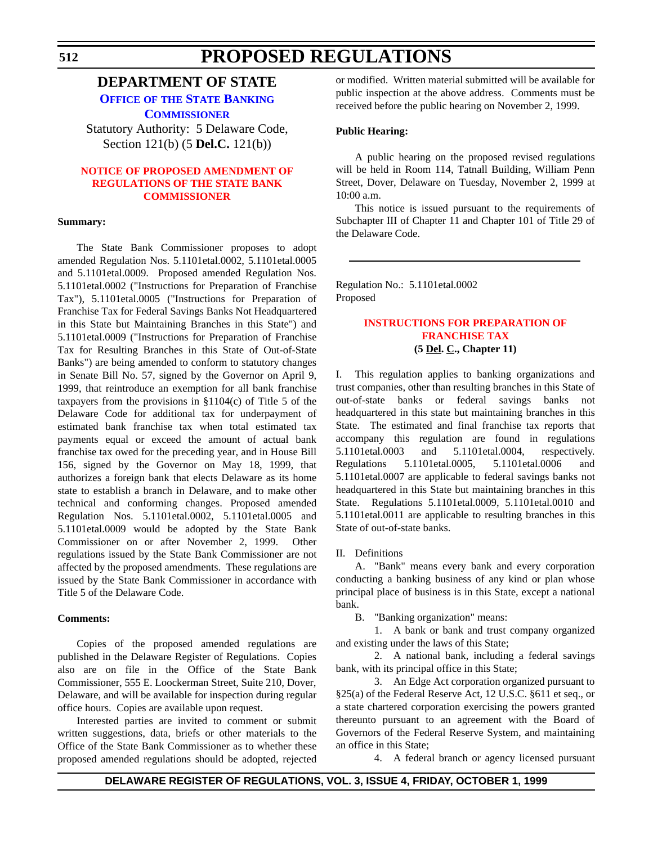## <span id="page-34-0"></span>**DEPARTMENT OF STATE**

**OFFICE OF [THE STATE BANKING](http://www.state.de.us/sos/bank.htm)**

**COMMISSIONER**

Statutory Authority: 5 Delaware Code, Section 121(b) (5 **Del.C.** 121(b))

### **[NOTICE OF PROPOSED AMENDMENT OF](#page-3-0) REGULATIONS OF THE STATE BANK COMMISSIONER**

#### **Summary:**

The State Bank Commissioner proposes to adopt amended Regulation Nos. 5.1101etal.0002, 5.1101etal.0005 and 5.1101etal.0009. Proposed amended Regulation Nos. 5.1101etal.0002 ("Instructions for Preparation of Franchise Tax"), 5.1101etal.0005 ("Instructions for Preparation of Franchise Tax for Federal Savings Banks Not Headquartered in this State but Maintaining Branches in this State") and 5.1101etal.0009 ("Instructions for Preparation of Franchise Tax for Resulting Branches in this State of Out-of-State Banks") are being amended to conform to statutory changes in Senate Bill No. 57, signed by the Governor on April 9, 1999, that reintroduce an exemption for all bank franchise taxpayers from the provisions in  $$1104(c)$  of Title 5 of the Delaware Code for additional tax for underpayment of estimated bank franchise tax when total estimated tax payments equal or exceed the amount of actual bank franchise tax owed for the preceding year, and in House Bill 156, signed by the Governor on May 18, 1999, that authorizes a foreign bank that elects Delaware as its home state to establish a branch in Delaware, and to make other technical and conforming changes. Proposed amended Regulation Nos. 5.1101etal.0002, 5.1101etal.0005 and 5.1101etal.0009 would be adopted by the State Bank Commissioner on or after November 2, 1999. Other regulations issued by the State Bank Commissioner are not affected by the proposed amendments. These regulations are issued by the State Bank Commissioner in accordance with Title 5 of the Delaware Code.

### **Comments:**

Copies of the proposed amended regulations are published in the Delaware Register of Regulations. Copies also are on file in the Office of the State Bank Commissioner, 555 E. Loockerman Street, Suite 210, Dover, Delaware, and will be available for inspection during regular office hours. Copies are available upon request.

Interested parties are invited to comment or submit written suggestions, data, briefs or other materials to the Office of the State Bank Commissioner as to whether these proposed amended regulations should be adopted, rejected or modified. Written material submitted will be available for public inspection at the above address. Comments must be received before the public hearing on November 2, 1999.

### **Public Hearing:**

A public hearing on the proposed revised regulations will be held in Room 114, Tatnall Building, William Penn Street, Dover, Delaware on Tuesday, November 2, 1999 at 10:00 a.m.

This notice is issued pursuant to the requirements of Subchapter III of Chapter 11 and Chapter 101 of Title 29 of the Delaware Code.

Regulation No.: 5.1101etal.0002 Proposed

### **[INSTRUCTIONS FOR PREPARATION OF](#page-3-0) FRANCHISE TAX (5 Del. C., Chapter 11)**

I. This regulation applies to banking organizations and trust companies, other than resulting branches in this State of out-of-state banks or federal savings banks not headquartered in this state but maintaining branches in this State. The estimated and final franchise tax reports that accompany this regulation are found in regulations 5.1101etal.0003 and 5.1101etal.0004, respectively. Regulations 5.1101etal.0005, 5.1101etal.0006 and 5.1101etal.0007 are applicable to federal savings banks not headquartered in this State but maintaining branches in this State. Regulations 5.1101etal.0009, 5.1101etal.0010 and 5.1101etal.0011 are applicable to resulting branches in this State of out-of-state banks.

### II. Definitions

A. "Bank" means every bank and every corporation conducting a banking business of any kind or plan whose principal place of business is in this State, except a national bank.

B. "Banking organization" means:

1. A bank or bank and trust company organized and existing under the laws of this State;

2. A national bank, including a federal savings bank, with its principal office in this State;

3. An Edge Act corporation organized pursuant to §25(a) of the Federal Reserve Act, 12 U.S.C. §611 et seq., or a state chartered corporation exercising the powers granted thereunto pursuant to an agreement with the Board of Governors of the Federal Reserve System, and maintaining an office in this State;

4. A federal branch or agency licensed pursuant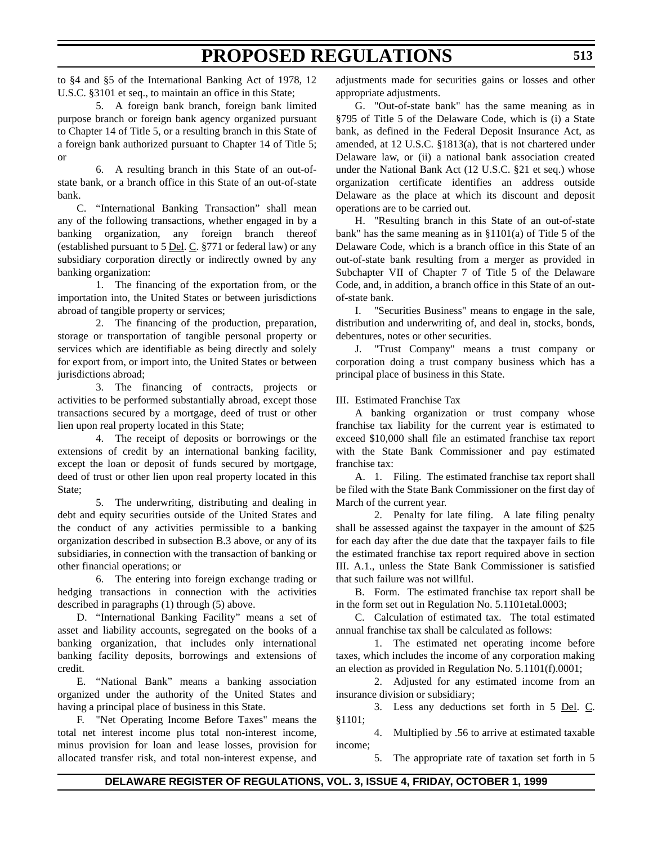to §4 and §5 of the International Banking Act of 1978, 12 U.S.C. §3101 et seq., to maintain an office in this State;

5. A foreign bank branch, foreign bank limited purpose branch or foreign bank agency organized pursuant to Chapter 14 of Title 5, or a resulting branch in this State of a foreign bank authorized pursuant to Chapter 14 of Title 5; or

6. A resulting branch in this State of an out-ofstate bank, or a branch office in this State of an out-of-state bank.

C. "International Banking Transaction" shall mean any of the following transactions, whether engaged in by a banking organization, any foreign branch thereof (established pursuant to  $5$  <u>Del</u>. C.  $§771$  or federal law) or any subsidiary corporation directly or indirectly owned by any banking organization:

1. The financing of the exportation from, or the importation into, the United States or between jurisdictions abroad of tangible property or services;

2. The financing of the production, preparation, storage or transportation of tangible personal property or services which are identifiable as being directly and solely for export from, or import into, the United States or between jurisdictions abroad:

3. The financing of contracts, projects or activities to be performed substantially abroad, except those transactions secured by a mortgage, deed of trust or other lien upon real property located in this State;

4. The receipt of deposits or borrowings or the extensions of credit by an international banking facility, except the loan or deposit of funds secured by mortgage, deed of trust or other lien upon real property located in this State;

5. The underwriting, distributing and dealing in debt and equity securities outside of the United States and the conduct of any activities permissible to a banking organization described in subsection B.3 above, or any of its subsidiaries, in connection with the transaction of banking or other financial operations; or

6. The entering into foreign exchange trading or hedging transactions in connection with the activities described in paragraphs (1) through (5) above.

D. "International Banking Facility" means a set of asset and liability accounts, segregated on the books of a banking organization, that includes only international banking facility deposits, borrowings and extensions of credit.

E. "National Bank" means a banking association organized under the authority of the United States and having a principal place of business in this State.

F. "Net Operating Income Before Taxes" means the total net interest income plus total non-interest income, minus provision for loan and lease losses, provision for allocated transfer risk, and total non-interest expense, and

adjustments made for securities gains or losses and other appropriate adjustments.

G. "Out-of-state bank" has the same meaning as in §795 of Title 5 of the Delaware Code, which is (i) a State bank, as defined in the Federal Deposit Insurance Act, as amended, at 12 U.S.C. §1813(a), that is not chartered under Delaware law, or (ii) a national bank association created under the National Bank Act (12 U.S.C. §21 et seq.) whose organization certificate identifies an address outside Delaware as the place at which its discount and deposit operations are to be carried out.

H. "Resulting branch in this State of an out-of-state bank" has the same meaning as in §1101(a) of Title 5 of the Delaware Code, which is a branch office in this State of an out-of-state bank resulting from a merger as provided in Subchapter VII of Chapter 7 of Title 5 of the Delaware Code, and, in addition, a branch office in this State of an outof-state bank.

I. "Securities Business" means to engage in the sale, distribution and underwriting of, and deal in, stocks, bonds, debentures, notes or other securities.

J. "Trust Company" means a trust company or corporation doing a trust company business which has a principal place of business in this State.

III. Estimated Franchise Tax

A banking organization or trust company whose franchise tax liability for the current year is estimated to exceed \$10,000 shall file an estimated franchise tax report with the State Bank Commissioner and pay estimated franchise tax:

A. 1. Filing. The estimated franchise tax report shall be filed with the State Bank Commissioner on the first day of March of the current year.

2. Penalty for late filing. A late filing penalty shall be assessed against the taxpayer in the amount of \$25 for each day after the due date that the taxpayer fails to file the estimated franchise tax report required above in section III. A.1., unless the State Bank Commissioner is satisfied that such failure was not willful.

B. Form. The estimated franchise tax report shall be in the form set out in Regulation No. 5.1101etal.0003;

C. Calculation of estimated tax. The total estimated annual franchise tax shall be calculated as follows:

1. The estimated net operating income before taxes, which includes the income of any corporation making an election as provided in Regulation No. 5.1101(f).0001;

2. Adjusted for any estimated income from an insurance division or subsidiary;

3. Less any deductions set forth in 5 Del. C. §1101;

4. Multiplied by .56 to arrive at estimated taxable income;

5. The appropriate rate of taxation set forth in 5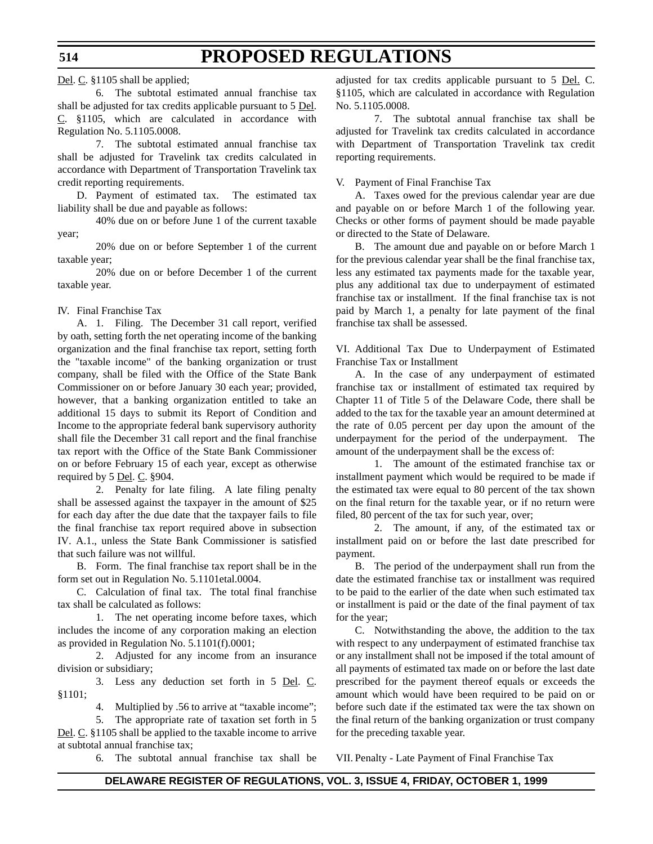Del. C. §1105 shall be applied;

6. The subtotal estimated annual franchise tax shall be adjusted for tax credits applicable pursuant to 5 Del. C. §1105, which are calculated in accordance with Regulation No. 5.1105.0008.

7. The subtotal estimated annual franchise tax shall be adjusted for Travelink tax credits calculated in accordance with Department of Transportation Travelink tax credit reporting requirements.

D. Payment of estimated tax. The estimated tax liability shall be due and payable as follows:

40% due on or before June 1 of the current taxable year;

20% due on or before September 1 of the current taxable year;

20% due on or before December 1 of the current taxable year.

IV. Final Franchise Tax

A. 1. Filing. The December 31 call report, verified by oath, setting forth the net operating income of the banking organization and the final franchise tax report, setting forth the "taxable income" of the banking organization or trust company, shall be filed with the Office of the State Bank Commissioner on or before January 30 each year; provided, however, that a banking organization entitled to take an additional 15 days to submit its Report of Condition and Income to the appropriate federal bank supervisory authority shall file the December 31 call report and the final franchise tax report with the Office of the State Bank Commissioner on or before February 15 of each year, except as otherwise required by 5 Del. C. §904.

2. Penalty for late filing. A late filing penalty shall be assessed against the taxpayer in the amount of \$25 for each day after the due date that the taxpayer fails to file the final franchise tax report required above in subsection IV. A.1., unless the State Bank Commissioner is satisfied that such failure was not willful.

B. Form. The final franchise tax report shall be in the form set out in Regulation No. 5.1101etal.0004.

C. Calculation of final tax. The total final franchise tax shall be calculated as follows:

1. The net operating income before taxes, which includes the income of any corporation making an election as provided in Regulation No. 5.1101(f).0001;

2. Adjusted for any income from an insurance division or subsidiary;

3. Less any deduction set forth in 5 Del. C. §1101;

4. Multiplied by .56 to arrive at "taxable income";

5. The appropriate rate of taxation set forth in 5 Del. C. §1105 shall be applied to the taxable income to arrive at subtotal annual franchise tax;

6. The subtotal annual franchise tax shall be

adjusted for tax credits applicable pursuant to 5 Del. C. §1105, which are calculated in accordance with Regulation No. 5.1105.0008.

7. The subtotal annual franchise tax shall be adjusted for Travelink tax credits calculated in accordance with Department of Transportation Travelink tax credit reporting requirements.

V. Payment of Final Franchise Tax

A. Taxes owed for the previous calendar year are due and payable on or before March 1 of the following year. Checks or other forms of payment should be made payable or directed to the State of Delaware.

B. The amount due and payable on or before March 1 for the previous calendar year shall be the final franchise tax, less any estimated tax payments made for the taxable year, plus any additional tax due to underpayment of estimated franchise tax or installment. If the final franchise tax is not paid by March 1, a penalty for late payment of the final franchise tax shall be assessed.

VI. Additional Tax Due to Underpayment of Estimated Franchise Tax or Installment

A. In the case of any underpayment of estimated franchise tax or installment of estimated tax required by Chapter 11 of Title 5 of the Delaware Code, there shall be added to the tax for the taxable year an amount determined at the rate of 0.05 percent per day upon the amount of the underpayment for the period of the underpayment. The amount of the underpayment shall be the excess of:

1. The amount of the estimated franchise tax or installment payment which would be required to be made if the estimated tax were equal to 80 percent of the tax shown on the final return for the taxable year, or if no return were filed, 80 percent of the tax for such year, over;

2. The amount, if any, of the estimated tax or installment paid on or before the last date prescribed for payment.

B. The period of the underpayment shall run from the date the estimated franchise tax or installment was required to be paid to the earlier of the date when such estimated tax or installment is paid or the date of the final payment of tax for the year;

C. Notwithstanding the above, the addition to the tax with respect to any underpayment of estimated franchise tax or any installment shall not be imposed if the total amount of all payments of estimated tax made on or before the last date prescribed for the payment thereof equals or exceeds the amount which would have been required to be paid on or before such date if the estimated tax were the tax shown on the final return of the banking organization or trust company for the preceding taxable year.

VII. Penalty - Late Payment of Final Franchise Tax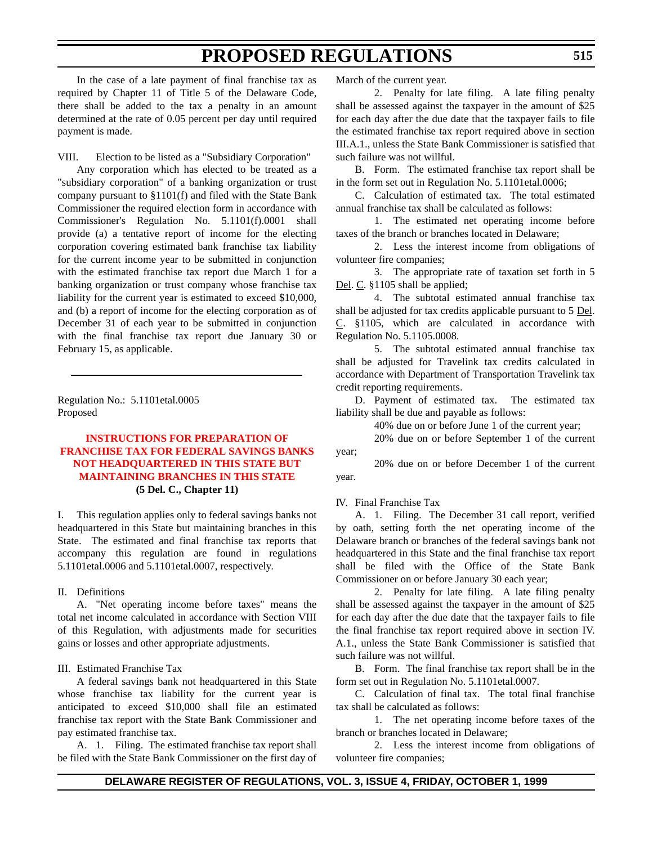In the case of a late payment of final franchise tax as required by Chapter 11 of Title 5 of the Delaware Code, there shall be added to the tax a penalty in an amount determined at the rate of 0.05 percent per day until required payment is made.

VIII. Election to be listed as a "Subsidiary Corporation"

Any corporation which has elected to be treated as a "subsidiary corporation" of a banking organization or trust company pursuant to §1101(f) and filed with the State Bank Commissioner the required election form in accordance with Commissioner's Regulation No. 5.1101(f).0001 shall provide (a) a tentative report of income for the electing corporation covering estimated bank franchise tax liability for the current income year to be submitted in conjunction with the estimated franchise tax report due March 1 for a banking organization or trust company whose franchise tax liability for the current year is estimated to exceed \$10,000, and (b) a report of income for the electing corporation as of December 31 of each year to be submitted in conjunction with the final franchise tax report due January 30 or February 15, as applicable.

Regulation No.: 5.1101etal.0005 Proposed

## **INSTRUCTIONS FOR PREPARATION OF [FRANCHISE TAX FOR FEDERAL SAVINGS BANKS](#page-3-0) NOT HEADQUARTERED IN THIS STATE BUT MAINTAINING BRANCHES IN THIS STATE (5 Del. C., Chapter 11)**

I. This regulation applies only to federal savings banks not headquartered in this State but maintaining branches in this State. The estimated and final franchise tax reports that accompany this regulation are found in regulations 5.1101etal.0006 and 5.1101etal.0007, respectively.

#### II. Definitions

A. "Net operating income before taxes" means the total net income calculated in accordance with Section VIII of this Regulation, with adjustments made for securities gains or losses and other appropriate adjustments.

#### III. Estimated Franchise Tax

A federal savings bank not headquartered in this State whose franchise tax liability for the current year is anticipated to exceed \$10,000 shall file an estimated franchise tax report with the State Bank Commissioner and pay estimated franchise tax.

A. 1. Filing. The estimated franchise tax report shall be filed with the State Bank Commissioner on the first day of March of the current year.

2. Penalty for late filing. A late filing penalty shall be assessed against the taxpayer in the amount of \$25 for each day after the due date that the taxpayer fails to file the estimated franchise tax report required above in section III.A.1., unless the State Bank Commissioner is satisfied that such failure was not willful.

B. Form. The estimated franchise tax report shall be in the form set out in Regulation No. 5.1101etal.0006;

C. Calculation of estimated tax. The total estimated annual franchise tax shall be calculated as follows:

1. The estimated net operating income before taxes of the branch or branches located in Delaware;

2. Less the interest income from obligations of volunteer fire companies;

3. The appropriate rate of taxation set forth in 5 Del. C. §1105 shall be applied;

4. The subtotal estimated annual franchise tax shall be adjusted for tax credits applicable pursuant to 5 Del. C. §1105, which are calculated in accordance with Regulation No. 5.1105.0008.

5. The subtotal estimated annual franchise tax shall be adjusted for Travelink tax credits calculated in accordance with Department of Transportation Travelink tax credit reporting requirements.

D. Payment of estimated tax. The estimated tax liability shall be due and payable as follows:

40% due on or before June 1 of the current year;

20% due on or before September 1 of the current year;

20% due on or before December 1 of the current year.

#### IV. Final Franchise Tax

A. 1. Filing. The December 31 call report, verified by oath, setting forth the net operating income of the Delaware branch or branches of the federal savings bank not headquartered in this State and the final franchise tax report shall be filed with the Office of the State Bank Commissioner on or before January 30 each year;

2. Penalty for late filing. A late filing penalty shall be assessed against the taxpayer in the amount of \$25 for each day after the due date that the taxpayer fails to file the final franchise tax report required above in section IV. A.1., unless the State Bank Commissioner is satisfied that such failure was not willful.

B. Form. The final franchise tax report shall be in the form set out in Regulation No. 5.1101etal.0007.

C. Calculation of final tax. The total final franchise tax shall be calculated as follows:

1. The net operating income before taxes of the branch or branches located in Delaware;

2. Less the interest income from obligations of volunteer fire companies;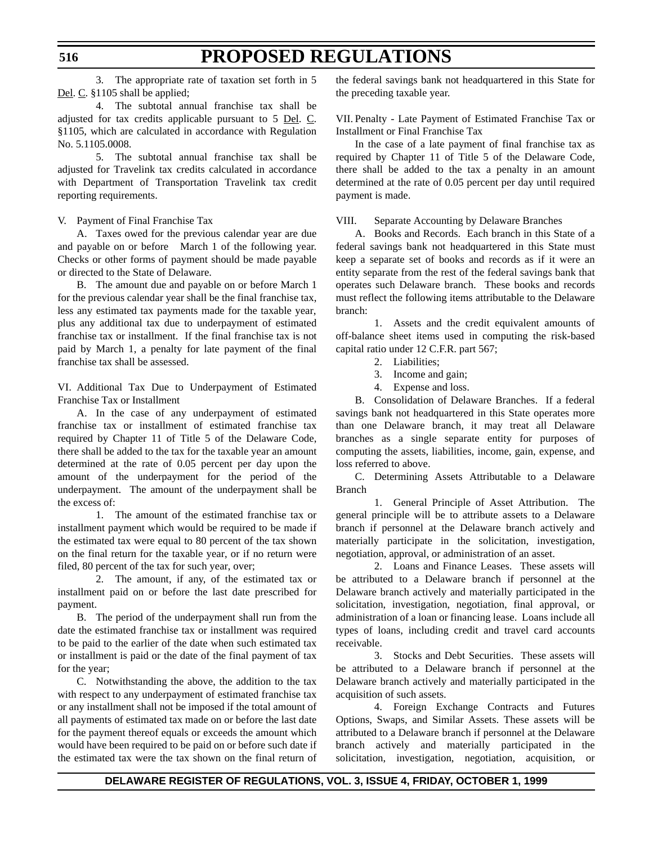3. The appropriate rate of taxation set forth in 5 Del. C. §1105 shall be applied;

4. The subtotal annual franchise tax shall be adjusted for tax credits applicable pursuant to 5 Del. C. §1105, which are calculated in accordance with Regulation No. 5.1105.0008.

5. The subtotal annual franchise tax shall be adjusted for Travelink tax credits calculated in accordance with Department of Transportation Travelink tax credit reporting requirements.

#### V. Payment of Final Franchise Tax

A. Taxes owed for the previous calendar year are due and payable on or before March 1 of the following year. Checks or other forms of payment should be made payable or directed to the State of Delaware.

B. The amount due and payable on or before March 1 for the previous calendar year shall be the final franchise tax, less any estimated tax payments made for the taxable year, plus any additional tax due to underpayment of estimated franchise tax or installment. If the final franchise tax is not paid by March 1, a penalty for late payment of the final franchise tax shall be assessed.

VI. Additional Tax Due to Underpayment of Estimated Franchise Tax or Installment

A. In the case of any underpayment of estimated franchise tax or installment of estimated franchise tax required by Chapter 11 of Title 5 of the Delaware Code, there shall be added to the tax for the taxable year an amount determined at the rate of 0.05 percent per day upon the amount of the underpayment for the period of the underpayment. The amount of the underpayment shall be the excess of:

1. The amount of the estimated franchise tax or installment payment which would be required to be made if the estimated tax were equal to 80 percent of the tax shown on the final return for the taxable year, or if no return were filed, 80 percent of the tax for such year, over;

2. The amount, if any, of the estimated tax or installment paid on or before the last date prescribed for payment.

B. The period of the underpayment shall run from the date the estimated franchise tax or installment was required to be paid to the earlier of the date when such estimated tax or installment is paid or the date of the final payment of tax for the year;

C. Notwithstanding the above, the addition to the tax with respect to any underpayment of estimated franchise tax or any installment shall not be imposed if the total amount of all payments of estimated tax made on or before the last date for the payment thereof equals or exceeds the amount which would have been required to be paid on or before such date if the estimated tax were the tax shown on the final return of

the federal savings bank not headquartered in this State for the preceding taxable year.

VII. Penalty - Late Payment of Estimated Franchise Tax or Installment or Final Franchise Tax

In the case of a late payment of final franchise tax as required by Chapter 11 of Title 5 of the Delaware Code, there shall be added to the tax a penalty in an amount determined at the rate of 0.05 percent per day until required payment is made.

VIII. Separate Accounting by Delaware Branches

A. Books and Records. Each branch in this State of a federal savings bank not headquartered in this State must keep a separate set of books and records as if it were an entity separate from the rest of the federal savings bank that operates such Delaware branch. These books and records must reflect the following items attributable to the Delaware branch:

1. Assets and the credit equivalent amounts of off-balance sheet items used in computing the risk-based capital ratio under 12 C.F.R. part 567;

- 2. Liabilities;
- 3. Income and gain;
- 4. Expense and loss.

B. Consolidation of Delaware Branches. If a federal savings bank not headquartered in this State operates more than one Delaware branch, it may treat all Delaware branches as a single separate entity for purposes of computing the assets, liabilities, income, gain, expense, and loss referred to above.

C. Determining Assets Attributable to a Delaware Branch

1. General Principle of Asset Attribution. The general principle will be to attribute assets to a Delaware branch if personnel at the Delaware branch actively and materially participate in the solicitation, investigation, negotiation, approval, or administration of an asset.

2. Loans and Finance Leases. These assets will be attributed to a Delaware branch if personnel at the Delaware branch actively and materially participated in the solicitation, investigation, negotiation, final approval, or administration of a loan or financing lease. Loans include all types of loans, including credit and travel card accounts receivable.

3. Stocks and Debt Securities. These assets will be attributed to a Delaware branch if personnel at the Delaware branch actively and materially participated in the acquisition of such assets.

4. Foreign Exchange Contracts and Futures Options, Swaps, and Similar Assets. These assets will be attributed to a Delaware branch if personnel at the Delaware branch actively and materially participated in the solicitation, investigation, negotiation, acquisition, or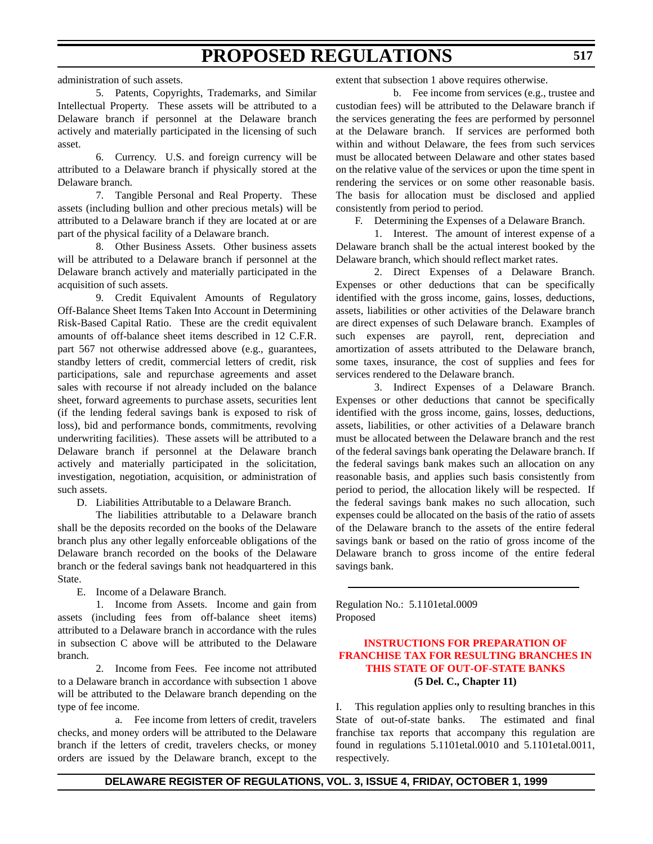administration of such assets.

5. Patents, Copyrights, Trademarks, and Similar Intellectual Property. These assets will be attributed to a Delaware branch if personnel at the Delaware branch actively and materially participated in the licensing of such asset.

6. Currency. U.S. and foreign currency will be attributed to a Delaware branch if physically stored at the Delaware branch.

7. Tangible Personal and Real Property. These assets (including bullion and other precious metals) will be attributed to a Delaware branch if they are located at or are part of the physical facility of a Delaware branch.

8. Other Business Assets. Other business assets will be attributed to a Delaware branch if personnel at the Delaware branch actively and materially participated in the acquisition of such assets.

9. Credit Equivalent Amounts of Regulatory Off-Balance Sheet Items Taken Into Account in Determining Risk-Based Capital Ratio. These are the credit equivalent amounts of off-balance sheet items described in 12 C.F.R. part 567 not otherwise addressed above (e.g., guarantees, standby letters of credit, commercial letters of credit, risk participations, sale and repurchase agreements and asset sales with recourse if not already included on the balance sheet, forward agreements to purchase assets, securities lent (if the lending federal savings bank is exposed to risk of loss), bid and performance bonds, commitments, revolving underwriting facilities). These assets will be attributed to a Delaware branch if personnel at the Delaware branch actively and materially participated in the solicitation, investigation, negotiation, acquisition, or administration of such assets.

D. Liabilities Attributable to a Delaware Branch.

The liabilities attributable to a Delaware branch shall be the deposits recorded on the books of the Delaware branch plus any other legally enforceable obligations of the Delaware branch recorded on the books of the Delaware branch or the federal savings bank not headquartered in this State.

E. Income of a Delaware Branch.

1. Income from Assets. Income and gain from assets (including fees from off-balance sheet items) attributed to a Delaware branch in accordance with the rules in subsection C above will be attributed to the Delaware branch.

2. Income from Fees. Fee income not attributed to a Delaware branch in accordance with subsection 1 above will be attributed to the Delaware branch depending on the type of fee income.

a. Fee income from letters of credit, travelers checks, and money orders will be attributed to the Delaware branch if the letters of credit, travelers checks, or money orders are issued by the Delaware branch, except to the

extent that subsection 1 above requires otherwise.

b. Fee income from services (e.g., trustee and custodian fees) will be attributed to the Delaware branch if the services generating the fees are performed by personnel at the Delaware branch. If services are performed both within and without Delaware, the fees from such services must be allocated between Delaware and other states based on the relative value of the services or upon the time spent in rendering the services or on some other reasonable basis. The basis for allocation must be disclosed and applied consistently from period to period.

F. Determining the Expenses of a Delaware Branch.

1. Interest. The amount of interest expense of a Delaware branch shall be the actual interest booked by the Delaware branch, which should reflect market rates.

2. Direct Expenses of a Delaware Branch. Expenses or other deductions that can be specifically identified with the gross income, gains, losses, deductions, assets, liabilities or other activities of the Delaware branch are direct expenses of such Delaware branch. Examples of such expenses are payroll, rent, depreciation and amortization of assets attributed to the Delaware branch, some taxes, insurance, the cost of supplies and fees for services rendered to the Delaware branch.

3. Indirect Expenses of a Delaware Branch. Expenses or other deductions that cannot be specifically identified with the gross income, gains, losses, deductions, assets, liabilities, or other activities of a Delaware branch must be allocated between the Delaware branch and the rest of the federal savings bank operating the Delaware branch. If the federal savings bank makes such an allocation on any reasonable basis, and applies such basis consistently from period to period, the allocation likely will be respected. If the federal savings bank makes no such allocation, such expenses could be allocated on the basis of the ratio of assets of the Delaware branch to the assets of the entire federal savings bank or based on the ratio of gross income of the Delaware branch to gross income of the entire federal savings bank.

Regulation No.: 5.1101etal.0009 Proposed

## **INSTRUCTIONS FOR PREPARATION OF [FRANCHISE TAX FOR RESULTING BRANCHES IN](#page-3-0) THIS STATE OF OUT-OF-STATE BANKS (5 Del. C., Chapter 11)**

I. This regulation applies only to resulting branches in this State of out-of-state banks. The estimated and final franchise tax reports that accompany this regulation are found in regulations 5.1101etal.0010 and 5.1101etal.0011, respectively.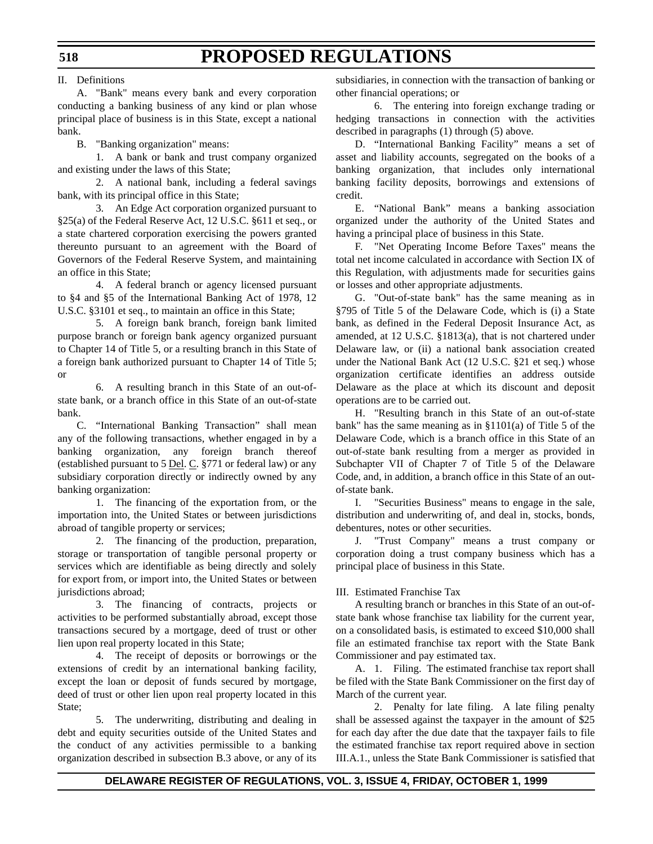#### II. Definitions

A. "Bank" means every bank and every corporation conducting a banking business of any kind or plan whose principal place of business is in this State, except a national bank.

B. "Banking organization" means:

1. A bank or bank and trust company organized and existing under the laws of this State;

2. A national bank, including a federal savings bank, with its principal office in this State;

3. An Edge Act corporation organized pursuant to §25(a) of the Federal Reserve Act, 12 U.S.C. §611 et seq., or a state chartered corporation exercising the powers granted thereunto pursuant to an agreement with the Board of Governors of the Federal Reserve System, and maintaining an office in this State;

4. A federal branch or agency licensed pursuant to §4 and §5 of the International Banking Act of 1978, 12 U.S.C. §3101 et seq., to maintain an office in this State;

5. A foreign bank branch, foreign bank limited purpose branch or foreign bank agency organized pursuant to Chapter 14 of Title 5, or a resulting branch in this State of a foreign bank authorized pursuant to Chapter 14 of Title 5; or

6. A resulting branch in this State of an out-ofstate bank, or a branch office in this State of an out-of-state bank.

C. "International Banking Transaction" shall mean any of the following transactions, whether engaged in by a banking organization, any foreign branch thereof (established pursuant to 5 Del. C. §771 or federal law) or any subsidiary corporation directly or indirectly owned by any banking organization:

1. The financing of the exportation from, or the importation into, the United States or between jurisdictions abroad of tangible property or services;

2. The financing of the production, preparation, storage or transportation of tangible personal property or services which are identifiable as being directly and solely for export from, or import into, the United States or between jurisdictions abroad;

3. The financing of contracts, projects or activities to be performed substantially abroad, except those transactions secured by a mortgage, deed of trust or other lien upon real property located in this State;

4. The receipt of deposits or borrowings or the extensions of credit by an international banking facility, except the loan or deposit of funds secured by mortgage, deed of trust or other lien upon real property located in this State;

5. The underwriting, distributing and dealing in debt and equity securities outside of the United States and the conduct of any activities permissible to a banking organization described in subsection B.3 above, or any of its

subsidiaries, in connection with the transaction of banking or other financial operations; or

6. The entering into foreign exchange trading or hedging transactions in connection with the activities described in paragraphs (1) through (5) above.

D. "International Banking Facility" means a set of asset and liability accounts, segregated on the books of a banking organization, that includes only international banking facility deposits, borrowings and extensions of credit.

E. "National Bank" means a banking association organized under the authority of the United States and having a principal place of business in this State.

F. "Net Operating Income Before Taxes" means the total net income calculated in accordance with Section IX of this Regulation, with adjustments made for securities gains or losses and other appropriate adjustments.

G. "Out-of-state bank" has the same meaning as in §795 of Title 5 of the Delaware Code, which is (i) a State bank, as defined in the Federal Deposit Insurance Act, as amended, at 12 U.S.C. §1813(a), that is not chartered under Delaware law, or (ii) a national bank association created under the National Bank Act (12 U.S.C. §21 et seq.) whose organization certificate identifies an address outside Delaware as the place at which its discount and deposit operations are to be carried out.

H. "Resulting branch in this State of an out-of-state bank" has the same meaning as in §1101(a) of Title 5 of the Delaware Code, which is a branch office in this State of an out-of-state bank resulting from a merger as provided in Subchapter VII of Chapter 7 of Title 5 of the Delaware Code, and, in addition, a branch office in this State of an outof-state bank.

I. "Securities Business" means to engage in the sale, distribution and underwriting of, and deal in, stocks, bonds, debentures, notes or other securities.

J. "Trust Company" means a trust company or corporation doing a trust company business which has a principal place of business in this State.

## III. Estimated Franchise Tax

A resulting branch or branches in this State of an out-ofstate bank whose franchise tax liability for the current year, on a consolidated basis, is estimated to exceed \$10,000 shall file an estimated franchise tax report with the State Bank Commissioner and pay estimated tax.

A. 1. Filing. The estimated franchise tax report shall be filed with the State Bank Commissioner on the first day of March of the current year.

2. Penalty for late filing. A late filing penalty shall be assessed against the taxpayer in the amount of \$25 for each day after the due date that the taxpayer fails to file the estimated franchise tax report required above in section III.A.1., unless the State Bank Commissioner is satisfied that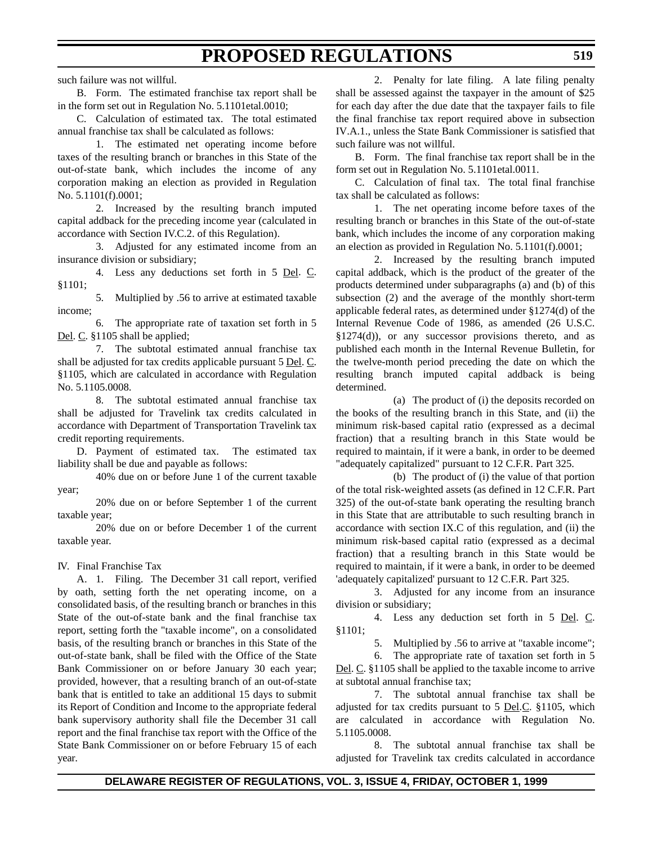such failure was not willful.

B. Form. The estimated franchise tax report shall be in the form set out in Regulation No. 5.1101etal.0010;

C. Calculation of estimated tax. The total estimated annual franchise tax shall be calculated as follows:

1. The estimated net operating income before taxes of the resulting branch or branches in this State of the out-of-state bank, which includes the income of any corporation making an election as provided in Regulation No. 5.1101(f).0001;

2. Increased by the resulting branch imputed capital addback for the preceding income year (calculated in accordance with Section IV.C.2. of this Regulation).

3. Adjusted for any estimated income from an insurance division or subsidiary;

4. Less any deductions set forth in 5 Del. C. §1101;

5. Multiplied by .56 to arrive at estimated taxable income;

6. The appropriate rate of taxation set forth in 5 Del. C. §1105 shall be applied;

7. The subtotal estimated annual franchise tax shall be adjusted for tax credits applicable pursuant 5 Del. C. §1105, which are calculated in accordance with Regulation No. 5.1105.0008.

8. The subtotal estimated annual franchise tax shall be adjusted for Travelink tax credits calculated in accordance with Department of Transportation Travelink tax credit reporting requirements.

D. Payment of estimated tax. The estimated tax liability shall be due and payable as follows:

40% due on or before June 1 of the current taxable year;

20% due on or before September 1 of the current taxable year;

20% due on or before December 1 of the current taxable year.

#### IV. Final Franchise Tax

A. 1. Filing. The December 31 call report, verified by oath, setting forth the net operating income, on a consolidated basis, of the resulting branch or branches in this State of the out-of-state bank and the final franchise tax report, setting forth the "taxable income", on a consolidated basis, of the resulting branch or branches in this State of the out-of-state bank, shall be filed with the Office of the State Bank Commissioner on or before January 30 each year; provided, however, that a resulting branch of an out-of-state bank that is entitled to take an additional 15 days to submit its Report of Condition and Income to the appropriate federal bank supervisory authority shall file the December 31 call report and the final franchise tax report with the Office of the State Bank Commissioner on or before February 15 of each year.

2. Penalty for late filing. A late filing penalty shall be assessed against the taxpayer in the amount of \$25 for each day after the due date that the taxpayer fails to file the final franchise tax report required above in subsection IV.A.1., unless the State Bank Commissioner is satisfied that such failure was not willful.

B. Form. The final franchise tax report shall be in the form set out in Regulation No. 5.1101etal.0011.

C. Calculation of final tax. The total final franchise tax shall be calculated as follows:

1. The net operating income before taxes of the resulting branch or branches in this State of the out-of-state bank, which includes the income of any corporation making an election as provided in Regulation No. 5.1101(f).0001;

2. Increased by the resulting branch imputed capital addback, which is the product of the greater of the products determined under subparagraphs (a) and (b) of this subsection (2) and the average of the monthly short-term applicable federal rates, as determined under §1274(d) of the Internal Revenue Code of 1986, as amended (26 U.S.C. §1274(d)), or any successor provisions thereto, and as published each month in the Internal Revenue Bulletin, for the twelve-month period preceding the date on which the resulting branch imputed capital addback is being determined.

(a) The product of (i) the deposits recorded on the books of the resulting branch in this State, and (ii) the minimum risk-based capital ratio (expressed as a decimal fraction) that a resulting branch in this State would be required to maintain, if it were a bank, in order to be deemed "adequately capitalized" pursuant to 12 C.F.R. Part 325.

(b) The product of (i) the value of that portion of the total risk-weighted assets (as defined in 12 C.F.R. Part 325) of the out-of-state bank operating the resulting branch in this State that are attributable to such resulting branch in accordance with section IX.C of this regulation, and (ii) the minimum risk-based capital ratio (expressed as a decimal fraction) that a resulting branch in this State would be required to maintain, if it were a bank, in order to be deemed 'adequately capitalized' pursuant to 12 C.F.R. Part 325.

3. Adjusted for any income from an insurance division or subsidiary;

4. Less any deduction set forth in 5 Del. C. §1101;

5. Multiplied by .56 to arrive at "taxable income";

6. The appropriate rate of taxation set forth in 5 Del. C. §1105 shall be applied to the taxable income to arrive at subtotal annual franchise tax;

7. The subtotal annual franchise tax shall be adjusted for tax credits pursuant to 5 Del.C. §1105, which are calculated in accordance with Regulation No. 5.1105.0008.

8. The subtotal annual franchise tax shall be adjusted for Travelink tax credits calculated in accordance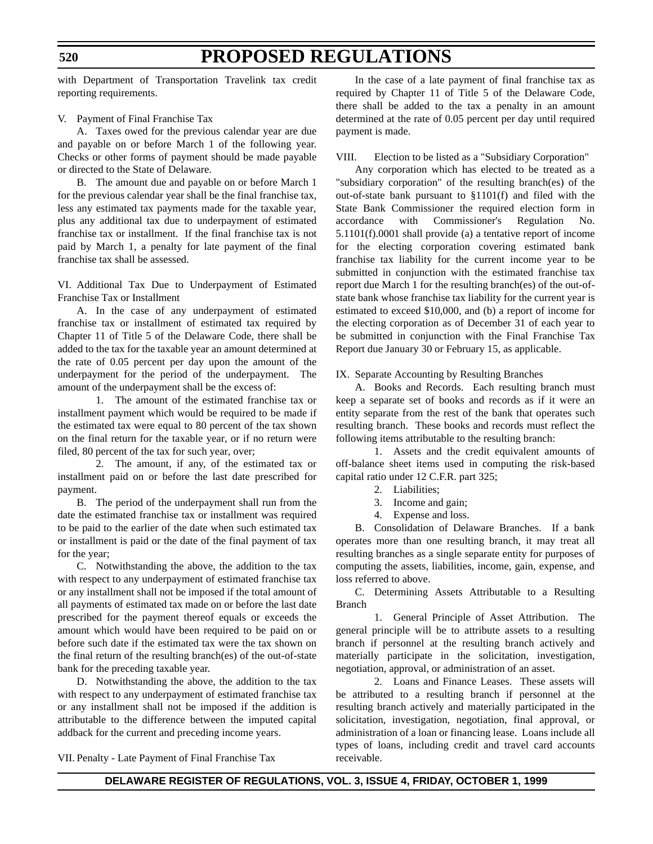with Department of Transportation Travelink tax credit reporting requirements.

#### V. Payment of Final Franchise Tax

A. Taxes owed for the previous calendar year are due and payable on or before March 1 of the following year. Checks or other forms of payment should be made payable or directed to the State of Delaware.

B. The amount due and payable on or before March 1 for the previous calendar year shall be the final franchise tax, less any estimated tax payments made for the taxable year, plus any additional tax due to underpayment of estimated franchise tax or installment. If the final franchise tax is not paid by March 1, a penalty for late payment of the final franchise tax shall be assessed.

VI. Additional Tax Due to Underpayment of Estimated Franchise Tax or Installment

A. In the case of any underpayment of estimated franchise tax or installment of estimated tax required by Chapter 11 of Title 5 of the Delaware Code, there shall be added to the tax for the taxable year an amount determined at the rate of 0.05 percent per day upon the amount of the underpayment for the period of the underpayment. The amount of the underpayment shall be the excess of:

1. The amount of the estimated franchise tax or installment payment which would be required to be made if the estimated tax were equal to 80 percent of the tax shown on the final return for the taxable year, or if no return were filed, 80 percent of the tax for such year, over;

2. The amount, if any, of the estimated tax or installment paid on or before the last date prescribed for payment.

B. The period of the underpayment shall run from the date the estimated franchise tax or installment was required to be paid to the earlier of the date when such estimated tax or installment is paid or the date of the final payment of tax for the year;

C. Notwithstanding the above, the addition to the tax with respect to any underpayment of estimated franchise tax or any installment shall not be imposed if the total amount of all payments of estimated tax made on or before the last date prescribed for the payment thereof equals or exceeds the amount which would have been required to be paid on or before such date if the estimated tax were the tax shown on the final return of the resulting branch(es) of the out-of-state bank for the preceding taxable year.

D. Notwithstanding the above, the addition to the tax with respect to any underpayment of estimated franchise tax or any installment shall not be imposed if the addition is attributable to the difference between the imputed capital addback for the current and preceding income years.

In the case of a late payment of final franchise tax as required by Chapter 11 of Title 5 of the Delaware Code, there shall be added to the tax a penalty in an amount determined at the rate of 0.05 percent per day until required payment is made.

VIII. Election to be listed as a "Subsidiary Corporation"

Any corporation which has elected to be treated as a "subsidiary corporation" of the resulting branch(es) of the out-of-state bank pursuant to §1101(f) and filed with the State Bank Commissioner the required election form in accordance with Commissioner's Regulation No. 5.1101(f).0001 shall provide (a) a tentative report of income for the electing corporation covering estimated bank franchise tax liability for the current income year to be submitted in conjunction with the estimated franchise tax report due March 1 for the resulting branch(es) of the out-ofstate bank whose franchise tax liability for the current year is estimated to exceed \$10,000, and (b) a report of income for the electing corporation as of December 31 of each year to be submitted in conjunction with the Final Franchise Tax Report due January 30 or February 15, as applicable.

#### IX. Separate Accounting by Resulting Branches

A. Books and Records. Each resulting branch must keep a separate set of books and records as if it were an entity separate from the rest of the bank that operates such resulting branch. These books and records must reflect the following items attributable to the resulting branch:

1. Assets and the credit equivalent amounts of off-balance sheet items used in computing the risk-based capital ratio under 12 C.F.R. part 325;

- 2. Liabilities;
- 3. Income and gain;
- 4. Expense and loss.

B. Consolidation of Delaware Branches. If a bank operates more than one resulting branch, it may treat all resulting branches as a single separate entity for purposes of computing the assets, liabilities, income, gain, expense, and loss referred to above.

C. Determining Assets Attributable to a Resulting Branch

1. General Principle of Asset Attribution. The general principle will be to attribute assets to a resulting branch if personnel at the resulting branch actively and materially participate in the solicitation, investigation, negotiation, approval, or administration of an asset.

2. Loans and Finance Leases. These assets will be attributed to a resulting branch if personnel at the resulting branch actively and materially participated in the solicitation, investigation, negotiation, final approval, or administration of a loan or financing lease. Loans include all types of loans, including credit and travel card accounts receivable.

VII. Penalty - Late Payment of Final Franchise Tax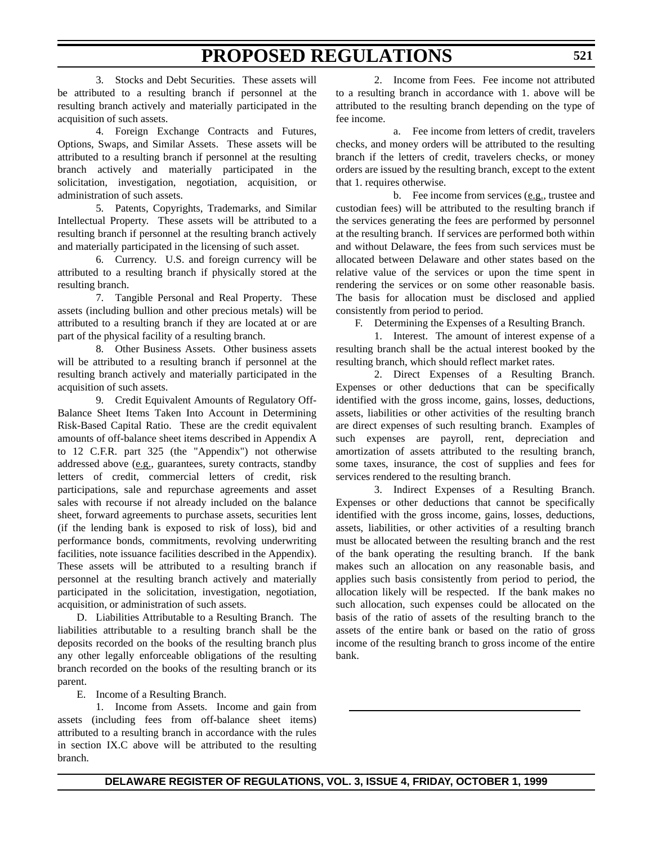3. Stocks and Debt Securities. These assets will be attributed to a resulting branch if personnel at the resulting branch actively and materially participated in the acquisition of such assets.

4. Foreign Exchange Contracts and Futures, Options, Swaps, and Similar Assets. These assets will be attributed to a resulting branch if personnel at the resulting branch actively and materially participated in the solicitation, investigation, negotiation, acquisition, or administration of such assets.

5. Patents, Copyrights, Trademarks, and Similar Intellectual Property. These assets will be attributed to a resulting branch if personnel at the resulting branch actively and materially participated in the licensing of such asset.

6. Currency. U.S. and foreign currency will be attributed to a resulting branch if physically stored at the resulting branch.

7. Tangible Personal and Real Property. These assets (including bullion and other precious metals) will be attributed to a resulting branch if they are located at or are part of the physical facility of a resulting branch.

8. Other Business Assets. Other business assets will be attributed to a resulting branch if personnel at the resulting branch actively and materially participated in the acquisition of such assets.

9. Credit Equivalent Amounts of Regulatory Off-Balance Sheet Items Taken Into Account in Determining Risk-Based Capital Ratio. These are the credit equivalent amounts of off-balance sheet items described in Appendix A to 12 C.F.R. part 325 (the "Appendix") not otherwise addressed above (e.g., guarantees, surety contracts, standby letters of credit, commercial letters of credit, risk participations, sale and repurchase agreements and asset sales with recourse if not already included on the balance sheet, forward agreements to purchase assets, securities lent (if the lending bank is exposed to risk of loss), bid and performance bonds, commitments, revolving underwriting facilities, note issuance facilities described in the Appendix). These assets will be attributed to a resulting branch if personnel at the resulting branch actively and materially participated in the solicitation, investigation, negotiation, acquisition, or administration of such assets.

D. Liabilities Attributable to a Resulting Branch. The liabilities attributable to a resulting branch shall be the deposits recorded on the books of the resulting branch plus any other legally enforceable obligations of the resulting branch recorded on the books of the resulting branch or its parent.

E. Income of a Resulting Branch.

1. Income from Assets. Income and gain from assets (including fees from off-balance sheet items) attributed to a resulting branch in accordance with the rules in section IX.C above will be attributed to the resulting branch.

2. Income from Fees. Fee income not attributed to a resulting branch in accordance with 1. above will be attributed to the resulting branch depending on the type of fee income.

a. Fee income from letters of credit, travelers checks, and money orders will be attributed to the resulting branch if the letters of credit, travelers checks, or money orders are issued by the resulting branch, except to the extent that 1. requires otherwise.

b. Fee income from services (e.g., trustee and custodian fees) will be attributed to the resulting branch if the services generating the fees are performed by personnel at the resulting branch. If services are performed both within and without Delaware, the fees from such services must be allocated between Delaware and other states based on the relative value of the services or upon the time spent in rendering the services or on some other reasonable basis. The basis for allocation must be disclosed and applied consistently from period to period.

F. Determining the Expenses of a Resulting Branch.

1. Interest. The amount of interest expense of a resulting branch shall be the actual interest booked by the resulting branch, which should reflect market rates.

2. Direct Expenses of a Resulting Branch. Expenses or other deductions that can be specifically identified with the gross income, gains, losses, deductions, assets, liabilities or other activities of the resulting branch are direct expenses of such resulting branch. Examples of such expenses are payroll, rent, depreciation and amortization of assets attributed to the resulting branch, some taxes, insurance, the cost of supplies and fees for services rendered to the resulting branch.

3. Indirect Expenses of a Resulting Branch. Expenses or other deductions that cannot be specifically identified with the gross income, gains, losses, deductions, assets, liabilities, or other activities of a resulting branch must be allocated between the resulting branch and the rest of the bank operating the resulting branch. If the bank makes such an allocation on any reasonable basis, and applies such basis consistently from period to period, the allocation likely will be respected. If the bank makes no such allocation, such expenses could be allocated on the basis of the ratio of assets of the resulting branch to the assets of the entire bank or based on the ratio of gross income of the resulting branch to gross income of the entire bank.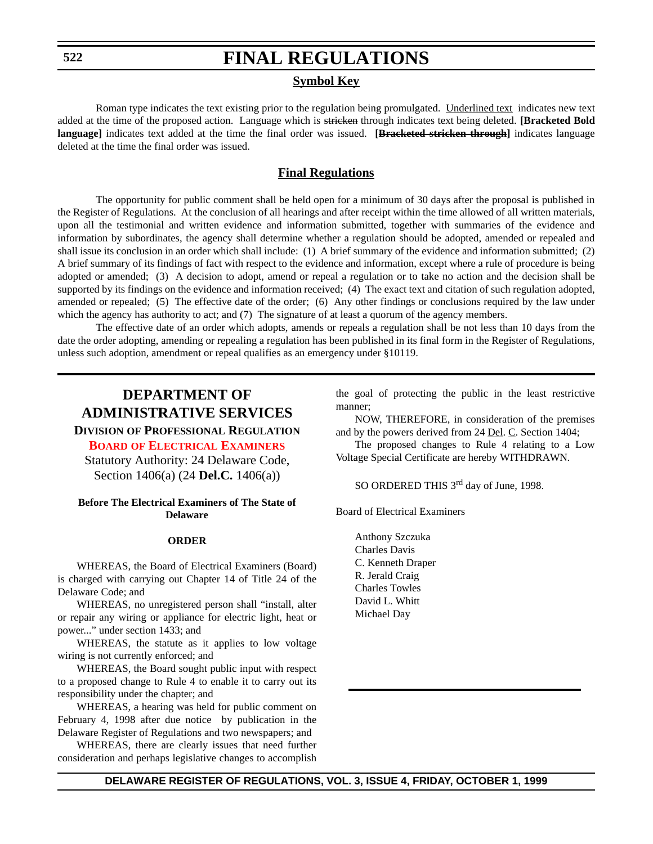## **Symbol Key**

Roman type indicates the text existing prior to the regulation being promulgated. Underlined text indicates new text added at the time of the proposed action. Language which is stricken through indicates text being deleted. **[Bracketed Bold language]** indicates text added at the time the final order was issued. **[Bracketed stricken through]** indicates language deleted at the time the final order was issued.

## **Final Regulations**

The opportunity for public comment shall be held open for a minimum of 30 days after the proposal is published in the Register of Regulations. At the conclusion of all hearings and after receipt within the time allowed of all written materials, upon all the testimonial and written evidence and information submitted, together with summaries of the evidence and information by subordinates, the agency shall determine whether a regulation should be adopted, amended or repealed and shall issue its conclusion in an order which shall include: (1) A brief summary of the evidence and information submitted; (2) A brief summary of its findings of fact with respect to the evidence and information, except where a rule of procedure is being adopted or amended; (3) A decision to adopt, amend or repeal a regulation or to take no action and the decision shall be supported by its findings on the evidence and information received; (4) The exact text and citation of such regulation adopted, amended or repealed; (5) The effective date of the order; (6) Any other findings or conclusions required by the law under which the agency has authority to act; and (7) The signature of at least a quorum of the agency members.

The effective date of an order which adopts, amends or repeals a regulation shall be not less than 10 days from the date the order adopting, amending or repealing a regulation has been published in its final form in the Register of Regulations, unless such adoption, amendment or repeal qualifies as an emergency under §10119.

## **DEPARTMENT OF ADMINISTRATIVE SERVICES**

**DIVISION OF PROFESSIONAL REGULATION**

**BOARD [OF ELECTRICAL EXAMINERS](#page-3-0)**

Statutory Authority: 24 Delaware Code, Section 1406(a) (24 **Del.C.** 1406(a))

#### **Before The Electrical Examiners of The State of Delaware**

#### **ORDER**

WHEREAS, the Board of Electrical Examiners (Board) is charged with carrying out Chapter 14 of Title 24 of the Delaware Code; and

WHEREAS, no unregistered person shall "install, alter or repair any wiring or appliance for electric light, heat or power..." under section 1433; and

WHEREAS, the statute as it applies to low voltage wiring is not currently enforced; and

WHEREAS, the Board sought public input with respect to a proposed change to Rule 4 to enable it to carry out its responsibility under the chapter; and

WHEREAS, a hearing was held for public comment on February 4, 1998 after due notice by publication in the Delaware Register of Regulations and two newspapers; and

WHEREAS, there are clearly issues that need further consideration and perhaps legislative changes to accomplish the goal of protecting the public in the least restrictive manner;

NOW, THEREFORE, in consideration of the premises and by the powers derived from 24 Del. C. Section 1404;

The proposed changes to Rule 4 relating to a Low Voltage Special Certificate are hereby WITHDRAWN.

SO ORDERED THIS 3<sup>rd</sup> day of June, 1998.

Board of Electrical Examiners

Anthony Szczuka Charles Davis C. Kenneth Draper R. Jerald Craig Charles Towles David L. Whitt Michael Day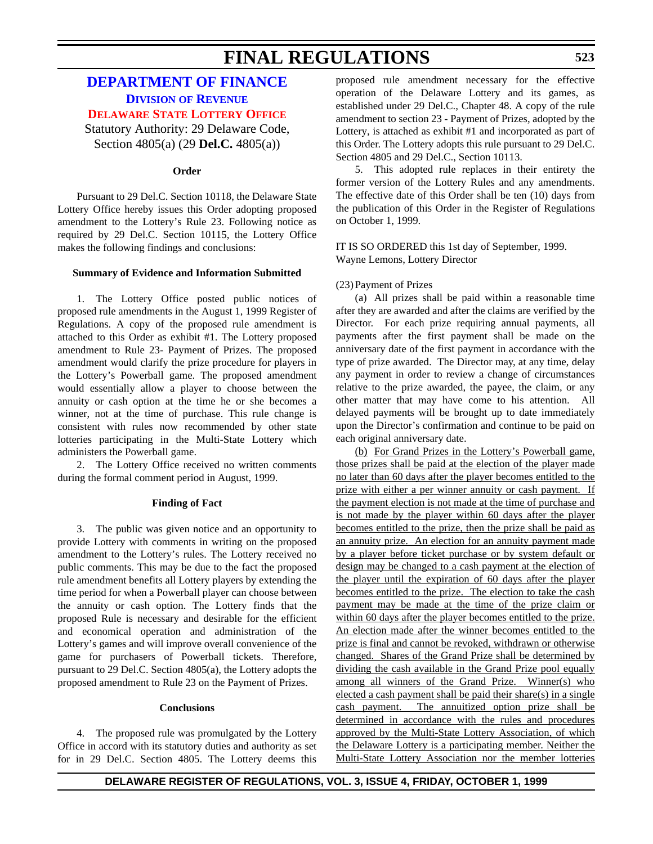## **[DEPARTMENT OF FINANCE](http://www.state.de.us/revenue/index.htm) DIVISION OF REVENUE [DELAWARE STATE LOTTERY OFFICE](#page-3-0)**

Statutory Authority: 29 Delaware Code, Section 4805(a) (29 **Del.C.** 4805(a))

## **Order**

Pursuant to 29 Del.C. Section 10118, the Delaware State Lottery Office hereby issues this Order adopting proposed amendment to the Lottery's Rule 23. Following notice as required by 29 Del.C. Section 10115, the Lottery Office makes the following findings and conclusions:

#### **Summary of Evidence and Information Submitted**

1. The Lottery Office posted public notices of proposed rule amendments in the August 1, 1999 Register of Regulations. A copy of the proposed rule amendment is attached to this Order as exhibit #1. The Lottery proposed amendment to Rule 23- Payment of Prizes. The proposed amendment would clarify the prize procedure for players in the Lottery's Powerball game. The proposed amendment would essentially allow a player to choose between the annuity or cash option at the time he or she becomes a winner, not at the time of purchase. This rule change is consistent with rules now recommended by other state lotteries participating in the Multi-State Lottery which administers the Powerball game.

2. The Lottery Office received no written comments during the formal comment period in August, 1999.

#### **Finding of Fact**

3. The public was given notice and an opportunity to provide Lottery with comments in writing on the proposed amendment to the Lottery's rules. The Lottery received no public comments. This may be due to the fact the proposed rule amendment benefits all Lottery players by extending the time period for when a Powerball player can choose between the annuity or cash option. The Lottery finds that the proposed Rule is necessary and desirable for the efficient and economical operation and administration of the Lottery's games and will improve overall convenience of the game for purchasers of Powerball tickets. Therefore, pursuant to 29 Del.C. Section 4805(a), the Lottery adopts the proposed amendment to Rule 23 on the Payment of Prizes.

#### **Conclusions**

4. The proposed rule was promulgated by the Lottery Office in accord with its statutory duties and authority as set for in 29 Del.C. Section 4805. The Lottery deems this proposed rule amendment necessary for the effective operation of the Delaware Lottery and its games, as established under 29 Del.C., Chapter 48. A copy of the rule amendment to section 23 - Payment of Prizes, adopted by the Lottery, is attached as exhibit #1 and incorporated as part of this Order. The Lottery adopts this rule pursuant to 29 Del.C. Section 4805 and 29 Del.C., Section 10113.

5. This adopted rule replaces in their entirety the former version of the Lottery Rules and any amendments. The effective date of this Order shall be ten (10) days from the publication of this Order in the Register of Regulations on October 1, 1999.

IT IS SO ORDERED this 1st day of September, 1999. Wayne Lemons, Lottery Director

## (23)Payment of Prizes

(a) All prizes shall be paid within a reasonable time after they are awarded and after the claims are verified by the Director. For each prize requiring annual payments, all payments after the first payment shall be made on the anniversary date of the first payment in accordance with the type of prize awarded. The Director may, at any time, delay any payment in order to review a change of circumstances relative to the prize awarded, the payee, the claim, or any other matter that may have come to his attention. All delayed payments will be brought up to date immediately upon the Director's confirmation and continue to be paid on each original anniversary date.

(b) For Grand Prizes in the Lottery's Powerball game, those prizes shall be paid at the election of the player made no later than 60 days after the player becomes entitled to the prize with either a per winner annuity or cash payment. If the payment election is not made at the time of purchase and is not made by the player within 60 days after the player becomes entitled to the prize, then the prize shall be paid as an annuity prize. An election for an annuity payment made by a player before ticket purchase or by system default or design may be changed to a cash payment at the election of the player until the expiration of 60 days after the player becomes entitled to the prize. The election to take the cash payment may be made at the time of the prize claim or within 60 days after the player becomes entitled to the prize. An election made after the winner becomes entitled to the prize is final and cannot be revoked, withdrawn or otherwise changed. Shares of the Grand Prize shall be determined by dividing the cash available in the Grand Prize pool equally among all winners of the Grand Prize. Winner(s) who elected a cash payment shall be paid their share(s) in a single cash payment. The annuitized option prize shall be determined in accordance with the rules and procedures approved by the Multi-State Lottery Association, of which the Delaware Lottery is a participating member. Neither the Multi-State Lottery Association nor the member lotteries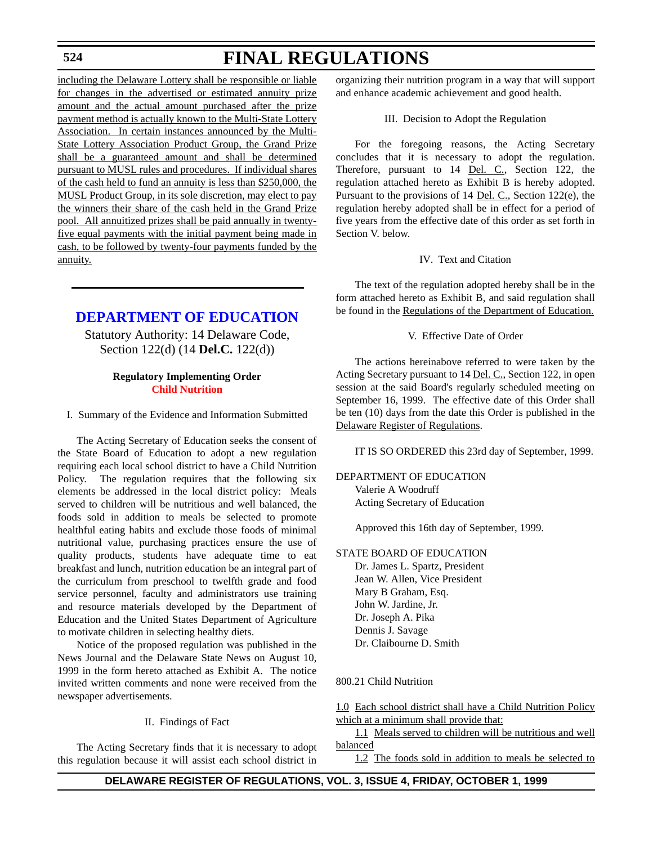## **524**

# **FINAL REGULATIONS**

including the Delaware Lottery shall be responsible or liable for changes in the advertised or estimated annuity prize amount and the actual amount purchased after the prize payment method is actually known to the Multi-State Lottery Association. In certain instances announced by the Multi-State Lottery Association Product Group, the Grand Prize shall be a guaranteed amount and shall be determined pursuant to MUSL rules and procedures. If individual shares of the cash held to fund an annuity is less than \$250,000, the MUSL Product Group, in its sole discretion, may elect to pay the winners their share of the cash held in the Grand Prize pool. All annuitized prizes shall be paid annually in twentyfive equal payments with the initial payment being made in cash, to be followed by twenty-four payments funded by the annuity.

## **[DEPARTMENT OF EDUCATION](http://www.doe.state.de.us/)**

Statutory Authority: 14 Delaware Code, Section 122(d) (14 **Del.C.** 122(d))

## **Regulatory Implementing Order [Child Nutrition](#page-3-0)**

I. Summary of the Evidence and Information Submitted

The Acting Secretary of Education seeks the consent of the State Board of Education to adopt a new regulation requiring each local school district to have a Child Nutrition Policy. The regulation requires that the following six elements be addressed in the local district policy: Meals served to children will be nutritious and well balanced, the foods sold in addition to meals be selected to promote healthful eating habits and exclude those foods of minimal nutritional value, purchasing practices ensure the use of quality products, students have adequate time to eat breakfast and lunch, nutrition education be an integral part of the curriculum from preschool to twelfth grade and food service personnel, faculty and administrators use training and resource materials developed by the Department of Education and the United States Department of Agriculture to motivate children in selecting healthy diets.

Notice of the proposed regulation was published in the News Journal and the Delaware State News on August 10, 1999 in the form hereto attached as Exhibit A. The notice invited written comments and none were received from the newspaper advertisements.

#### II. Findings of Fact

The Acting Secretary finds that it is necessary to adopt this regulation because it will assist each school district in organizing their nutrition program in a way that will support and enhance academic achievement and good health.

#### III. Decision to Adopt the Regulation

For the foregoing reasons, the Acting Secretary concludes that it is necessary to adopt the regulation. Therefore, pursuant to 14 <u>Del. C.,</u> Section 122, the regulation attached hereto as Exhibit B is hereby adopted. Pursuant to the provisions of 14 Del. C., Section 122(e), the regulation hereby adopted shall be in effect for a period of five years from the effective date of this order as set forth in Section V. below.

#### IV. Text and Citation

The text of the regulation adopted hereby shall be in the form attached hereto as Exhibit B, and said regulation shall be found in the Regulations of the Department of Education.

V. Effective Date of Order

The actions hereinabove referred to were taken by the Acting Secretary pursuant to 14 Del. C., Section 122, in open session at the said Board's regularly scheduled meeting on September 16, 1999. The effective date of this Order shall be ten (10) days from the date this Order is published in the Delaware Register of Regulations.

IT IS SO ORDERED this 23rd day of September, 1999.

DEPARTMENT OF EDUCATION Valerie A Woodruff Acting Secretary of Education

Approved this 16th day of September, 1999.

#### STATE BOARD OF EDUCATION

Dr. James L. Spartz, President Jean W. Allen, Vice President Mary B Graham, Esq. John W. Jardine, Jr. Dr. Joseph A. Pika Dennis J. Savage Dr. Claibourne D. Smith

#### 800.21 Child Nutrition

1.0 Each school district shall have a Child Nutrition Policy which at a minimum shall provide that:

1.1 Meals served to children will be nutritious and well balanced

1.2 The foods sold in addition to meals be selected to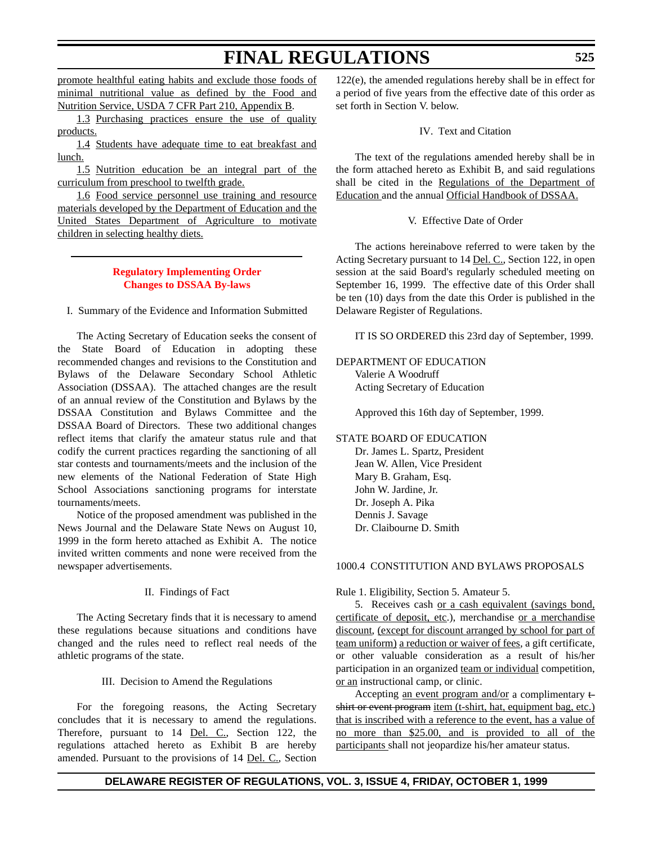promote healthful eating habits and exclude those foods of minimal nutritional value as defined by the Food and Nutrition Service, USDA 7 CFR Part 210, Appendix B.

1.3 Purchasing practices ensure the use of quality products.

1.4 Students have adequate time to eat breakfast and lunch.

1.5 Nutrition education be an integral part of the curriculum from preschool to twelfth grade.

1.6 Food service personnel use training and resource materials developed by the Department of Education and the United States Department of Agriculture to motivate children in selecting healthy diets.

## **[Regulatory Implementing Order](#page-3-0) Changes to DSSAA By-laws**

I. Summary of the Evidence and Information Submitted

The Acting Secretary of Education seeks the consent of the State Board of Education in adopting these recommended changes and revisions to the Constitution and Bylaws of the Delaware Secondary School Athletic Association (DSSAA). The attached changes are the result of an annual review of the Constitution and Bylaws by the DSSAA Constitution and Bylaws Committee and the DSSAA Board of Directors. These two additional changes reflect items that clarify the amateur status rule and that codify the current practices regarding the sanctioning of all star contests and tournaments/meets and the inclusion of the new elements of the National Federation of State High School Associations sanctioning programs for interstate tournaments/meets.

Notice of the proposed amendment was published in the News Journal and the Delaware State News on August 10, 1999 in the form hereto attached as Exhibit A. The notice invited written comments and none were received from the newspaper advertisements.

#### II. Findings of Fact

The Acting Secretary finds that it is necessary to amend these regulations because situations and conditions have changed and the rules need to reflect real needs of the athletic programs of the state.

#### III. Decision to Amend the Regulations

For the foregoing reasons, the Acting Secretary concludes that it is necessary to amend the regulations. Therefore, pursuant to 14 <u>Del. C.,</u> Section 122, the regulations attached hereto as Exhibit B are hereby amended. Pursuant to the provisions of 14 Del. C., Section

122(e), the amended regulations hereby shall be in effect for a period of five years from the effective date of this order as set forth in Section V. below.

#### IV. Text and Citation

The text of the regulations amended hereby shall be in the form attached hereto as Exhibit B, and said regulations shall be cited in the Regulations of the Department of Education and the annual Official Handbook of DSSAA.

#### V. Effective Date of Order

The actions hereinabove referred to were taken by the Acting Secretary pursuant to 14 Del. C., Section 122, in open session at the said Board's regularly scheduled meeting on September 16, 1999. The effective date of this Order shall be ten (10) days from the date this Order is published in the Delaware Register of Regulations.

IT IS SO ORDERED this 23rd day of September, 1999.

#### DEPARTMENT OF EDUCATION Valerie A Woodruff Acting Secretary of Education

Approved this 16th day of September, 1999.

## STATE BOARD OF EDUCATION

Dr. James L. Spartz, President Jean W. Allen, Vice President Mary B. Graham, Esq. John W. Jardine, Jr. Dr. Joseph A. Pika Dennis J. Savage Dr. Claibourne D. Smith

#### 1000.4 CONSTITUTION AND BYLAWS PROPOSALS

### Rule 1. Eligibility, Section 5. Amateur 5.

5. Receives cash or a cash equivalent (savings bond, certificate of deposit, etc.), merchandise or a merchandise discount, (except for discount arranged by school for part of team uniform) a reduction or waiver of fees, a gift certificate, or other valuable consideration as a result of his/her participation in an organized team or individual competition, or an instructional camp, or clinic.

Accepting an event program and/or a complimentary tshirt or event program item (t-shirt, hat, equipment bag, etc.) that is inscribed with a reference to the event, has a value of no more than \$25.00, and is provided to all of the participants shall not jeopardize his/her amateur status.

## **DELAWARE REGISTER OF REGULATIONS, VOL. 3, ISSUE 4, FRIDAY, OCTOBER 1, 1999**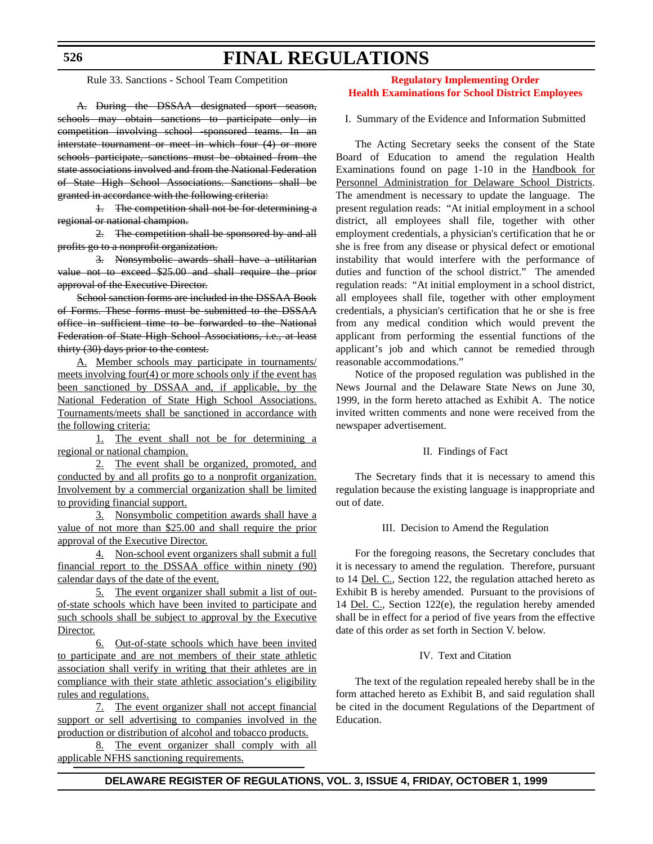**526**

# **FINAL REGULATIONS**

Rule 33. Sanctions - School Team Competition

A. During the DSSAA designated sport season, schools may obtain sanctions to participate only in competition involving school -sponsored teams. In an interstate tournament or meet in which four (4) or more schools participate, sanctions must be obtained from the state associations involved and from the National Federation of State High School Associations. Sanctions shall be granted in accordance with the following criteria:

1. The competition shall not be for determining a regional or national champion.

2. The competition shall be sponsored by and all profits go to a nonprofit organization.

3. Nonsymbolic awards shall have a utilitarian value not to exceed \$25.00 and shall require the prior approval of the Executive Director.

School sanction forms are included in the DSSAA Book of Forms. These forms must be submitted to the DSSAA office in sufficient time to be forwarded to the National Federation of State High School Associations, i.e., at least thirty (30) days prior to the contest.

A. Member schools may participate in tournaments/ meets involving four(4) or more schools only if the event has been sanctioned by DSSAA and, if applicable, by the National Federation of State High School Associations. Tournaments/meets shall be sanctioned in accordance with the following criteria:

1. The event shall not be for determining a regional or national champion.

2. The event shall be organized, promoted, and conducted by and all profits go to a nonprofit organization. Involvement by a commercial organization shall be limited to providing financial support.

3. Nonsymbolic competition awards shall have a value of not more than \$25.00 and shall require the prior approval of the Executive Director.

4. Non-school event organizers shall submit a full financial report to the DSSAA office within ninety (90) calendar days of the date of the event.

5. The event organizer shall submit a list of outof-state schools which have been invited to participate and such schools shall be subject to approval by the Executive Director.

6. Out-of-state schools which have been invited to participate and are not members of their state athletic association shall verify in writing that their athletes are in compliance with their state athletic association's eligibility rules and regulations.

7. The event organizer shall not accept financial support or sell advertising to companies involved in the production or distribution of alcohol and tobacco products.

8. The event organizer shall comply with all applicable NFHS sanctioning requirements.

## **Regulatory Implementing Order [Health Examinations for School District Employees](#page-3-0)**

I. Summary of the Evidence and Information Submitted

The Acting Secretary seeks the consent of the State Board of Education to amend the regulation Health Examinations found on page 1-10 in the Handbook for Personnel Administration for Delaware School Districts. The amendment is necessary to update the language. The present regulation reads: "At initial employment in a school district, all employees shall file, together with other employment credentials, a physician's certification that he or she is free from any disease or physical defect or emotional instability that would interfere with the performance of duties and function of the school district." The amended regulation reads: "At initial employment in a school district, all employees shall file, together with other employment credentials, a physician's certification that he or she is free from any medical condition which would prevent the applicant from performing the essential functions of the applicant's job and which cannot be remedied through reasonable accommodations."

Notice of the proposed regulation was published in the News Journal and the Delaware State News on June 30, 1999, in the form hereto attached as Exhibit A. The notice invited written comments and none were received from the newspaper advertisement.

#### II. Findings of Fact

The Secretary finds that it is necessary to amend this regulation because the existing language is inappropriate and out of date.

## III. Decision to Amend the Regulation

For the foregoing reasons, the Secretary concludes that it is necessary to amend the regulation. Therefore, pursuant to 14 Del. C., Section 122, the regulation attached hereto as Exhibit B is hereby amended. Pursuant to the provisions of 14 Del. C., Section 122(e), the regulation hereby amended shall be in effect for a period of five years from the effective date of this order as set forth in Section V. below.

### IV. Text and Citation

The text of the regulation repealed hereby shall be in the form attached hereto as Exhibit B, and said regulation shall be cited in the document Regulations of the Department of Education.

## **DELAWARE REGISTER OF REGULATIONS, VOL. 3, ISSUE 4, FRIDAY, OCTOBER 1, 1999**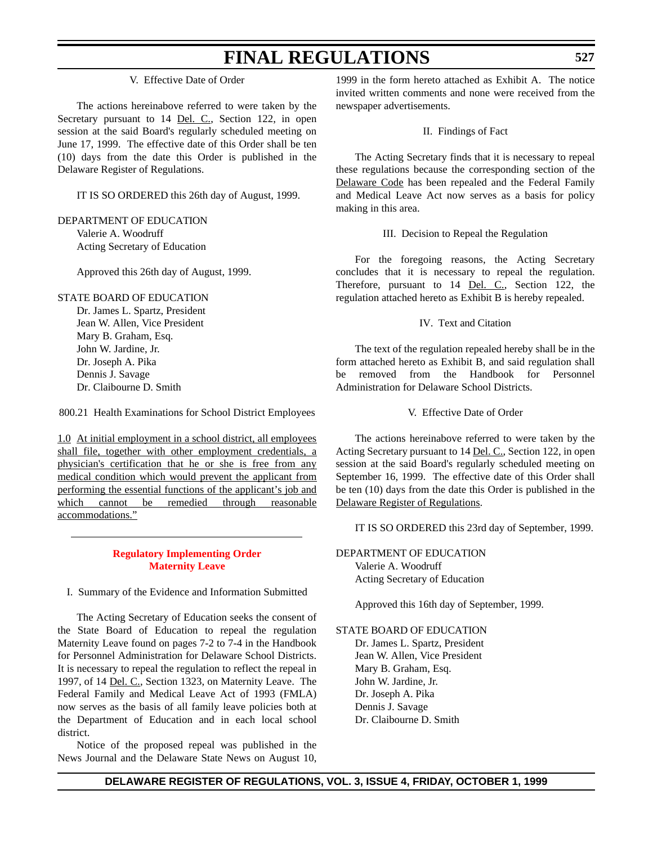V. Effective Date of Order

The actions hereinabove referred to were taken by the Secretary pursuant to 14 Del. C., Section 122, in open session at the said Board's regularly scheduled meeting on June 17, 1999. The effective date of this Order shall be ten (10) days from the date this Order is published in the Delaware Register of Regulations.

IT IS SO ORDERED this 26th day of August, 1999.

## DEPARTMENT OF EDUCATION

Valerie A. Woodruff Acting Secretary of Education

Approved this 26th day of August, 1999.

## STATE BOARD OF EDUCATION

Dr. James L. Spartz, President Jean W. Allen, Vice President Mary B. Graham, Esq. John W. Jardine, Jr. Dr. Joseph A. Pika Dennis J. Savage Dr. Claibourne D. Smith

800.21 Health Examinations for School District Employees

1.0 At initial employment in a school district, all employees shall file, together with other employment credentials, a physician's certification that he or she is free from any medical condition which would prevent the applicant from performing the essential functions of the applicant's job and which cannot be remedied through reasonable accommodations."

## **[Regulatory Implementing Order](#page-3-0) Maternity Leave**

#### I. Summary of the Evidence and Information Submitted

The Acting Secretary of Education seeks the consent of the State Board of Education to repeal the regulation Maternity Leave found on pages 7-2 to 7-4 in the Handbook for Personnel Administration for Delaware School Districts. It is necessary to repeal the regulation to reflect the repeal in 1997, of 14 Del. C., Section 1323, on Maternity Leave. The Federal Family and Medical Leave Act of 1993 (FMLA) now serves as the basis of all family leave policies both at the Department of Education and in each local school district.

Notice of the proposed repeal was published in the News Journal and the Delaware State News on August 10,

1999 in the form hereto attached as Exhibit A. The notice invited written comments and none were received from the newspaper advertisements.

#### II. Findings of Fact

The Acting Secretary finds that it is necessary to repeal these regulations because the corresponding section of the Delaware Code has been repealed and the Federal Family and Medical Leave Act now serves as a basis for policy making in this area.

#### III. Decision to Repeal the Regulation

For the foregoing reasons, the Acting Secretary concludes that it is necessary to repeal the regulation. Therefore, pursuant to 14 <u>Del. C.,</u> Section 122, the regulation attached hereto as Exhibit B is hereby repealed.

#### IV. Text and Citation

The text of the regulation repealed hereby shall be in the form attached hereto as Exhibit B, and said regulation shall be removed from the Handbook for Personnel Administration for Delaware School Districts.

#### V. Effective Date of Order

The actions hereinabove referred to were taken by the Acting Secretary pursuant to 14 Del. C., Section 122, in open session at the said Board's regularly scheduled meeting on September 16, 1999. The effective date of this Order shall be ten (10) days from the date this Order is published in the Delaware Register of Regulations.

IT IS SO ORDERED this 23rd day of September, 1999.

DEPARTMENT OF EDUCATION Valerie A. Woodruff Acting Secretary of Education

Approved this 16th day of September, 1999.

#### STATE BOARD OF EDUCATION

Dr. James L. Spartz, President Jean W. Allen, Vice President Mary B. Graham, Esq. John W. Jardine, Jr. Dr. Joseph A. Pika Dennis J. Savage Dr. Claibourne D. Smith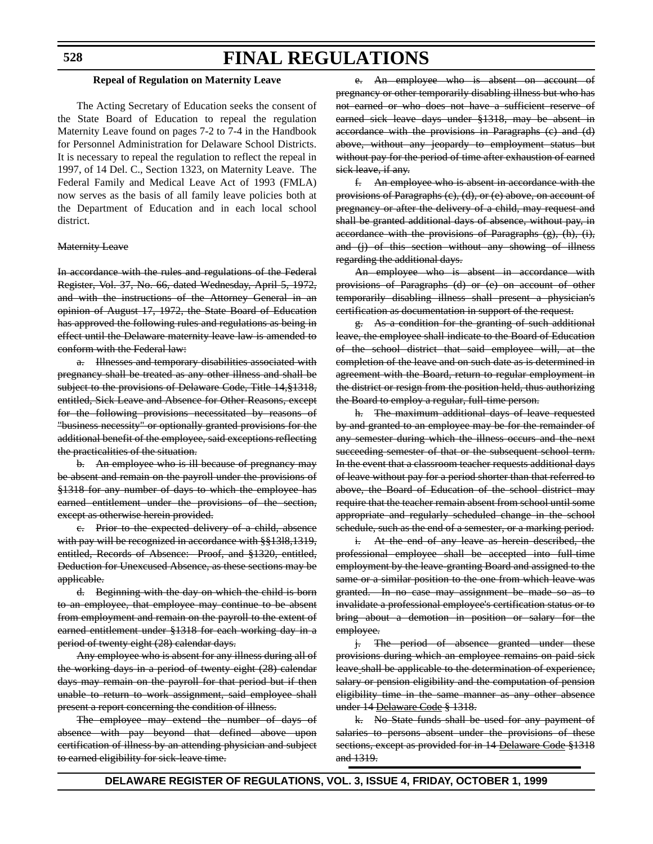#### **528**

## **FINAL REGULATIONS**

#### **Repeal of Regulation on Maternity Leave**

The Acting Secretary of Education seeks the consent of the State Board of Education to repeal the regulation Maternity Leave found on pages 7-2 to 7-4 in the Handbook for Personnel Administration for Delaware School Districts. It is necessary to repeal the regulation to reflect the repeal in 1997, of 14 Del. C., Section 1323, on Maternity Leave. The Federal Family and Medical Leave Act of 1993 (FMLA) now serves as the basis of all family leave policies both at the Department of Education and in each local school district.

#### Maternity Leave

In accordance with the rules and regulations of the Federal Register, Vol. 37, No. 66, dated Wednesday, April 5, 1972, and with the instructions of the Attorney General in an opinion of August 17, 1972, the State Board of Education has approved the following rules and regulations as being in effect until the Delaware maternity leave law is amended to conform with the Federal law:

a. Illnesses and temporary disabilities associated with pregnancy shall be treated as any other illness and shall be subject to the provisions of Delaware Code, Title 14, §1318, entitled, Sick Leave and Absence for Other Reasons, except for the following provisions necessitated by reasons of "business necessity" or optionally granted provisions for the additional benefit of the employee, said exceptions reflecting the practicalities of the situation.

b. An employee who is ill because of pregnancy may be absent and remain on the payroll under the provisions of §1318 for any number of days to which the employee has earned entitlement under the provisions of the section, except as otherwise herein provided.

c. Prior to the expected delivery of a child, absence with pay will be recognized in accordance with §§1318,1319, entitled, Records of Absence: Proof, and §1320, entitled, Deduction for Unexcused Absence, as these sections may be applicable.

d. Beginning with the day on which the child is born to an employee, that employee may continue to be absent from employment and remain on the payroll to the extent of earned entitlement under §1318 for each working day in a period of twenty eight (28) calendar days.

Any employee who is absent for any illness during all of the working days in a period of twenty eight (28) calendar days may remain on the payroll for that period but if then unable to return to work assignment, said employee shall present a report concerning the condition of illness.

The employee may extend the number of days of absence with pay beyond that defined above upon certification of illness by an attending physician and subject to earned eligibility for sick-leave time.

An employee who is absent on account pregnancy or other temporarily disabling illness but who has not earned or who does not have a sufficient reserve of earned sick leave days under §1318, may be absent in accordance with the provisions in Paragraphs (c) and (d) above, without any jeopardy to employment status but without pay for the period of time after exhaustion of earned sick leave, if any.

f. An employee who is absent in accordance with the provisions of Paragraphs (c), (d), or (e) above, on account of pregnancy or after the delivery of a child, may request and shall be granted additional days of absence, without pay, in accordance with the provisions of Paragraphs (g), (h), (i), and (j) of this section without any showing of illness regarding the additional days.

An employee who is absent in accordance with provisions of Paragraphs (d) or (e) on account of other temporarily disabling illness shall present a physician's certification as documentation in support of the request.

g. As a condition for the granting of such additional leave, the employee shall indicate to the Board of Education of the school district that said employee will, at the completion of the leave and on such date as is determined in agreement with the Board, return to regular employment in the district or resign from the position held, thus authorizing the Board to employ a regular, full-time person.

h. The maximum additional days of leave requested by and granted to an employee may be for the remainder of any semester during which the illness occurs and the next succeeding semester of that or the subsequent school term. In the event that a classroom teacher requests additional days of leave without pay for a period shorter than that referred to above, the Board of Education of the school district may require that the teacher remain absent from school until some appropriate and regularly scheduled change in the school schedule, such as the end of a semester, or a marking period.

i. At the end of any leave as herein described, the professional employee shall be accepted into full-time employment by the leave-granting Board and assigned to the same or a similar position to the one from which leave was granted. In no case may assignment be made so as to invalidate a professional employee's certification status or to bring about a demotion in position or salary for the employee.

j. The period of absence granted under these provisions during which an employee remains on paid sick leave shall be applicable to the determination of experience, salary or pension eligibility and the computation of pension eligibility time in the same manner as any other absence under 14 Delaware Code § 1318.

k. No State funds shall be used for any payment of salaries to persons absent under the provisions of these sections, except as provided for in 14 Delaware Code §1318 and 1319.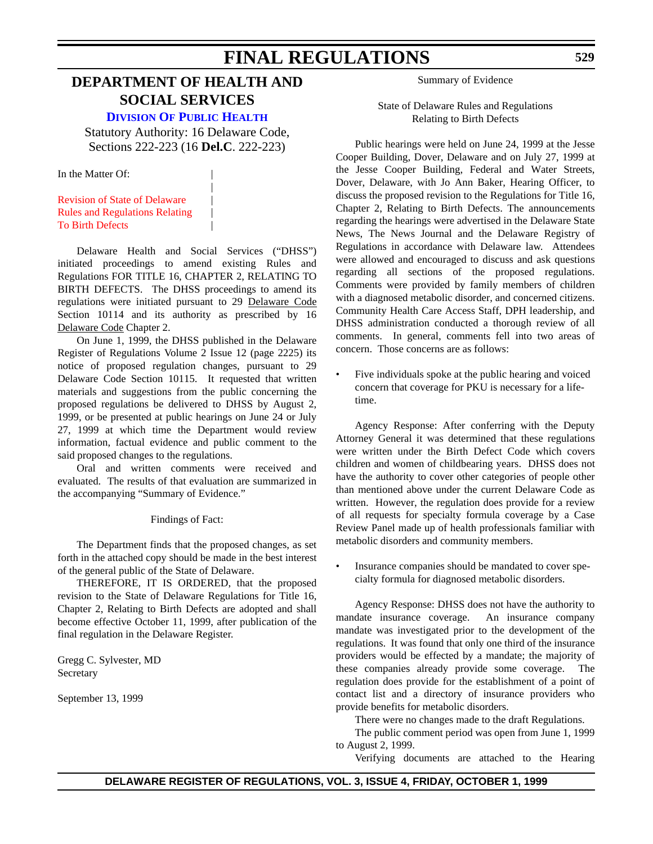## **DEPARTMENT OF HEALTH AND SOCIAL SERVICES**

**[DIVISION OF PUBLIC HEALTH](http://www.state.de.us/dhss/irm/dph/dphhome.htm)**

Statutory Authority: 16 Delaware Code, Sections 222-223 (16 **Del.C**. 222-223)

|

In the Matter Of:

Revision of State of Delaware | [Rules and Regulations Relating](#page-3-0) | To Birth Defects |

Delaware Health and Social Services ("DHSS") initiated proceedings to amend existing Rules and Regulations FOR TITLE 16, CHAPTER 2, RELATING TO BIRTH DEFECTS. The DHSS proceedings to amend its regulations were initiated pursuant to 29 Delaware Code Section 10114 and its authority as prescribed by 16 Delaware Code Chapter 2.

On June 1, 1999, the DHSS published in the Delaware Register of Regulations Volume 2 Issue 12 (page 2225) its notice of proposed regulation changes, pursuant to 29 Delaware Code Section 10115. It requested that written materials and suggestions from the public concerning the proposed regulations be delivered to DHSS by August 2, 1999, or be presented at public hearings on June 24 or July 27, 1999 at which time the Department would review information, factual evidence and public comment to the said proposed changes to the regulations.

Oral and written comments were received and evaluated. The results of that evaluation are summarized in the accompanying "Summary of Evidence."

#### Findings of Fact:

The Department finds that the proposed changes, as set forth in the attached copy should be made in the best interest of the general public of the State of Delaware.

 THEREFORE, IT IS ORDERED, that the proposed revision to the State of Delaware Regulations for Title 16, Chapter 2, Relating to Birth Defects are adopted and shall become effective October 11, 1999, after publication of the final regulation in the Delaware Register.

Gregg C. Sylvester, MD Secretary

September 13, 1999

Summary of Evidence

State of Delaware Rules and Regulations Relating to Birth Defects

Public hearings were held on June 24, 1999 at the Jesse Cooper Building, Dover, Delaware and on July 27, 1999 at the Jesse Cooper Building, Federal and Water Streets, Dover, Delaware, with Jo Ann Baker, Hearing Officer, to discuss the proposed revision to the Regulations for Title 16, Chapter 2, Relating to Birth Defects. The announcements regarding the hearings were advertised in the Delaware State News, The News Journal and the Delaware Registry of Regulations in accordance with Delaware law. Attendees were allowed and encouraged to discuss and ask questions regarding all sections of the proposed regulations. Comments were provided by family members of children with a diagnosed metabolic disorder, and concerned citizens. Community Health Care Access Staff, DPH leadership, and DHSS administration conducted a thorough review of all comments. In general, comments fell into two areas of concern. Those concerns are as follows:

Five individuals spoke at the public hearing and voiced concern that coverage for PKU is necessary for a lifetime.

Agency Response: After conferring with the Deputy Attorney General it was determined that these regulations were written under the Birth Defect Code which covers children and women of childbearing years. DHSS does not have the authority to cover other categories of people other than mentioned above under the current Delaware Code as written. However, the regulation does provide for a review of all requests for specialty formula coverage by a Case Review Panel made up of health professionals familiar with metabolic disorders and community members.

Insurance companies should be mandated to cover specialty formula for diagnosed metabolic disorders.

Agency Response: DHSS does not have the authority to mandate insurance coverage. An insurance company mandate was investigated prior to the development of the regulations. It was found that only one third of the insurance providers would be effected by a mandate; the majority of these companies already provide some coverage. The regulation does provide for the establishment of a point of contact list and a directory of insurance providers who provide benefits for metabolic disorders.

There were no changes made to the draft Regulations.

The public comment period was open from June 1, 1999 to August 2, 1999.

Verifying documents are attached to the Hearing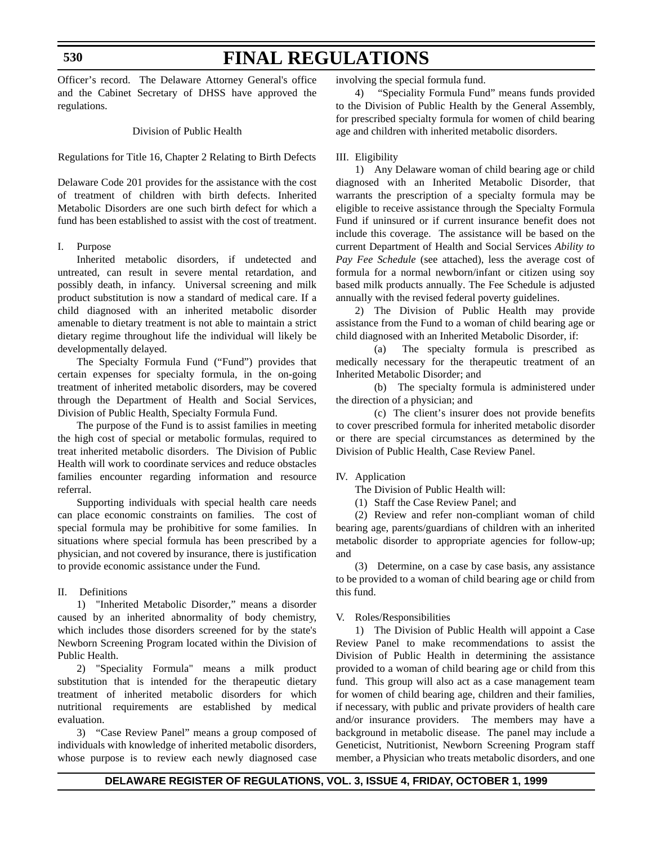#### **530**

# **FINAL REGULATIONS**

Officer's record. The Delaware Attorney General's office and the Cabinet Secretary of DHSS have approved the regulations.

Division of Public Health

Regulations for Title 16, Chapter 2 Relating to Birth Defects

Delaware Code 201 provides for the assistance with the cost of treatment of children with birth defects. Inherited Metabolic Disorders are one such birth defect for which a fund has been established to assist with the cost of treatment.

#### I. Purpose

Inherited metabolic disorders, if undetected and untreated, can result in severe mental retardation, and possibly death, in infancy. Universal screening and milk product substitution is now a standard of medical care. If a child diagnosed with an inherited metabolic disorder amenable to dietary treatment is not able to maintain a strict dietary regime throughout life the individual will likely be developmentally delayed.

The Specialty Formula Fund ("Fund") provides that certain expenses for specialty formula, in the on-going treatment of inherited metabolic disorders, may be covered through the Department of Health and Social Services, Division of Public Health, Specialty Formula Fund.

The purpose of the Fund is to assist families in meeting the high cost of special or metabolic formulas, required to treat inherited metabolic disorders. The Division of Public Health will work to coordinate services and reduce obstacles families encounter regarding information and resource referral.

Supporting individuals with special health care needs can place economic constraints on families. The cost of special formula may be prohibitive for some families. In situations where special formula has been prescribed by a physician, and not covered by insurance, there is justification to provide economic assistance under the Fund.

#### II. Definitions

1) "Inherited Metabolic Disorder," means a disorder caused by an inherited abnormality of body chemistry, which includes those disorders screened for by the state's Newborn Screening Program located within the Division of Public Health.

2) "Speciality Formula" means a milk product substitution that is intended for the therapeutic dietary treatment of inherited metabolic disorders for which nutritional requirements are established by medical evaluation.

3) "Case Review Panel" means a group composed of individuals with knowledge of inherited metabolic disorders, whose purpose is to review each newly diagnosed case involving the special formula fund.

4) "Speciality Formula Fund" means funds provided to the Division of Public Health by the General Assembly, for prescribed specialty formula for women of child bearing age and children with inherited metabolic disorders.

#### III. Eligibility

1) Any Delaware woman of child bearing age or child diagnosed with an Inherited Metabolic Disorder, that warrants the prescription of a specialty formula may be eligible to receive assistance through the Specialty Formula Fund if uninsured or if current insurance benefit does not include this coverage. The assistance will be based on the current Department of Health and Social Services *Ability to Pay Fee Schedule* (see attached), less the average cost of formula for a normal newborn/infant or citizen using soy based milk products annually. The Fee Schedule is adjusted annually with the revised federal poverty guidelines.

2) The Division of Public Health may provide assistance from the Fund to a woman of child bearing age or child diagnosed with an Inherited Metabolic Disorder, if:

(a) The specialty formula is prescribed as medically necessary for the therapeutic treatment of an Inherited Metabolic Disorder; and

(b) The specialty formula is administered under the direction of a physician; and

(c) The client's insurer does not provide benefits to cover prescribed formula for inherited metabolic disorder or there are special circumstances as determined by the Division of Public Health, Case Review Panel.

#### IV. Application

The Division of Public Health will:

(1) Staff the Case Review Panel; and

(2) Review and refer non-compliant woman of child bearing age, parents/guardians of children with an inherited metabolic disorder to appropriate agencies for follow-up; and

(3) Determine, on a case by case basis, any assistance to be provided to a woman of child bearing age or child from this fund.

#### V. Roles/Responsibilities

1) The Division of Public Health will appoint a Case Review Panel to make recommendations to assist the Division of Public Health in determining the assistance provided to a woman of child bearing age or child from this fund. This group will also act as a case management team for women of child bearing age, children and their families, if necessary, with public and private providers of health care and/or insurance providers. The members may have a background in metabolic disease. The panel may include a Geneticist, Nutritionist, Newborn Screening Program staff member, a Physician who treats metabolic disorders, and one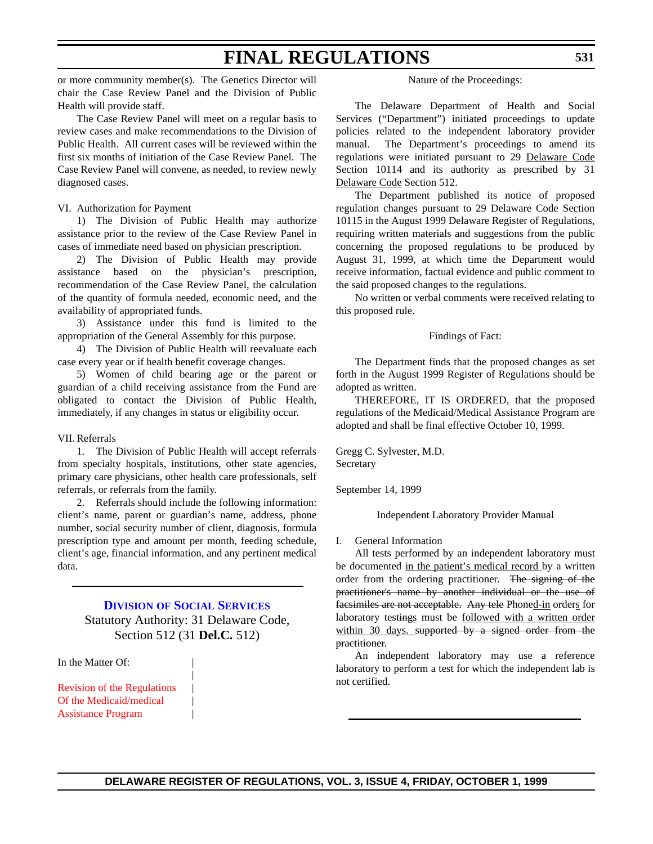or more community member(s). The Genetics Director will chair the Case Review Panel and the Division of Public Health will provide staff.

The Case Review Panel will meet on a regular basis to review cases and make recommendations to the Division of Public Health. All current cases will be reviewed within the first six months of initiation of the Case Review Panel. The Case Review Panel will convene, as needed, to review newly diagnosed cases.

#### VI. Authorization for Payment

1) The Division of Public Health may authorize assistance prior to the review of the Case Review Panel in cases of immediate need based on physician prescription.

2) The Division of Public Health may provide assistance based on the physician's prescription, recommendation of the Case Review Panel, the calculation of the quantity of formula needed, economic need, and the availability of appropriated funds.

3) Assistance under this fund is limited to the appropriation of the General Assembly for this purpose.

4) The Division of Public Health will reevaluate each case every year or if health benefit coverage changes.

5) Women of child bearing age or the parent or guardian of a child receiving assistance from the Fund are obligated to contact the Division of Public Health, immediately, if any changes in status or eligibility occur.

#### VII. Referrals

1. The Division of Public Health will accept referrals from specialty hospitals, institutions, other state agencies, primary care physicians, other health care professionals, self referrals, or referrals from the family.

2. Referrals should include the following information: client's name, parent or guardian's name, address, phone number, social security number of client, diagnosis, formula prescription type and amount per month, feeding schedule, client's age, financial information, and any pertinent medical data.

## **DIVISION [OF SOCIAL SERVICES](http://www.state.de.us/dhss/irm/dss/dsshome.htm)** Statutory Authority: 31 Delaware Code, Section 512 (31 **Del.C.** 512)

|

In the Matter Of:

[Revision of the Regulations](#page-3-0) | Of the Medicaid/medical | Assistance Program |

#### Nature of the Proceedings:

The Delaware Department of Health and Social Services ("Department") initiated proceedings to update policies related to the independent laboratory provider manual. The Department's proceedings to amend its regulations were initiated pursuant to 29 Delaware Code Section 10114 and its authority as prescribed by 31 Delaware Code Section 512.

The Department published its notice of proposed regulation changes pursuant to 29 Delaware Code Section 10115 in the August 1999 Delaware Register of Regulations, requiring written materials and suggestions from the public concerning the proposed regulations to be produced by August 31, 1999, at which time the Department would receive information, factual evidence and public comment to the said proposed changes to the regulations.

No written or verbal comments were received relating to this proposed rule.

#### Findings of Fact:

The Department finds that the proposed changes as set forth in the August 1999 Register of Regulations should be adopted as written.

THEREFORE, IT IS ORDERED, that the proposed regulations of the Medicaid/Medical Assistance Program are adopted and shall be final effective October 10, 1999.

Gregg C. Sylvester, M.D. Secretary

September 14, 1999

Independent Laboratory Provider Manual

#### I. General Information

All tests performed by an independent laboratory must be documented in the patient's medical record by a written order from the ordering practitioner. The signing of the practitioner's name by another individual or the use of facsimiles are not acceptable. Any tele Phoned-in orders for laboratory testings must be followed with a written order within 30 days. supported by a signed order from the practitioner.

An independent laboratory may use a reference laboratory to perform a test for which the independent lab is not certified.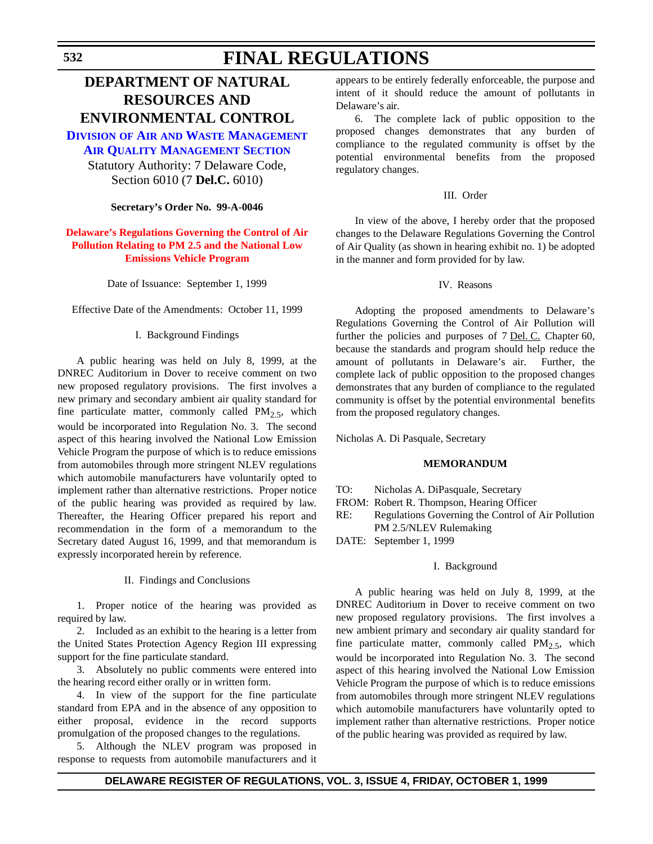## **DEPARTMENT OF NATURAL RESOURCES AND ENVIRONMENTAL CONTROL**

**DIVISION OF AIR AND WASTE MANAGEMENT [AIR QUALITY MANAGEMENT SECTION](http://www.dnrec.state.de.us/air/air_wste.htm)**

Statutory Authority: 7 Delaware Code, Section 6010 (7 **Del.C.** 6010)

**Secretary's Order No. 99-A-0046**

### **[Delaware's Regulations Governing the Control of Air](#page-3-0) Pollution Relating to PM 2.5 and the National Low Emissions Vehicle Program**

Date of Issuance: September 1, 1999

Effective Date of the Amendments: October 11, 1999

#### I. Background Findings

A public hearing was held on July 8, 1999, at the DNREC Auditorium in Dover to receive comment on two new proposed regulatory provisions. The first involves a new primary and secondary ambient air quality standard for fine particulate matter, commonly called  $PM_{2.5}$ , which would be incorporated into Regulation No. 3. The second aspect of this hearing involved the National Low Emission Vehicle Program the purpose of which is to reduce emissions from automobiles through more stringent NLEV regulations which automobile manufacturers have voluntarily opted to implement rather than alternative restrictions. Proper notice of the public hearing was provided as required by law. Thereafter, the Hearing Officer prepared his report and recommendation in the form of a memorandum to the Secretary dated August 16, 1999, and that memorandum is expressly incorporated herein by reference.

II. Findings and Conclusions

1. Proper notice of the hearing was provided as required by law.

2. Included as an exhibit to the hearing is a letter from the United States Protection Agency Region III expressing support for the fine particulate standard.

3. Absolutely no public comments were entered into the hearing record either orally or in written form.

4. In view of the support for the fine particulate standard from EPA and in the absence of any opposition to either proposal, evidence in the record supports promulgation of the proposed changes to the regulations.

5. Although the NLEV program was proposed in response to requests from automobile manufacturers and it appears to be entirely federally enforceable, the purpose and intent of it should reduce the amount of pollutants in Delaware's air.

6. The complete lack of public opposition to the proposed changes demonstrates that any burden of compliance to the regulated community is offset by the potential environmental benefits from the proposed regulatory changes.

#### III. Order

In view of the above, I hereby order that the proposed changes to the Delaware Regulations Governing the Control of Air Quality (as shown in hearing exhibit no. 1) be adopted in the manner and form provided for by law.

#### IV. Reasons

Adopting the proposed amendments to Delaware's Regulations Governing the Control of Air Pollution will further the policies and purposes of 7 Del. C. Chapter 60, because the standards and program should help reduce the amount of pollutants in Delaware's air. Further, the complete lack of public opposition to the proposed changes demonstrates that any burden of compliance to the regulated community is offset by the potential environmental benefits from the proposed regulatory changes.

Nicholas A. Di Pasquale, Secretary

#### **MEMORANDUM**

- TO: Nicholas A. DiPasquale, Secretary
- FROM: Robert R. Thompson, Hearing Officer
- RE: Regulations Governing the Control of Air Pollution PM 2.5/NLEV Rulemaking
- DATE: September 1, 1999

#### I. Background

A public hearing was held on July 8, 1999, at the DNREC Auditorium in Dover to receive comment on two new proposed regulatory provisions. The first involves a new ambient primary and secondary air quality standard for fine particulate matter, commonly called  $PM_{2.5}$ , which would be incorporated into Regulation No. 3. The second aspect of this hearing involved the National Low Emission Vehicle Program the purpose of which is to reduce emissions from automobiles through more stringent NLEV regulations which automobile manufacturers have voluntarily opted to implement rather than alternative restrictions. Proper notice of the public hearing was provided as required by law.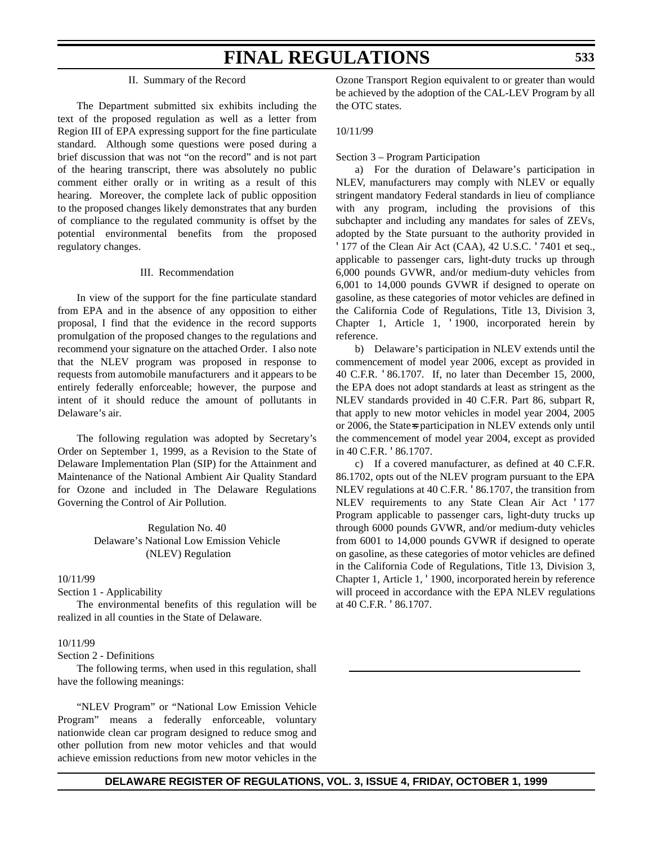#### II. Summary of the Record

The Department submitted six exhibits including the text of the proposed regulation as well as a letter from Region III of EPA expressing support for the fine particulate standard. Although some questions were posed during a brief discussion that was not "on the record" and is not part of the hearing transcript, there was absolutely no public comment either orally or in writing as a result of this hearing. Moreover, the complete lack of public opposition to the proposed changes likely demonstrates that any burden of compliance to the regulated community is offset by the potential environmental benefits from the proposed regulatory changes.

#### III. Recommendation

In view of the support for the fine particulate standard from EPA and in the absence of any opposition to either proposal, I find that the evidence in the record supports promulgation of the proposed changes to the regulations and recommend your signature on the attached Order. I also note that the NLEV program was proposed in response to requests from automobile manufacturers and it appears to be entirely federally enforceable; however, the purpose and intent of it should reduce the amount of pollutants in Delaware's air.

The following regulation was adopted by Secretary's Order on September 1, 1999, as a Revision to the State of Delaware Implementation Plan (SIP) for the Attainment and Maintenance of the National Ambient Air Quality Standard for Ozone and included in The Delaware Regulations Governing the Control of Air Pollution.

> Regulation No. 40 Delaware's National Low Emission Vehicle (NLEV) Regulation

#### 10/11/99

Section 1 - Applicability

The environmental benefits of this regulation will be realized in all counties in the State of Delaware.

#### 10/11/99

Section 2 - Definitions

The following terms, when used in this regulation, shall have the following meanings:

"NLEV Program" or "National Low Emission Vehicle Program" means a federally enforceable, voluntary nationwide clean car program designed to reduce smog and other pollution from new motor vehicles and that would achieve emission reductions from new motor vehicles in the Ozone Transport Region equivalent to or greater than would be achieved by the adoption of the CAL-LEV Program by all the OTC states.

#### 10/11/99

Section 3 – Program Participation

a) For the duration of Delaware's participation in NLEV, manufacturers may comply with NLEV or equally stringent mandatory Federal standards in lieu of compliance with any program, including the provisions of this subchapter and including any mandates for sales of ZEVs, adopted by the State pursuant to the authority provided in '177 of the Clean Air Act (CAA), 42 U.S.C. '7401 et seq., applicable to passenger cars, light-duty trucks up through 6,000 pounds GVWR, and/or medium-duty vehicles from 6,001 to 14,000 pounds GVWR if designed to operate on gasoline, as these categories of motor vehicles are defined in the California Code of Regulations, Title 13, Division 3, Chapter 1, Article 1, '1900, incorporated herein by reference.

b) Delaware's participation in NLEV extends until the commencement of model year 2006, except as provided in 40 C.F.R. '86.1707. If, no later than December 15, 2000, the EPA does not adopt standards at least as stringent as the NLEV standards provided in 40 C.F.R. Part 86, subpart R, that apply to new motor vehicles in model year 2004, 2005 or 2006, the State=s participation in NLEV extends only until the commencement of model year 2004, except as provided in 40 C.F.R. '86.1707.

c) If a covered manufacturer, as defined at 40 C.F.R. 86.1702, opts out of the NLEV program pursuant to the EPA NLEV regulations at 40 C.F.R. '86.1707, the transition from NLEV requirements to any State Clean Air Act '177 Program applicable to passenger cars, light-duty trucks up through 6000 pounds GVWR, and/or medium-duty vehicles from 6001 to 14,000 pounds GVWR if designed to operate on gasoline, as these categories of motor vehicles are defined in the California Code of Regulations, Title 13, Division 3, Chapter 1, Article 1, '1900, incorporated herein by reference will proceed in accordance with the EPA NLEV regulations at 40 C.F.R. '86.1707.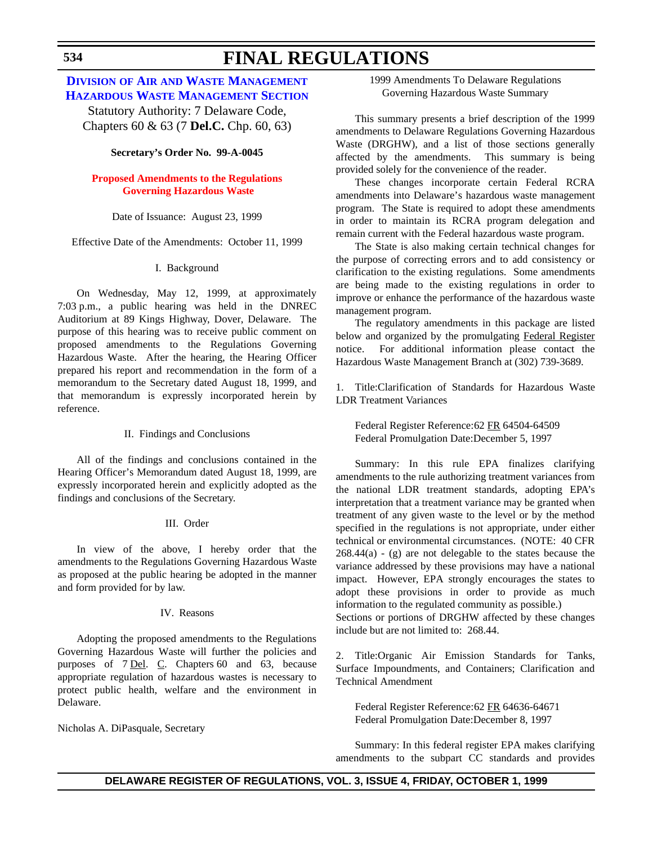## **DIVISION OF AIR AND WASTE MANAGEMENT [HAZARDOUS WASTE MANAGEMENT SECTION](http://www.dnrec.state.de.us/air/air_wste.htm)**

Statutory Authority: 7 Delaware Code, Chapters 60 & 63 (7 **Del.C.** Chp. 60, 63)

#### **Secretary's Order No. 99-A-0045**

## **[Proposed Amendments to the Regulations](#page-3-0) Governing Hazardous Waste**

#### Date of Issuance: August 23, 1999

Effective Date of the Amendments: October 11, 1999

## I. Background

On Wednesday, May 12, 1999, at approximately 7:03 p.m., a public hearing was held in the DNREC Auditorium at 89 Kings Highway, Dover, Delaware. The purpose of this hearing was to receive public comment on proposed amendments to the Regulations Governing Hazardous Waste. After the hearing, the Hearing Officer prepared his report and recommendation in the form of a memorandum to the Secretary dated August 18, 1999, and that memorandum is expressly incorporated herein by reference.

#### II. Findings and Conclusions

All of the findings and conclusions contained in the Hearing Officer's Memorandum dated August 18, 1999, are expressly incorporated herein and explicitly adopted as the findings and conclusions of the Secretary.

#### III. Order

In view of the above, I hereby order that the amendments to the Regulations Governing Hazardous Waste as proposed at the public hearing be adopted in the manner and form provided for by law.

## IV. Reasons

Adopting the proposed amendments to the Regulations Governing Hazardous Waste will further the policies and purposes of 7 <u>Del</u>. C. Chapters 60 and 63, because appropriate regulation of hazardous wastes is necessary to protect public health, welfare and the environment in Delaware.

Nicholas A. DiPasquale, Secretary

1999 Amendments To Delaware Regulations Governing Hazardous Waste Summary

This summary presents a brief description of the 1999 amendments to Delaware Regulations Governing Hazardous Waste (DRGHW), and a list of those sections generally affected by the amendments. This summary is being provided solely for the convenience of the reader.

These changes incorporate certain Federal RCRA amendments into Delaware's hazardous waste management program. The State is required to adopt these amendments in order to maintain its RCRA program delegation and remain current with the Federal hazardous waste program.

The State is also making certain technical changes for the purpose of correcting errors and to add consistency or clarification to the existing regulations. Some amendments are being made to the existing regulations in order to improve or enhance the performance of the hazardous waste management program.

The regulatory amendments in this package are listed below and organized by the promulgating Federal Register notice. For additional information please contact the Hazardous Waste Management Branch at (302) 739-3689.

1. Title:Clarification of Standards for Hazardous Waste LDR Treatment Variances

Federal Register Reference:62 FR 64504-64509 Federal Promulgation Date:December 5, 1997

Summary: In this rule EPA finalizes clarifying amendments to the rule authorizing treatment variances from the national LDR treatment standards, adopting EPA's interpretation that a treatment variance may be granted when treatment of any given waste to the level or by the method specified in the regulations is not appropriate, under either technical or environmental circumstances. (NOTE: 40 CFR  $268.44(a)$  - (g) are not delegable to the states because the variance addressed by these provisions may have a national impact. However, EPA strongly encourages the states to adopt these provisions in order to provide as much information to the regulated community as possible.) Sections or portions of DRGHW affected by these changes

include but are not limited to: 268.44.

2. Title:Organic Air Emission Standards for Tanks, Surface Impoundments, and Containers; Clarification and Technical Amendment

Federal Register Reference:62 FR 64636-64671 Federal Promulgation Date:December 8, 1997

Summary: In this federal register EPA makes clarifying amendments to the subpart CC standards and provides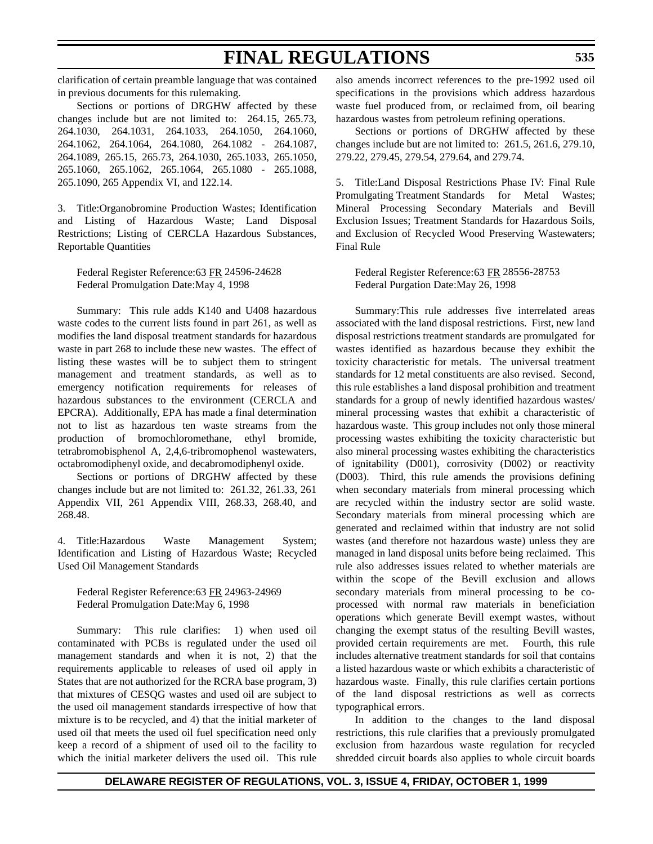clarification of certain preamble language that was contained in previous documents for this rulemaking.

Sections or portions of DRGHW affected by these changes include but are not limited to: 264.15, 265.73, 264.1030, 264.1031, 264.1033, 264.1050, 264.1060, 264.1062, 264.1064, 264.1080, 264.1082 - 264.1087, 264.1089, 265.15, 265.73, 264.1030, 265.1033, 265.1050, 265.1060, 265.1062, 265.1064, 265.1080 - 265.1088, 265.1090, 265 Appendix VI, and 122.14.

3. Title:Organobromine Production Wastes; Identification and Listing of Hazardous Waste; Land Disposal Restrictions; Listing of CERCLA Hazardous Substances, Reportable Quantities

Federal Register Reference:63 FR 24596-24628 Federal Promulgation Date:May 4, 1998

Summary: This rule adds K140 and U408 hazardous waste codes to the current lists found in part 261, as well as modifies the land disposal treatment standards for hazardous waste in part 268 to include these new wastes. The effect of listing these wastes will be to subject them to stringent management and treatment standards, as well as to emergency notification requirements for releases of hazardous substances to the environment (CERCLA and EPCRA). Additionally, EPA has made a final determination not to list as hazardous ten waste streams from the production of bromochloromethane, ethyl bromide, tetrabromobisphenol A, 2,4,6-tribromophenol wastewaters, octabromodiphenyl oxide, and decabromodiphenyl oxide.

Sections or portions of DRGHW affected by these changes include but are not limited to: 261.32, 261.33, 261 Appendix VII, 261 Appendix VIII, 268.33, 268.40, and 268.48.

4. Title:Hazardous Waste Management System; Identification and Listing of Hazardous Waste; Recycled Used Oil Management Standards

Federal Register Reference:63 FR 24963-24969 Federal Promulgation Date:May 6, 1998

Summary: This rule clarifies: 1) when used oil contaminated with PCBs is regulated under the used oil management standards and when it is not, 2) that the requirements applicable to releases of used oil apply in States that are not authorized for the RCRA base program, 3) that mixtures of CESQG wastes and used oil are subject to the used oil management standards irrespective of how that mixture is to be recycled, and 4) that the initial marketer of used oil that meets the used oil fuel specification need only keep a record of a shipment of used oil to the facility to which the initial marketer delivers the used oil. This rule also amends incorrect references to the pre-1992 used oil specifications in the provisions which address hazardous waste fuel produced from, or reclaimed from, oil bearing hazardous wastes from petroleum refining operations.

Sections or portions of DRGHW affected by these changes include but are not limited to: 261.5, 261.6, 279.10, 279.22, 279.45, 279.54, 279.64, and 279.74.

5. Title:Land Disposal Restrictions Phase IV: Final Rule Promulgating Treatment Standards for Metal Wastes; Mineral Processing Secondary Materials and Bevill Exclusion Issues; Treatment Standards for Hazardous Soils, and Exclusion of Recycled Wood Preserving Wastewaters; Final Rule

Federal Register Reference:63 FR 28556-28753 Federal Purgation Date:May 26, 1998

Summary:This rule addresses five interrelated areas associated with the land disposal restrictions. First, new land disposal restrictions treatment standards are promulgated for wastes identified as hazardous because they exhibit the toxicity characteristic for metals. The universal treatment standards for 12 metal constituents are also revised. Second, this rule establishes a land disposal prohibition and treatment standards for a group of newly identified hazardous wastes/ mineral processing wastes that exhibit a characteristic of hazardous waste. This group includes not only those mineral processing wastes exhibiting the toxicity characteristic but also mineral processing wastes exhibiting the characteristics of ignitability (D001), corrosivity (D002) or reactivity (D003). Third, this rule amends the provisions defining when secondary materials from mineral processing which are recycled within the industry sector are solid waste. Secondary materials from mineral processing which are generated and reclaimed within that industry are not solid wastes (and therefore not hazardous waste) unless they are managed in land disposal units before being reclaimed. This rule also addresses issues related to whether materials are within the scope of the Bevill exclusion and allows secondary materials from mineral processing to be coprocessed with normal raw materials in beneficiation operations which generate Bevill exempt wastes, without changing the exempt status of the resulting Bevill wastes, provided certain requirements are met. Fourth, this rule includes alternative treatment standards for soil that contains a listed hazardous waste or which exhibits a characteristic of hazardous waste. Finally, this rule clarifies certain portions of the land disposal restrictions as well as corrects typographical errors.

In addition to the changes to the land disposal restrictions, this rule clarifies that a previously promulgated exclusion from hazardous waste regulation for recycled shredded circuit boards also applies to whole circuit boards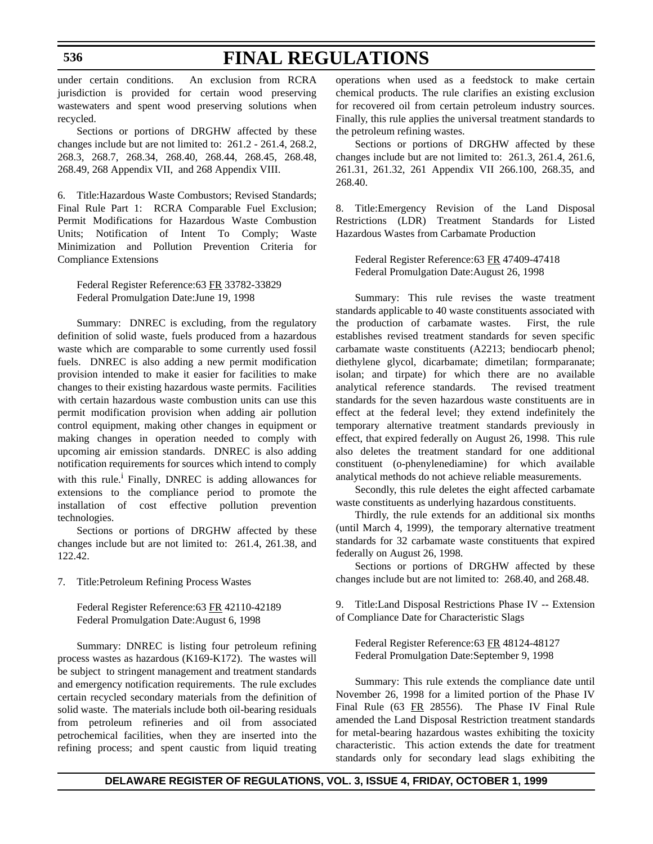under certain conditions. An exclusion from RCRA jurisdiction is provided for certain wood preserving wastewaters and spent wood preserving solutions when recycled.

Sections or portions of DRGHW affected by these changes include but are not limited to: 261.2 - 261.4, 268.2, 268.3, 268.7, 268.34, 268.40, 268.44, 268.45, 268.48, 268.49, 268 Appendix VII, and 268 Appendix VIII.

6. Title:Hazardous Waste Combustors; Revised Standards; Final Rule Part 1: RCRA Comparable Fuel Exclusion; Permit Modifications for Hazardous Waste Combustion Units; Notification of Intent To Comply; Waste Minimization and Pollution Prevention Criteria for Compliance Extensions

Federal Register Reference:63 FR 33782-33829 Federal Promulgation Date:June 19, 1998

Summary: DNREC is excluding, from the regulatory definition of solid waste, fuels produced from a hazardous waste which are comparable to some currently used fossil fuels. DNREC is also adding a new permit modification provision intended to make it easier for facilities to make changes to their existing hazardous waste permits. Facilities with certain hazardous waste combustion units can use this permit modification provision when adding air pollution control equipment, making other changes in equipment or making changes in operation needed to comply with upcoming air emission standards. DNREC is also adding notification requirements for sources which intend to comply with this rule.<sup>1</sup> Finally, DNREC is adding allowances for extensions to the compliance period to promote the installation of cost effective pollution prevention technologies.

Sections or portions of DRGHW affected by these changes include but are not limited to: 261.4, 261.38, and 122.42.

7. Title:Petroleum Refining Process Wastes

Federal Register Reference:63 FR 42110-42189 Federal Promulgation Date:August 6, 1998

Summary: DNREC is listing four petroleum refining process wastes as hazardous (K169-K172). The wastes will be subject to stringent management and treatment standards and emergency notification requirements. The rule excludes certain recycled secondary materials from the definition of solid waste. The materials include both oil-bearing residuals from petroleum refineries and oil from associated petrochemical facilities, when they are inserted into the refining process; and spent caustic from liquid treating

operations when used as a feedstock to make certain chemical products. The rule clarifies an existing exclusion for recovered oil from certain petroleum industry sources. Finally, this rule applies the universal treatment standards to the petroleum refining wastes.

Sections or portions of DRGHW affected by these changes include but are not limited to: 261.3, 261.4, 261.6, 261.31, 261.32, 261 Appendix VII 266.100, 268.35, and 268.40.

8. Title:Emergency Revision of the Land Disposal Restrictions (LDR) Treatment Standards for Listed Hazardous Wastes from Carbamate Production

Federal Register Reference:63 FR 47409-47418 Federal Promulgation Date:August 26, 1998

Summary: This rule revises the waste treatment standards applicable to 40 waste constituents associated with the production of carbamate wastes. First, the rule establishes revised treatment standards for seven specific carbamate waste constituents (A2213; bendiocarb phenol; diethylene glycol, dicarbamate; dimetilan; formparanate; isolan; and tirpate) for which there are no available analytical reference standards. The revised treatment standards for the seven hazardous waste constituents are in effect at the federal level; they extend indefinitely the temporary alternative treatment standards previously in effect, that expired federally on August 26, 1998. This rule also deletes the treatment standard for one additional constituent (o-phenylenediamine) for which available analytical methods do not achieve reliable measurements.

Secondly, this rule deletes the eight affected carbamate waste constituents as underlying hazardous constituents.

Thirdly, the rule extends for an additional six months (until March 4, 1999), the temporary alternative treatment standards for 32 carbamate waste constituents that expired federally on August 26, 1998.

Sections or portions of DRGHW affected by these changes include but are not limited to: 268.40, and 268.48.

9. Title:Land Disposal Restrictions Phase IV -- Extension of Compliance Date for Characteristic Slags

Federal Register Reference:63 FR 48124-48127 Federal Promulgation Date:September 9, 1998

Summary: This rule extends the compliance date until November 26, 1998 for a limited portion of the Phase IV Final Rule (63 FR 28556). The Phase IV Final Rule amended the Land Disposal Restriction treatment standards for metal-bearing hazardous wastes exhibiting the toxicity characteristic. This action extends the date for treatment standards only for secondary lead slags exhibiting the

## **DELAWARE REGISTER OF REGULATIONS, VOL. 3, ISSUE 4, FRIDAY, OCTOBER 1, 1999**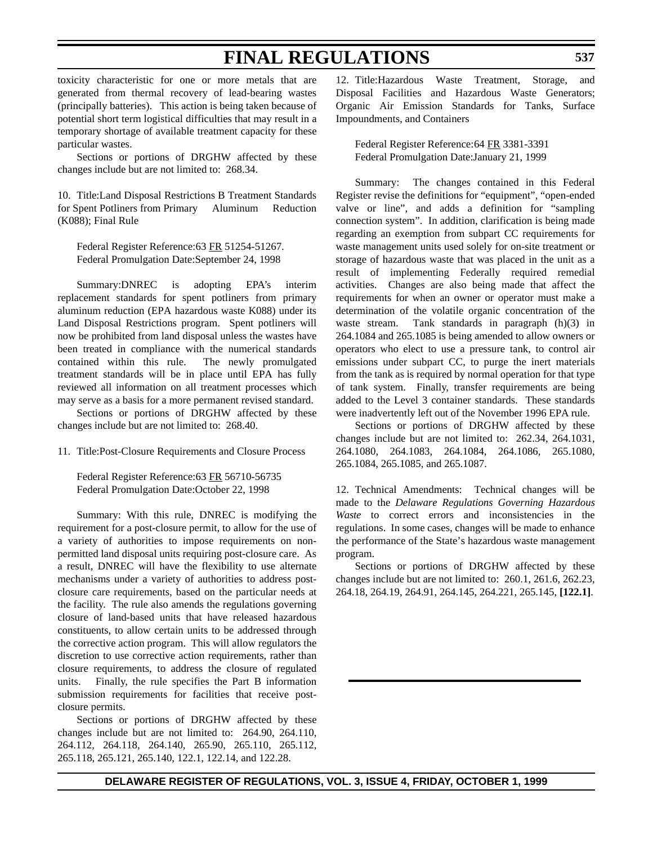toxicity characteristic for one or more metals that are generated from thermal recovery of lead-bearing wastes (principally batteries). This action is being taken because of potential short term logistical difficulties that may result in a temporary shortage of available treatment capacity for these particular wastes.

Sections or portions of DRGHW affected by these changes include but are not limited to: 268.34.

10. Title:Land Disposal Restrictions B Treatment Standards for Spent Potliners from Primary Aluminum Reduction (K088); Final Rule

Federal Register Reference:63 FR 51254-51267. Federal Promulgation Date:September 24, 1998

Summary:DNREC is adopting EPA's interim replacement standards for spent potliners from primary aluminum reduction (EPA hazardous waste K088) under its Land Disposal Restrictions program. Spent potliners will now be prohibited from land disposal unless the wastes have been treated in compliance with the numerical standards contained within this rule. The newly promulgated treatment standards will be in place until EPA has fully reviewed all information on all treatment processes which may serve as a basis for a more permanent revised standard.

Sections or portions of DRGHW affected by these changes include but are not limited to: 268.40.

11. Title:Post-Closure Requirements and Closure Process

Federal Register Reference:63 FR 56710-56735 Federal Promulgation Date:October 22, 1998

Summary: With this rule, DNREC is modifying the requirement for a post-closure permit, to allow for the use of a variety of authorities to impose requirements on nonpermitted land disposal units requiring post-closure care. As a result, DNREC will have the flexibility to use alternate mechanisms under a variety of authorities to address postclosure care requirements, based on the particular needs at the facility. The rule also amends the regulations governing closure of land-based units that have released hazardous constituents, to allow certain units to be addressed through the corrective action program. This will allow regulators the discretion to use corrective action requirements, rather than closure requirements, to address the closure of regulated units. Finally, the rule specifies the Part B information submission requirements for facilities that receive postclosure permits.

Sections or portions of DRGHW affected by these changes include but are not limited to: 264.90, 264.110, 264.112, 264.118, 264.140, 265.90, 265.110, 265.112, 265.118, 265.121, 265.140, 122.1, 122.14, and 122.28.

12. Title:Hazardous Waste Treatment, Storage, and Disposal Facilities and Hazardous Waste Generators; Organic Air Emission Standards for Tanks, Surface Impoundments, and Containers

Federal Register Reference:64 FR 3381-3391 Federal Promulgation Date:January 21, 1999

Summary: The changes contained in this Federal Register revise the definitions for "equipment", "open-ended valve or line", and adds a definition for "sampling connection system". In addition, clarification is being made regarding an exemption from subpart CC requirements for waste management units used solely for on-site treatment or storage of hazardous waste that was placed in the unit as a result of implementing Federally required remedial activities. Changes are also being made that affect the requirements for when an owner or operator must make a determination of the volatile organic concentration of the waste stream. Tank standards in paragraph (h)(3) in 264.1084 and 265.1085 is being amended to allow owners or operators who elect to use a pressure tank, to control air emissions under subpart CC, to purge the inert materials from the tank as is required by normal operation for that type of tank system. Finally, transfer requirements are being added to the Level 3 container standards. These standards were inadvertently left out of the November 1996 EPA rule.

Sections or portions of DRGHW affected by these changes include but are not limited to: 262.34, 264.1031, 264.1080, 264.1083, 264.1084, 264.1086, 265.1080, 265.1084, 265.1085, and 265.1087.

12. Technical Amendments: Technical changes will be made to the *Delaware Regulations Governing Hazardous Waste* to correct errors and inconsistencies in the regulations. In some cases, changes will be made to enhance the performance of the State's hazardous waste management program.

Sections or portions of DRGHW affected by these changes include but are not limited to: 260.1, 261.6, 262.23, 264.18, 264.19, 264.91, 264.145, 264.221, 265.145, **[122.1]**.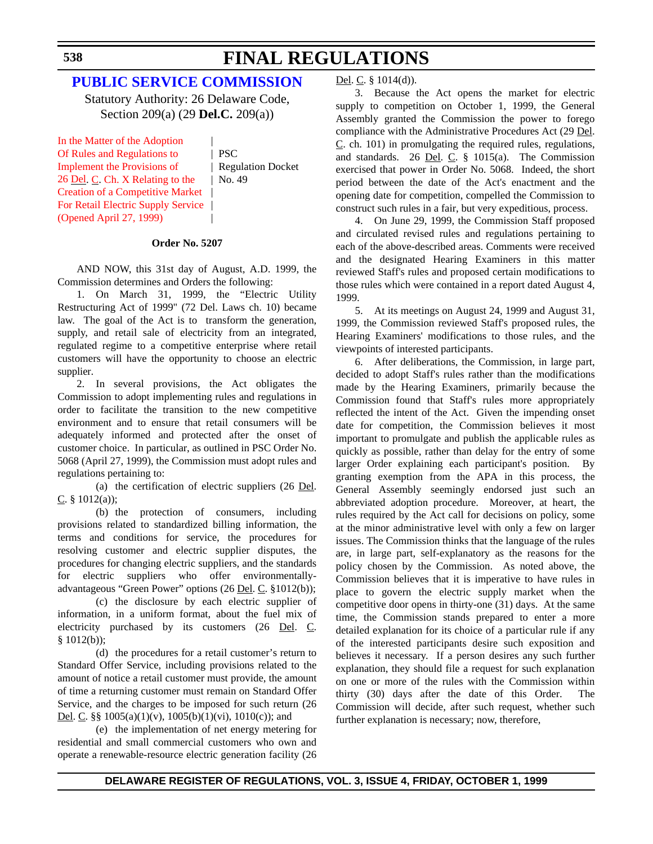## **[PUBLIC SERVICE COMMISSION](http://www.state.de.us/delpsc/index.html)**

Statutory Authority: 26 Delaware Code, Section 209(a) (29 **Del.C.** 209(a))

In the Matter of the Adoption | Of Rules and Regulations to | PSC Implement the Provisions of | Regulation Docket 26 Del. C. Ch. X Relating to the  $\vert$  No. 49 Creation of a Competitive Market | [For Retail Electric Supply Service](#page-4-0) (Opened April 27, 1999) |

#### **Order No. 5207**

AND NOW, this 31st day of August, A.D. 1999, the Commission determines and Orders the following:

1. On March 31, 1999, the "Electric Utility Restructuring Act of 1999" (72 Del. Laws ch. 10) became law. The goal of the Act is to transform the generation, supply, and retail sale of electricity from an integrated, regulated regime to a competitive enterprise where retail customers will have the opportunity to choose an electric supplier.

2. In several provisions, the Act obligates the Commission to adopt implementing rules and regulations in order to facilitate the transition to the new competitive environment and to ensure that retail consumers will be adequately informed and protected after the onset of customer choice. In particular, as outlined in PSC Order No. 5068 (April 27, 1999), the Commission must adopt rules and regulations pertaining to:

(a) the certification of electric suppliers (26 Del. C. § 1012(a));

(b) the protection of consumers, including provisions related to standardized billing information, the terms and conditions for service, the procedures for resolving customer and electric supplier disputes, the procedures for changing electric suppliers, and the standards for electric suppliers who offer environmentallyadvantageous "Green Power" options (26 Del. C. §1012(b));

(c) the disclosure by each electric supplier of information, in a uniform format, about the fuel mix of electricity purchased by its customers (26 Del. C. § 1012(b));

(d) the procedures for a retail customer's return to Standard Offer Service, including provisions related to the amount of notice a retail customer must provide, the amount of time a returning customer must remain on Standard Offer Service, and the charges to be imposed for such return (26 Del. C. §§  $1005(a)(1)(v)$ ,  $1005(b)(1)(vi)$ ,  $1010(c)$ ; and

(e) the implementation of net energy metering for residential and small commercial customers who own and operate a renewable-resource electric generation facility (26

#### Del. C. § 1014(d)).

3. Because the Act opens the market for electric supply to competition on October 1, 1999, the General Assembly granted the Commission the power to forego compliance with the Administrative Procedures Act (29 Del.  $C$ . ch. 101) in promulgating the required rules, regulations, and standards. 26 Del. C.  $\S$  1015(a). The Commission exercised that power in Order No. 5068. Indeed, the short period between the date of the Act's enactment and the opening date for competition, compelled the Commission to construct such rules in a fair, but very expeditious, process.

4. On June 29, 1999, the Commission Staff proposed and circulated revised rules and regulations pertaining to each of the above-described areas. Comments were received and the designated Hearing Examiners in this matter reviewed Staff's rules and proposed certain modifications to those rules which were contained in a report dated August 4, 1999.

5. At its meetings on August 24, 1999 and August 31, 1999, the Commission reviewed Staff's proposed rules, the Hearing Examiners' modifications to those rules, and the viewpoints of interested participants.

6. After deliberations, the Commission, in large part, decided to adopt Staff's rules rather than the modifications made by the Hearing Examiners, primarily because the Commission found that Staff's rules more appropriately reflected the intent of the Act. Given the impending onset date for competition, the Commission believes it most important to promulgate and publish the applicable rules as quickly as possible, rather than delay for the entry of some larger Order explaining each participant's position. By granting exemption from the APA in this process, the General Assembly seemingly endorsed just such an abbreviated adoption procedure. Moreover, at heart, the rules required by the Act call for decisions on policy, some at the minor administrative level with only a few on larger issues. The Commission thinks that the language of the rules are, in large part, self-explanatory as the reasons for the policy chosen by the Commission. As noted above, the Commission believes that it is imperative to have rules in place to govern the electric supply market when the competitive door opens in thirty-one (31) days. At the same time, the Commission stands prepared to enter a more detailed explanation for its choice of a particular rule if any of the interested participants desire such exposition and believes it necessary. If a person desires any such further explanation, they should file a request for such explanation on one or more of the rules with the Commission within thirty (30) days after the date of this Order. The Commission will decide, after such request, whether such further explanation is necessary; now, therefore,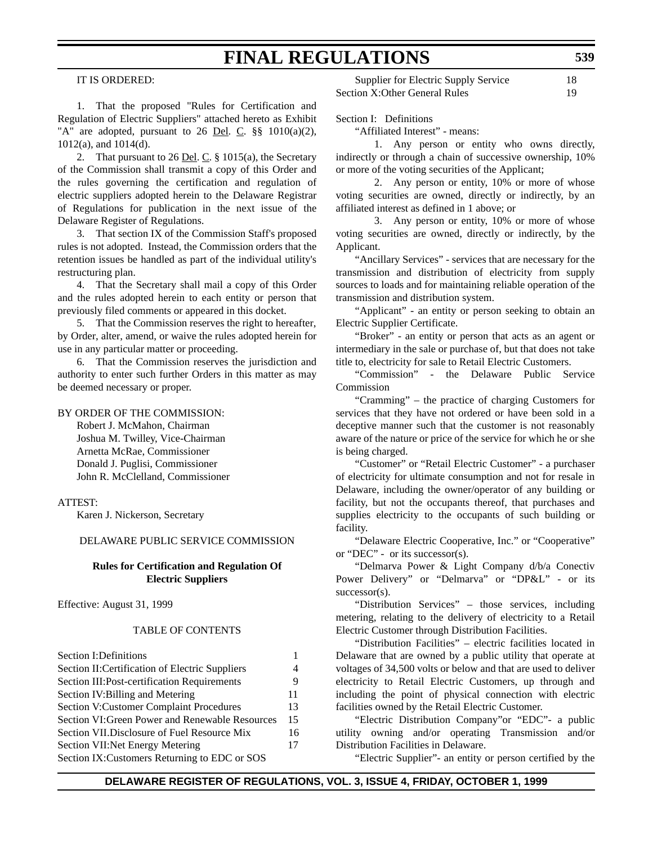IT IS ORDERED:

1. That the proposed "Rules for Certification and Regulation of Electric Suppliers" attached hereto as Exhibit "A" are adopted, pursuant to 26 Del. C.  $\S$ § 1010(a)(2), 1012(a), and 1014(d).

2. That pursuant to 26 Del. C.  $\S$  1015(a), the Secretary of the Commission shall transmit a copy of this Order and the rules governing the certification and regulation of electric suppliers adopted herein to the Delaware Registrar of Regulations for publication in the next issue of the Delaware Register of Regulations.

3. That section IX of the Commission Staff's proposed rules is not adopted. Instead, the Commission orders that the retention issues be handled as part of the individual utility's restructuring plan.

4. That the Secretary shall mail a copy of this Order and the rules adopted herein to each entity or person that previously filed comments or appeared in this docket.

5. That the Commission reserves the right to hereafter, by Order, alter, amend, or waive the rules adopted herein for use in any particular matter or proceeding.

6. That the Commission reserves the jurisdiction and authority to enter such further Orders in this matter as may be deemed necessary or proper.

#### BY ORDER OF THE COMMISSION:

Robert J. McMahon, Chairman Joshua M. Twilley, Vice-Chairman Arnetta McRae, Commissioner Donald J. Puglisi, Commissioner John R. McClelland, Commissioner

#### ATTEST:

Karen J. Nickerson, Secretary

### DELAWARE PUBLIC SERVICE COMMISSION

#### **Rules for Certification and Regulation Of Electric Suppliers**

Effective: August 31, 1999

#### TABLE OF CONTENTS

| <b>Section I: Definitions</b>                   |    |
|-------------------------------------------------|----|
| Section II: Certification of Electric Suppliers | 4  |
| Section III: Post-certification Requirements    | 9  |
| Section IV: Billing and Metering                | 11 |
| <b>Section V:Customer Complaint Procedures</b>  | 13 |
| Section VI: Green Power and Renewable Resources | 15 |
| Section VII. Disclosure of Fuel Resource Mix    | 16 |
| Section VII: Net Energy Metering                | 17 |
| Section IX: Customers Returning to EDC or SOS   |    |

| Supplier for Electric Supply Service | 18 |
|--------------------------------------|----|
| Section X:Other General Rules        | 19 |

Section I: Definitions

"Affiliated Interest" - means:

1. Any person or entity who owns directly, indirectly or through a chain of successive ownership, 10% or more of the voting securities of the Applicant;

2. Any person or entity, 10% or more of whose voting securities are owned, directly or indirectly, by an affiliated interest as defined in 1 above; or

3. Any person or entity, 10% or more of whose voting securities are owned, directly or indirectly, by the Applicant.

"Ancillary Services" - services that are necessary for the transmission and distribution of electricity from supply sources to loads and for maintaining reliable operation of the transmission and distribution system.

"Applicant" - an entity or person seeking to obtain an Electric Supplier Certificate.

"Broker" - an entity or person that acts as an agent or intermediary in the sale or purchase of, but that does not take title to, electricity for sale to Retail Electric Customers.

"Commission" - the Delaware Public Service Commission

"Cramming" – the practice of charging Customers for services that they have not ordered or have been sold in a deceptive manner such that the customer is not reasonably aware of the nature or price of the service for which he or she is being charged.

"Customer" or "Retail Electric Customer" - a purchaser of electricity for ultimate consumption and not for resale in Delaware, including the owner/operator of any building or facility, but not the occupants thereof, that purchases and supplies electricity to the occupants of such building or facility.

"Delaware Electric Cooperative, Inc." or "Cooperative" or "DEC" - or its successor(s).

"Delmarva Power & Light Company d/b/a Conectiv Power Delivery" or "Delmarva" or "DP&L" - or its successor(s).

"Distribution Services" – those services, including metering, relating to the delivery of electricity to a Retail Electric Customer through Distribution Facilities.

"Distribution Facilities" – electric facilities located in Delaware that are owned by a public utility that operate at voltages of 34,500 volts or below and that are used to deliver electricity to Retail Electric Customers, up through and including the point of physical connection with electric facilities owned by the Retail Electric Customer.

"Electric Distribution Company"or "EDC"- a public utility owning and/or operating Transmission and/or Distribution Facilities in Delaware.

"Electric Supplier"- an entity or person certified by the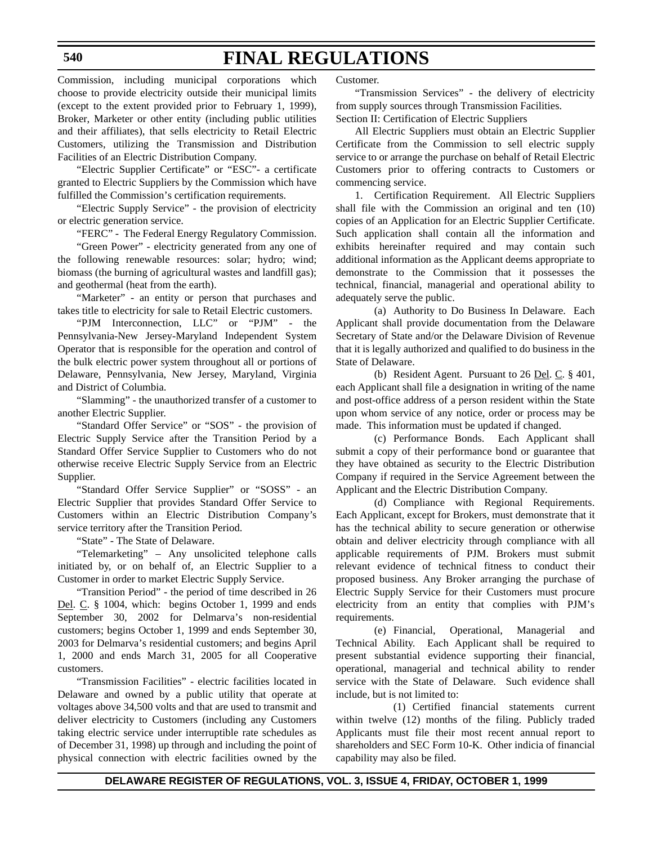Commission, including municipal corporations which choose to provide electricity outside their municipal limits (except to the extent provided prior to February 1, 1999), Broker, Marketer or other entity (including public utilities and their affiliates), that sells electricity to Retail Electric Customers, utilizing the Transmission and Distribution Facilities of an Electric Distribution Company.

"Electric Supplier Certificate" or "ESC"- a certificate granted to Electric Suppliers by the Commission which have fulfilled the Commission's certification requirements.

"Electric Supply Service" - the provision of electricity or electric generation service.

"FERC" - The Federal Energy Regulatory Commission.

"Green Power" - electricity generated from any one of the following renewable resources: solar; hydro; wind; biomass (the burning of agricultural wastes and landfill gas); and geothermal (heat from the earth).

"Marketer" - an entity or person that purchases and takes title to electricity for sale to Retail Electric customers.

"PJM Interconnection, LLC" or "PJM" - the Pennsylvania-New Jersey-Maryland Independent System Operator that is responsible for the operation and control of the bulk electric power system throughout all or portions of Delaware, Pennsylvania, New Jersey, Maryland, Virginia and District of Columbia.

"Slamming" - the unauthorized transfer of a customer to another Electric Supplier.

"Standard Offer Service" or "SOS" - the provision of Electric Supply Service after the Transition Period by a Standard Offer Service Supplier to Customers who do not otherwise receive Electric Supply Service from an Electric Supplier.

"Standard Offer Service Supplier" or "SOSS" - an Electric Supplier that provides Standard Offer Service to Customers within an Electric Distribution Company's service territory after the Transition Period.

"State" - The State of Delaware.

"Telemarketing" – Any unsolicited telephone calls initiated by, or on behalf of, an Electric Supplier to a Customer in order to market Electric Supply Service.

"Transition Period" - the period of time described in 26 Del. C. § 1004, which: begins October 1, 1999 and ends September 30, 2002 for Delmarva's non-residential customers; begins October 1, 1999 and ends September 30, 2003 for Delmarva's residential customers; and begins April 1, 2000 and ends March 31, 2005 for all Cooperative customers.

"Transmission Facilities" - electric facilities located in Delaware and owned by a public utility that operate at voltages above 34,500 volts and that are used to transmit and deliver electricity to Customers (including any Customers taking electric service under interruptible rate schedules as of December 31, 1998) up through and including the point of physical connection with electric facilities owned by the Customer.

"Transmission Services" - the delivery of electricity from supply sources through Transmission Facilities. Section II: Certification of Electric Suppliers

All Electric Suppliers must obtain an Electric Supplier Certificate from the Commission to sell electric supply service to or arrange the purchase on behalf of Retail Electric Customers prior to offering contracts to Customers or commencing service.

1. Certification Requirement. All Electric Suppliers shall file with the Commission an original and ten (10) copies of an Application for an Electric Supplier Certificate. Such application shall contain all the information and exhibits hereinafter required and may contain such additional information as the Applicant deems appropriate to demonstrate to the Commission that it possesses the technical, financial, managerial and operational ability to adequately serve the public.

(a) Authority to Do Business In Delaware. Each Applicant shall provide documentation from the Delaware Secretary of State and/or the Delaware Division of Revenue that it is legally authorized and qualified to do business in the State of Delaware.

(b) Resident Agent. Pursuant to 26 Del. C. § 401, each Applicant shall file a designation in writing of the name and post-office address of a person resident within the State upon whom service of any notice, order or process may be made. This information must be updated if changed.

(c) Performance Bonds. Each Applicant shall submit a copy of their performance bond or guarantee that they have obtained as security to the Electric Distribution Company if required in the Service Agreement between the Applicant and the Electric Distribution Company.

(d) Compliance with Regional Requirements. Each Applicant, except for Brokers, must demonstrate that it has the technical ability to secure generation or otherwise obtain and deliver electricity through compliance with all applicable requirements of PJM. Brokers must submit relevant evidence of technical fitness to conduct their proposed business. Any Broker arranging the purchase of Electric Supply Service for their Customers must procure electricity from an entity that complies with PJM's requirements.

(e) Financial, Operational, Managerial and Technical Ability. Each Applicant shall be required to present substantial evidence supporting their financial, operational, managerial and technical ability to render service with the State of Delaware. Such evidence shall include, but is not limited to:

(1) Certified financial statements current within twelve (12) months of the filing. Publicly traded Applicants must file their most recent annual report to shareholders and SEC Form 10-K. Other indicia of financial capability may also be filed.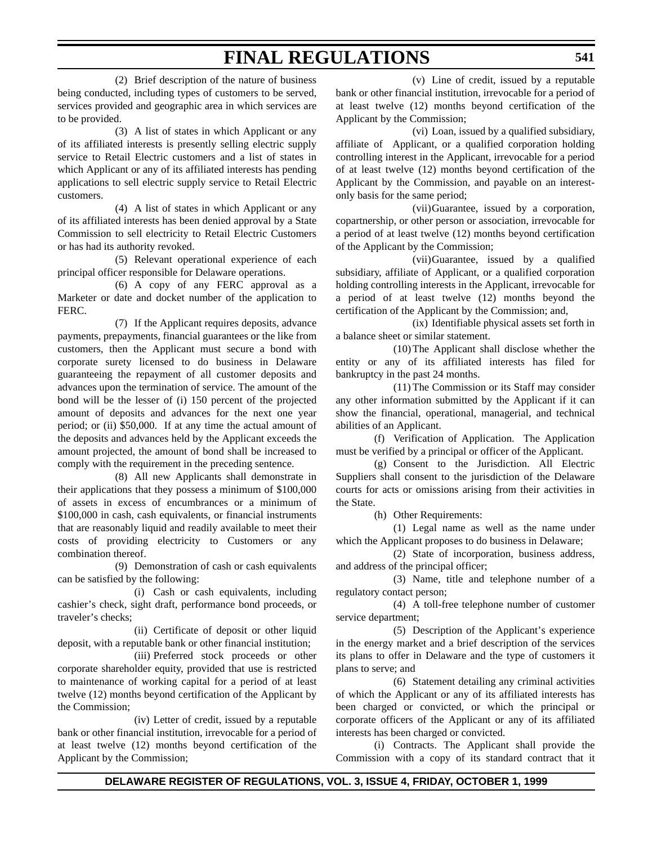(2) Brief description of the nature of business being conducted, including types of customers to be served, services provided and geographic area in which services are to be provided.

(3) A list of states in which Applicant or any of its affiliated interests is presently selling electric supply service to Retail Electric customers and a list of states in which Applicant or any of its affiliated interests has pending applications to sell electric supply service to Retail Electric customers.

(4) A list of states in which Applicant or any of its affiliated interests has been denied approval by a State Commission to sell electricity to Retail Electric Customers or has had its authority revoked.

(5) Relevant operational experience of each principal officer responsible for Delaware operations.

(6) A copy of any FERC approval as a Marketer or date and docket number of the application to FERC.

(7) If the Applicant requires deposits, advance payments, prepayments, financial guarantees or the like from customers, then the Applicant must secure a bond with corporate surety licensed to do business in Delaware guaranteeing the repayment of all customer deposits and advances upon the termination of service. The amount of the bond will be the lesser of (i) 150 percent of the projected amount of deposits and advances for the next one year period; or (ii) \$50,000. If at any time the actual amount of the deposits and advances held by the Applicant exceeds the amount projected, the amount of bond shall be increased to comply with the requirement in the preceding sentence.

(8) All new Applicants shall demonstrate in their applications that they possess a minimum of \$100,000 of assets in excess of encumbrances or a minimum of \$100,000 in cash, cash equivalents, or financial instruments that are reasonably liquid and readily available to meet their costs of providing electricity to Customers or any combination thereof.

(9) Demonstration of cash or cash equivalents can be satisfied by the following:

(i) Cash or cash equivalents, including cashier's check, sight draft, performance bond proceeds, or traveler's checks;

(ii) Certificate of deposit or other liquid deposit, with a reputable bank or other financial institution;

(iii) Preferred stock proceeds or other corporate shareholder equity, provided that use is restricted to maintenance of working capital for a period of at least twelve (12) months beyond certification of the Applicant by the Commission;

(iv) Letter of credit, issued by a reputable bank or other financial institution, irrevocable for a period of at least twelve (12) months beyond certification of the Applicant by the Commission;

(v) Line of credit, issued by a reputable bank or other financial institution, irrevocable for a period of at least twelve (12) months beyond certification of the Applicant by the Commission;

(vi) Loan, issued by a qualified subsidiary, affiliate of Applicant, or a qualified corporation holding controlling interest in the Applicant, irrevocable for a period of at least twelve (12) months beyond certification of the Applicant by the Commission, and payable on an interestonly basis for the same period;

(vii)Guarantee, issued by a corporation, copartnership, or other person or association, irrevocable for a period of at least twelve (12) months beyond certification of the Applicant by the Commission;

(vii)Guarantee, issued by a qualified subsidiary, affiliate of Applicant, or a qualified corporation holding controlling interests in the Applicant, irrevocable for a period of at least twelve (12) months beyond the certification of the Applicant by the Commission; and,

(ix) Identifiable physical assets set forth in a balance sheet or similar statement.

(10)The Applicant shall disclose whether the entity or any of its affiliated interests has filed for bankruptcy in the past 24 months.

(11) The Commission or its Staff may consider any other information submitted by the Applicant if it can show the financial, operational, managerial, and technical abilities of an Applicant.

(f) Verification of Application. The Application must be verified by a principal or officer of the Applicant.

(g) Consent to the Jurisdiction. All Electric Suppliers shall consent to the jurisdiction of the Delaware courts for acts or omissions arising from their activities in the State.

(h) Other Requirements:

(1) Legal name as well as the name under which the Applicant proposes to do business in Delaware;

(2) State of incorporation, business address, and address of the principal officer;

(3) Name, title and telephone number of a regulatory contact person;

(4) A toll-free telephone number of customer service department;

(5) Description of the Applicant's experience in the energy market and a brief description of the services its plans to offer in Delaware and the type of customers it plans to serve; and

(6) Statement detailing any criminal activities of which the Applicant or any of its affiliated interests has been charged or convicted, or which the principal or corporate officers of the Applicant or any of its affiliated interests has been charged or convicted.

(i) Contracts. The Applicant shall provide the Commission with a copy of its standard contract that it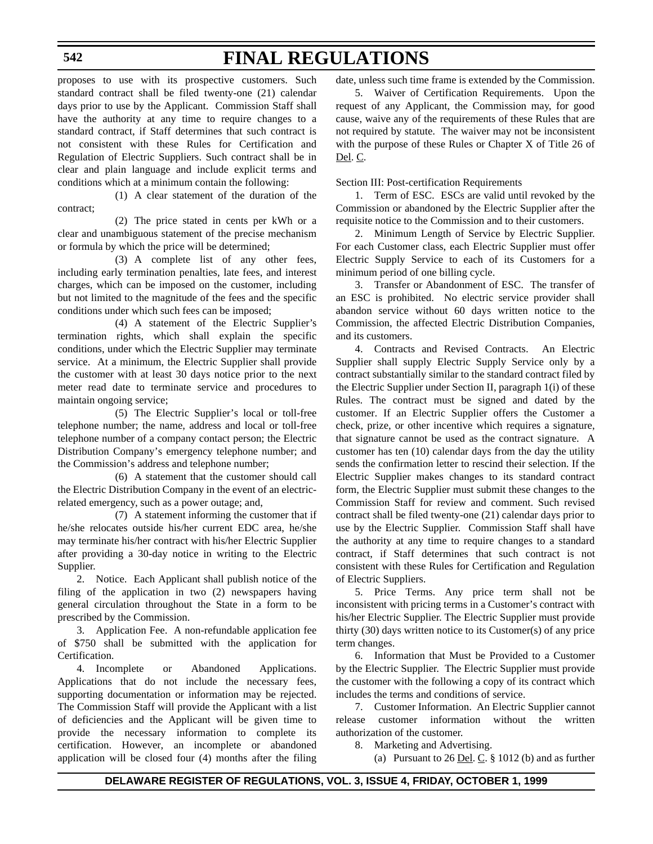#### **542**

# **FINAL REGULATIONS**

proposes to use with its prospective customers. Such standard contract shall be filed twenty-one (21) calendar days prior to use by the Applicant. Commission Staff shall have the authority at any time to require changes to a standard contract, if Staff determines that such contract is not consistent with these Rules for Certification and Regulation of Electric Suppliers. Such contract shall be in clear and plain language and include explicit terms and conditions which at a minimum contain the following:

(1) A clear statement of the duration of the contract;

(2) The price stated in cents per kWh or a clear and unambiguous statement of the precise mechanism or formula by which the price will be determined;

(3) A complete list of any other fees, including early termination penalties, late fees, and interest charges, which can be imposed on the customer, including but not limited to the magnitude of the fees and the specific conditions under which such fees can be imposed;

(4) A statement of the Electric Supplier's termination rights, which shall explain the specific conditions, under which the Electric Supplier may terminate service. At a minimum, the Electric Supplier shall provide the customer with at least 30 days notice prior to the next meter read date to terminate service and procedures to maintain ongoing service;

(5) The Electric Supplier's local or toll-free telephone number; the name, address and local or toll-free telephone number of a company contact person; the Electric Distribution Company's emergency telephone number; and the Commission's address and telephone number;

(6) A statement that the customer should call the Electric Distribution Company in the event of an electricrelated emergency, such as a power outage; and,

(7) A statement informing the customer that if he/she relocates outside his/her current EDC area, he/she may terminate his/her contract with his/her Electric Supplier after providing a 30-day notice in writing to the Electric Supplier.

2. Notice. Each Applicant shall publish notice of the filing of the application in two (2) newspapers having general circulation throughout the State in a form to be prescribed by the Commission.

3. Application Fee. A non-refundable application fee of \$750 shall be submitted with the application for Certification.

4. Incomplete or Abandoned Applications. Applications that do not include the necessary fees, supporting documentation or information may be rejected. The Commission Staff will provide the Applicant with a list of deficiencies and the Applicant will be given time to provide the necessary information to complete its certification. However, an incomplete or abandoned application will be closed four (4) months after the filing date, unless such time frame is extended by the Commission.

5. Waiver of Certification Requirements. Upon the request of any Applicant, the Commission may, for good cause, waive any of the requirements of these Rules that are not required by statute. The waiver may not be inconsistent with the purpose of these Rules or Chapter X of Title 26 of Del. C.

Section III: Post-certification Requirements

1. Term of ESC. ESCs are valid until revoked by the Commission or abandoned by the Electric Supplier after the requisite notice to the Commission and to their customers.

2. Minimum Length of Service by Electric Supplier. For each Customer class, each Electric Supplier must offer Electric Supply Service to each of its Customers for a minimum period of one billing cycle.

3. Transfer or Abandonment of ESC. The transfer of an ESC is prohibited. No electric service provider shall abandon service without 60 days written notice to the Commission, the affected Electric Distribution Companies, and its customers.

4. Contracts and Revised Contracts. An Electric Supplier shall supply Electric Supply Service only by a contract substantially similar to the standard contract filed by the Electric Supplier under Section II, paragraph 1(i) of these Rules. The contract must be signed and dated by the customer. If an Electric Supplier offers the Customer a check, prize, or other incentive which requires a signature, that signature cannot be used as the contract signature. A customer has ten (10) calendar days from the day the utility sends the confirmation letter to rescind their selection. If the Electric Supplier makes changes to its standard contract form, the Electric Supplier must submit these changes to the Commission Staff for review and comment. Such revised contract shall be filed twenty-one (21) calendar days prior to use by the Electric Supplier. Commission Staff shall have the authority at any time to require changes to a standard contract, if Staff determines that such contract is not consistent with these Rules for Certification and Regulation of Electric Suppliers.

5. Price Terms. Any price term shall not be inconsistent with pricing terms in a Customer's contract with his/her Electric Supplier. The Electric Supplier must provide thirty (30) days written notice to its Customer(s) of any price term changes.

6. Information that Must be Provided to a Customer by the Electric Supplier. The Electric Supplier must provide the customer with the following a copy of its contract which includes the terms and conditions of service.

7. Customer Information. An Electric Supplier cannot release customer information without the written authorization of the customer.

8. Marketing and Advertising.

(a) Pursuant to  $26$  <u>Del</u>. C.  $\S$  1012 (b) and as further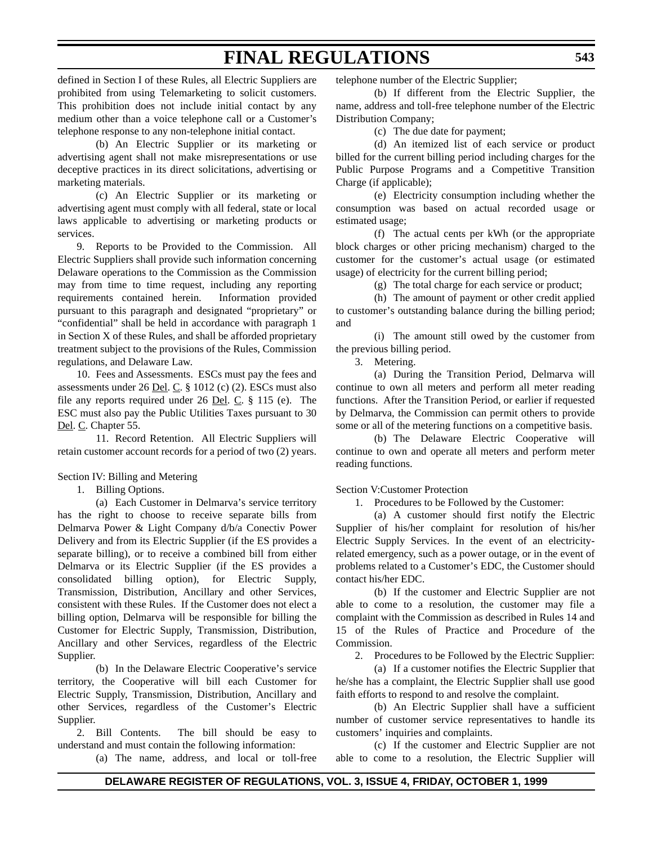defined in Section I of these Rules, all Electric Suppliers are prohibited from using Telemarketing to solicit customers. This prohibition does not include initial contact by any medium other than a voice telephone call or a Customer's telephone response to any non-telephone initial contact.

(b) An Electric Supplier or its marketing or advertising agent shall not make misrepresentations or use deceptive practices in its direct solicitations, advertising or marketing materials.

(c) An Electric Supplier or its marketing or advertising agent must comply with all federal, state or local laws applicable to advertising or marketing products or services.

9. Reports to be Provided to the Commission. All Electric Suppliers shall provide such information concerning Delaware operations to the Commission as the Commission may from time to time request, including any reporting requirements contained herein. Information provided pursuant to this paragraph and designated "proprietary" or "confidential" shall be held in accordance with paragraph 1 in Section X of these Rules, and shall be afforded proprietary treatment subject to the provisions of the Rules, Commission regulations, and Delaware Law.

10. Fees and Assessments. ESCs must pay the fees and assessments under 26 Del. C. § 1012 (c) (2). ESCs must also file any reports required under 26 Del. C. § 115 (e). The ESC must also pay the Public Utilities Taxes pursuant to 30 Del. C. Chapter 55.

11. Record Retention. All Electric Suppliers will retain customer account records for a period of two (2) years.

Section IV: Billing and Metering

1. Billing Options.

(a) Each Customer in Delmarva's service territory has the right to choose to receive separate bills from Delmarva Power & Light Company d/b/a Conectiv Power Delivery and from its Electric Supplier (if the ES provides a separate billing), or to receive a combined bill from either Delmarva or its Electric Supplier (if the ES provides a consolidated billing option), for Electric Supply, Transmission, Distribution, Ancillary and other Services, consistent with these Rules. If the Customer does not elect a billing option, Delmarva will be responsible for billing the Customer for Electric Supply, Transmission, Distribution, Ancillary and other Services, regardless of the Electric Supplier.

(b) In the Delaware Electric Cooperative's service territory, the Cooperative will bill each Customer for Electric Supply, Transmission, Distribution, Ancillary and other Services, regardless of the Customer's Electric Supplier.

2. Bill Contents. The bill should be easy to understand and must contain the following information:

(a) The name, address, and local or toll-free

telephone number of the Electric Supplier;

(b) If different from the Electric Supplier, the name, address and toll-free telephone number of the Electric Distribution Company;

(c) The due date for payment;

(d) An itemized list of each service or product billed for the current billing period including charges for the Public Purpose Programs and a Competitive Transition Charge (if applicable);

(e) Electricity consumption including whether the consumption was based on actual recorded usage or estimated usage;

(f) The actual cents per kWh (or the appropriate block charges or other pricing mechanism) charged to the customer for the customer's actual usage (or estimated usage) of electricity for the current billing period;

(g) The total charge for each service or product;

(h) The amount of payment or other credit applied to customer's outstanding balance during the billing period; and

(i) The amount still owed by the customer from the previous billing period.

3. Metering.

(a) During the Transition Period, Delmarva will continue to own all meters and perform all meter reading functions. After the Transition Period, or earlier if requested by Delmarva, the Commission can permit others to provide some or all of the metering functions on a competitive basis.

(b) The Delaware Electric Cooperative will continue to own and operate all meters and perform meter reading functions.

Section V:Customer Protection

1. Procedures to be Followed by the Customer:

(a) A customer should first notify the Electric Supplier of his/her complaint for resolution of his/her Electric Supply Services. In the event of an electricityrelated emergency, such as a power outage, or in the event of problems related to a Customer's EDC, the Customer should contact his/her EDC.

(b) If the customer and Electric Supplier are not able to come to a resolution, the customer may file a complaint with the Commission as described in Rules 14 and 15 of the Rules of Practice and Procedure of the Commission.

2. Procedures to be Followed by the Electric Supplier:

(a) If a customer notifies the Electric Supplier that he/she has a complaint, the Electric Supplier shall use good faith efforts to respond to and resolve the complaint.

(b) An Electric Supplier shall have a sufficient number of customer service representatives to handle its customers' inquiries and complaints.

(c) If the customer and Electric Supplier are not able to come to a resolution, the Electric Supplier will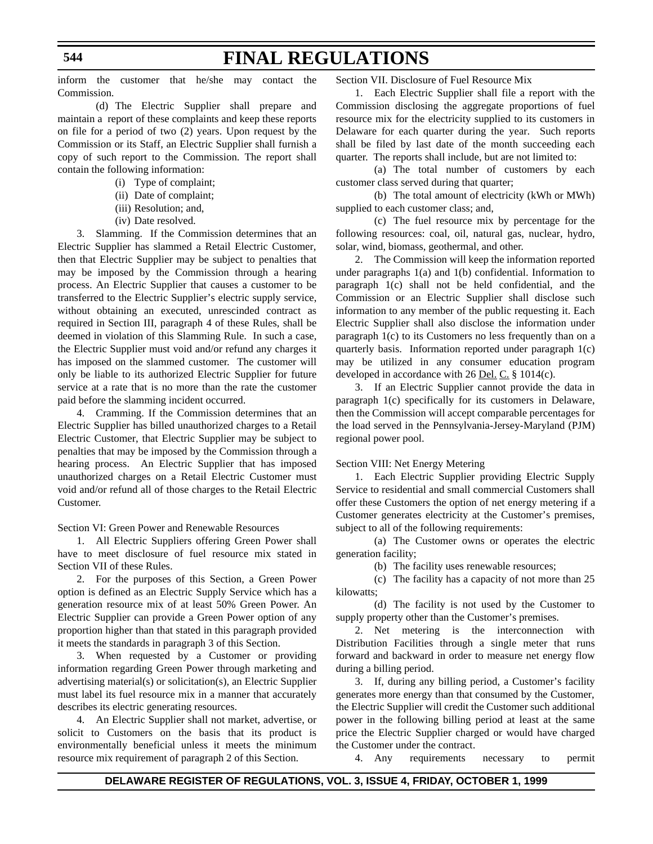inform the customer that he/she may contact the Commission.

(d) The Electric Supplier shall prepare and maintain a report of these complaints and keep these reports on file for a period of two (2) years. Upon request by the Commission or its Staff, an Electric Supplier shall furnish a copy of such report to the Commission. The report shall contain the following information:

- (i) Type of complaint;
- (ii) Date of complaint;
- (iii) Resolution; and,
- (iv) Date resolved.

3. Slamming. If the Commission determines that an Electric Supplier has slammed a Retail Electric Customer, then that Electric Supplier may be subject to penalties that may be imposed by the Commission through a hearing process. An Electric Supplier that causes a customer to be transferred to the Electric Supplier's electric supply service, without obtaining an executed, unrescinded contract as required in Section III, paragraph 4 of these Rules, shall be deemed in violation of this Slamming Rule. In such a case, the Electric Supplier must void and/or refund any charges it has imposed on the slammed customer. The customer will only be liable to its authorized Electric Supplier for future service at a rate that is no more than the rate the customer paid before the slamming incident occurred.

4. Cramming. If the Commission determines that an Electric Supplier has billed unauthorized charges to a Retail Electric Customer, that Electric Supplier may be subject to penalties that may be imposed by the Commission through a hearing process. An Electric Supplier that has imposed unauthorized charges on a Retail Electric Customer must void and/or refund all of those charges to the Retail Electric Customer.

Section VI: Green Power and Renewable Resources

1. All Electric Suppliers offering Green Power shall have to meet disclosure of fuel resource mix stated in Section VII of these Rules.

2. For the purposes of this Section, a Green Power option is defined as an Electric Supply Service which has a generation resource mix of at least 50% Green Power. An Electric Supplier can provide a Green Power option of any proportion higher than that stated in this paragraph provided it meets the standards in paragraph 3 of this Section.

3. When requested by a Customer or providing information regarding Green Power through marketing and advertising material(s) or solicitation(s), an Electric Supplier must label its fuel resource mix in a manner that accurately describes its electric generating resources.

4. An Electric Supplier shall not market, advertise, or solicit to Customers on the basis that its product is environmentally beneficial unless it meets the minimum resource mix requirement of paragraph 2 of this Section.

Section VII. Disclosure of Fuel Resource Mix

1. Each Electric Supplier shall file a report with the Commission disclosing the aggregate proportions of fuel resource mix for the electricity supplied to its customers in Delaware for each quarter during the year. Such reports shall be filed by last date of the month succeeding each quarter. The reports shall include, but are not limited to:

(a) The total number of customers by each customer class served during that quarter;

(b) The total amount of electricity (kWh or MWh) supplied to each customer class; and,

(c) The fuel resource mix by percentage for the following resources: coal, oil, natural gas, nuclear, hydro, solar, wind, biomass, geothermal, and other.

2. The Commission will keep the information reported under paragraphs 1(a) and 1(b) confidential. Information to paragraph 1(c) shall not be held confidential, and the Commission or an Electric Supplier shall disclose such information to any member of the public requesting it. Each Electric Supplier shall also disclose the information under paragraph 1(c) to its Customers no less frequently than on a quarterly basis. Information reported under paragraph 1(c) may be utilized in any consumer education program developed in accordance with 26 <u>Del. C.</u> § 1014(c).

3. If an Electric Supplier cannot provide the data in paragraph 1(c) specifically for its customers in Delaware, then the Commission will accept comparable percentages for the load served in the Pennsylvania-Jersey-Maryland (PJM) regional power pool.

Section VIII: Net Energy Metering

1. Each Electric Supplier providing Electric Supply Service to residential and small commercial Customers shall offer these Customers the option of net energy metering if a Customer generates electricity at the Customer's premises, subject to all of the following requirements:

(a) The Customer owns or operates the electric generation facility;

(b) The facility uses renewable resources;

(c) The facility has a capacity of not more than 25 kilowatts;

(d) The facility is not used by the Customer to supply property other than the Customer's premises.

2. Net metering is the interconnection with Distribution Facilities through a single meter that runs forward and backward in order to measure net energy flow during a billing period.

3. If, during any billing period, a Customer's facility generates more energy than that consumed by the Customer, the Electric Supplier will credit the Customer such additional power in the following billing period at least at the same price the Electric Supplier charged or would have charged the Customer under the contract.

4. Any requirements necessary to permit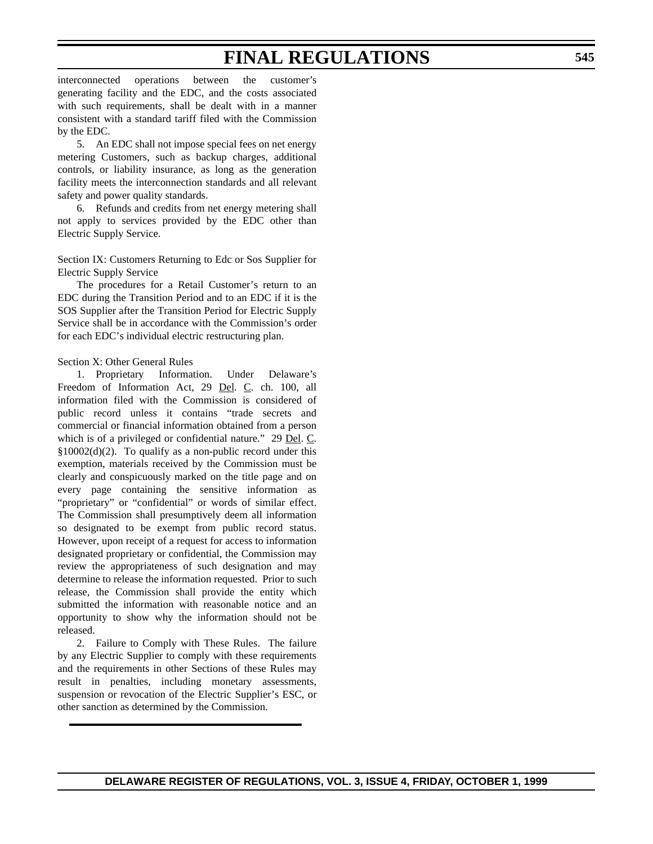interconnected operations between the customer's generating facility and the EDC, and the costs associated with such requirements, shall be dealt with in a manner consistent with a standard tariff filed with the Commission by the EDC.

5. An EDC shall not impose special fees on net energy metering Customers, such as backup charges, additional controls, or liability insurance, as long as the generation facility meets the interconnection standards and all relevant safety and power quality standards.

6. Refunds and credits from net energy metering shall not apply to services provided by the EDC other than Electric Supply Service.

Section IX: Customers Returning to Edc or Sos Supplier for Electric Supply Service

The procedures for a Retail Customer's return to an EDC during the Transition Period and to an EDC if it is the SOS Supplier after the Transition Period for Electric Supply Service shall be in accordance with the Commission's order for each EDC's individual electric restructuring plan.

#### Section X: Other General Rules

1. Proprietary Information. Under Delaware's Freedom of Information Act, 29 Del. C. ch. 100, all information filed with the Commission is considered of public record unless it contains "trade secrets and commercial or financial information obtained from a person which is of a privileged or confidential nature." 29 Del. C. §10002(d)(2). To qualify as a non-public record under this exemption, materials received by the Commission must be clearly and conspicuously marked on the title page and on every page containing the sensitive information as "proprietary" or "confidential" or words of similar effect. The Commission shall presumptively deem all information so designated to be exempt from public record status. However, upon receipt of a request for access to information designated proprietary or confidential, the Commission may review the appropriateness of such designation and may determine to release the information requested. Prior to such release, the Commission shall provide the entity which submitted the information with reasonable notice and an opportunity to show why the information should not be released.

2. Failure to Comply with These Rules. The failure by any Electric Supplier to comply with these requirements and the requirements in other Sections of these Rules may result in penalties, including monetary assessments, suspension or revocation of the Electric Supplier's ESC, or other sanction as determined by the Commission.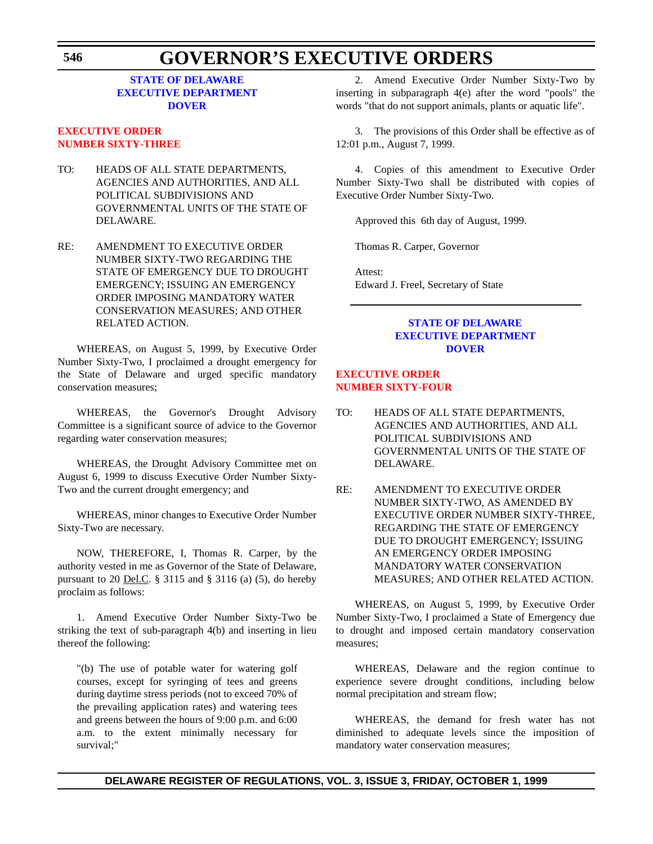## **STATE OF DELAWARE [EXECUTIVE DEPARTMENT](http://www.state.de.us/governor/index.htm) DOVER**

## **EXECUTIVE ORDER [NUMBER SIXTY-THREE](#page-4-0)**

- TO: HEADS OF ALL STATE DEPARTMENTS, AGENCIES AND AUTHORITIES, AND ALL POLITICAL SUBDIVISIONS AND GOVERNMENTAL UNITS OF THE STATE OF DELAWARE.
- RE: AMENDMENT TO EXECUTIVE ORDER NUMBER SIXTY-TWO REGARDING THE STATE OF EMERGENCY DUE TO DROUGHT EMERGENCY; ISSUING AN EMERGENCY ORDER IMPOSING MANDATORY WATER CONSERVATION MEASURES; AND OTHER RELATED ACTION.

WHEREAS, on August 5, 1999, by Executive Order Number Sixty-Two, I proclaimed a drought emergency for the State of Delaware and urged specific mandatory conservation measures;

WHEREAS, the Governor's Drought Advisory Committee is a significant source of advice to the Governor regarding water conservation measures;

WHEREAS, the Drought Advisory Committee met on August 6, 1999 to discuss Executive Order Number Sixty-Two and the current drought emergency; and

WHEREAS, minor changes to Executive Order Number Sixty-Two are necessary.

NOW, THEREFORE, I, Thomas R. Carper, by the authority vested in me as Governor of the State of Delaware, pursuant to 20 <u>Del.C</u>. § 3115 and § 3116 (a) (5), do hereby proclaim as follows:

1. Amend Executive Order Number Sixty-Two be striking the text of sub-paragraph 4(b) and inserting in lieu thereof the following:

"(b) The use of potable water for watering golf courses, except for syringing of tees and greens during daytime stress periods (not to exceed 70% of the prevailing application rates) and watering tees and greens between the hours of 9:00 p.m. and 6:00 a.m. to the extent minimally necessary for survival;"

2. Amend Executive Order Number Sixty-Two by inserting in subparagraph 4(e) after the word "pools" the words "that do not support animals, plants or aquatic life".

3. The provisions of this Order shall be effective as of 12:01 p.m., August 7, 1999.

4. Copies of this amendment to Executive Order Number Sixty-Two shall be distributed with copies of Executive Order Number Sixty-Two.

Approved this 6th day of August, 1999.

Thomas R. Carper, Governor

Attest: Edward J. Freel, Secretary of State

#### **STATE OF DELAWARE [EXECUTIVE DEPARTMENT](http://www.state.de.us/governor/index.htm) DOVER**

## **EXECUTIVE ORDER [NUMBER SIXTY-FOUR](#page-4-0)**

- TO: HEADS OF ALL STATE DEPARTMENTS, AGENCIES AND AUTHORITIES, AND ALL POLITICAL SUBDIVISIONS AND GOVERNMENTAL UNITS OF THE STATE OF DELAWARE.
- RE: AMENDMENT TO EXECUTIVE ORDER NUMBER SIXTY-TWO, AS AMENDED BY EXECUTIVE ORDER NUMBER SIXTY-THREE, REGARDING THE STATE OF EMERGENCY DUE TO DROUGHT EMERGENCY; ISSUING AN EMERGENCY ORDER IMPOSING MANDATORY WATER CONSERVATION MEASURES; AND OTHER RELATED ACTION.

WHEREAS, on August 5, 1999, by Executive Order Number Sixty-Two, I proclaimed a State of Emergency due to drought and imposed certain mandatory conservation measures;

WHEREAS, Delaware and the region continue to experience severe drought conditions, including below normal precipitation and stream flow;

WHEREAS, the demand for fresh water has not diminished to adequate levels since the imposition of mandatory water conservation measures;

## **DELAWARE REGISTER OF REGULATIONS, VOL. 3, ISSUE 3, FRIDAY, OCTOBER 1, 1999**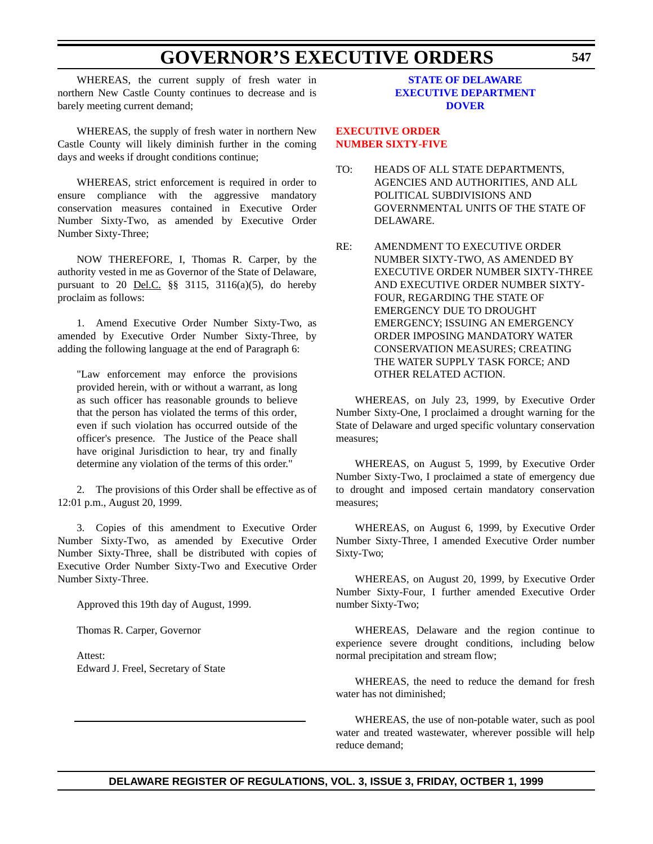WHEREAS, the current supply of fresh water in northern New Castle County continues to decrease and is barely meeting current demand;

WHEREAS, the supply of fresh water in northern New Castle County will likely diminish further in the coming days and weeks if drought conditions continue;

WHEREAS, strict enforcement is required in order to ensure compliance with the aggressive mandatory conservation measures contained in Executive Order Number Sixty-Two, as amended by Executive Order Number Sixty-Three;

NOW THEREFORE, I, Thomas R. Carper, by the authority vested in me as Governor of the State of Delaware, pursuant to 20 <u>Del.C.</u>  $\S\S$  3115, 3116(a)(5), do hereby proclaim as follows:

1. Amend Executive Order Number Sixty-Two, as amended by Executive Order Number Sixty-Three, by adding the following language at the end of Paragraph 6:

"Law enforcement may enforce the provisions provided herein, with or without a warrant, as long as such officer has reasonable grounds to believe that the person has violated the terms of this order, even if such violation has occurred outside of the officer's presence. The Justice of the Peace shall have original Jurisdiction to hear, try and finally determine any violation of the terms of this order."

2. The provisions of this Order shall be effective as of 12:01 p.m., August 20, 1999.

3. Copies of this amendment to Executive Order Number Sixty-Two, as amended by Executive Order Number Sixty-Three, shall be distributed with copies of Executive Order Number Sixty-Two and Executive Order Number Sixty-Three.

Approved this 19th day of August, 1999.

Thomas R. Carper, Governor

Attest: Edward J. Freel, Secretary of State

#### **STATE OF DELAWARE [EXECUTIVE DEPARTMENT](http://www.state.de.us/governor/index.htm) DOVER**

**EXECUTIVE ORDER [NUMBER SIXTY-FIVE](#page-4-0)**

- TO: HEADS OF ALL STATE DEPARTMENTS, AGENCIES AND AUTHORITIES, AND ALL POLITICAL SUBDIVISIONS AND GOVERNMENTAL UNITS OF THE STATE OF DELAWARE.
- RE: AMENDMENT TO EXECUTIVE ORDER NUMBER SIXTY-TWO, AS AMENDED BY EXECUTIVE ORDER NUMBER SIXTY-THREE AND EXECUTIVE ORDER NUMBER SIXTY-FOUR, REGARDING THE STATE OF EMERGENCY DUE TO DROUGHT EMERGENCY; ISSUING AN EMERGENCY ORDER IMPOSING MANDATORY WATER CONSERVATION MEASURES; CREATING THE WATER SUPPLY TASK FORCE; AND OTHER RELATED ACTION.

WHEREAS, on July 23, 1999, by Executive Order Number Sixty-One, I proclaimed a drought warning for the State of Delaware and urged specific voluntary conservation measures;

WHEREAS, on August 5, 1999, by Executive Order Number Sixty-Two, I proclaimed a state of emergency due to drought and imposed certain mandatory conservation measures;

WHEREAS, on August 6, 1999, by Executive Order Number Sixty-Three, I amended Executive Order number Sixty-Two;

WHEREAS, on August 20, 1999, by Executive Order Number Sixty-Four, I further amended Executive Order number Sixty-Two;

WHEREAS, Delaware and the region continue to experience severe drought conditions, including below normal precipitation and stream flow;

WHEREAS, the need to reduce the demand for fresh water has not diminished;

WHEREAS, the use of non-potable water, such as pool water and treated wastewater, wherever possible will help reduce demand;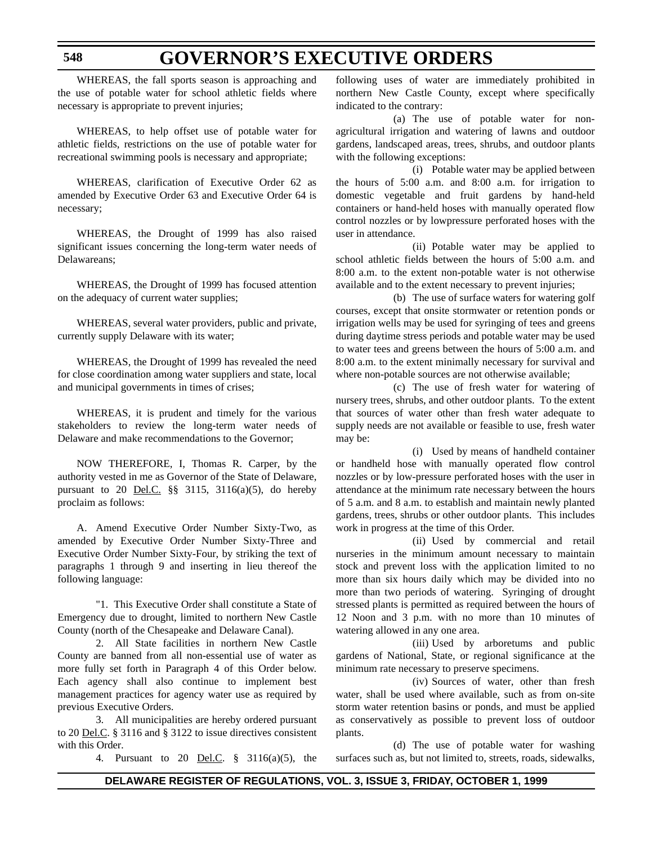WHEREAS, the fall sports season is approaching and the use of potable water for school athletic fields where necessary is appropriate to prevent injuries;

WHEREAS, to help offset use of potable water for athletic fields, restrictions on the use of potable water for recreational swimming pools is necessary and appropriate;

WHEREAS, clarification of Executive Order 62 as amended by Executive Order 63 and Executive Order 64 is necessary;

WHEREAS, the Drought of 1999 has also raised significant issues concerning the long-term water needs of Delawareans;

WHEREAS, the Drought of 1999 has focused attention on the adequacy of current water supplies;

WHEREAS, several water providers, public and private, currently supply Delaware with its water;

WHEREAS, the Drought of 1999 has revealed the need for close coordination among water suppliers and state, local and municipal governments in times of crises;

WHEREAS, it is prudent and timely for the various stakeholders to review the long-term water needs of Delaware and make recommendations to the Governor;

NOW THEREFORE, I, Thomas R. Carper, by the authority vested in me as Governor of the State of Delaware, pursuant to 20 <u>Del.C.</u>  $\S\S$  3115, 3116(a)(5), do hereby proclaim as follows:

A. Amend Executive Order Number Sixty-Two, as amended by Executive Order Number Sixty-Three and Executive Order Number Sixty-Four, by striking the text of paragraphs 1 through 9 and inserting in lieu thereof the following language:

"1. This Executive Order shall constitute a State of Emergency due to drought, limited to northern New Castle County (north of the Chesapeake and Delaware Canal).

2. All State facilities in northern New Castle County are banned from all non-essential use of water as more fully set forth in Paragraph 4 of this Order below. Each agency shall also continue to implement best management practices for agency water use as required by previous Executive Orders.

3. All municipalities are hereby ordered pursuant to 20 <u>Del.C</u>. § 3116 and § 3122 to issue directives consistent with this Order.

4. Pursuant to 20 Del.C. § 3116(a)(5), the

following uses of water are immediately prohibited in northern New Castle County, except where specifically indicated to the contrary:

(a) The use of potable water for nonagricultural irrigation and watering of lawns and outdoor gardens, landscaped areas, trees, shrubs, and outdoor plants with the following exceptions:

(i) Potable water may be applied between the hours of 5:00 a.m. and 8:00 a.m. for irrigation to domestic vegetable and fruit gardens by hand-held containers or hand-held hoses with manually operated flow control nozzles or by lowpressure perforated hoses with the user in attendance.

(ii) Potable water may be applied to school athletic fields between the hours of 5:00 a.m. and 8:00 a.m. to the extent non-potable water is not otherwise available and to the extent necessary to prevent injuries;

(b) The use of surface waters for watering golf courses, except that onsite stormwater or retention ponds or irrigation wells may be used for syringing of tees and greens during daytime stress periods and potable water may be used to water tees and greens between the hours of 5:00 a.m. and 8:00 a.m. to the extent minimally necessary for survival and where non-potable sources are not otherwise available;

(c) The use of fresh water for watering of nursery trees, shrubs, and other outdoor plants. To the extent that sources of water other than fresh water adequate to supply needs are not available or feasible to use, fresh water may be:

(i) Used by means of handheld container or handheld hose with manually operated flow control nozzles or by low-pressure perforated hoses with the user in attendance at the minimum rate necessary between the hours of 5 a.m. and 8 a.m. to establish and maintain newly planted gardens, trees, shrubs or other outdoor plants. This includes work in progress at the time of this Order.

(ii) Used by commercial and retail nurseries in the minimum amount necessary to maintain stock and prevent loss with the application limited to no more than six hours daily which may be divided into no more than two periods of watering. Syringing of drought stressed plants is permitted as required between the hours of 12 Noon and 3 p.m. with no more than 10 minutes of watering allowed in any one area.

(iii) Used by arboretums and public gardens of National, State, or regional significance at the minimum rate necessary to preserve specimens.

(iv) Sources of water, other than fresh water, shall be used where available, such as from on-site storm water retention basins or ponds, and must be applied as conservatively as possible to prevent loss of outdoor plants.

(d) The use of potable water for washing surfaces such as, but not limited to, streets, roads, sidewalks,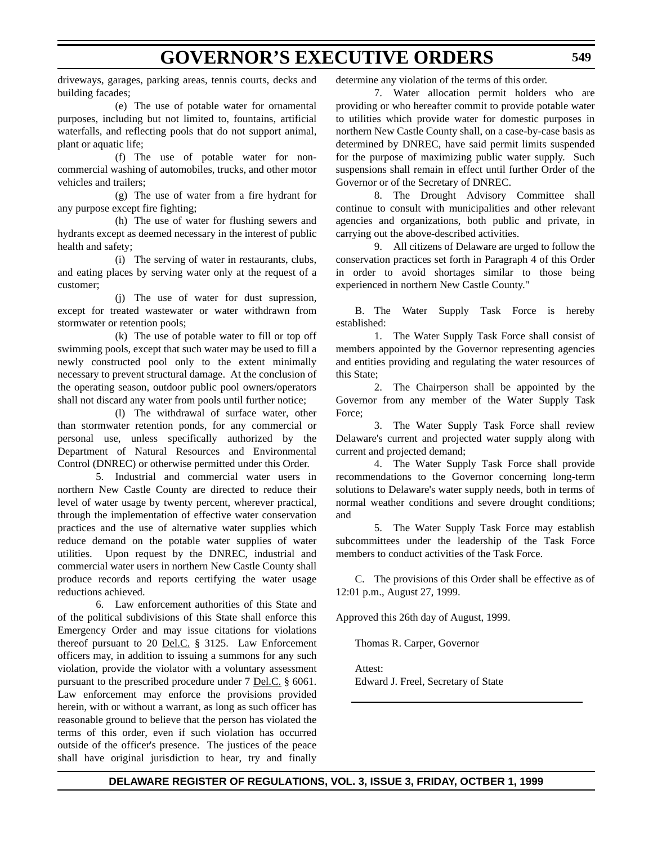driveways, garages, parking areas, tennis courts, decks and building facades;

(e) The use of potable water for ornamental purposes, including but not limited to, fountains, artificial waterfalls, and reflecting pools that do not support animal, plant or aquatic life;

(f) The use of potable water for noncommercial washing of automobiles, trucks, and other motor vehicles and trailers;

(g) The use of water from a fire hydrant for any purpose except fire fighting;

(h) The use of water for flushing sewers and hydrants except as deemed necessary in the interest of public health and safety;

(i) The serving of water in restaurants, clubs, and eating places by serving water only at the request of a customer;

(j) The use of water for dust supression, except for treated wastewater or water withdrawn from stormwater or retention pools;

(k) The use of potable water to fill or top off swimming pools, except that such water may be used to fill a newly constructed pool only to the extent minimally necessary to prevent structural damage. At the conclusion of the operating season, outdoor public pool owners/operators shall not discard any water from pools until further notice;

(l) The withdrawal of surface water, other than stormwater retention ponds, for any commercial or personal use, unless specifically authorized by the Department of Natural Resources and Environmental Control (DNREC) or otherwise permitted under this Order.

5. Industrial and commercial water users in northern New Castle County are directed to reduce their level of water usage by twenty percent, wherever practical, through the implementation of effective water conservation practices and the use of alternative water supplies which reduce demand on the potable water supplies of water utilities. Upon request by the DNREC, industrial and commercial water users in northern New Castle County shall produce records and reports certifying the water usage reductions achieved.

6. Law enforcement authorities of this State and of the political subdivisions of this State shall enforce this Emergency Order and may issue citations for violations thereof pursuant to 20 Del.C. § 3125. Law Enforcement officers may, in addition to issuing a summons for any such violation, provide the violator with a voluntary assessment pursuant to the prescribed procedure under 7 Del.C. § 6061. Law enforcement may enforce the provisions provided herein, with or without a warrant, as long as such officer has reasonable ground to believe that the person has violated the terms of this order, even if such violation has occurred outside of the officer's presence. The justices of the peace shall have original jurisdiction to hear, try and finally

determine any violation of the terms of this order.

7. Water allocation permit holders who are providing or who hereafter commit to provide potable water to utilities which provide water for domestic purposes in northern New Castle County shall, on a case-by-case basis as determined by DNREC, have said permit limits suspended for the purpose of maximizing public water supply. Such suspensions shall remain in effect until further Order of the Governor or of the Secretary of DNREC.

8. The Drought Advisory Committee shall continue to consult with municipalities and other relevant agencies and organizations, both public and private, in carrying out the above-described activities.

9. All citizens of Delaware are urged to follow the conservation practices set forth in Paragraph 4 of this Order in order to avoid shortages similar to those being experienced in northern New Castle County."

B. The Water Supply Task Force is hereby established:

1. The Water Supply Task Force shall consist of members appointed by the Governor representing agencies and entities providing and regulating the water resources of this State;

2. The Chairperson shall be appointed by the Governor from any member of the Water Supply Task Force;

3. The Water Supply Task Force shall review Delaware's current and projected water supply along with current and projected demand;

4. The Water Supply Task Force shall provide recommendations to the Governor concerning long-term solutions to Delaware's water supply needs, both in terms of normal weather conditions and severe drought conditions; and

5. The Water Supply Task Force may establish subcommittees under the leadership of the Task Force members to conduct activities of the Task Force.

C. The provisions of this Order shall be effective as of 12:01 p.m., August 27, 1999.

Approved this 26th day of August, 1999.

Thomas R. Carper, Governor

Attest: Edward J. Freel, Secretary of State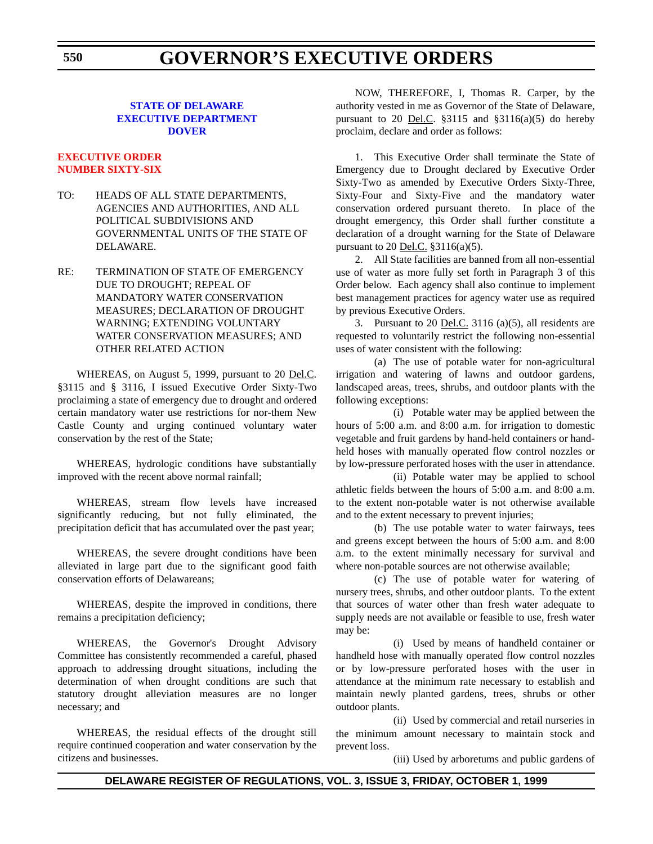## **GOVERNOR'S EXECUTIVE ORDERS**

### **STATE OF DELAWARE [EXECUTIVE DEPARTMENT](http://www.state.de.us/governor/index.htm) DOVER**

#### **[EXECUTIVE ORDER](#page-4-0) NUMBER SIXTY-SIX**

- TO: HEADS OF ALL STATE DEPARTMENTS, AGENCIES AND AUTHORITIES, AND ALL POLITICAL SUBDIVISIONS AND GOVERNMENTAL UNITS OF THE STATE OF DELAWARE.
- RE: TERMINATION OF STATE OF EMERGENCY DUE TO DROUGHT; REPEAL OF MANDATORY WATER CONSERVATION MEASURES; DECLARATION OF DROUGHT WARNING; EXTENDING VOLUNTARY WATER CONSERVATION MEASURES; AND OTHER RELATED ACTION

WHEREAS, on August 5, 1999, pursuant to 20 Del.C. §3115 and § 3116, I issued Executive Order Sixty-Two proclaiming a state of emergency due to drought and ordered certain mandatory water use restrictions for nor-them New Castle County and urging continued voluntary water conservation by the rest of the State;

WHEREAS, hydrologic conditions have substantially improved with the recent above normal rainfall;

WHEREAS, stream flow levels have increased significantly reducing, but not fully eliminated, the precipitation deficit that has accumulated over the past year;

WHEREAS, the severe drought conditions have been alleviated in large part due to the significant good faith conservation efforts of Delawareans;

WHEREAS, despite the improved in conditions, there remains a precipitation deficiency;

WHEREAS, the Governor's Drought Advisory Committee has consistently recommended a careful, phased approach to addressing drought situations, including the determination of when drought conditions are such that statutory drought alleviation measures are no longer necessary; and

WHEREAS, the residual effects of the drought still require continued cooperation and water conservation by the citizens and businesses.

NOW, THEREFORE, I, Thomas R. Carper, by the authority vested in me as Governor of the State of Delaware, pursuant to 20 Del.C.  $$3115$  and  $$3116(a)(5)$  do hereby proclaim, declare and order as follows:

1. This Executive Order shall terminate the State of Emergency due to Drought declared by Executive Order Sixty-Two as amended by Executive Orders Sixty-Three, Sixty-Four and Sixty-Five and the mandatory water conservation ordered pursuant thereto. In place of the drought emergency, this Order shall further constitute a declaration of a drought warning for the State of Delaware pursuant to 20 Del.C. §3116(a)(5).

2. All State facilities are banned from all non-essential use of water as more fully set forth in Paragraph 3 of this Order below. Each agency shall also continue to implement best management practices for agency water use as required by previous Executive Orders.

3. Pursuant to 20 Del.C. 3116 (a)(5), all residents are requested to voluntarily restrict the following non-essential uses of water consistent with the following:

(a) The use of potable water for non-agricultural irrigation and watering of lawns and outdoor gardens, landscaped areas, trees, shrubs, and outdoor plants with the following exceptions:

(i) Potable water may be applied between the hours of 5:00 a.m. and 8:00 a.m. for irrigation to domestic vegetable and fruit gardens by hand-held containers or handheld hoses with manually operated flow control nozzles or by low-pressure perforated hoses with the user in attendance.

(ii) Potable water may be applied to school athletic fields between the hours of 5:00 a.m. and 8:00 a.m. to the extent non-potable water is not otherwise available and to the extent necessary to prevent injuries;

(b) The use potable water to water fairways, tees and greens except between the hours of 5:00 a.m. and 8:00 a.m. to the extent minimally necessary for survival and where non-potable sources are not otherwise available;

(c) The use of potable water for watering of nursery trees, shrubs, and other outdoor plants. To the extent that sources of water other than fresh water adequate to supply needs are not available or feasible to use, fresh water may be:

(i) Used by means of handheld container or handheld hose with manually operated flow control nozzles or by low-pressure perforated hoses with the user in attendance at the minimum rate necessary to establish and maintain newly planted gardens, trees, shrubs or other outdoor plants.

(ii) Used by commercial and retail nurseries in the minimum amount necessary to maintain stock and prevent loss.

(iii) Used by arboretums and public gardens of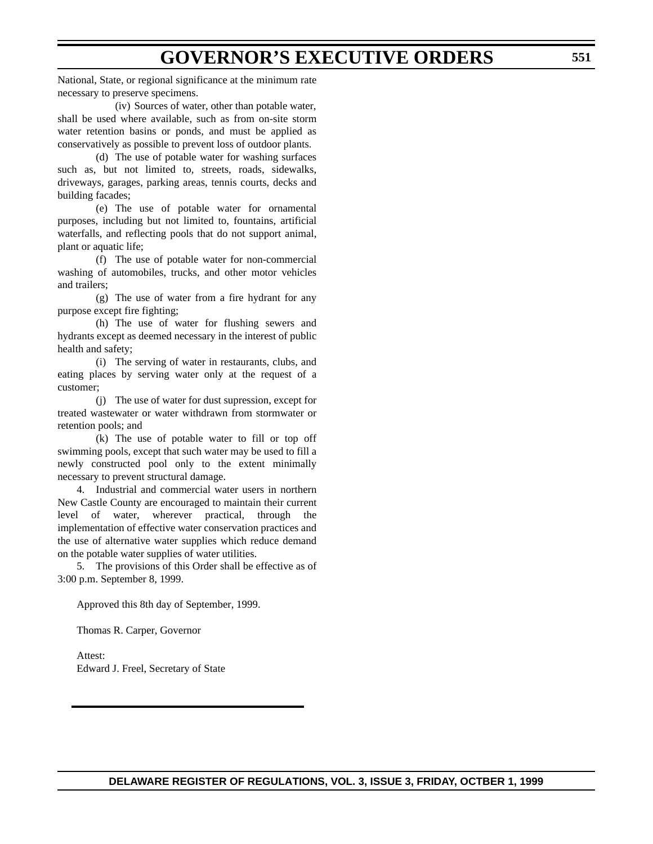### **GOVERNOR'S EXECUTIVE ORDERS**

National, State, or regional significance at the minimum rate necessary to preserve specimens.

(iv) Sources of water, other than potable water, shall be used where available, such as from on-site storm water retention basins or ponds, and must be applied as conservatively as possible to prevent loss of outdoor plants.

(d) The use of potable water for washing surfaces such as, but not limited to, streets, roads, sidewalks, driveways, garages, parking areas, tennis courts, decks and building facades;

(e) The use of potable water for ornamental purposes, including but not limited to, fountains, artificial waterfalls, and reflecting pools that do not support animal, plant or aquatic life;

(f) The use of potable water for non-commercial washing of automobiles, trucks, and other motor vehicles and trailers;

(g) The use of water from a fire hydrant for any purpose except fire fighting;

(h) The use of water for flushing sewers and hydrants except as deemed necessary in the interest of public health and safety;

(i) The serving of water in restaurants, clubs, and eating places by serving water only at the request of a customer;

(j) The use of water for dust supression, except for treated wastewater or water withdrawn from stormwater or retention pools; and

(k) The use of potable water to fill or top off swimming pools, except that such water may be used to fill a newly constructed pool only to the extent minimally necessary to prevent structural damage.

4. Industrial and commercial water users in northern New Castle County are encouraged to maintain their current level of water, wherever practical, through the implementation of effective water conservation practices and the use of alternative water supplies which reduce demand on the potable water supplies of water utilities.

5. The provisions of this Order shall be effective as of 3:00 p.m. September 8, 1999.

Approved this 8th day of September, 1999.

Thomas R. Carper, Governor

Attest: Edward J. Freel, Secretary of State

**DELAWARE REGISTER OF REGULATIONS, VOL. 3, ISSUE 3, FRIDAY, OCTBER 1, 1999**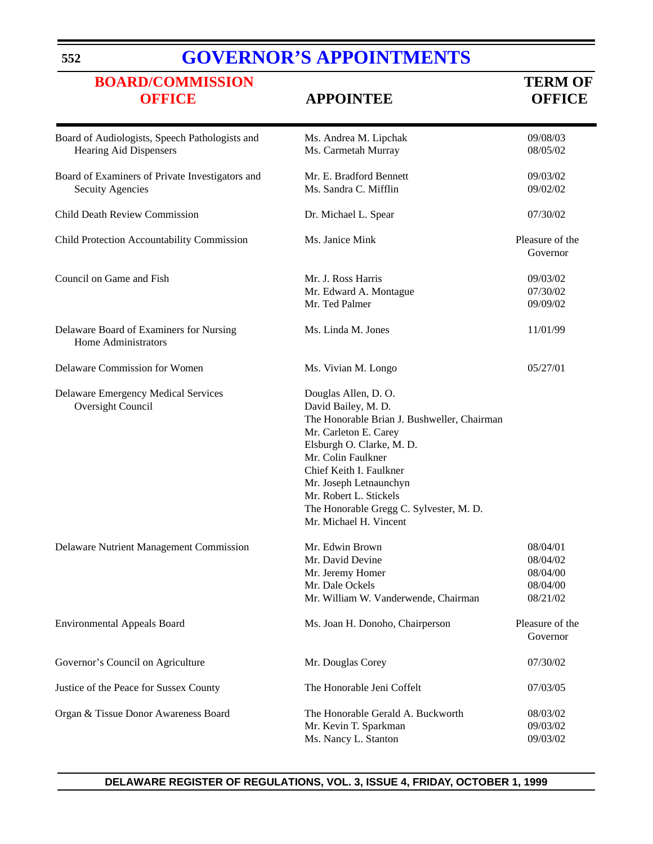## **[GOVERNOR'S APPOINTMENTS](http://www.state.de.us/governor/index.htm)**

# **[BOARD/COMMISSION](#page-4-0)**<br> **OFFICE**<br> **APPOINTEE**<br> **OFFICE**<br> **OFFICE**

### **OFFICE APPOINTEE OFFICE**

| Board of Audiologists, Speech Pathologists and<br>Hearing Aid Dispensers   | Ms. Andrea M. Lipchak<br>Ms. Carmetah Murray                                                                                                                                                                                                                                                                              | 09/08/03<br>08/05/02                                     |
|----------------------------------------------------------------------------|---------------------------------------------------------------------------------------------------------------------------------------------------------------------------------------------------------------------------------------------------------------------------------------------------------------------------|----------------------------------------------------------|
| Board of Examiners of Private Investigators and<br><b>Secuity Agencies</b> | Mr. E. Bradford Bennett<br>Ms. Sandra C. Mifflin                                                                                                                                                                                                                                                                          | 09/03/02<br>09/02/02                                     |
| Child Death Review Commission                                              | Dr. Michael L. Spear                                                                                                                                                                                                                                                                                                      | 07/30/02                                                 |
| Child Protection Accountability Commission                                 | Ms. Janice Mink                                                                                                                                                                                                                                                                                                           | Pleasure of the<br>Governor                              |
| Council on Game and Fish                                                   | Mr. J. Ross Harris<br>09/03/02<br>Mr. Edward A. Montague<br>07/30/02<br>Mr. Ted Palmer<br>09/09/02                                                                                                                                                                                                                        |                                                          |
| Delaware Board of Examiners for Nursing<br>Home Administrators             | Ms. Linda M. Jones                                                                                                                                                                                                                                                                                                        | 11/01/99                                                 |
| Delaware Commission for Women                                              | Ms. Vivian M. Longo                                                                                                                                                                                                                                                                                                       | 05/27/01                                                 |
| <b>Delaware Emergency Medical Services</b><br>Oversight Council            | Douglas Allen, D.O.<br>David Bailey, M. D.<br>The Honorable Brian J. Bushweller, Chairman<br>Mr. Carleton E. Carey<br>Elsburgh O. Clarke, M. D.<br>Mr. Colin Faulkner<br>Chief Keith I. Faulkner<br>Mr. Joseph Letnaunchyn<br>Mr. Robert L. Stickels<br>The Honorable Gregg C. Sylvester, M. D.<br>Mr. Michael H. Vincent |                                                          |
| Delaware Nutrient Management Commission                                    | Mr. Edwin Brown<br>Mr. David Devine<br>Mr. Jeremy Homer<br>Mr. Dale Ockels<br>Mr. William W. Vanderwende, Chairman                                                                                                                                                                                                        | 08/04/01<br>08/04/02<br>08/04/00<br>08/04/00<br>08/21/02 |
| <b>Environmental Appeals Board</b>                                         | Ms. Joan H. Donoho, Chairperson                                                                                                                                                                                                                                                                                           | Pleasure of the<br>Governor                              |
| Governor's Council on Agriculture                                          | Mr. Douglas Corey                                                                                                                                                                                                                                                                                                         | 07/30/02                                                 |
| Justice of the Peace for Sussex County                                     | The Honorable Jeni Coffelt                                                                                                                                                                                                                                                                                                | 07/03/05                                                 |
| Organ & Tissue Donor Awareness Board                                       | The Honorable Gerald A. Buckworth<br>Mr. Kevin T. Sparkman<br>Ms. Nancy L. Stanton                                                                                                                                                                                                                                        | 08/03/02<br>09/03/02<br>09/03/02                         |

**552**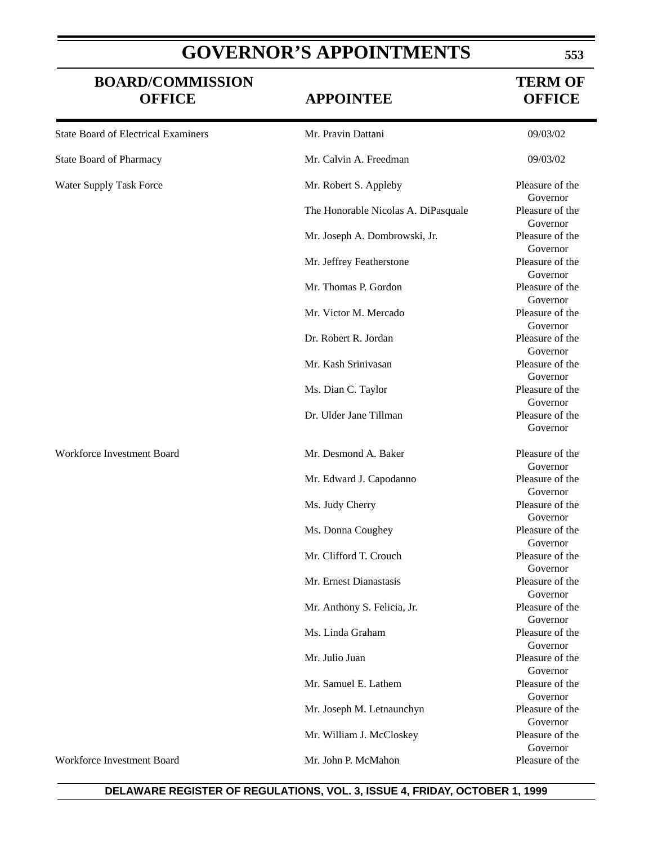## **GOVERNOR'S APPOINTMENTS**

### **BOARD/COMMISSION TERM OF OFFICE APPOINTEE OFFICE**

| <b>State Board of Electrical Examiners</b> | Mr. Pravin Dattani                  | 09/03/02                                |
|--------------------------------------------|-------------------------------------|-----------------------------------------|
| <b>State Board of Pharmacy</b>             | Mr. Calvin A. Freedman              | 09/03/02                                |
| Water Supply Task Force                    | Mr. Robert S. Appleby               | Pleasure of the<br>Governor             |
|                                            | The Honorable Nicolas A. DiPasquale | Pleasure of the<br>Governor             |
|                                            | Mr. Joseph A. Dombrowski, Jr.       | Pleasure of the<br>Governor             |
|                                            | Mr. Jeffrey Featherstone            | Pleasure of the<br>Governor             |
|                                            | Mr. Thomas P. Gordon                | Pleasure of the<br>Governor             |
|                                            | Mr. Victor M. Mercado               | Pleasure of the<br>Governor             |
|                                            | Dr. Robert R. Jordan                | Pleasure of the<br>Governor             |
|                                            | Mr. Kash Srinivasan                 | Pleasure of the<br>Governor             |
|                                            | Ms. Dian C. Taylor                  | Pleasure of the<br>Governor             |
|                                            | Dr. Ulder Jane Tillman              | Pleasure of the<br>Governor             |
| Workforce Investment Board                 | Mr. Desmond A. Baker                | Pleasure of the                         |
|                                            | Mr. Edward J. Capodanno             | Governor<br>Pleasure of the             |
|                                            | Ms. Judy Cherry                     | Governor<br>Pleasure of the<br>Governor |
|                                            | Ms. Donna Coughey                   | Pleasure of the<br>Governor             |
|                                            | Mr. Clifford T. Crouch              | Pleasure of the<br>Governor             |
|                                            | Mr. Ernest Dianastasis              | Pleasure of the<br>Governor             |
|                                            | Mr. Anthony S. Felicia, Jr.         | Pleasure of the<br>Governor             |
|                                            | Ms. Linda Graham                    | Pleasure of the<br>Governor             |
|                                            | Mr. Julio Juan                      | Pleasure of the<br>Governor             |
|                                            | Mr. Samuel E. Lathem                | Pleasure of the<br>Governor             |
|                                            | Mr. Joseph M. Letnaunchyn           | Pleasure of the<br>Governor             |
|                                            | Mr. William J. McCloskey            | Pleasure of the<br>Governor             |
| Workforce Investment Board                 | Mr. John P. McMahon                 | Pleasure of the                         |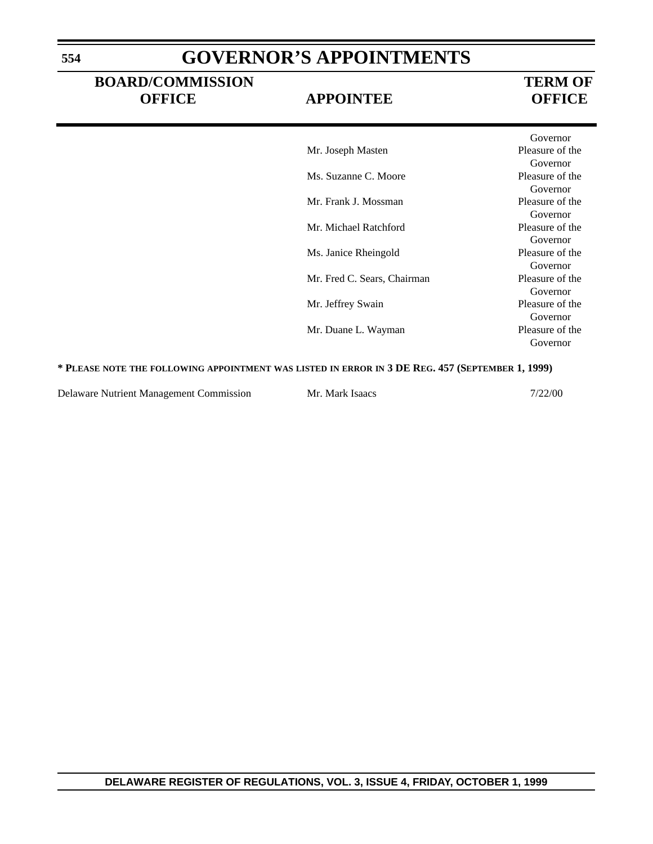### **GOVERNOR'S APPOINTMENTS**

### **BOARD/COMMISSION TERM OF OFFICE APPOINTEE OFFICE**

|                             | Governor        |
|-----------------------------|-----------------|
| Mr. Joseph Masten           | Pleasure of the |
|                             | Governor        |
| Ms. Suzanne C. Moore        | Pleasure of the |
|                             | Governor        |
| Mr. Frank J. Mossman        | Pleasure of the |
|                             | Governor        |
| Mr. Michael Ratchford       | Pleasure of the |
|                             | Governor        |
| Ms. Janice Rheingold        | Pleasure of the |
|                             | Governor        |
| Mr. Fred C. Sears, Chairman | Pleasure of the |
|                             | Governor        |
| Mr. Jeffrey Swain           | Pleasure of the |
|                             | Governor        |
| Mr. Duane L. Wayman         | Pleasure of the |
|                             | Governor        |

### **\* PLEASE NOTE THE FOLLOWING APPOINTMENT WAS LISTED IN ERROR IN 3 DE REG. 457 (SEPTEMBER 1, 1999)**

Delaware Nutrient Management Commission Mr. Mark Isaacs 7/22/00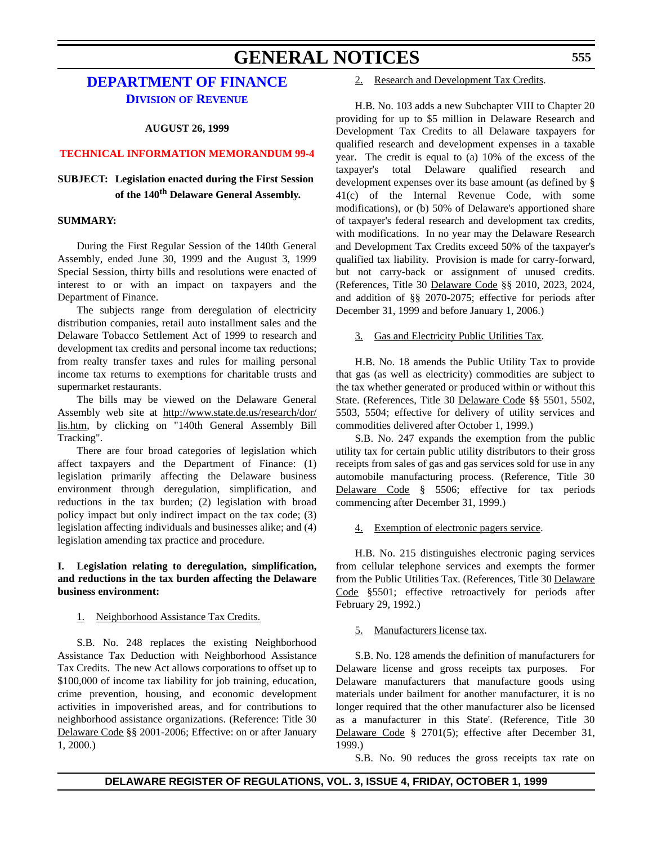### **GENERAL NOTICES**

### **[DEPARTMENT OF FINANCE](http://www.state.de.us/revenue/index.htm) DIVISION OF REVENUE**

### **AUGUST 26, 1999**

### **[TECHNICAL INFORMATION MEMORANDUM 99-4](#page-4-0)**

### **SUBJECT: Legislation enacted during the First Session of the 140th Delaware General Assembly.**

### **SUMMARY:**

During the First Regular Session of the 140th General Assembly, ended June 30, 1999 and the August 3, 1999 Special Session, thirty bills and resolutions were enacted of interest to or with an impact on taxpayers and the Department of Finance.

The subjects range from deregulation of electricity distribution companies, retail auto installment sales and the Delaware Tobacco Settlement Act of 1999 to research and development tax credits and personal income tax reductions; from realty transfer taxes and rules for mailing personal income tax returns to exemptions for charitable trusts and supermarket restaurants.

The bills may be viewed on the Delaware General Assembly web site at http://www.state.de.us/research/dor/ lis.htm, by clicking on "140th General Assembly Bill Tracking".

There are four broad categories of legislation which affect taxpayers and the Department of Finance: (1) legislation primarily affecting the Delaware business environment through deregulation, simplification, and reductions in the tax burden; (2) legislation with broad policy impact but only indirect impact on the tax code; (3) legislation affecting individuals and businesses alike; and (4) legislation amending tax practice and procedure.

### **I. Legislation relating to deregulation, simplification, and reductions in the tax burden affecting the Delaware business environment:**

### 1. Neighborhood Assistance Tax Credits.

S.B. No. 248 replaces the existing Neighborhood Assistance Tax Deduction with Neighborhood Assistance Tax Credits. The new Act allows corporations to offset up to \$100,000 of income tax liability for job training, education, crime prevention, housing, and economic development activities in impoverished areas, and for contributions to neighborhood assistance organizations. (Reference: Title 30 Delaware Code §§ 2001-2006; Effective: on or after January 1, 2000.)

### 2. Research and Development Tax Credits.

H.B. No. 103 adds a new Subchapter VIII to Chapter 20 providing for up to \$5 million in Delaware Research and Development Tax Credits to all Delaware taxpayers for qualified research and development expenses in a taxable year. The credit is equal to (a) 10% of the excess of the taxpayer's total Delaware qualified research and development expenses over its base amount (as defined by § 41(c) of the Internal Revenue Code, with some modifications), or (b) 50% of Delaware's apportioned share of taxpayer's federal research and development tax credits, with modifications. In no year may the Delaware Research and Development Tax Credits exceed 50% of the taxpayer's qualified tax liability. Provision is made for carry-forward, but not carry-back or assignment of unused credits. (References, Title 30 Delaware Code §§ 2010, 2023, 2024, and addition of §§ 2070-2075; effective for periods after December 31, 1999 and before January 1, 2006.)

### 3. Gas and Electricity Public Utilities Tax.

H.B. No. 18 amends the Public Utility Tax to provide that gas (as well as electricity) commodities are subject to the tax whether generated or produced within or without this State. (References, Title 30 Delaware Code §§ 5501, 5502, 5503, 5504; effective for delivery of utility services and commodities delivered after October 1, 1999.)

S.B. No. 247 expands the exemption from the public utility tax for certain public utility distributors to their gross receipts from sales of gas and gas services sold for use in any automobile manufacturing process. (Reference, Title 30 Delaware Code § 5506; effective for tax periods commencing after December 31, 1999.)

### 4. Exemption of electronic pagers service.

H.B. No. 215 distinguishes electronic paging services from cellular telephone services and exempts the former from the Public Utilities Tax. (References, Title 30 Delaware Code §5501; effective retroactively for periods after February 29, 1992.)

### 5. Manufacturers license tax.

S.B. No. 128 amends the definition of manufacturers for Delaware license and gross receipts tax purposes. For Delaware manufacturers that manufacture goods using materials under bailment for another manufacturer, it is no longer required that the other manufacturer also be licensed as a manufacturer in this State'. (Reference, Title 30 Delaware Code § 2701(5); effective after December 31, 1999.)

S.B. No. 90 reduces the gross receipts tax rate on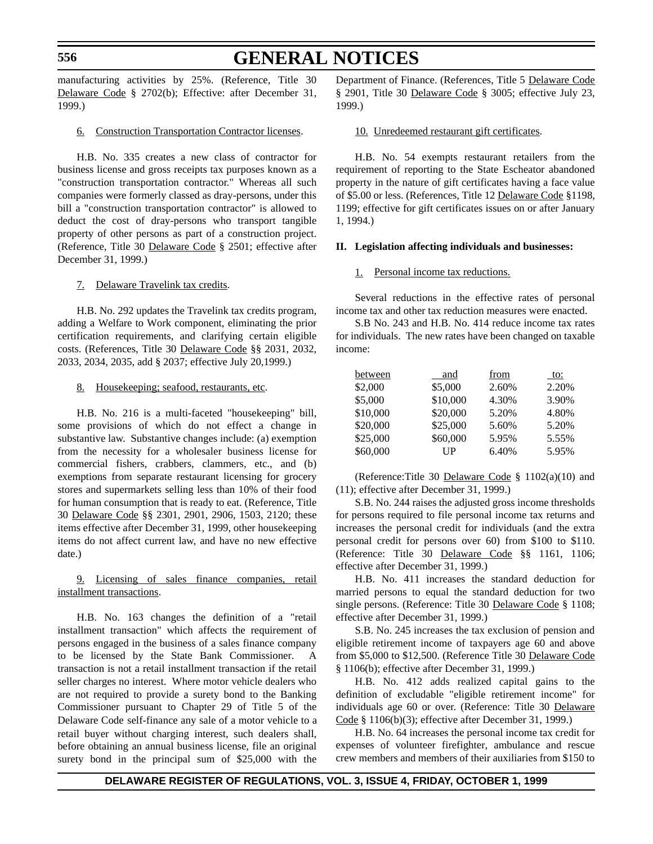### **GENERAL NOTICES**

manufacturing activities by 25%. (Reference, Title 30 Delaware Code § 2702(b); Effective: after December 31, 1999.)

#### 6. Construction Transportation Contractor licenses.

H.B. No. 335 creates a new class of contractor for business license and gross receipts tax purposes known as a "construction transportation contractor." Whereas all such companies were formerly classed as dray-persons, under this bill a "construction transportation contractor" is allowed to deduct the cost of dray-persons who transport tangible property of other persons as part of a construction project. (Reference, Title 30 Delaware Code § 2501; effective after December 31, 1999.)

#### 7. Delaware Travelink tax credits.

H.B. No. 292 updates the Travelink tax credits program, adding a Welfare to Work component, eliminating the prior certification requirements, and clarifying certain eligible costs. (References, Title 30 Delaware Code §§ 2031, 2032, 2033, 2034, 2035, add § 2037; effective July 20,1999.)

#### 8. Housekeeping; seafood, restaurants, etc.

H.B. No. 216 is a multi-faceted "housekeeping" bill, some provisions of which do not effect a change in substantive law. Substantive changes include: (a) exemption from the necessity for a wholesaler business license for commercial fishers, crabbers, clammers, etc., and (b) exemptions from separate restaurant licensing for grocery stores and supermarkets selling less than 10% of their food for human consumption that is ready to eat. (Reference, Title 30 Delaware Code §§ 2301, 2901, 2906, 1503, 2120; these items effective after December 31, 1999, other housekeeping items do not affect current law, and have no new effective date.)

### 9. Licensing of sales finance companies, retail installment transactions.

H.B. No. 163 changes the definition of a "retail installment transaction" which affects the requirement of persons engaged in the business of a sales finance company to be licensed by the State Bank Commissioner. A transaction is not a retail installment transaction if the retail seller charges no interest. Where motor vehicle dealers who are not required to provide a surety bond to the Banking Commissioner pursuant to Chapter 29 of Title 5 of the Delaware Code self-finance any sale of a motor vehicle to a retail buyer without charging interest, such dealers shall, before obtaining an annual business license, file an original surety bond in the principal sum of \$25,000 with the Department of Finance. (References, Title 5 Delaware Code § 2901, Title 30 Delaware Code § 3005; effective July 23, 1999.)

#### 10. Unredeemed restaurant gift certificates.

H.B. No. 54 exempts restaurant retailers from the requirement of reporting to the State Escheator abandoned property in the nature of gift certificates having a face value of \$5.00 or less. (References, Title 12 Delaware Code §1198, 1199; effective for gift certificates issues on or after January 1, 1994.)

#### **II. Legislation affecting individuals and businesses:**

#### 1. Personal income tax reductions.

Several reductions in the effective rates of personal income tax and other tax reduction measures were enacted.

S.B No. 243 and H.B. No. 414 reduce income tax rates for individuals. The new rates have been changed on taxable income:

| between  | and      | from  | to:   |
|----------|----------|-------|-------|
| \$2,000  | \$5,000  | 2.60% | 2.20% |
| \$5,000  | \$10,000 | 4.30% | 3.90% |
| \$10,000 | \$20,000 | 5.20% | 4.80% |
| \$20,000 | \$25,000 | 5.60% | 5.20% |
| \$25,000 | \$60,000 | 5.95% | 5.55% |
| \$60,000 | UP       | 6.40% | 5.95% |

(Reference:Title 30 Delaware Code §  $1102(a)(10)$  and (11); effective after December 31, 1999.)

S.B. No. 244 raises the adjusted gross income thresholds for persons required to file personal income tax returns and increases the personal credit for individuals (and the extra personal credit for persons over 60) from \$100 to \$110. (Reference: Title 30 Delaware Code §§ 1161, 1106; effective after December 31, 1999.)

H.B. No. 411 increases the standard deduction for married persons to equal the standard deduction for two single persons. (Reference: Title 30 Delaware Code § 1108; effective after December 31, 1999.)

S.B. No. 245 increases the tax exclusion of pension and eligible retirement income of taxpayers age 60 and above from \$5,000 to \$12,500. (Reference Title 30 Delaware Code § 1106(b); effective after December 31, 1999.)

H.B. No. 412 adds realized capital gains to the definition of excludable "eligible retirement income" for individuals age 60 or over. (Reference: Title 30 Delaware Code § 1106(b)(3); effective after December 31, 1999.)

H.B. No. 64 increases the personal income tax credit for expenses of volunteer firefighter, ambulance and rescue crew members and members of their auxiliaries from \$150 to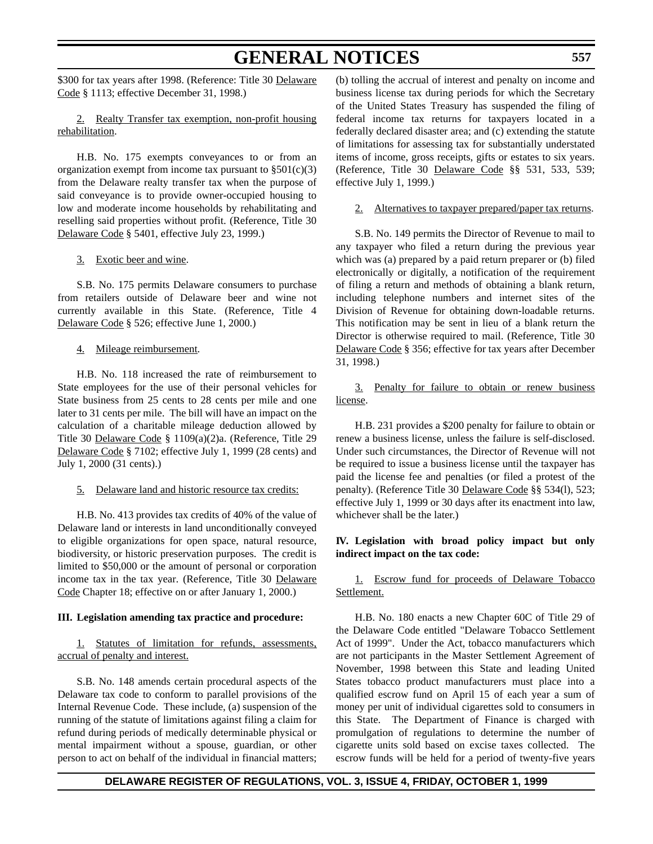### **GENERAL NOTICES**

\$300 for tax years after 1998. (Reference: Title 30 Delaware Code § 1113; effective December 31, 1998.)

2. Realty Transfer tax exemption, non-profit housing rehabilitation.

H.B. No. 175 exempts conveyances to or from an organization exempt from income tax pursuant to  $\S 501(c)(3)$ from the Delaware realty transfer tax when the purpose of said conveyance is to provide owner-occupied housing to low and moderate income households by rehabilitating and reselling said properties without profit. (Reference, Title 30 Delaware Code § 5401, effective July 23, 1999.)

#### 3. Exotic beer and wine.

S.B. No. 175 permits Delaware consumers to purchase from retailers outside of Delaware beer and wine not currently available in this State. (Reference, Title 4 Delaware Code § 526; effective June 1, 2000.)

### 4. Mileage reimbursement.

H.B. No. 118 increased the rate of reimbursement to State employees for the use of their personal vehicles for State business from 25 cents to 28 cents per mile and one later to 31 cents per mile. The bill will have an impact on the calculation of a charitable mileage deduction allowed by Title 30 Delaware Code § 1109(a)(2)a. (Reference, Title 29 Delaware Code § 7102; effective July 1, 1999 (28 cents) and July 1, 2000 (31 cents).)

### 5. Delaware land and historic resource tax credits:

H.B. No. 413 provides tax credits of 40% of the value of Delaware land or interests in land unconditionally conveyed to eligible organizations for open space, natural resource, biodiversity, or historic preservation purposes. The credit is limited to \$50,000 or the amount of personal or corporation income tax in the tax year. (Reference, Title 30 Delaware Code Chapter 18; effective on or after January 1, 2000.)

### **III. Legislation amending tax practice and procedure:**

1. Statutes of limitation for refunds, assessments, accrual of penalty and interest.

S.B. No. 148 amends certain procedural aspects of the Delaware tax code to conform to parallel provisions of the Internal Revenue Code. These include, (a) suspension of the running of the statute of limitations against filing a claim for refund during periods of medically determinable physical or mental impairment without a spouse, guardian, or other person to act on behalf of the individual in financial matters; (b) tolling the accrual of interest and penalty on income and business license tax during periods for which the Secretary of the United States Treasury has suspended the filing of federal income tax returns for taxpayers located in a federally declared disaster area; and (c) extending the statute of limitations for assessing tax for substantially understated items of income, gross receipts, gifts or estates to six years. (Reference, Title 30 Delaware Code §§ 531, 533, 539; effective July 1, 1999.)

2. Alternatives to taxpayer prepared/paper tax returns.

S.B. No. 149 permits the Director of Revenue to mail to any taxpayer who filed a return during the previous year which was (a) prepared by a paid return preparer or (b) filed electronically or digitally, a notification of the requirement of filing a return and methods of obtaining a blank return, including telephone numbers and internet sites of the Division of Revenue for obtaining down-loadable returns. This notification may be sent in lieu of a blank return the Director is otherwise required to mail. (Reference, Title 30 Delaware Code § 356; effective for tax years after December 31, 1998.)

3. Penalty for failure to obtain or renew business license.

H.B. 231 provides a \$200 penalty for failure to obtain or renew a business license, unless the failure is self-disclosed. Under such circumstances, the Director of Revenue will not be required to issue a business license until the taxpayer has paid the license fee and penalties (or filed a protest of the penalty). (Reference Title 30 Delaware Code §§ 534(l), 523; effective July 1, 1999 or 30 days after its enactment into law, whichever shall be the later.)

### **IV. Legislation with broad policy impact but only indirect impact on the tax code:**

1. Escrow fund for proceeds of Delaware Tobacco Settlement.

H.B. No. 180 enacts a new Chapter 60C of Title 29 of the Delaware Code entitled "Delaware Tobacco Settlement Act of 1999". Under the Act, tobacco manufacturers which are not participants in the Master Settlement Agreement of November, 1998 between this State and leading United States tobacco product manufacturers must place into a qualified escrow fund on April 15 of each year a sum of money per unit of individual cigarettes sold to consumers in this State. The Department of Finance is charged with promulgation of regulations to determine the number of cigarette units sold based on excise taxes collected. The escrow funds will be held for a period of twenty-five years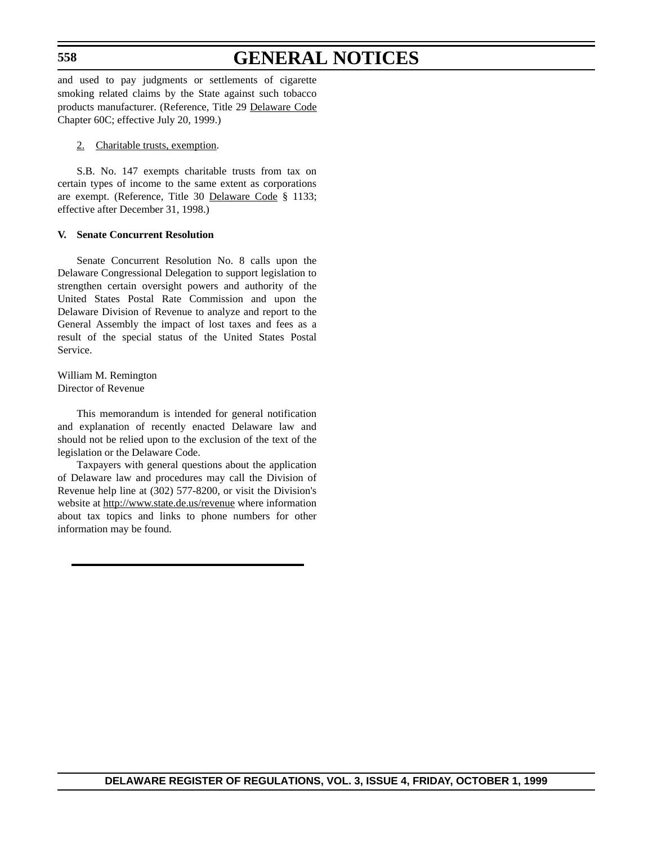**558**

### **GENERAL NOTICES**

and used to pay judgments or settlements of cigarette smoking related claims by the State against such tobacco products manufacturer. (Reference, Title 29 Delaware Code Chapter 60C; effective July 20, 1999.)

### 2. Charitable trusts, exemption.

S.B. No. 147 exempts charitable trusts from tax on certain types of income to the same extent as corporations are exempt. (Reference, Title 30 Delaware Code § 1133; effective after December 31, 1998.)

### **V. Senate Concurrent Resolution**

Senate Concurrent Resolution No. 8 calls upon the Delaware Congressional Delegation to support legislation to strengthen certain oversight powers and authority of the United States Postal Rate Commission and upon the Delaware Division of Revenue to analyze and report to the General Assembly the impact of lost taxes and fees as a result of the special status of the United States Postal Service.

William M. Remington Director of Revenue

This memorandum is intended for general notification and explanation of recently enacted Delaware law and should not be relied upon to the exclusion of the text of the legislation or the Delaware Code.

Taxpayers with general questions about the application of Delaware law and procedures may call the Division of Revenue help line at (302) 577-8200, or visit the Division's website at http://www.state.de.us/revenue where information about tax topics and links to phone numbers for other information may be found.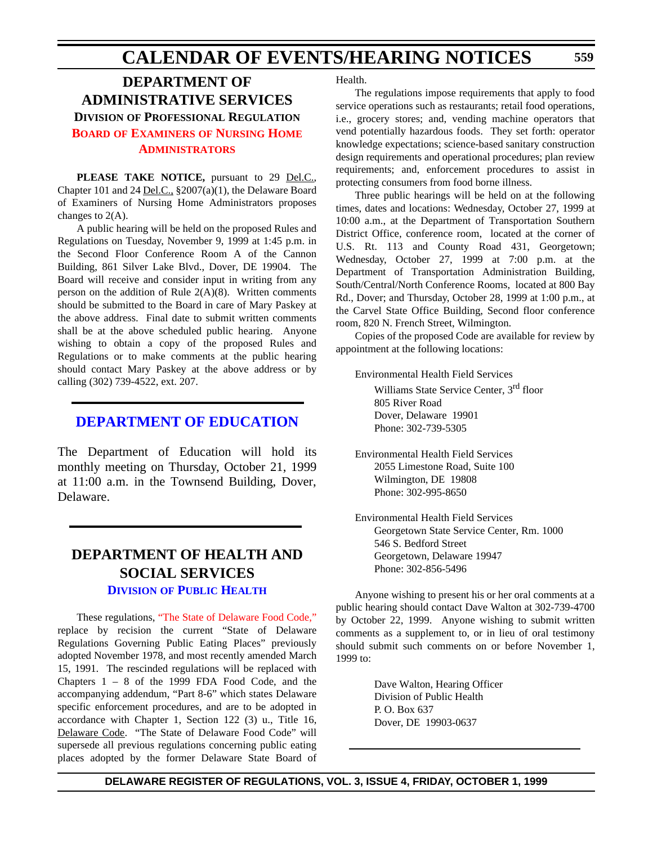### **CALENDAR OF EVENTS/HEARING NOTICES**

### **DEPARTMENT OF ADMINISTRATIVE SERVICES DIVISION OF PROFESSIONAL REGULATION BOARD OF EXAMINERS [OF NURSING HOME](#page-4-0) ADMINISTRATORS**

**PLEASE TAKE NOTICE,** pursuant to 29 Del.C., Chapter 101 and 24 Del.C., §2007(a)(1), the Delaware Board of Examiners of Nursing Home Administrators proposes changes to 2(A).

A public hearing will be held on the proposed Rules and Regulations on Tuesday, November 9, 1999 at 1:45 p.m. in the Second Floor Conference Room A of the Cannon Building, 861 Silver Lake Blvd., Dover, DE 19904. The Board will receive and consider input in writing from any person on the addition of Rule 2(A)(8). Written comments should be submitted to the Board in care of Mary Paskey at the above address. Final date to submit written comments shall be at the above scheduled public hearing. Anyone wishing to obtain a copy of the proposed Rules and Regulations or to make comments at the public hearing should contact Mary Paskey at the above address or by calling (302) 739-4522, ext. 207.

### **[DEPARTMENT OF EDUCATION](http://www.doe.state.de.us/)**

The Department of Education will hold its monthly meeting on Thursday, October 21, 1999 at 11:00 a.m. in the Townsend Building, Dover, Delaware.

### **DEPARTMENT OF HEALTH AND SOCIAL SERVICES DIVISION [OF PUBLIC HEALTH](http://www.state.de.us/dhss/irm/dph/dphhome.htm)**

These regulations, ["The State of Delaware Food Code,"](#page-4-0) replace by recision the current "State of Delaware Regulations Governing Public Eating Places" previously adopted November 1978, and most recently amended March 15, 1991. The rescinded regulations will be replaced with Chapters 1 – 8 of the 1999 FDA Food Code, and the accompanying addendum, "Part 8-6" which states Delaware specific enforcement procedures, and are to be adopted in accordance with Chapter 1, Section 122 (3) u., Title 16, Delaware Code. "The State of Delaware Food Code" will supersede all previous regulations concerning public eating places adopted by the former Delaware State Board of

Health.

The regulations impose requirements that apply to food service operations such as restaurants; retail food operations, i.e., grocery stores; and, vending machine operators that vend potentially hazardous foods. They set forth: operator knowledge expectations; science-based sanitary construction design requirements and operational procedures; plan review requirements; and, enforcement procedures to assist in protecting consumers from food borne illness.

Three public hearings will be held on at the following times, dates and locations: Wednesday, October 27, 1999 at 10:00 a.m., at the Department of Transportation Southern District Office, conference room, located at the corner of U.S. Rt. 113 and County Road 431, Georgetown; Wednesday, October 27, 1999 at 7:00 p.m. at the Department of Transportation Administration Building, South/Central/North Conference Rooms, located at 800 Bay Rd., Dover; and Thursday, October 28, 1999 at 1:00 p.m., at the Carvel State Office Building, Second floor conference room, 820 N. French Street, Wilmington.

Copies of the proposed Code are available for review by appointment at the following locations:

Environmental Health Field Services Williams State Service Center, 3<sup>rd</sup> floor 805 River Road Dover, Delaware 19901

Phone: 302-739-5305

Environmental Health Field Services 2055 Limestone Road, Suite 100 Wilmington, DE 19808 Phone: 302-995-8650

Environmental Health Field Services Georgetown State Service Center, Rm. 1000 546 S. Bedford Street Georgetown, Delaware 19947 Phone: 302-856-5496

Anyone wishing to present his or her oral comments at a public hearing should contact Dave Walton at 302-739-4700 by October 22, 1999. Anyone wishing to submit written comments as a supplement to, or in lieu of oral testimony should submit such comments on or before November 1, 1999 to:

> Dave Walton, Hearing Officer Division of Public Health P. O. Box 637 Dover, DE 19903-0637

**559**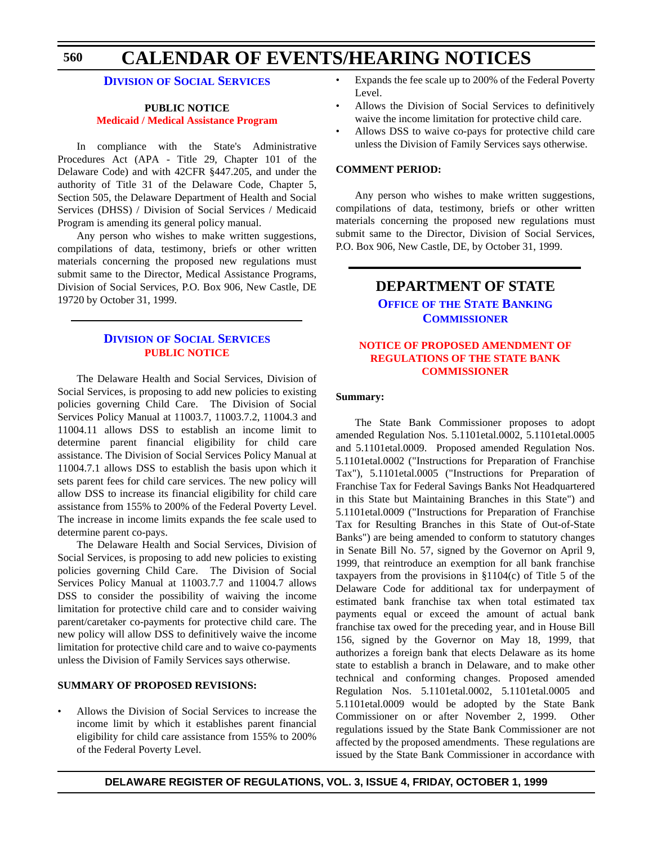#### **CALENDAR OF EVENTS/HEARING NOTICES 560**

### **DIVISION [OF SOCIAL SERVICES](http://www.state.de.us/dhss/irm/dss/dsshome.htm)**

### **PUBLIC NOTICE [Medicaid / Medical Assistance Program](#page-4-0)**

In compliance with the State's Administrative Procedures Act (APA - Title 29, Chapter 101 of the Delaware Code) and with 42CFR §447.205, and under the authority of Title 31 of the Delaware Code, Chapter 5, Section 505, the Delaware Department of Health and Social Services (DHSS) / Division of Social Services / Medicaid Program is amending its general policy manual.

Any person who wishes to make written suggestions, compilations of data, testimony, briefs or other written materials concerning the proposed new regulations must submit same to the Director, Medical Assistance Programs, Division of Social Services, P.O. Box 906, New Castle, DE 19720 by October 31, 1999.

### **DIVISION [OF SOCIAL SERVICES](http://www.state.de.us/dhss/irm/dss/dsshome.htm) [PUBLIC NOTICE](#page-4-0)**

The Delaware Health and Social Services, Division of Social Services, is proposing to add new policies to existing policies governing Child Care. The Division of Social Services Policy Manual at 11003.7, 11003.7.2, 11004.3 and 11004.11 allows DSS to establish an income limit to determine parent financial eligibility for child care assistance. The Division of Social Services Policy Manual at 11004.7.1 allows DSS to establish the basis upon which it sets parent fees for child care services. The new policy will allow DSS to increase its financial eligibility for child care assistance from 155% to 200% of the Federal Poverty Level. The increase in income limits expands the fee scale used to determine parent co-pays.

The Delaware Health and Social Services, Division of Social Services, is proposing to add new policies to existing policies governing Child Care. The Division of Social Services Policy Manual at 11003.7.7 and 11004.7 allows DSS to consider the possibility of waiving the income limitation for protective child care and to consider waiving parent/caretaker co-payments for protective child care. The new policy will allow DSS to definitively waive the income limitation for protective child care and to waive co-payments unless the Division of Family Services says otherwise.

### **SUMMARY OF PROPOSED REVISIONS:**

• Allows the Division of Social Services to increase the income limit by which it establishes parent financial eligibility for child care assistance from 155% to 200% of the Federal Poverty Level.

- Expands the fee scale up to 200% of the Federal Poverty Level.
- Allows the Division of Social Services to definitively waive the income limitation for protective child care.
- Allows DSS to waive co-pays for protective child care unless the Division of Family Services says otherwise.

### **COMMENT PERIOD:**

Any person who wishes to make written suggestions, compilations of data, testimony, briefs or other written materials concerning the proposed new regulations must submit same to the Director, Division of Social Services, P.O. Box 906, New Castle, DE, by October 31, 1999.

### **DEPARTMENT OF STATE OFFICE OF [THE STATE BANKING](http://www.state.de.us/sos/bank.htm) COMMISSIONER**

### **[NOTICE OF PROPOSED AMENDMENT OF](#page-4-0) REGULATIONS OF THE STATE BANK COMMISSIONER**

#### **Summary:**

The State Bank Commissioner proposes to adopt amended Regulation Nos. 5.1101etal.0002, 5.1101etal.0005 and 5.1101etal.0009. Proposed amended Regulation Nos. 5.1101etal.0002 ("Instructions for Preparation of Franchise Tax"), 5.1101etal.0005 ("Instructions for Preparation of Franchise Tax for Federal Savings Banks Not Headquartered in this State but Maintaining Branches in this State") and 5.1101etal.0009 ("Instructions for Preparation of Franchise Tax for Resulting Branches in this State of Out-of-State Banks") are being amended to conform to statutory changes in Senate Bill No. 57, signed by the Governor on April 9, 1999, that reintroduce an exemption for all bank franchise taxpayers from the provisions in §1104(c) of Title 5 of the Delaware Code for additional tax for underpayment of estimated bank franchise tax when total estimated tax payments equal or exceed the amount of actual bank franchise tax owed for the preceding year, and in House Bill 156, signed by the Governor on May 18, 1999, that authorizes a foreign bank that elects Delaware as its home state to establish a branch in Delaware, and to make other technical and conforming changes. Proposed amended Regulation Nos. 5.1101etal.0002, 5.1101etal.0005 and 5.1101etal.0009 would be adopted by the State Bank Commissioner on or after November 2, 1999. Other regulations issued by the State Bank Commissioner are not affected by the proposed amendments. These regulations are issued by the State Bank Commissioner in accordance with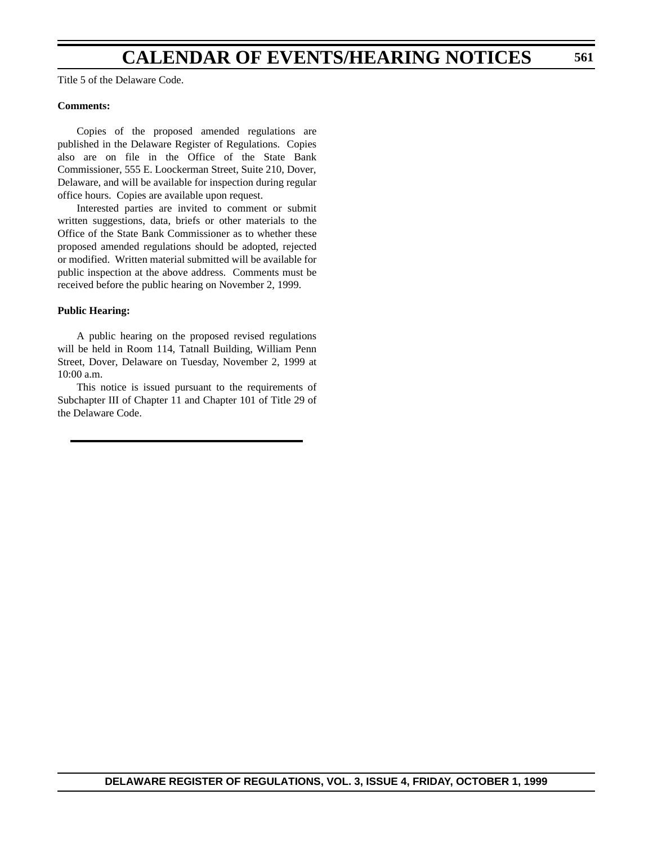### **CALENDAR OF EVENTS/HEARING NOTICES**

Title 5 of the Delaware Code.

### **Comments:**

Copies of the proposed amended regulations are published in the Delaware Register of Regulations. Copies also are on file in the Office of the State Bank Commissioner, 555 E. Loockerman Street, Suite 210, Dover, Delaware, and will be available for inspection during regular office hours. Copies are available upon request.

Interested parties are invited to comment or submit written suggestions, data, briefs or other materials to the Office of the State Bank Commissioner as to whether these proposed amended regulations should be adopted, rejected or modified. Written material submitted will be available for public inspection at the above address. Comments must be received before the public hearing on November 2, 1999.

### **Public Hearing:**

A public hearing on the proposed revised regulations will be held in Room 114, Tatnall Building, William Penn Street, Dover, Delaware on Tuesday, November 2, 1999 at 10:00 a.m.

This notice is issued pursuant to the requirements of Subchapter III of Chapter 11 and Chapter 101 of Title 29 of the Delaware Code.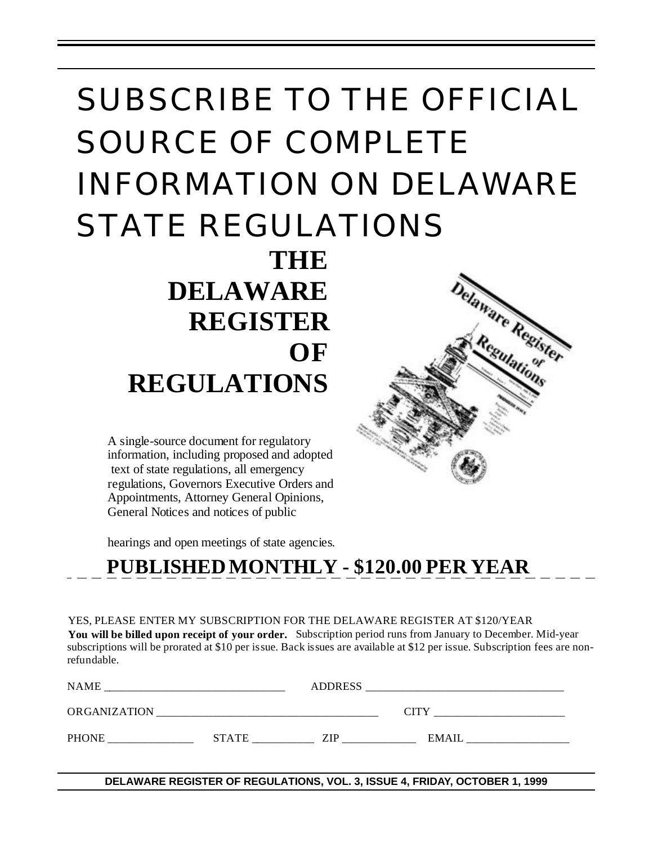# SUBSCRIBE TO THE OFFICIAL SOURCE OF COMPLETE INFORMATION ON DELAWARE STATE REGULATIONS **THE**

 **DELAWARE REGISTER OF REGULATIONS**

A single-source document for regulatory information, including proposed and adopted text of state regulations, all emergency regulations, Governors Executive Orders and Appointments, Attorney General Opinions, General Notices and notices of public

hearings and open meetings of state agencies.

# **PUBLISHED MONTHLY - \$120.00 PER YEAR**

YES, PLEASE ENTER MY SUBSCRIPTION FOR THE DELAWARE REGISTER AT \$120/YEAR **You will be billed upon receipt of your order.** Subscription period runs from January to December. Mid-year subscriptions will be prorated at \$10 per issue. Back issues are available at \$12 per issue. Subscription fees are nonrefundable.

| NAME                |              | <b>ADDRESS</b> |              |
|---------------------|--------------|----------------|--------------|
| <b>ORGANIZATION</b> |              |                | <b>CITY</b>  |
| <b>PHONE</b>        | <b>STATE</b> | ZIP            | <b>EMAIL</b> |

**DELAWARE REGISTER OF REGULATIONS, VOL. 3, ISSUE 4, FRIDAY, OCTOBER 1, 1999**

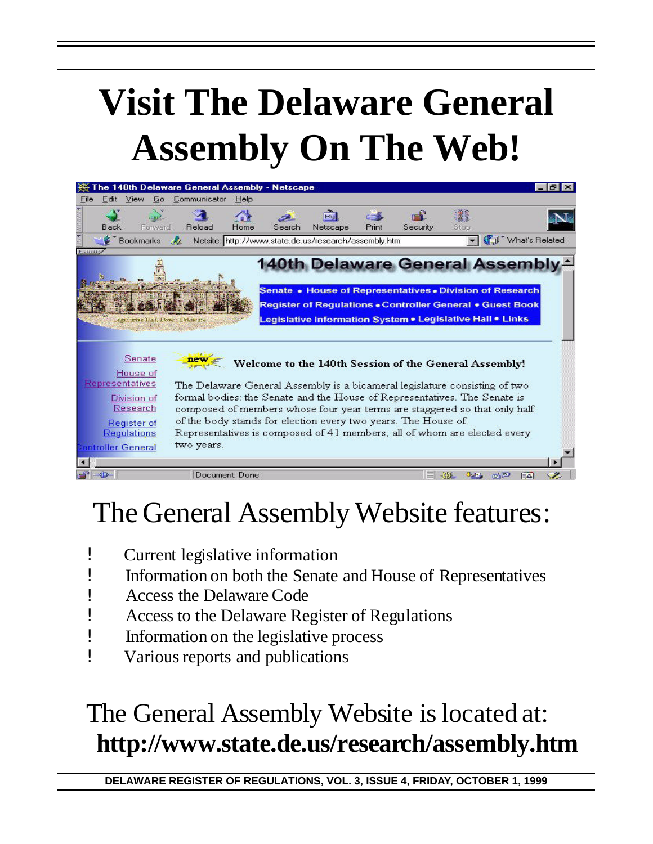# **Visit The Delaware General Assembly On The Web!**



# The General Assembly Website features:

- ! Current legislative information
- ! Information on both the Senate and House of Representatives
- ! Access the Delaware Code
- ! Access to the Delaware Register of Regulations
- ! Information on the legislative process
- ! Various reports and publications

# The General Assembly Website is located at: **http://www.state.de.us/research/assembly.htm**